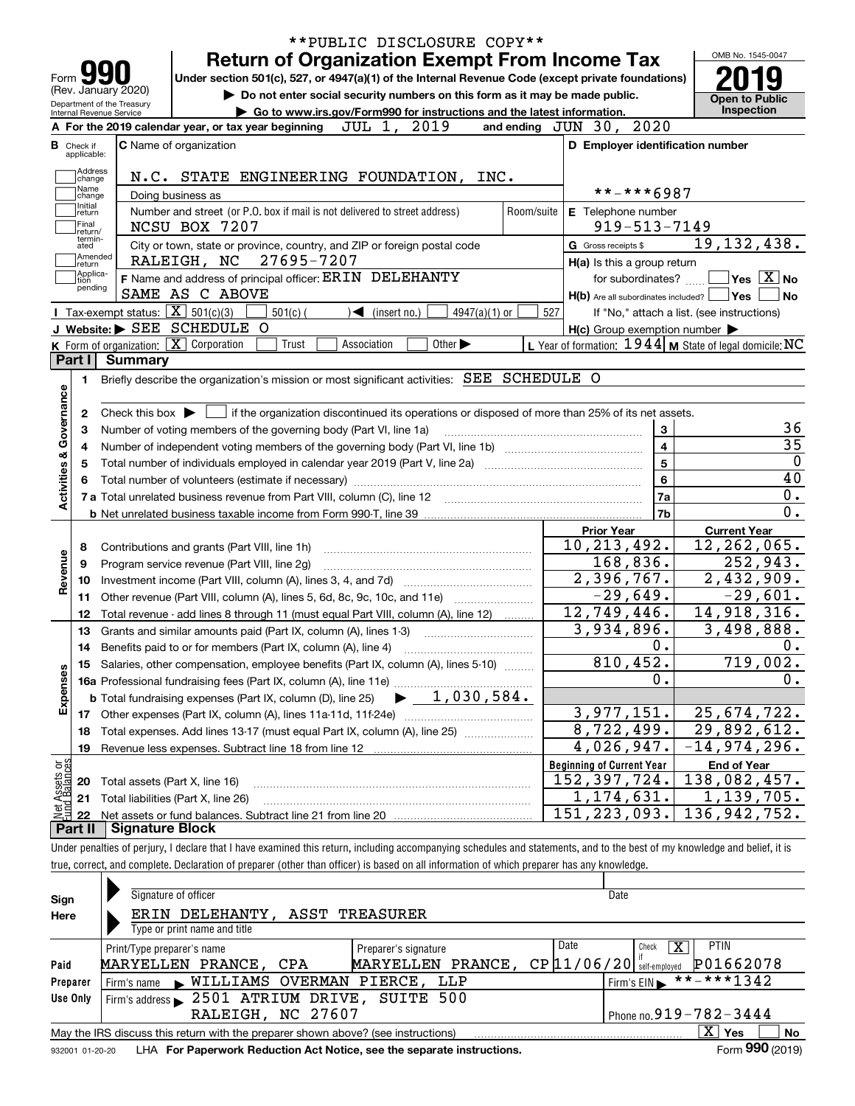|                                                                                                   |                        |                                                                                                                                                          |            | <b>Return of Organization Exempt From Income Tax</b>                        |                                                                   |                             |            |                                  |                             |                         | OMB No. 1545-0047                                         |                                          |
|---------------------------------------------------------------------------------------------------|------------------------|----------------------------------------------------------------------------------------------------------------------------------------------------------|------------|-----------------------------------------------------------------------------|-------------------------------------------------------------------|-----------------------------|------------|----------------------------------|-----------------------------|-------------------------|-----------------------------------------------------------|------------------------------------------|
| Form 3                                                                                            |                        | Under section 501(c), 527, or 4947(a)(1) of the Internal Revenue Code (except private foundations)                                                       |            |                                                                             |                                                                   |                             |            |                                  |                             |                         |                                                           |                                          |
| (Rev. January 2020)                                                                               |                        |                                                                                                                                                          |            | Do not enter social security numbers on this form as it may be made public. |                                                                   |                             |            |                                  |                             |                         |                                                           |                                          |
| Department of the Treasury<br>Internal Revenue Service                                            |                        |                                                                                                                                                          |            | Go to www.irs.gov/Form990 for instructions and the latest information.      |                                                                   |                             |            |                                  |                             |                         | <b>Open to Public</b>                                     | Inspection                               |
|                                                                                                   |                        | A For the 2019 calendar year, or tax year beginning                                                                                                      |            | JUL 1,                                                                      | 2019                                                              |                             |            | and ending JUN 30, 2020          |                             |                         |                                                           |                                          |
| <b>B</b> Check if<br>applicable:                                                                  |                        | C Name of organization                                                                                                                                   |            |                                                                             |                                                                   |                             |            |                                  |                             |                         | D Employer identification number                          |                                          |
| Address                                                                                           |                        |                                                                                                                                                          |            |                                                                             |                                                                   |                             |            |                                  |                             |                         |                                                           |                                          |
| change<br>Name                                                                                    |                        | N.C. STATE ENGINEERING FOUNDATION, INC.                                                                                                                  |            |                                                                             |                                                                   |                             |            |                                  | **-***6987                  |                         |                                                           |                                          |
| change<br>Initial                                                                                 |                        | Doing business as                                                                                                                                        |            |                                                                             |                                                                   |                             |            |                                  |                             |                         |                                                           |                                          |
| return<br>Final                                                                                   |                        | Number and street (or P.O. box if mail is not delivered to street address)<br>NCSU BOX 7207                                                              |            |                                                                             |                                                                   |                             | Room/suite | E Telephone number               | $919 - 513 - 7149$          |                         |                                                           |                                          |
| return/<br>termin-                                                                                |                        |                                                                                                                                                          |            |                                                                             |                                                                   |                             |            | G Gross receipts \$              |                             |                         | 19, 132, 438.                                             |                                          |
| ated<br>Amended                                                                                   |                        | City or town, state or province, country, and ZIP or foreign postal code<br>RALEIGH, NC                                                                  | 27695-7207 |                                                                             |                                                                   |                             |            |                                  |                             |                         |                                                           |                                          |
| ∣return<br>Applica-                                                                               |                        | F Name and address of principal officer: ERIN DELEHANTY                                                                                                  |            |                                                                             |                                                                   |                             |            |                                  | H(a) Is this a group return |                         | for subordinates? $\Box$ Yes $\boxed{X}$ No               |                                          |
| tion<br>pending                                                                                   |                        | SAME AS C ABOVE                                                                                                                                          |            |                                                                             |                                                                   |                             |            |                                  |                             |                         | $H(b)$ Are all subordinates included? $\Box$ Yes $\Box$   | $ $ No                                   |
|                                                                                                   |                        | Tax-exempt status: $\boxed{\mathbf{X}}$ 501(c)(3)                                                                                                        | $501(c)$ ( | $\blacktriangleleft$ (insert no.)                                           |                                                                   | 4947(a)(1) or               | 527        |                                  |                             |                         | If "No," attach a list. (see instructions)                |                                          |
|                                                                                                   |                        | J Website: > SEE SCHEDULE O                                                                                                                              |            |                                                                             |                                                                   |                             |            |                                  |                             |                         | $H(c)$ Group exemption number $\blacktriangleright$       |                                          |
|                                                                                                   |                        | K Form of organization: X Corporation                                                                                                                    | Trust      | Association                                                                 |                                                                   | Other $\blacktriangleright$ |            |                                  |                             |                         | L Year of formation: 1944   M State of legal domicile: NC |                                          |
| Part I                                                                                            | <b>Summary</b>         |                                                                                                                                                          |            |                                                                             |                                                                   |                             |            |                                  |                             |                         |                                                           |                                          |
| 1.                                                                                                |                        | Briefly describe the organization's mission or most significant activities: SEE SCHEDULE O                                                               |            |                                                                             |                                                                   |                             |            |                                  |                             |                         |                                                           |                                          |
|                                                                                                   |                        |                                                                                                                                                          |            |                                                                             |                                                                   |                             |            |                                  |                             |                         |                                                           |                                          |
|                                                                                                   |                        |                                                                                                                                                          |            |                                                                             | Number of voting members of the governing body (Part VI, line 1a) |                             |            |                                  |                             | $\overline{\mathbf{4}}$ |                                                           |                                          |
| 5                                                                                                 |                        | Total number of individuals employed in calendar year 2019 (Part V, line 2a) manufacture of individuals employed in calendar year 2019 (Part V, line 2a) |            |                                                                             |                                                                   |                             |            |                                  |                             | 5<br>6<br>7a            |                                                           |                                          |
|                                                                                                   |                        |                                                                                                                                                          |            |                                                                             |                                                                   |                             |            |                                  |                             | 7b                      |                                                           |                                          |
|                                                                                                   |                        |                                                                                                                                                          |            |                                                                             |                                                                   |                             |            | <b>Prior Year</b>                |                             |                         | <b>Current Year</b>                                       |                                          |
| 8                                                                                                 |                        | Contributions and grants (Part VIII, line 1h)                                                                                                            |            |                                                                             |                                                                   |                             |            | 10, 213, 492.                    |                             |                         | 12, 262, 065.                                             |                                          |
| 9                                                                                                 |                        | Program service revenue (Part VIII, line 2g)                                                                                                             |            |                                                                             |                                                                   |                             |            |                                  | 168,836.                    |                         |                                                           |                                          |
| 10                                                                                                |                        |                                                                                                                                                          |            |                                                                             |                                                                   |                             |            |                                  | 2,396,767.                  |                         | 2,432,909.                                                |                                          |
| 11                                                                                                |                        | Other revenue (Part VIII, column (A), lines 5, 6d, 8c, 9c, 10c, and 11e)                                                                                 |            |                                                                             |                                                                   |                             |            |                                  | $-29,649.$                  |                         |                                                           |                                          |
| 12                                                                                                |                        | Total revenue - add lines 8 through 11 (must equal Part VIII, column (A), line 12)                                                                       |            |                                                                             |                                                                   |                             |            | 12,749,446.                      |                             |                         | 14,918,316.                                               |                                          |
| 13                                                                                                |                        | Grants and similar amounts paid (Part IX, column (A), lines 1-3)                                                                                         |            |                                                                             |                                                                   |                             |            |                                  | 3,934,896.                  |                         | 3,498,888.                                                |                                          |
| 14                                                                                                |                        | Benefits paid to or for members (Part IX, column (A), line 4)                                                                                            |            |                                                                             |                                                                   |                             |            |                                  | 0.                          |                         |                                                           |                                          |
| 15                                                                                                |                        | Salaries, other compensation, employee benefits (Part IX, column (A), lines 5-10)                                                                        |            |                                                                             |                                                                   |                             |            |                                  | 810, 452.                   |                         |                                                           |                                          |
|                                                                                                   |                        | 16a Professional fundraising fees (Part IX, column (A), line 11e)                                                                                        |            |                                                                             |                                                                   |                             |            |                                  | о.                          |                         |                                                           |                                          |
|                                                                                                   |                        | <b>b</b> Total fundraising expenses (Part IX, column (D), line 25)                                                                                       |            |                                                                             | $\blacktriangleright$ 1,030,584.                                  |                             |            |                                  |                             |                         |                                                           |                                          |
| 17                                                                                                |                        |                                                                                                                                                          |            |                                                                             |                                                                   |                             |            |                                  | 3,977,151.                  |                         | 25,674,722.                                               |                                          |
| 18                                                                                                |                        | Total expenses. Add lines 13-17 (must equal Part IX, column (A), line 25)                                                                                |            |                                                                             |                                                                   |                             |            |                                  | 8, 722, 499.                |                         | $\overline{29}$ , 892, 612.                               |                                          |
| 19                                                                                                |                        | Revenue less expenses. Subtract line 18 from line 12                                                                                                     |            |                                                                             |                                                                   |                             |            |                                  | 4,026,947.                  |                         | $-14,974,296.$                                            |                                          |
|                                                                                                   |                        |                                                                                                                                                          |            |                                                                             |                                                                   |                             |            | <b>Beginning of Current Year</b> |                             |                         | <b>End of Year</b>                                        |                                          |
| 20                                                                                                |                        | Total assets (Part X, line 16)                                                                                                                           |            |                                                                             |                                                                   |                             |            | 152, 397, 724.                   |                             |                         | 138,082,457.                                              |                                          |
| 21                                                                                                |                        | Total liabilities (Part X, line 26)                                                                                                                      |            |                                                                             |                                                                   |                             |            |                                  | $\overline{1,174,631}$ .    |                         | 1,139,705.                                                | 252,943.<br>$-29,601.$<br>0.<br>719,002. |
| Activities & Governance<br>Revenue<br>Expenses<br>Net Assets or<br>Fund Balances<br>22<br>Part II | <b>Signature Block</b> |                                                                                                                                                          |            |                                                                             |                                                                   |                             |            | 151,                             | 223,093.                    |                         | 136,942,752.                                              |                                          |

| Signature of officer<br>Date<br>Sign<br>DELEHANTY, ASST TREASURER<br>ERIN<br>Here                                     |                                                  |  |  |  |  |  |  |  |
|-----------------------------------------------------------------------------------------------------------------------|--------------------------------------------------|--|--|--|--|--|--|--|
| Type or print name and title                                                                                          |                                                  |  |  |  |  |  |  |  |
| Date<br>Check<br>Preparer's signature<br>Print/Type preparer's name                                                   | <b>PTIN</b><br>x                                 |  |  |  |  |  |  |  |
| $CP$ $11/06/20$ self-employed<br>MARYELLEN PRANCE,<br>MARYELLEN PRANCE, CPA<br>Paid                                   | P01662078                                        |  |  |  |  |  |  |  |
| Firm's name WILLIAMS OVERMAN PIERCE, LLP<br>Preparer                                                                  | $I$ Firm's EIN $\triangleright$ * * - * * * 1342 |  |  |  |  |  |  |  |
| Firm's address > 2501 ATRIUM DRIVE, SUITE 500<br>Use Only                                                             |                                                  |  |  |  |  |  |  |  |
| RALEIGH, NC 27607                                                                                                     | Phone no. 919 - 782 - 3444                       |  |  |  |  |  |  |  |
| $\mathbf{x}$<br><b>No</b><br>Yes<br>May the IRS discuss this return with the preparer shown above? (see instructions) |                                                  |  |  |  |  |  |  |  |

932001 01-20-20 LHA **For Paperwork Reduction Act Notice, see the separate instructions. Form 990 (2019)** 

**990**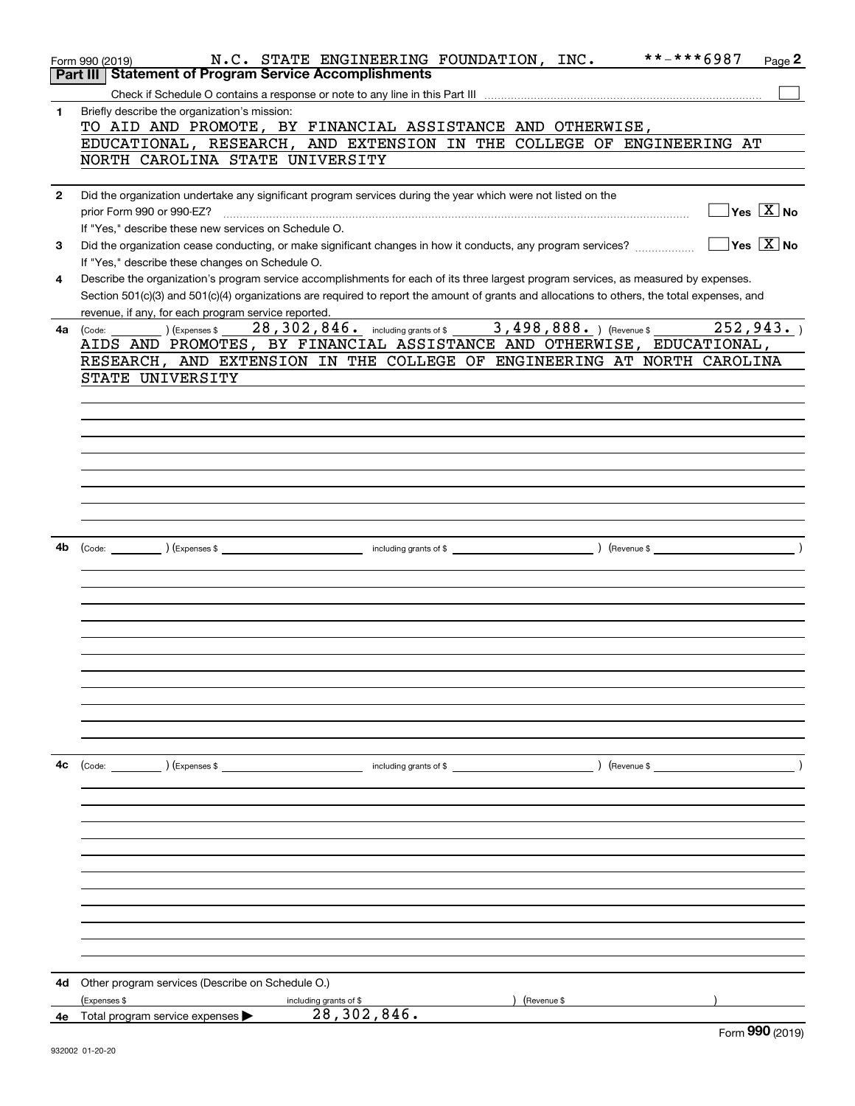|              | **-***6987<br>N.C. STATE ENGINEERING FOUNDATION, INC.<br>Page $2$<br>Form 990 (2019)                                                                                                                                                                                                                                                                                                   |
|--------------|----------------------------------------------------------------------------------------------------------------------------------------------------------------------------------------------------------------------------------------------------------------------------------------------------------------------------------------------------------------------------------------|
|              | Part III   Statement of Program Service Accomplishments                                                                                                                                                                                                                                                                                                                                |
| $\mathbf{1}$ | Briefly describe the organization's mission:                                                                                                                                                                                                                                                                                                                                           |
|              | TO AID AND PROMOTE, BY FINANCIAL ASSISTANCE AND OTHERWISE,                                                                                                                                                                                                                                                                                                                             |
|              | EDUCATIONAL, RESEARCH, AND EXTENSION IN THE COLLEGE OF ENGINEERING AT                                                                                                                                                                                                                                                                                                                  |
|              | NORTH CAROLINA STATE UNIVERSITY                                                                                                                                                                                                                                                                                                                                                        |
|              |                                                                                                                                                                                                                                                                                                                                                                                        |
| $\mathbf{2}$ | Did the organization undertake any significant program services during the year which were not listed on the                                                                                                                                                                                                                                                                           |
|              | $\boxed{\phantom{1}}$ Yes $\boxed{\text{X}}$ No                                                                                                                                                                                                                                                                                                                                        |
|              | If "Yes." describe these new services on Schedule O.                                                                                                                                                                                                                                                                                                                                   |
| 3            |                                                                                                                                                                                                                                                                                                                                                                                        |
|              | If "Yes," describe these changes on Schedule O.                                                                                                                                                                                                                                                                                                                                        |
| 4            | Describe the organization's program service accomplishments for each of its three largest program services, as measured by expenses.                                                                                                                                                                                                                                                   |
|              | Section 501(c)(3) and 501(c)(4) organizations are required to report the amount of grants and allocations to others, the total expenses, and                                                                                                                                                                                                                                           |
|              | revenue, if any, for each program service reported.<br>4a (Code: 18, 198, 28, 302, 846. including grants of \$2, 498, 888. ) (Revenue \$2, 198, 1988. ) (Revenue \$2, 198, 1988. ) (Revenue \$2, 198, 1988. ) (Revenue \$2, 1986. ) (Revenue \$2, 1986. ) (Revenue \$2, 1986. ) (Revenue \$2,<br>252,943.                                                                              |
|              | AIDS AND PROMOTES, BY FINANCIAL ASSISTANCE AND OTHERWISE, EDUCATIONAL,                                                                                                                                                                                                                                                                                                                 |
|              | RESEARCH, AND EXTENSION IN THE COLLEGE OF ENGINEERING AT NORTH CAROLINA                                                                                                                                                                                                                                                                                                                |
|              | STATE UNIVERSITY                                                                                                                                                                                                                                                                                                                                                                       |
|              |                                                                                                                                                                                                                                                                                                                                                                                        |
|              |                                                                                                                                                                                                                                                                                                                                                                                        |
|              |                                                                                                                                                                                                                                                                                                                                                                                        |
|              |                                                                                                                                                                                                                                                                                                                                                                                        |
|              |                                                                                                                                                                                                                                                                                                                                                                                        |
|              |                                                                                                                                                                                                                                                                                                                                                                                        |
|              |                                                                                                                                                                                                                                                                                                                                                                                        |
|              |                                                                                                                                                                                                                                                                                                                                                                                        |
|              |                                                                                                                                                                                                                                                                                                                                                                                        |
| 4b           |                                                                                                                                                                                                                                                                                                                                                                                        |
|              |                                                                                                                                                                                                                                                                                                                                                                                        |
|              |                                                                                                                                                                                                                                                                                                                                                                                        |
|              |                                                                                                                                                                                                                                                                                                                                                                                        |
|              |                                                                                                                                                                                                                                                                                                                                                                                        |
|              |                                                                                                                                                                                                                                                                                                                                                                                        |
|              |                                                                                                                                                                                                                                                                                                                                                                                        |
|              |                                                                                                                                                                                                                                                                                                                                                                                        |
|              |                                                                                                                                                                                                                                                                                                                                                                                        |
|              |                                                                                                                                                                                                                                                                                                                                                                                        |
|              |                                                                                                                                                                                                                                                                                                                                                                                        |
|              |                                                                                                                                                                                                                                                                                                                                                                                        |
| 4с           | $\text{(Code:}\n\begin{picture}(1,0) \put(0,0){\dashbox{0.5}(1,0){ }} \put(1,0){\dashbox{0.5}(1,0){ }} \put(2,0){\dashbox{0.5}(1,0){ }} \put(3,0){\dashbox{0.5}(1,0){ }} \put(4,0){\dashbox{0.5}(1,0){ }} \put(5,0){\dashbox{0.5}(1,0){ }} \put(6,0){\dashbox{0.5}(1,0){ }} \put(6,0){\dashbox{0.5}(1,0){ }} \put(6,0){\dashbox{0.5}(1,0){ }} \put(6,0){\dashbox{0.5}(1,0){ }} \put(6$ |
|              |                                                                                                                                                                                                                                                                                                                                                                                        |
|              |                                                                                                                                                                                                                                                                                                                                                                                        |
|              |                                                                                                                                                                                                                                                                                                                                                                                        |
|              |                                                                                                                                                                                                                                                                                                                                                                                        |
|              |                                                                                                                                                                                                                                                                                                                                                                                        |
|              |                                                                                                                                                                                                                                                                                                                                                                                        |
|              |                                                                                                                                                                                                                                                                                                                                                                                        |
|              |                                                                                                                                                                                                                                                                                                                                                                                        |
|              |                                                                                                                                                                                                                                                                                                                                                                                        |
|              |                                                                                                                                                                                                                                                                                                                                                                                        |
|              |                                                                                                                                                                                                                                                                                                                                                                                        |
|              |                                                                                                                                                                                                                                                                                                                                                                                        |
| 4d -         | Other program services (Describe on Schedule O.)<br>(Revenue \$                                                                                                                                                                                                                                                                                                                        |
| 4е           | (Expenses \$<br>including grants of \$<br>28,302,846.<br>Total program service expenses                                                                                                                                                                                                                                                                                                |
|              | $F_{\text{arm}}$ 990 (2010)                                                                                                                                                                                                                                                                                                                                                            |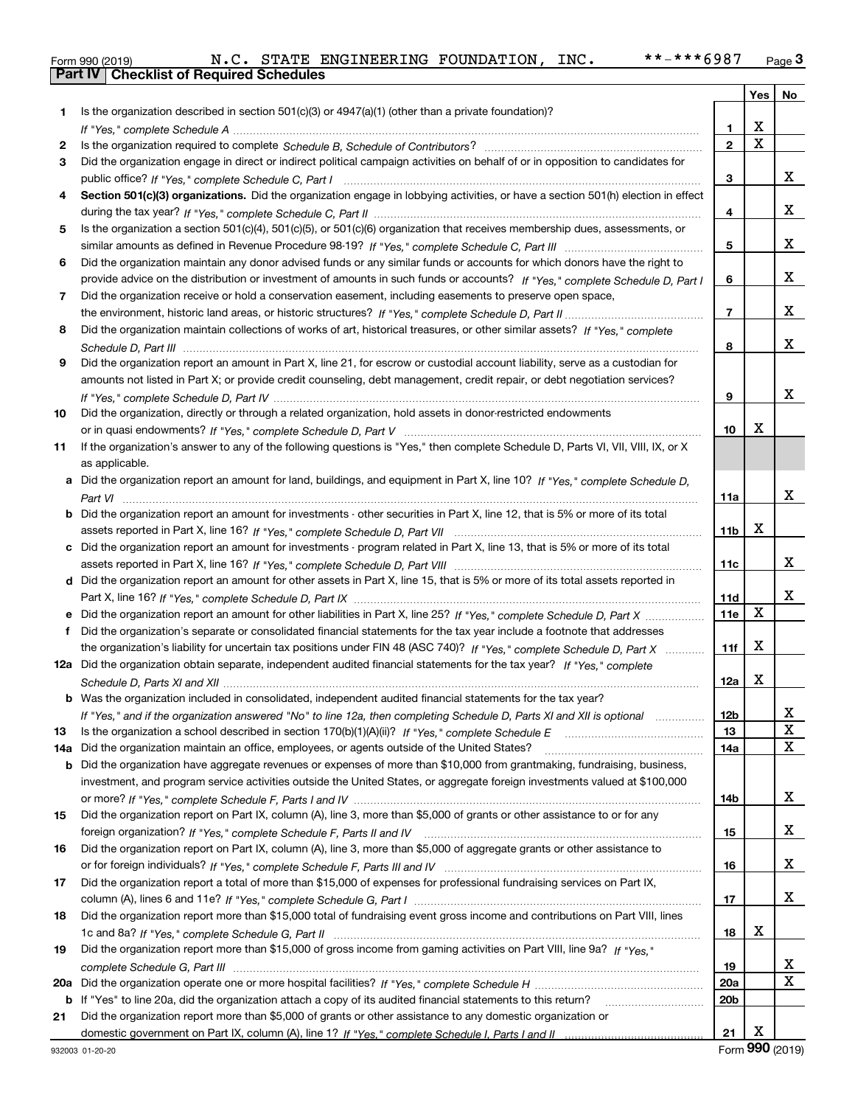|  | Form 990 (2019) |  |
|--|-----------------|--|

|     |                                                                                                                                                                                                                                                   |                 |                         | Yes   No                |
|-----|---------------------------------------------------------------------------------------------------------------------------------------------------------------------------------------------------------------------------------------------------|-----------------|-------------------------|-------------------------|
| 1   | Is the organization described in section $501(c)(3)$ or $4947(a)(1)$ (other than a private foundation)?                                                                                                                                           |                 |                         |                         |
|     |                                                                                                                                                                                                                                                   | 1               | х                       |                         |
| 2   |                                                                                                                                                                                                                                                   | $\overline{2}$  | $\overline{\mathbf{x}}$ |                         |
| 3   | Did the organization engage in direct or indirect political campaign activities on behalf of or in opposition to candidates for                                                                                                                   |                 |                         |                         |
|     |                                                                                                                                                                                                                                                   | 3               |                         | x                       |
| 4   | Section 501(c)(3) organizations. Did the organization engage in lobbying activities, or have a section 501(h) election in effect                                                                                                                  |                 |                         |                         |
|     |                                                                                                                                                                                                                                                   | 4               |                         | x                       |
| 5   | Is the organization a section 501(c)(4), 501(c)(5), or 501(c)(6) organization that receives membership dues, assessments, or                                                                                                                      |                 |                         |                         |
|     |                                                                                                                                                                                                                                                   | 5               |                         | x                       |
| 6   | Did the organization maintain any donor advised funds or any similar funds or accounts for which donors have the right to                                                                                                                         |                 |                         |                         |
|     | provide advice on the distribution or investment of amounts in such funds or accounts? If "Yes," complete Schedule D, Part I                                                                                                                      | 6               |                         | x                       |
| 7   | Did the organization receive or hold a conservation easement, including easements to preserve open space,                                                                                                                                         |                 |                         |                         |
|     |                                                                                                                                                                                                                                                   | $\overline{7}$  |                         | x                       |
| 8   | Did the organization maintain collections of works of art, historical treasures, or other similar assets? If "Yes," complete                                                                                                                      |                 |                         |                         |
|     |                                                                                                                                                                                                                                                   | 8               |                         | x                       |
| 9   | Did the organization report an amount in Part X, line 21, for escrow or custodial account liability, serve as a custodian for                                                                                                                     |                 |                         |                         |
|     | amounts not listed in Part X; or provide credit counseling, debt management, credit repair, or debt negotiation services?                                                                                                                         |                 |                         |                         |
|     |                                                                                                                                                                                                                                                   | 9               |                         | x                       |
| 10  | Did the organization, directly or through a related organization, hold assets in donor-restricted endowments                                                                                                                                      |                 |                         |                         |
|     |                                                                                                                                                                                                                                                   | 10              | х                       |                         |
| 11  | If the organization's answer to any of the following questions is "Yes," then complete Schedule D, Parts VI, VII, VIII, IX, or X                                                                                                                  |                 |                         |                         |
|     | as applicable.                                                                                                                                                                                                                                    |                 |                         |                         |
|     | a Did the organization report an amount for land, buildings, and equipment in Part X, line 10? If "Yes," complete Schedule D.                                                                                                                     |                 |                         |                         |
|     |                                                                                                                                                                                                                                                   | 11a             |                         | x                       |
|     | <b>b</b> Did the organization report an amount for investments - other securities in Part X, line 12, that is 5% or more of its total                                                                                                             |                 |                         |                         |
|     |                                                                                                                                                                                                                                                   | 11b             | х                       |                         |
|     | c Did the organization report an amount for investments - program related in Part X, line 13, that is 5% or more of its total                                                                                                                     |                 |                         |                         |
|     |                                                                                                                                                                                                                                                   | 11c             |                         | x                       |
|     | d Did the organization report an amount for other assets in Part X, line 15, that is 5% or more of its total assets reported in                                                                                                                   |                 |                         | x                       |
|     |                                                                                                                                                                                                                                                   | 11d             | X                       |                         |
|     |                                                                                                                                                                                                                                                   | <b>11e</b>      |                         |                         |
| f.  | Did the organization's separate or consolidated financial statements for the tax year include a footnote that addresses                                                                                                                           |                 | х                       |                         |
|     | the organization's liability for uncertain tax positions under FIN 48 (ASC 740)? If "Yes," complete Schedule D, Part X<br>12a Did the organization obtain separate, independent audited financial statements for the tax year? If "Yes," complete | 11f             |                         |                         |
|     |                                                                                                                                                                                                                                                   | 12a             | х                       |                         |
|     | <b>b</b> Was the organization included in consolidated, independent audited financial statements for the tax year?                                                                                                                                |                 |                         |                         |
|     | If "Yes," and if the organization answered "No" to line 12a, then completing Schedule D, Parts XI and XII is optional                                                                                                                             | 12 <sub>b</sub> |                         |                         |
| 13  |                                                                                                                                                                                                                                                   | 13              |                         | 43.<br>X                |
| 14a | Did the organization maintain an office, employees, or agents outside of the United States?                                                                                                                                                       | 14a             |                         | X                       |
| b   | Did the organization have aggregate revenues or expenses of more than \$10,000 from grantmaking, fundraising, business,                                                                                                                           |                 |                         |                         |
|     | investment, and program service activities outside the United States, or aggregate foreign investments valued at \$100,000                                                                                                                        |                 |                         |                         |
|     |                                                                                                                                                                                                                                                   | 14b             |                         | X                       |
| 15  | Did the organization report on Part IX, column (A), line 3, more than \$5,000 of grants or other assistance to or for any                                                                                                                         |                 |                         |                         |
|     |                                                                                                                                                                                                                                                   | 15              |                         | X                       |
| 16  | Did the organization report on Part IX, column (A), line 3, more than \$5,000 of aggregate grants or other assistance to                                                                                                                          |                 |                         |                         |
|     |                                                                                                                                                                                                                                                   | 16              |                         | X                       |
| 17  | Did the organization report a total of more than \$15,000 of expenses for professional fundraising services on Part IX,                                                                                                                           |                 |                         |                         |
|     |                                                                                                                                                                                                                                                   | 17              |                         | X                       |
| 18  | Did the organization report more than \$15,000 total of fundraising event gross income and contributions on Part VIII, lines                                                                                                                      |                 |                         |                         |
|     |                                                                                                                                                                                                                                                   | 18              | х                       |                         |
| 19  | Did the organization report more than \$15,000 of gross income from gaming activities on Part VIII, line 9a? If "Yes."                                                                                                                            |                 |                         |                         |
|     |                                                                                                                                                                                                                                                   | 19              |                         | X                       |
| 20a |                                                                                                                                                                                                                                                   | 20a             |                         | $\overline{\mathbf{X}}$ |
|     | b If "Yes" to line 20a, did the organization attach a copy of its audited financial statements to this return?                                                                                                                                    | 20b             |                         |                         |
| 21  | Did the organization report more than \$5,000 of grants or other assistance to any domestic organization or                                                                                                                                       |                 |                         |                         |
|     |                                                                                                                                                                                                                                                   | 21              | х                       |                         |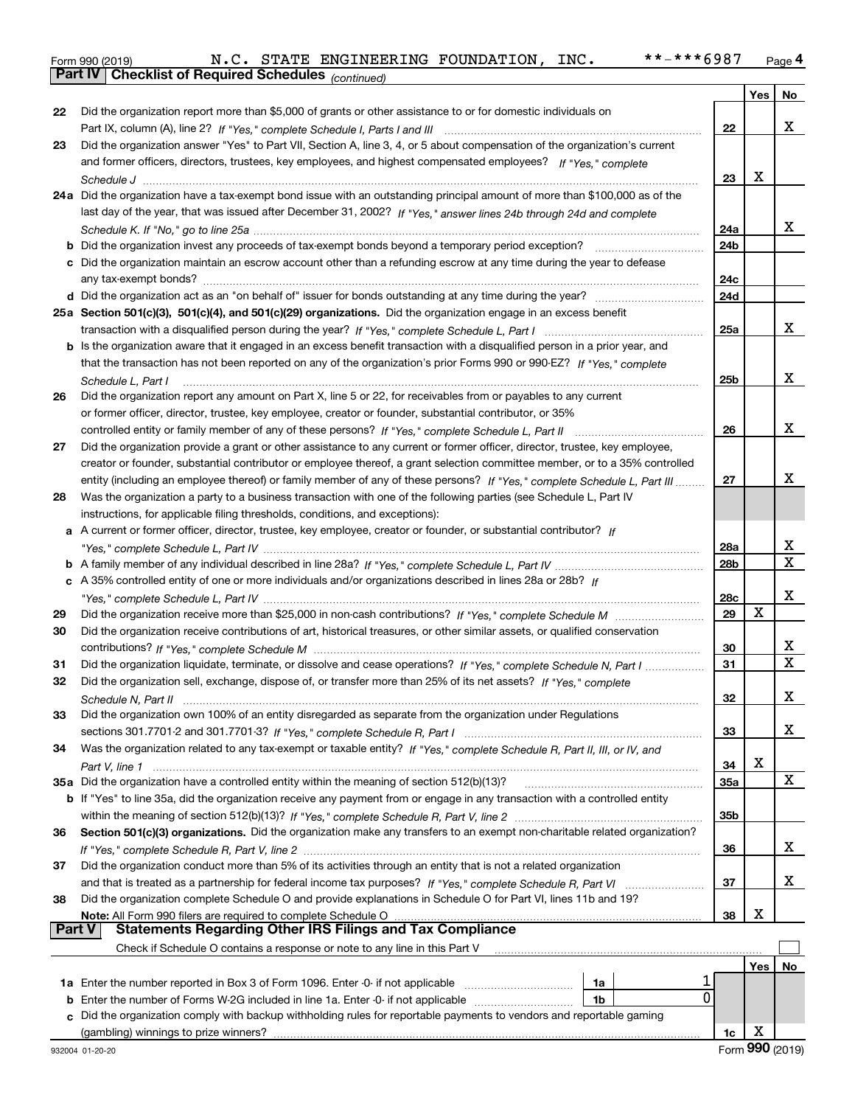|  | Form 990 (2019) |
|--|-----------------|
|  |                 |

*(continued)*

|               |                                                                                                                                                                                                                          |                 | Yes | No     |
|---------------|--------------------------------------------------------------------------------------------------------------------------------------------------------------------------------------------------------------------------|-----------------|-----|--------|
| 22            | Did the organization report more than \$5,000 of grants or other assistance to or for domestic individuals on                                                                                                            |                 |     |        |
|               |                                                                                                                                                                                                                          | 22              |     | х      |
| 23            | Did the organization answer "Yes" to Part VII, Section A, line 3, 4, or 5 about compensation of the organization's current                                                                                               |                 |     |        |
|               | and former officers, directors, trustees, key employees, and highest compensated employees? If "Yes." complete                                                                                                           |                 |     |        |
|               |                                                                                                                                                                                                                          | 23              | X   |        |
|               | 24a Did the organization have a tax-exempt bond issue with an outstanding principal amount of more than \$100,000 as of the                                                                                              |                 |     |        |
|               | last day of the year, that was issued after December 31, 2002? If "Yes," answer lines 24b through 24d and complete                                                                                                       |                 |     |        |
|               |                                                                                                                                                                                                                          | 24a             |     | x      |
|               |                                                                                                                                                                                                                          | 24 <sub>b</sub> |     |        |
|               | c Did the organization maintain an escrow account other than a refunding escrow at any time during the year to defease                                                                                                   | 24c             |     |        |
|               |                                                                                                                                                                                                                          | 24d             |     |        |
|               | 25a Section 501(c)(3), 501(c)(4), and 501(c)(29) organizations. Did the organization engage in an excess benefit                                                                                                         |                 |     |        |
|               |                                                                                                                                                                                                                          | 25a             |     | x      |
|               | b Is the organization aware that it engaged in an excess benefit transaction with a disqualified person in a prior year, and                                                                                             |                 |     |        |
|               | that the transaction has not been reported on any of the organization's prior Forms 990 or 990-EZ? If "Yes." complete                                                                                                    |                 |     |        |
|               | Schedule L, Part I                                                                                                                                                                                                       | 25 <sub>b</sub> |     | x      |
| 26            | Did the organization report any amount on Part X, line 5 or 22, for receivables from or payables to any current                                                                                                          |                 |     |        |
|               | or former officer, director, trustee, key employee, creator or founder, substantial contributor, or 35%                                                                                                                  |                 |     |        |
|               | controlled entity or family member of any of these persons? If "Yes," complete Schedule L, Part II                                                                                                                       | 26              |     | x      |
| 27            | Did the organization provide a grant or other assistance to any current or former officer, director, trustee, key employee,                                                                                              |                 |     |        |
|               | creator or founder, substantial contributor or employee thereof, a grant selection committee member, or to a 35% controlled                                                                                              |                 |     |        |
|               | entity (including an employee thereof) or family member of any of these persons? If "Yes," complete Schedule L, Part III                                                                                                 | 27              |     | x      |
| 28            | Was the organization a party to a business transaction with one of the following parties (see Schedule L, Part IV                                                                                                        |                 |     |        |
|               | instructions, for applicable filing thresholds, conditions, and exceptions):                                                                                                                                             |                 |     |        |
|               | a A current or former officer, director, trustee, key employee, creator or founder, or substantial contributor? If                                                                                                       |                 |     |        |
|               |                                                                                                                                                                                                                          | 28a             |     | х<br>x |
|               |                                                                                                                                                                                                                          | 28 <sub>b</sub> |     |        |
|               | c A 35% controlled entity of one or more individuals and/or organizations described in lines 28a or 28b? If                                                                                                              | 28c             |     | х      |
| 29            |                                                                                                                                                                                                                          | 29              | X   |        |
| 30            | Did the organization receive contributions of art, historical treasures, or other similar assets, or qualified conservation                                                                                              |                 |     |        |
|               |                                                                                                                                                                                                                          | 30              |     | x      |
| 31            | Did the organization liquidate, terminate, or dissolve and cease operations? If "Yes," complete Schedule N, Part I                                                                                                       | 31              |     | X      |
| 32            | Did the organization sell, exchange, dispose of, or transfer more than 25% of its net assets? If "Yes," complete                                                                                                         |                 |     |        |
|               |                                                                                                                                                                                                                          | 32              |     | x      |
| 33            | Did the organization own 100% of an entity disregarded as separate from the organization under Regulations                                                                                                               |                 |     |        |
|               |                                                                                                                                                                                                                          | 33              |     | х      |
| 34            | Was the organization related to any tax-exempt or taxable entity? If "Yes," complete Schedule R, Part II, III, or IV, and                                                                                                |                 |     |        |
|               |                                                                                                                                                                                                                          | 34              | х   |        |
|               | 35a Did the organization have a controlled entity within the meaning of section 512(b)(13)?                                                                                                                              | 35a             |     | X      |
|               | b If "Yes" to line 35a, did the organization receive any payment from or engage in any transaction with a controlled entity                                                                                              |                 |     |        |
|               |                                                                                                                                                                                                                          | 35b             |     |        |
| 36            | Section 501(c)(3) organizations. Did the organization make any transfers to an exempt non-charitable related organization?                                                                                               |                 |     |        |
|               |                                                                                                                                                                                                                          | 36              |     | х      |
| 37            | Did the organization conduct more than 5% of its activities through an entity that is not a related organization                                                                                                         |                 |     |        |
|               |                                                                                                                                                                                                                          | 37              |     | х      |
| 38            | Did the organization complete Schedule O and provide explanations in Schedule O for Part VI, lines 11b and 19?                                                                                                           |                 | х   |        |
| <b>Part V</b> | Note: All Form 990 filers are required to complete Schedule O<br><u>ne i Sun Sav mers are required to compiete Schedule On Communication and Compliance</u><br>Statements Regarding Other IRS Filings and Tax Compliance | 38              |     |        |
|               | Check if Schedule O contains a response or note to any line in this Part V                                                                                                                                               |                 |     |        |
|               |                                                                                                                                                                                                                          |                 | Yes | No     |
|               | 1a Enter the number reported in Box 3 of Form 1096. Enter -0- if not applicable<br>1a                                                                                                                                    |                 |     |        |
| b             | 0<br>Enter the number of Forms W-2G included in line 1a. Enter -0- if not applicable<br>1b                                                                                                                               |                 |     |        |
|               | Did the organization comply with backup withholding rules for reportable payments to vendors and reportable gaming                                                                                                       |                 |     |        |
|               | (gambling) winnings to prize winners?                                                                                                                                                                                    | 1c              | X   |        |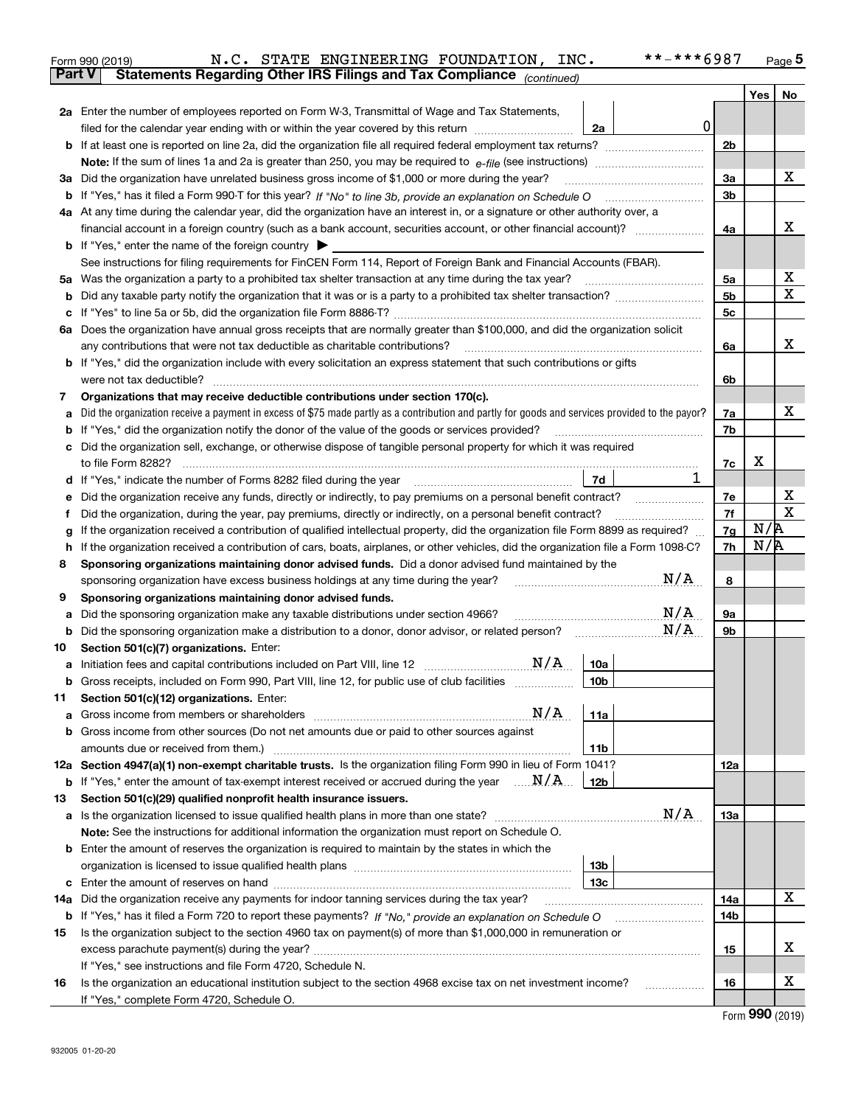|               | **-***6987<br>N.C. STATE ENGINEERING FOUNDATION, INC.<br>Form 990 (2019)                                                                        |                |                | $_{\text{Page}}$ 5 |
|---------------|-------------------------------------------------------------------------------------------------------------------------------------------------|----------------|----------------|--------------------|
| <b>Part V</b> | Statements Regarding Other IRS Filings and Tax Compliance (continued)                                                                           |                |                |                    |
|               |                                                                                                                                                 |                | Yes            | No                 |
|               | 2a Enter the number of employees reported on Form W-3, Transmittal of Wage and Tax Statements,                                                  |                |                |                    |
|               | $\mathbf 0$<br>filed for the calendar year ending with or within the year covered by this return<br>2a                                          |                |                |                    |
|               |                                                                                                                                                 | 2 <sub>b</sub> |                |                    |
|               |                                                                                                                                                 |                |                |                    |
|               | 3a Did the organization have unrelated business gross income of \$1,000 or more during the year?                                                | 3a             |                | x                  |
|               |                                                                                                                                                 | 3b             |                |                    |
|               | 4a At any time during the calendar year, did the organization have an interest in, or a signature or other authority over, a                    |                |                |                    |
|               | financial account in a foreign country (such as a bank account, securities account, or other financial account)?                                | 4a             |                | х                  |
|               | <b>b</b> If "Yes," enter the name of the foreign country $\triangleright$                                                                       |                |                |                    |
|               | See instructions for filing requirements for FinCEN Form 114, Report of Foreign Bank and Financial Accounts (FBAR).                             |                |                |                    |
|               | 5a Was the organization a party to a prohibited tax shelter transaction at any time during the tax year?                                        | 5a             |                | х                  |
|               |                                                                                                                                                 | 5 <sub>b</sub> |                | X                  |
|               |                                                                                                                                                 | 5с             |                |                    |
|               | 6a Does the organization have annual gross receipts that are normally greater than \$100,000, and did the organization solicit                  |                |                |                    |
|               | any contributions that were not tax deductible as charitable contributions?                                                                     | 6a             |                | X.                 |
|               | <b>b</b> If "Yes," did the organization include with every solicitation an express statement that such contributions or gifts                   |                |                |                    |
|               | were not tax deductible?                                                                                                                        | 6b             |                |                    |
| 7             | Organizations that may receive deductible contributions under section 170(c).                                                                   |                |                |                    |
| а             | Did the organization receive a payment in excess of \$75 made partly as a contribution and partly for goods and services provided to the payor? | 7a             |                | x                  |
|               | <b>b</b> If "Yes," did the organization notify the donor of the value of the goods or services provided?                                        | 7b             |                |                    |
|               | c Did the organization sell, exchange, or otherwise dispose of tangible personal property for which it was required                             |                |                |                    |
|               |                                                                                                                                                 | 7c             | х              |                    |
|               | 1<br>7d<br>d If "Yes," indicate the number of Forms 8282 filed during the year manufactured in the second of the New York                       |                |                |                    |
| е             |                                                                                                                                                 | 7е             |                | Х<br>X             |
| Ť             | Did the organization, during the year, pay premiums, directly or indirectly, on a personal benefit contract?                                    | 7f             | N/R            |                    |
| g             | If the organization received a contribution of qualified intellectual property, did the organization file Form 8899 as required?                | 7g             | N/R            |                    |
| h.            | If the organization received a contribution of cars, boats, airplanes, or other vehicles, did the organization file a Form 1098-C?              | 7h             |                |                    |
| 8             | Sponsoring organizations maintaining donor advised funds. Did a donor advised fund maintained by the<br>N/A                                     |                |                |                    |
|               | sponsoring organization have excess business holdings at any time during the year?                                                              | 8              |                |                    |
| 9             | Sponsoring organizations maintaining donor advised funds.<br>N/A                                                                                |                |                |                    |
| а             | Did the sponsoring organization make any taxable distributions under section 4966?<br>N/A                                                       | 9а             |                |                    |
|               | <b>b</b> Did the sponsoring organization make a distribution to a donor, donor advisor, or related person?                                      | 9b             |                |                    |
| 10            | Section 501(c)(7) organizations. Enter:<br>N/A                                                                                                  |                |                |                    |
|               | 10a<br>Gross receipts, included on Form 990, Part VIII, line 12, for public use of club facilities<br>10 <sub>b</sub>                           |                |                |                    |
|               |                                                                                                                                                 |                |                |                    |
| 11            | Section 501(c)(12) organizations. Enter:<br>N/A<br>11a<br><b>a</b> Gross income from members or shareholders                                    |                |                |                    |
|               | b Gross income from other sources (Do not net amounts due or paid to other sources against                                                      |                |                |                    |
|               | 11 <sub>b</sub>                                                                                                                                 |                |                |                    |
|               | 12a Section 4947(a)(1) non-exempt charitable trusts. Is the organization filing Form 990 in lieu of Form 1041?                                  | 12a            |                |                    |
|               | <b>b</b> If "Yes," enter the amount of tax-exempt interest received or accrued during the year $\ldots \mathbf{N}/\mathbf{A}$ .<br>12b          |                |                |                    |
| 13            | Section 501(c)(29) qualified nonprofit health insurance issuers.                                                                                |                |                |                    |
|               | N/A<br>a Is the organization licensed to issue qualified health plans in more than one state?                                                   | 13a            |                |                    |
|               | Note: See the instructions for additional information the organization must report on Schedule O.                                               |                |                |                    |
|               | <b>b</b> Enter the amount of reserves the organization is required to maintain by the states in which the                                       |                |                |                    |
|               | 13 <sub>b</sub>                                                                                                                                 |                |                |                    |
|               | 13c                                                                                                                                             |                |                |                    |
| 14a           | Did the organization receive any payments for indoor tanning services during the tax year?                                                      | 14a            |                | X                  |
|               |                                                                                                                                                 | 14b            |                |                    |
| 15            | Is the organization subject to the section 4960 tax on payment(s) of more than \$1,000,000 in remuneration or                                   |                |                |                    |
|               |                                                                                                                                                 | 15             |                | х                  |
|               | If "Yes," see instructions and file Form 4720, Schedule N.                                                                                      |                |                |                    |
| 16            | Is the organization an educational institution subject to the section 4968 excise tax on net investment income?                                 | 16             |                | х                  |
|               | If "Yes," complete Form 4720, Schedule O.                                                                                                       |                |                |                    |
|               |                                                                                                                                                 |                | <u>nnn 100</u> |                    |

| Form 990 (2019) |  |  |
|-----------------|--|--|
|-----------------|--|--|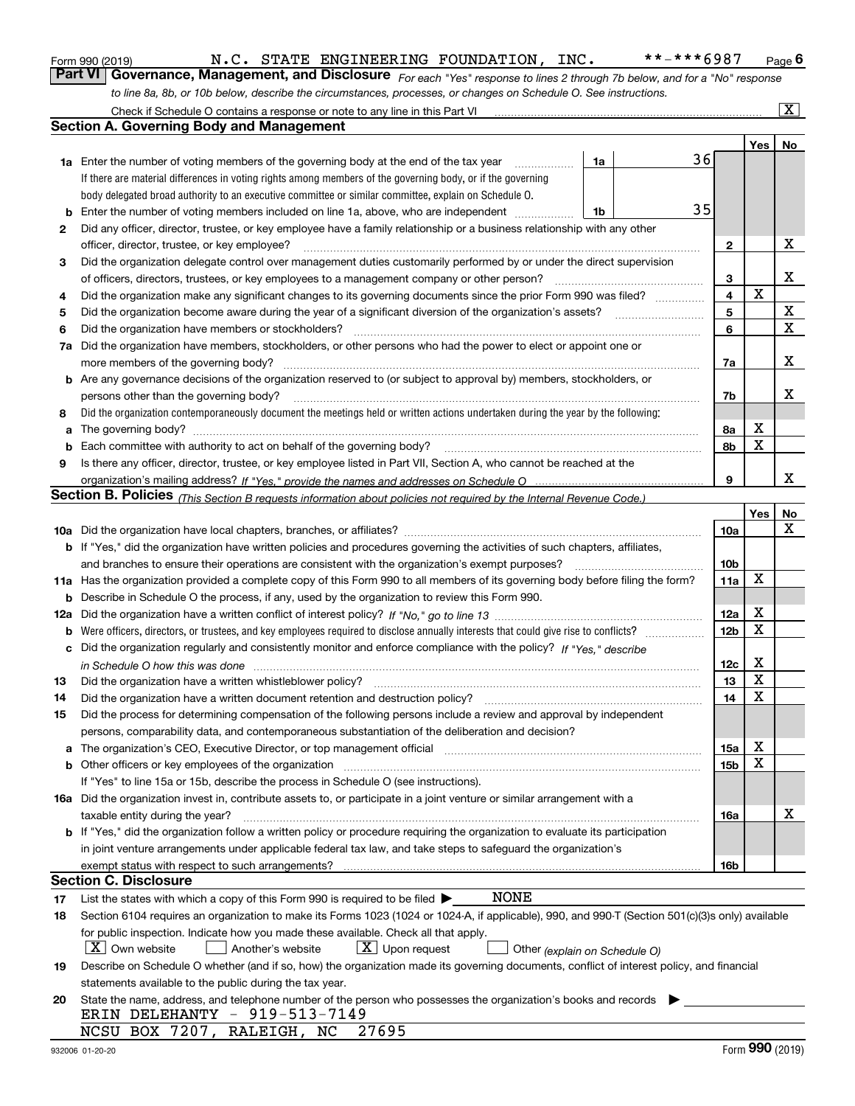|  | Form 990 (2019) |
|--|-----------------|
|  |                 |

*For each "Yes" response to lines 2 through 7b below, and for a "No" response to line 8a, 8b, or 10b below, describe the circumstances, processes, or changes on Schedule O. See instructions.* Form 990 (2019) **M.C. STATE ENGINEERING FOUNDATION, INC.** \*\*-\*\*\*6987 Page 6<br>**Part VI Governance, Management, and Disclosure** *For each "Yes" response to lines 2 through 7b below, and for a "No" response* 

|    | Check if Schedule O contains a response or note to any line in this Part VI                                                                                                                                                    |                         |         | $\lfloor x \rfloor$ |
|----|--------------------------------------------------------------------------------------------------------------------------------------------------------------------------------------------------------------------------------|-------------------------|---------|---------------------|
|    | Section A. Governing Body and Management                                                                                                                                                                                       |                         |         |                     |
|    |                                                                                                                                                                                                                                |                         | Yes $ $ | No                  |
|    | 36<br>1a<br><b>1a</b> Enter the number of voting members of the governing body at the end of the tax year                                                                                                                      |                         |         |                     |
|    | If there are material differences in voting rights among members of the governing body, or if the governing                                                                                                                    |                         |         |                     |
|    | body delegated broad authority to an executive committee or similar committee, explain on Schedule O.                                                                                                                          |                         |         |                     |
| b  | 35<br>Enter the number of voting members included on line 1a, above, who are independent<br>1b                                                                                                                                 |                         |         |                     |
| 2  | Did any officer, director, trustee, or key employee have a family relationship or a business relationship with any other                                                                                                       |                         |         |                     |
|    | officer, director, trustee, or key employee?                                                                                                                                                                                   | 2                       |         | x                   |
| 3  | Did the organization delegate control over management duties customarily performed by or under the direct supervision                                                                                                          |                         |         |                     |
|    | of officers, directors, trustees, or key employees to a management company or other person?                                                                                                                                    | 3                       |         | х                   |
| 4  | Did the organization make any significant changes to its governing documents since the prior Form 990 was filed?                                                                                                               | $\overline{\mathbf{4}}$ | X       |                     |
| 5  | Did the organization become aware during the year of a significant diversion of the organization's assets?                                                                                                                     | 5                       |         | X                   |
| 6  | Did the organization have members or stockholders?                                                                                                                                                                             | 6                       |         | $\mathbf X$         |
| 7a | Did the organization have members, stockholders, or other persons who had the power to elect or appoint one or                                                                                                                 |                         |         |                     |
|    | more members of the governing body?                                                                                                                                                                                            | 7a                      |         | х                   |
|    | <b>b</b> Are any governance decisions of the organization reserved to (or subject to approval by) members, stockholders, or                                                                                                    |                         |         |                     |
|    | persons other than the governing body?                                                                                                                                                                                         | 7b                      |         | х                   |
| 8  | Did the organization contemporaneously document the meetings held or written actions undertaken during the year by the following:                                                                                              |                         |         |                     |
| a  |                                                                                                                                                                                                                                | 8а                      | х       |                     |
| b  | Each committee with authority to act on behalf of the governing body?                                                                                                                                                          | 8b                      | X       |                     |
| 9  | Is there any officer, director, trustee, or key employee listed in Part VII, Section A, who cannot be reached at the                                                                                                           |                         |         |                     |
|    |                                                                                                                                                                                                                                | 9                       |         | х                   |
|    | Section B. Policies <sub>(This Section B requests information about policies not required by the Internal Revenue Code.)</sub>                                                                                                 |                         |         |                     |
|    |                                                                                                                                                                                                                                |                         | Yes     | No                  |
|    |                                                                                                                                                                                                                                | 10a                     |         | Х                   |
|    | <b>b</b> If "Yes," did the organization have written policies and procedures governing the activities of such chapters, affiliates,                                                                                            |                         |         |                     |
|    | and branches to ensure their operations are consistent with the organization's exempt purposes?                                                                                                                                | 10 <sub>b</sub>         |         |                     |
|    | 11a Has the organization provided a complete copy of this Form 990 to all members of its governing body before filing the form?                                                                                                | 11a                     | Х       |                     |
|    | <b>b</b> Describe in Schedule O the process, if any, used by the organization to review this Form 990.                                                                                                                         |                         |         |                     |
|    |                                                                                                                                                                                                                                | 12a                     | х       |                     |
|    |                                                                                                                                                                                                                                | 12 <sub>b</sub>         | X       |                     |
|    | c Did the organization regularly and consistently monitor and enforce compliance with the policy? If "Yes," describe                                                                                                           |                         |         |                     |
|    | in Schedule O how this was done with the contract of the control of the control of the control of the control o                                                                                                                | 12c                     | х       |                     |
| 13 | Did the organization have a written whistleblower policy?                                                                                                                                                                      | 13                      | X       |                     |
| 14 | Did the organization have a written document retention and destruction policy?                                                                                                                                                 | 14                      | X       |                     |
| 15 | Did the process for determining compensation of the following persons include a review and approval by independent                                                                                                             |                         |         |                     |
|    | persons, comparability data, and contemporaneous substantiation of the deliberation and decision?                                                                                                                              |                         |         |                     |
|    | a The organization's CEO, Executive Director, or top management official manufactured content content of the organization's CEO, Executive Director, or top management official manufactured content of the state of the state | 15a                     | х       |                     |
|    | b Other officers or key employees of the organization manufactured content to the organization manufactured by Other officers or key employees of the organization                                                             | 15b                     | х       |                     |
|    | If "Yes" to line 15a or 15b, describe the process in Schedule O (see instructions).                                                                                                                                            |                         |         |                     |
|    | 16a Did the organization invest in, contribute assets to, or participate in a joint venture or similar arrangement with a                                                                                                      |                         |         |                     |
|    | taxable entity during the year?                                                                                                                                                                                                | 16a                     |         | х                   |
|    | b If "Yes," did the organization follow a written policy or procedure requiring the organization to evaluate its participation                                                                                                 |                         |         |                     |
|    | in joint venture arrangements under applicable federal tax law, and take steps to safeguard the organization's                                                                                                                 |                         |         |                     |
|    | exempt status with respect to such arrangements?                                                                                                                                                                               | 16b                     |         |                     |
|    | <b>Section C. Disclosure</b>                                                                                                                                                                                                   |                         |         |                     |
| 17 | <b>NONE</b><br>List the states with which a copy of this Form 990 is required to be filed $\blacktriangleright$                                                                                                                |                         |         |                     |
| 18 | Section 6104 requires an organization to make its Forms 1023 (1024 or 1024-A, if applicable), 990, and 990-T (Section 501(c)(3)s only) available                                                                               |                         |         |                     |
|    | for public inspection. Indicate how you made these available. Check all that apply.                                                                                                                                            |                         |         |                     |
|    | X   Own website<br>$ \mathbf{X} $ Upon request<br>Another's website<br>Other (explain on Schedule O)                                                                                                                           |                         |         |                     |
| 19 | Describe on Schedule O whether (and if so, how) the organization made its governing documents, conflict of interest policy, and financial                                                                                      |                         |         |                     |
|    | statements available to the public during the tax year.                                                                                                                                                                        |                         |         |                     |
| 20 | State the name, address, and telephone number of the person who possesses the organization's books and records                                                                                                                 |                         |         |                     |
|    | ERIN DELEHANTY - 919-513-7149                                                                                                                                                                                                  |                         |         |                     |
|    | NCSU BOX 7207, RALEIGH, NC<br>27695                                                                                                                                                                                            |                         |         |                     |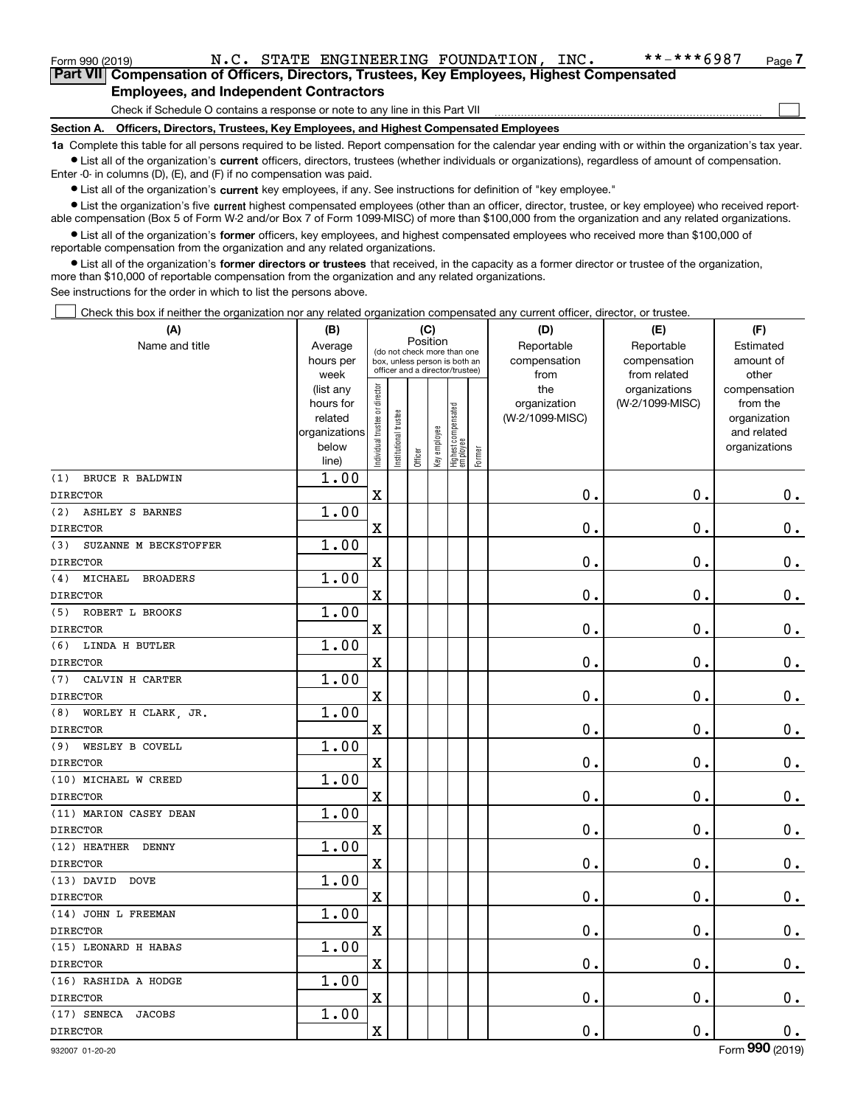| Form 990 (2019) |                                               |  | N.C. STATE ENGINEERING FOUNDATION, INC.                                                    |  | **-***6987 | Page 7 |
|-----------------|-----------------------------------------------|--|--------------------------------------------------------------------------------------------|--|------------|--------|
|                 |                                               |  | Part VII Compensation of Officers, Directors, Trustees, Key Employees, Highest Compensated |  |            |        |
|                 | <b>Employees, and Independent Contractors</b> |  |                                                                                            |  |            |        |

Check if Schedule O contains a response or note to any line in this Part VII

**Section A. Officers, Directors, Trustees, Key Employees, and Highest Compensated Employees**

**1a**  Complete this table for all persons required to be listed. Report compensation for the calendar year ending with or within the organization's tax year. **•** List all of the organization's current officers, directors, trustees (whether individuals or organizations), regardless of amount of compensation.

Enter -0- in columns (D), (E), and (F) if no compensation was paid.

 $\bullet$  List all of the organization's  $\,$ current key employees, if any. See instructions for definition of "key employee."

**•** List the organization's five current highest compensated employees (other than an officer, director, trustee, or key employee) who received reportable compensation (Box 5 of Form W-2 and/or Box 7 of Form 1099-MISC) of more than \$100,000 from the organization and any related organizations.

**•** List all of the organization's former officers, key employees, and highest compensated employees who received more than \$100,000 of reportable compensation from the organization and any related organizations.

**former directors or trustees**  ¥ List all of the organization's that received, in the capacity as a former director or trustee of the organization, more than \$10,000 of reportable compensation from the organization and any related organizations.

See instructions for the order in which to list the persons above.

Check this box if neither the organization nor any related organization compensated any current officer, director, or trustee.  $\mathcal{L}^{\text{max}}$ 

| (A)                               | (B)                                                                  |                               |                                                                                                 | (C)      |              |                                  |        | (D)                                    | (E)                                        | (F)                                                                      |
|-----------------------------------|----------------------------------------------------------------------|-------------------------------|-------------------------------------------------------------------------------------------------|----------|--------------|----------------------------------|--------|----------------------------------------|--------------------------------------------|--------------------------------------------------------------------------|
| Name and title                    | Average<br>hours per<br>week                                         |                               | (do not check more than one<br>box, unless person is both an<br>officer and a director/trustee) | Position |              |                                  |        | Reportable<br>compensation<br>from     | Reportable<br>compensation<br>from related | Estimated<br>amount of<br>other                                          |
|                                   | (list any<br>hours for<br>related<br>organizations<br>below<br>line) | ndividual trustee or director | nstitutional trustee                                                                            | Officer  | Key employee | Highest compensated<br> employee | Former | the<br>organization<br>(W-2/1099-MISC) | organizations<br>(W-2/1099-MISC)           | compensation<br>from the<br>organization<br>and related<br>organizations |
| BRUCE R BALDWIN<br>(1)            | 1.00                                                                 |                               |                                                                                                 |          |              |                                  |        |                                        |                                            |                                                                          |
| <b>DIRECTOR</b>                   |                                                                      | $\rm X$                       |                                                                                                 |          |              |                                  |        | $\mathbf 0$ .                          | $\mathbf 0$ .                              | $0_{.}$                                                                  |
| (2)<br><b>ASHLEY S BARNES</b>     | 1.00                                                                 |                               |                                                                                                 |          |              |                                  |        |                                        |                                            |                                                                          |
| <b>DIRECTOR</b>                   |                                                                      | $\overline{\textbf{X}}$       |                                                                                                 |          |              |                                  |        | $\mathbf 0$ .                          | $\mathbf 0$ .                              | $0_{.}$                                                                  |
| SUZANNE M BECKSTOFFER<br>(3)      | 1.00                                                                 |                               |                                                                                                 |          |              |                                  |        |                                        |                                            |                                                                          |
| <b>DIRECTOR</b>                   |                                                                      | $\rm X$                       |                                                                                                 |          |              |                                  |        | $\mathbf 0$ .                          | $\mathbf 0$ .                              | $\mathbf 0$ .                                                            |
| MICHAEL<br><b>BROADERS</b><br>(4) | 1.00                                                                 |                               |                                                                                                 |          |              |                                  |        |                                        |                                            |                                                                          |
| <b>DIRECTOR</b>                   |                                                                      | $\overline{\textbf{X}}$       |                                                                                                 |          |              |                                  |        | $\mathbf 0$ .                          | $\mathbf 0$ .                              | $\mathbf 0$ .                                                            |
| ROBERT L BROOKS<br>(5)            | 1.00                                                                 |                               |                                                                                                 |          |              |                                  |        |                                        |                                            |                                                                          |
| <b>DIRECTOR</b>                   |                                                                      | $\overline{\textbf{X}}$       |                                                                                                 |          |              |                                  |        | $\mathbf 0$ .                          | $\mathbf 0$ .                              | $\mathbf 0$ .                                                            |
| (6)<br>LINDA H BUTLER             | 1.00                                                                 |                               |                                                                                                 |          |              |                                  |        |                                        |                                            |                                                                          |
| <b>DIRECTOR</b>                   |                                                                      | $\overline{\textbf{X}}$       |                                                                                                 |          |              |                                  |        | $\mathbf 0$ .                          | $\mathbf 0$ .                              | $\mathbf 0$ .                                                            |
| CALVIN H CARTER<br>(7)            | 1.00                                                                 |                               |                                                                                                 |          |              |                                  |        |                                        |                                            |                                                                          |
| <b>DIRECTOR</b>                   |                                                                      | $\rm X$                       |                                                                                                 |          |              |                                  |        | $\mathbf 0$ .                          | $\mathbf 0$ .                              | $\mathbf 0$ .                                                            |
| WORLEY H CLARK, JR.<br>(8)        | 1.00                                                                 |                               |                                                                                                 |          |              |                                  |        |                                        |                                            |                                                                          |
| <b>DIRECTOR</b>                   |                                                                      | $\overline{\textbf{X}}$       |                                                                                                 |          |              |                                  |        | $\mathbf 0$ .                          | $\mathbf 0$ .                              | $\mathbf 0$ .                                                            |
| WESLEY B COVELL<br>(9)            | 1.00                                                                 |                               |                                                                                                 |          |              |                                  |        |                                        |                                            |                                                                          |
| <b>DIRECTOR</b>                   |                                                                      | $\rm X$                       |                                                                                                 |          |              |                                  |        | $\mathbf 0$ .                          | $\mathbf 0$ .                              | $\mathbf 0$ .                                                            |
| (10) MICHAEL W CREED              | 1.00                                                                 |                               |                                                                                                 |          |              |                                  |        |                                        |                                            |                                                                          |
| <b>DIRECTOR</b>                   |                                                                      | $\overline{\textbf{X}}$       |                                                                                                 |          |              |                                  |        | $\mathbf 0$ .                          | $\mathbf 0$ .                              | $\mathbf 0$ .                                                            |
| (11) MARION CASEY DEAN            | 1.00                                                                 |                               |                                                                                                 |          |              |                                  |        |                                        |                                            |                                                                          |
| <b>DIRECTOR</b>                   |                                                                      | $\rm X$                       |                                                                                                 |          |              |                                  |        | $\mathbf 0$ .                          | $\mathbf 0$ .                              | $\mathbf 0$ .                                                            |
| (12) HEATHER<br><b>DENNY</b>      | 1.00                                                                 |                               |                                                                                                 |          |              |                                  |        |                                        |                                            |                                                                          |
| <b>DIRECTOR</b>                   |                                                                      | $\overline{\textbf{X}}$       |                                                                                                 |          |              |                                  |        | $\mathbf 0$ .                          | $\mathbf 0$ .                              | $\mathbf 0$ .                                                            |
| $(13)$ DAVID<br><b>DOVE</b>       | 1.00                                                                 |                               |                                                                                                 |          |              |                                  |        |                                        |                                            |                                                                          |
| <b>DIRECTOR</b>                   |                                                                      | $\rm X$                       |                                                                                                 |          |              |                                  |        | $\mathbf 0$ .                          | $\mathbf 0$ .                              | $\mathbf 0$ .                                                            |
| (14) JOHN L FREEMAN               | 1.00                                                                 |                               |                                                                                                 |          |              |                                  |        |                                        |                                            |                                                                          |
| <b>DIRECTOR</b>                   |                                                                      | $\overline{\textbf{X}}$       |                                                                                                 |          |              |                                  |        | $\mathbf 0$ .                          | $\mathbf 0$ .                              | $\mathbf 0$ .                                                            |
| (15) LEONARD H HABAS              | 1.00                                                                 |                               |                                                                                                 |          |              |                                  |        |                                        |                                            |                                                                          |
| <b>DIRECTOR</b>                   |                                                                      | $\rm X$                       |                                                                                                 |          |              |                                  |        | $\mathbf 0$ .                          | $\mathbf 0$ .                              | $\mathbf 0$ .                                                            |
| (16) RASHIDA A HODGE              | 1.00                                                                 |                               |                                                                                                 |          |              |                                  |        |                                        |                                            |                                                                          |
| <b>DIRECTOR</b>                   |                                                                      | $\overline{\textbf{X}}$       |                                                                                                 |          |              |                                  |        | 0.                                     | $\mathbf 0$ .                              | $0_{.}$                                                                  |
| (17) SENECA<br><b>JACOBS</b>      | 1.00                                                                 |                               |                                                                                                 |          |              |                                  |        |                                        |                                            |                                                                          |
| <b>DIRECTOR</b>                   |                                                                      | $\rm X$                       |                                                                                                 |          |              |                                  |        | $\mathbf 0$ .                          | $\mathbf 0$ .                              | $\mathbf 0$ .                                                            |

 $\mathcal{L}^{\text{max}}$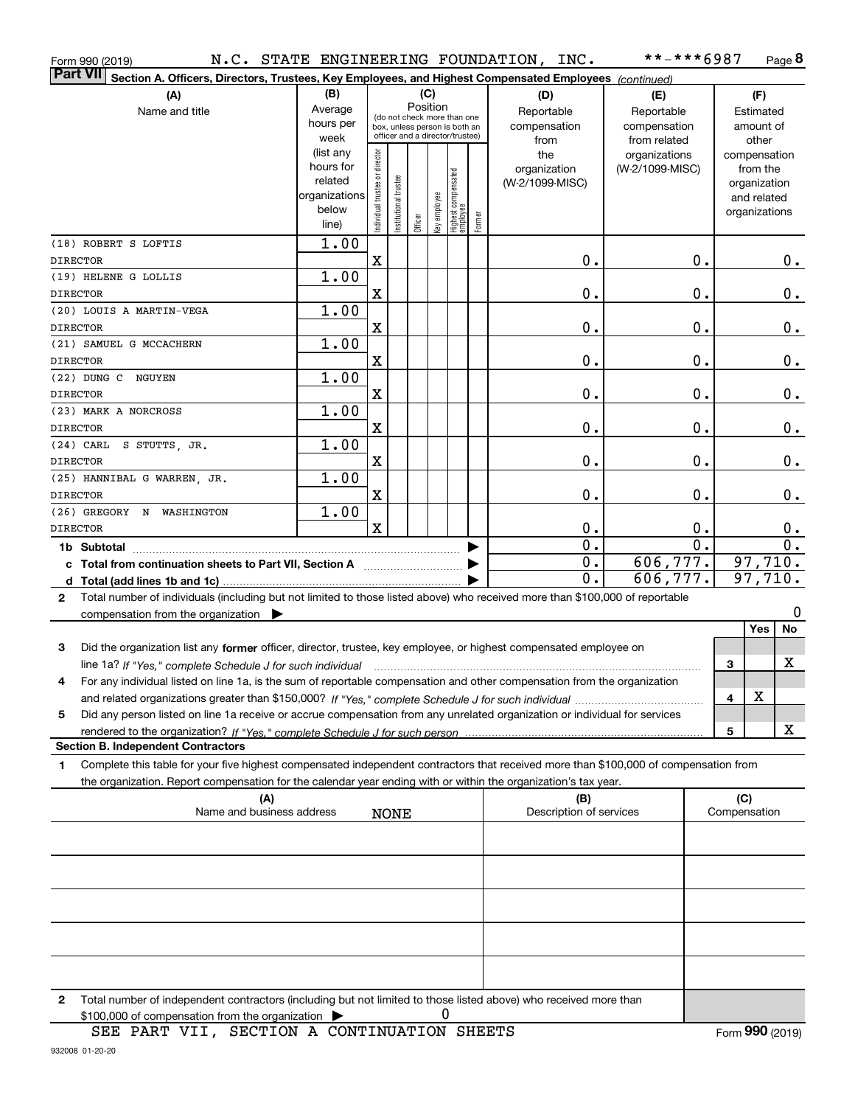| Form 990 (2019)                                                                                                                           |                        |                                |                      |          |              |                                                              |        | N.C. STATE ENGINEERING FOUNDATION, INC. | **-***6987       |   |               | Page 8           |
|-------------------------------------------------------------------------------------------------------------------------------------------|------------------------|--------------------------------|----------------------|----------|--------------|--------------------------------------------------------------|--------|-----------------------------------------|------------------|---|---------------|------------------|
| <b>Part VII</b><br>Section A. Officers, Directors, Trustees, Key Employees, and Highest Compensated Employees (continued)                 |                        |                                |                      |          |              |                                                              |        |                                         |                  |   |               |                  |
| (A)                                                                                                                                       | (B)                    |                                |                      | (C)      |              |                                                              |        | (D)                                     | (E)              |   | (F)           |                  |
| Name and title                                                                                                                            | Average                |                                |                      | Position |              |                                                              |        | Reportable                              | Reportable       |   | Estimated     |                  |
|                                                                                                                                           | hours per              |                                |                      |          |              | (do not check more than one<br>box, unless person is both an |        | compensation                            | compensation     |   | amount of     |                  |
|                                                                                                                                           | week                   |                                |                      |          |              | officer and a director/trustee)                              |        | from                                    | from related     |   | other         |                  |
|                                                                                                                                           | (list any              |                                |                      |          |              |                                                              |        | the                                     | organizations    |   | compensation  |                  |
|                                                                                                                                           | hours for              |                                |                      |          |              |                                                              |        | organization                            | (W-2/1099-MISC)  |   | from the      |                  |
|                                                                                                                                           | related                |                                |                      |          |              |                                                              |        | (W-2/1099-MISC)                         |                  |   | organization  |                  |
|                                                                                                                                           | organizations<br>below |                                |                      |          |              |                                                              |        |                                         |                  |   | and related   |                  |
|                                                                                                                                           | line)                  | Individual trustee or director | nstitutional trustee | Officer  | Key employee | Highest compensated<br>  employee                            | Former |                                         |                  |   | organizations |                  |
| (18) ROBERT S LOFTIS                                                                                                                      | 1.00                   |                                |                      |          |              |                                                              |        |                                         |                  |   |               |                  |
| <b>DIRECTOR</b>                                                                                                                           |                        | X                              |                      |          |              |                                                              |        | 0.                                      | 0.               |   |               | $0$ .            |
| (19) HELENE G LOLLIS                                                                                                                      | 1.00                   |                                |                      |          |              |                                                              |        |                                         |                  |   |               |                  |
| <b>DIRECTOR</b>                                                                                                                           |                        | X                              |                      |          |              |                                                              |        | 0.                                      | $\mathbf 0$ .    |   |               | $\mathbf 0$ .    |
| (20) LOUIS A MARTIN-VEGA                                                                                                                  | 1.00                   |                                |                      |          |              |                                                              |        |                                         |                  |   |               |                  |
| <b>DIRECTOR</b>                                                                                                                           |                        | X                              |                      |          |              |                                                              |        | 0.                                      | $\mathbf 0$ .    |   |               | $\mathbf 0$ .    |
| (21) SAMUEL G MCCACHERN                                                                                                                   | 1.00                   |                                |                      |          |              |                                                              |        |                                         |                  |   |               |                  |
| <b>DIRECTOR</b>                                                                                                                           |                        | X                              |                      |          |              |                                                              |        | 0.                                      | 0.               |   |               | 0.               |
| (22) DUNG C<br>NGUYEN                                                                                                                     | 1.00                   |                                |                      |          |              |                                                              |        |                                         |                  |   |               |                  |
| <b>DIRECTOR</b>                                                                                                                           |                        | X                              |                      |          |              |                                                              |        | 0.                                      | 0.               |   |               | 0.               |
| (23) MARK A NORCROSS                                                                                                                      | 1.00                   |                                |                      |          |              |                                                              |        |                                         |                  |   |               |                  |
| <b>DIRECTOR</b>                                                                                                                           |                        | $\mathbf x$                    |                      |          |              |                                                              |        | 0.                                      | 0.               |   |               | $\mathbf 0$ .    |
| $(24)$ CARL<br>S STUTTS JR.                                                                                                               | 1.00                   |                                |                      |          |              |                                                              |        |                                         |                  |   |               |                  |
| <b>DIRECTOR</b>                                                                                                                           |                        | X                              |                      |          |              |                                                              |        | 0.                                      | $\mathbf 0$ .    |   |               | $\mathbf 0$ .    |
| (25) HANNIBAL G WARREN, JR.                                                                                                               | 1.00                   |                                |                      |          |              |                                                              |        |                                         |                  |   |               |                  |
| <b>DIRECTOR</b>                                                                                                                           |                        | X                              |                      |          |              |                                                              |        | 0.                                      | $\mathbf 0$ .    |   |               | $\mathbf 0$ .    |
| (26) GREGORY N WASHINGTON                                                                                                                 | 1.00                   |                                |                      |          |              |                                                              |        |                                         |                  |   |               |                  |
| <b>DIRECTOR</b>                                                                                                                           |                        | $\mathbf x$                    |                      |          |              |                                                              |        | 0.                                      | $\mathbf 0$ .    |   |               | $\mathbf 0$ .    |
| 1b Subtotal                                                                                                                               |                        |                                |                      |          |              |                                                              |        | $\overline{0}$ .                        | $\overline{0}$ . |   |               | $\overline{0}$ . |
| c Total from continuation sheets to Part VII, Section A                                                                                   |                        |                                |                      |          |              |                                                              |        | $\overline{0}$ .                        | 606, 777.        |   | 97,710.       |                  |
| d Total (add lines 1b and 1c)                                                                                                             |                        |                                |                      |          |              |                                                              |        | 0.                                      | 606,777.         |   | 97,710.       |                  |
| Total number of individuals (including but not limited to those listed above) who received more than \$100,000 of reportable<br>2         |                        |                                |                      |          |              |                                                              |        |                                         |                  |   |               |                  |
| compensation from the organization $\blacktriangleright$                                                                                  |                        |                                |                      |          |              |                                                              |        |                                         |                  |   |               | 0                |
|                                                                                                                                           |                        |                                |                      |          |              |                                                              |        |                                         |                  |   | <b>Yes</b>    | No               |
| Did the organization list any former officer, director, trustee, key employee, or highest compensated employee on<br>3                    |                        |                                |                      |          |              |                                                              |        |                                         |                  |   |               |                  |
| line 1a? If "Yes," complete Schedule J for such individual manufactured contained and the Ves," complete Schedule J for such individual   |                        |                                |                      |          |              |                                                              |        |                                         |                  | 3 |               | х                |
| For any individual listed on line 1a, is the sum of reportable compensation and other compensation from the organization<br>4             |                        |                                |                      |          |              |                                                              |        |                                         |                  |   |               |                  |
|                                                                                                                                           |                        |                                |                      |          |              |                                                              |        |                                         |                  | 4 | х             |                  |
| Did any person listed on line 1a receive or accrue compensation from any unrelated organization or individual for services<br>5           |                        |                                |                      |          |              |                                                              |        |                                         |                  |   |               |                  |
|                                                                                                                                           |                        |                                |                      |          |              |                                                              |        |                                         |                  | 5 |               | x                |
| <b>Section B. Independent Contractors</b>                                                                                                 |                        |                                |                      |          |              |                                                              |        |                                         |                  |   |               |                  |
| Complete this table for your five highest compensated independent contractors that received more than \$100,000 of compensation from<br>1 |                        |                                |                      |          |              |                                                              |        |                                         |                  |   |               |                  |
| the organization. Report compensation for the calendar year ending with or within the organization's tax year.                            |                        |                                |                      |          |              |                                                              |        |                                         |                  |   |               |                  |
| (A)                                                                                                                                       |                        |                                |                      |          |              |                                                              |        | (B)                                     |                  |   | (C)           |                  |
| Name and business address                                                                                                                 |                        |                                | <b>NONE</b>          |          |              |                                                              |        | Description of services                 |                  |   | Compensation  |                  |
|                                                                                                                                           |                        |                                |                      |          |              |                                                              |        |                                         |                  |   |               |                  |
|                                                                                                                                           |                        |                                |                      |          |              |                                                              |        |                                         |                  |   |               |                  |
|                                                                                                                                           |                        |                                |                      |          |              |                                                              |        |                                         |                  |   |               |                  |
|                                                                                                                                           |                        |                                |                      |          |              |                                                              |        |                                         |                  |   |               |                  |
|                                                                                                                                           |                        |                                |                      |          |              |                                                              |        |                                         |                  |   |               |                  |
|                                                                                                                                           |                        |                                |                      |          |              |                                                              |        |                                         |                  |   |               |                  |
|                                                                                                                                           |                        |                                |                      |          |              |                                                              |        |                                         |                  |   |               |                  |
| Total number of independent contractors (including but not limited to those listed above) who received more than<br>2                     |                        |                                |                      |          |              |                                                              |        |                                         |                  |   |               |                  |

0

\$100,000 of compensation from the organization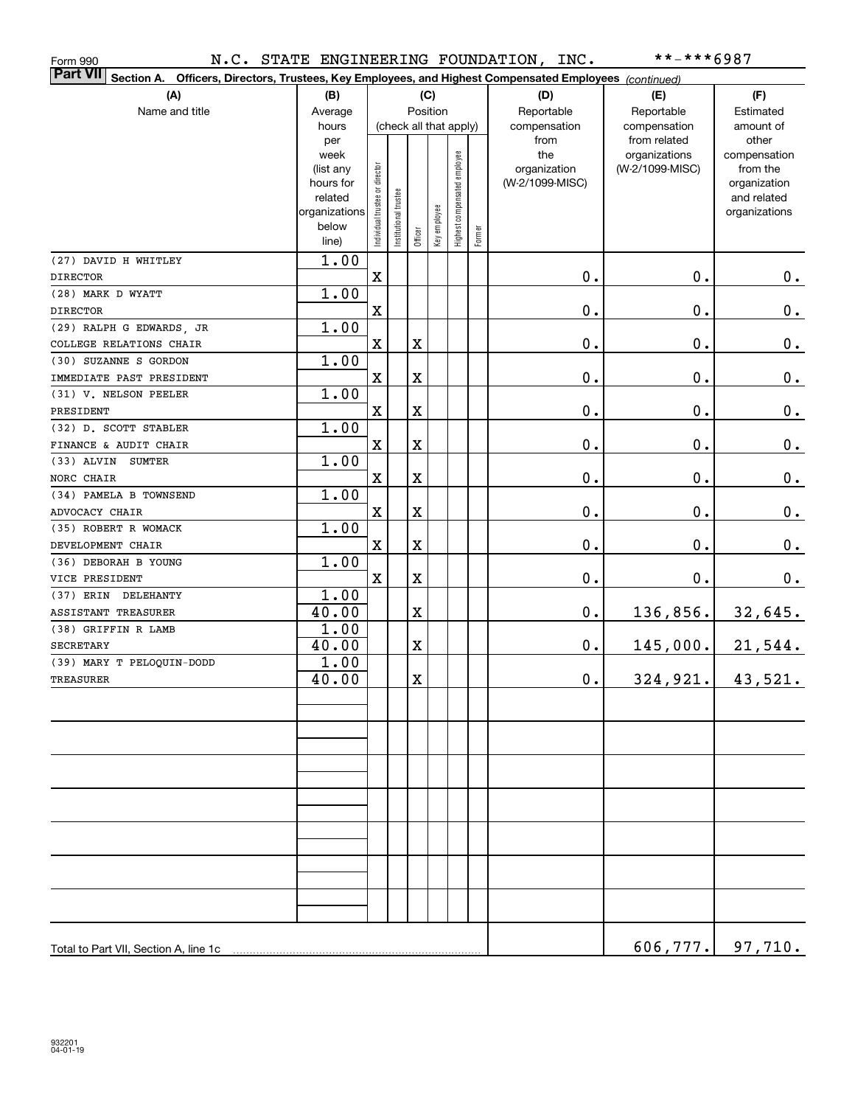| Form 990                                                                                                                  |                      |                                |                        |                         |              |                              |              | N.C. STATE ENGINEERING FOUNDATION, INC. | **-***6987      |                             |
|---------------------------------------------------------------------------------------------------------------------------|----------------------|--------------------------------|------------------------|-------------------------|--------------|------------------------------|--------------|-----------------------------------------|-----------------|-----------------------------|
| <b>Part VII</b><br>Section A. Officers, Directors, Trustees, Key Employees, and Highest Compensated Employees (continued) |                      |                                |                        |                         |              |                              |              |                                         |                 |                             |
| (A)                                                                                                                       | (B)                  |                                |                        |                         | (C)          |                              |              | (D)                                     | (E)             | (F)                         |
| Name and title                                                                                                            | Average              | Position                       |                        |                         |              |                              |              | Reportable                              | Reportable      | Estimated                   |
|                                                                                                                           | hours                |                                | (check all that apply) |                         |              |                              | compensation | compensation                            | amount of       |                             |
|                                                                                                                           | per                  |                                |                        |                         |              |                              |              | from                                    | from related    | other                       |
|                                                                                                                           | week                 |                                |                        |                         |              |                              |              | the                                     | organizations   | compensation                |
|                                                                                                                           | (list any            |                                |                        |                         |              |                              |              | organization                            | (W-2/1099-MISC) | from the                    |
|                                                                                                                           | hours for<br>related |                                |                        |                         |              |                              |              | (W-2/1099-MISC)                         |                 | organization<br>and related |
|                                                                                                                           | organizations        |                                |                        |                         |              |                              |              |                                         |                 | organizations               |
|                                                                                                                           | below                | Individual trustee or director | nstitutional trustee   |                         | Key employee | Highest compensated employee |              |                                         |                 |                             |
|                                                                                                                           | line)                |                                |                        | Officer                 |              |                              | Former       |                                         |                 |                             |
| (27) DAVID H WHITLEY                                                                                                      | 1.00                 |                                |                        |                         |              |                              |              |                                         |                 |                             |
| <b>DIRECTOR</b>                                                                                                           |                      | $\mathbf X$                    |                        |                         |              |                              |              | 0.                                      | $0$ .           | 0.                          |
| (28) MARK D WYATT                                                                                                         | 1.00                 |                                |                        |                         |              |                              |              |                                         |                 |                             |
| <b>DIRECTOR</b>                                                                                                           |                      | $\mathbf X$                    |                        |                         |              |                              |              | 0.                                      | $0$ .           | 0.                          |
| (29) RALPH G EDWARDS, JR                                                                                                  | 1.00                 |                                |                        |                         |              |                              |              |                                         |                 |                             |
| COLLEGE RELATIONS CHAIR                                                                                                   |                      | $\mathbf x$                    |                        | $\overline{\textbf{X}}$ |              |                              |              | $\mathbf 0$ .                           | $\mathbf 0$ .   | 0.                          |
| (30) SUZANNE S GORDON                                                                                                     | 1.00                 |                                |                        |                         |              |                              |              |                                         |                 |                             |
| IMMEDIATE PAST PRESIDENT                                                                                                  |                      | $\mathbf x$                    |                        | $\overline{\textbf{X}}$ |              |                              |              | $\mathbf 0$ .                           | $\mathbf 0$ .   | 0.                          |
| (31) V. NELSON PEELER                                                                                                     | 1.00                 |                                |                        |                         |              |                              |              |                                         |                 |                             |
| PRESIDENT                                                                                                                 |                      | $\mathbf X$                    |                        | $\overline{\textbf{X}}$ |              |                              |              | Ο.                                      | $\mathbf 0$ .   | 0.                          |
| (32) D. SCOTT STABLER                                                                                                     | 1.00                 |                                |                        |                         |              |                              |              |                                         |                 |                             |
| FINANCE & AUDIT CHAIR                                                                                                     |                      | $\mathbf X$                    |                        | $\overline{\textbf{X}}$ |              |                              |              | Ο.                                      | $\mathbf 0$ .   | 0.                          |
| (33) ALVIN SUMTER                                                                                                         | 1.00                 |                                |                        |                         |              |                              |              |                                         |                 |                             |
| NORC CHAIR                                                                                                                |                      | $\mathbf X$                    |                        | $\mathbf X$             |              |                              |              | 0.                                      | $\mathbf 0$ .   | 0.                          |
| (34) PAMELA B TOWNSEND                                                                                                    | 1.00                 |                                |                        |                         |              |                              |              |                                         |                 |                             |
| ADVOCACY CHAIR                                                                                                            |                      | $\mathbf X$                    |                        | $\mathbf X$             |              |                              |              | 0.                                      | $\mathbf 0$ .   | 0.                          |
| (35) ROBERT R WOMACK                                                                                                      | 1.00                 |                                |                        |                         |              |                              |              |                                         |                 |                             |
| DEVELOPMENT CHAIR                                                                                                         |                      | $\mathbf x$                    |                        | $\mathbf X$             |              |                              |              | 0.                                      | $\mathbf 0$ .   | 0.                          |
| (36) DEBORAH B YOUNG                                                                                                      | 1.00                 |                                |                        |                         |              |                              |              |                                         |                 |                             |
| VICE PRESIDENT                                                                                                            |                      | $\mathbf x$                    |                        | $\overline{\textbf{X}}$ |              |                              |              | $\mathbf 0$ .                           | $\mathbf 0$ .   | 0.                          |
| (37) ERIN DELEHANTY                                                                                                       | 1.00                 |                                |                        |                         |              |                              |              |                                         |                 |                             |
| <b>ASSISTANT TREASURER</b>                                                                                                | 40.00                |                                |                        | $\overline{\textbf{X}}$ |              |                              |              | 0.                                      | 136,856.        | 32,645.                     |
| (38) GRIFFIN R LAMB                                                                                                       | $\overline{1.00}$    |                                |                        |                         |              |                              |              |                                         |                 |                             |
| <b>SECRETARY</b>                                                                                                          | 40.00                |                                |                        | $\overline{\textbf{X}}$ |              |                              |              | $\mathbf 0$ .                           | 145,000.        | 21,544.                     |
| (39) MARY T PELOQUIN-DODD                                                                                                 | 1.00                 |                                |                        |                         |              |                              |              |                                         |                 |                             |
| <b>TREASURER</b>                                                                                                          | 40.00                |                                |                        | $\rm X$                 |              |                              |              | $\mathbf 0$ .                           | 324,921.        | 43,521.                     |
|                                                                                                                           |                      |                                |                        |                         |              |                              |              |                                         |                 |                             |
|                                                                                                                           |                      |                                |                        |                         |              |                              |              |                                         |                 |                             |
|                                                                                                                           |                      |                                |                        |                         |              |                              |              |                                         |                 |                             |
|                                                                                                                           |                      |                                |                        |                         |              |                              |              |                                         |                 |                             |
|                                                                                                                           |                      |                                |                        |                         |              |                              |              |                                         |                 |                             |
|                                                                                                                           |                      |                                |                        |                         |              |                              |              |                                         |                 |                             |
|                                                                                                                           |                      |                                |                        |                         |              |                              |              |                                         |                 |                             |
|                                                                                                                           |                      |                                |                        |                         |              |                              |              |                                         |                 |                             |
|                                                                                                                           |                      |                                |                        |                         |              |                              |              |                                         |                 |                             |
|                                                                                                                           |                      |                                |                        |                         |              |                              |              |                                         |                 |                             |
|                                                                                                                           |                      |                                |                        |                         |              |                              |              |                                         |                 |                             |
|                                                                                                                           |                      |                                |                        |                         |              |                              |              |                                         |                 |                             |
|                                                                                                                           |                      |                                |                        |                         |              |                              |              |                                         |                 |                             |
|                                                                                                                           |                      |                                |                        |                         |              |                              |              |                                         |                 |                             |
| Total to Part VII, Section A, line 1c                                                                                     |                      |                                |                        |                         |              |                              |              |                                         | 606, 777.       | 97,710.                     |
|                                                                                                                           |                      |                                |                        |                         |              |                              |              |                                         |                 |                             |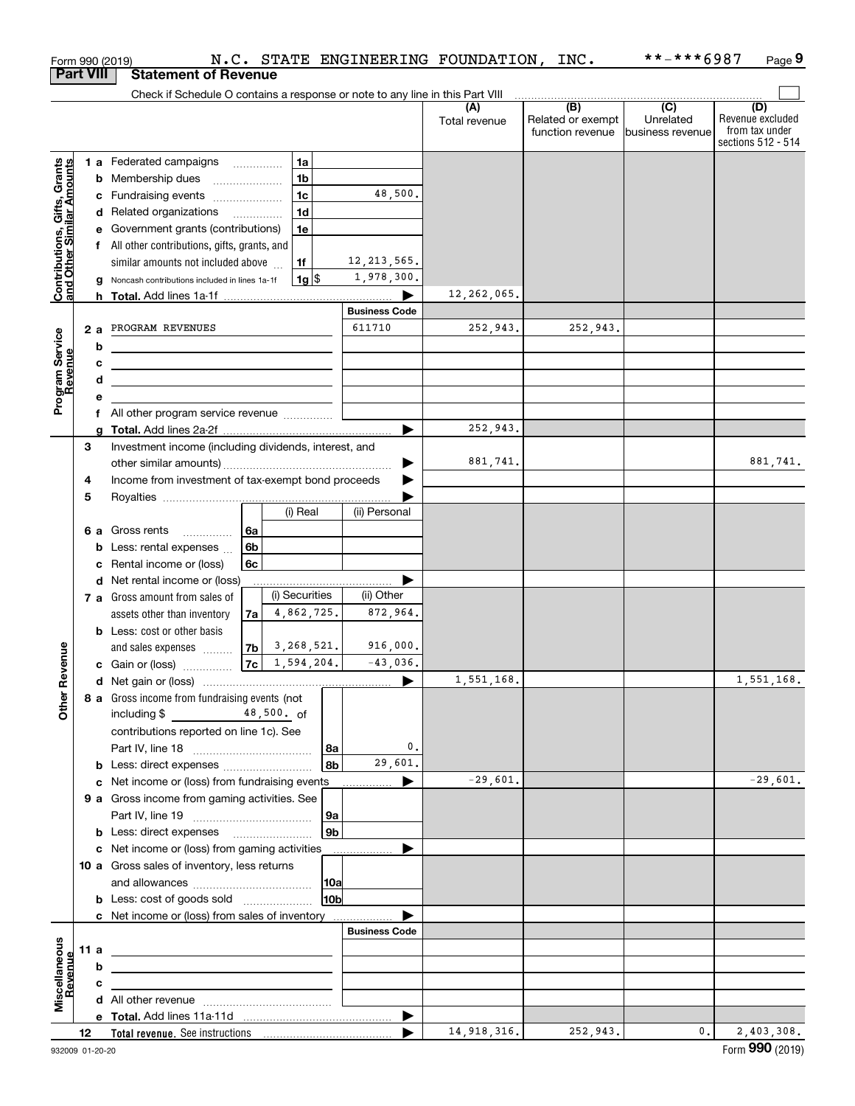|                                                           | Form 990 (2019)<br><b>Part VIII</b> | <b>Statement of Revenue</b>                                                   |              |                          |                        |               | N.C. STATE ENGINEERING FOUNDATION, INC. | **-***6987 | Page 9                               |
|-----------------------------------------------------------|-------------------------------------|-------------------------------------------------------------------------------|--------------|--------------------------|------------------------|---------------|-----------------------------------------|------------|--------------------------------------|
|                                                           |                                     |                                                                               |              |                          |                        |               |                                         |            |                                      |
|                                                           |                                     | Check if Schedule O contains a response or note to any line in this Part VIII |              |                          |                        | (A)           | $\overline{)}$ (B) $\overline{)}$ (C)   |            | (D)                                  |
|                                                           |                                     |                                                                               |              |                          |                        | Total revenue | Related or exempt                       | Unrelated  | Revenue excluded                     |
|                                                           |                                     |                                                                               |              |                          |                        |               | function revenue business revenue       |            | from tax under<br>sections 512 - 514 |
|                                                           |                                     | 1 a Federated campaigns                                                       |              | 1a                       |                        |               |                                         |            |                                      |
|                                                           |                                     | <b>b</b> Membership dues                                                      |              | 1 <sub>b</sub>           |                        |               |                                         |            |                                      |
|                                                           |                                     |                                                                               |              | 1 <sub>c</sub>           | 48,500.                |               |                                         |            |                                      |
|                                                           |                                     | c Fundraising events<br>d Related organizations                               |              | 1 <sub>d</sub>           |                        |               |                                         |            |                                      |
|                                                           |                                     | e Government grants (contributions)                                           |              | 1e                       |                        |               |                                         |            |                                      |
|                                                           |                                     | f All other contributions, gifts, grants, and                                 |              |                          |                        |               |                                         |            |                                      |
|                                                           |                                     | similar amounts not included above                                            |              | 1f                       | 12, 213, 565.          |               |                                         |            |                                      |
| Contributions, Gifts, Grants<br>and Other Similar Amounts |                                     | Noncash contributions included in lines 1a-1f                                 |              | $1g$ \$                  | 1,978,300.             |               |                                         |            |                                      |
|                                                           |                                     |                                                                               |              |                          |                        | 12,262,065.   |                                         |            |                                      |
|                                                           |                                     |                                                                               |              |                          | <b>Business Code</b>   |               |                                         |            |                                      |
|                                                           | 2a                                  | PROGRAM REVENUES                                                              |              |                          | 611710                 | 252,943.      | 252,943.                                |            |                                      |
|                                                           | b                                   |                                                                               |              |                          |                        |               |                                         |            |                                      |
|                                                           | c                                   |                                                                               |              |                          |                        |               |                                         |            |                                      |
|                                                           | d                                   |                                                                               |              |                          |                        |               |                                         |            |                                      |
| Program Service<br>Revenue                                | е                                   |                                                                               |              |                          |                        |               |                                         |            |                                      |
|                                                           |                                     | f All other program service revenue                                           |              |                          |                        |               |                                         |            |                                      |
|                                                           |                                     |                                                                               |              |                          |                        | 252,943.      |                                         |            |                                      |
|                                                           | 3                                   | Investment income (including dividends, interest, and                         |              |                          |                        |               |                                         |            |                                      |
|                                                           |                                     |                                                                               |              |                          |                        | 881,741.      |                                         |            | 881,741.                             |
|                                                           | 4                                   | Income from investment of tax-exempt bond proceeds                            |              |                          |                        |               |                                         |            |                                      |
|                                                           | 5                                   |                                                                               |              |                          |                        |               |                                         |            |                                      |
|                                                           |                                     |                                                                               |              | (i) Real                 | (ii) Personal          |               |                                         |            |                                      |
|                                                           |                                     | 6 a Gross rents                                                               | 6a           |                          |                        |               |                                         |            |                                      |
|                                                           | b                                   | Less: rental expenses                                                         | 6b           |                          |                        |               |                                         |            |                                      |
|                                                           | c                                   | Rental income or (loss)                                                       | 6c           |                          |                        |               |                                         |            |                                      |
|                                                           | d                                   | Net rental income or (loss)                                                   |              |                          |                        |               |                                         |            |                                      |
|                                                           |                                     | 7 a Gross amount from sales of                                                |              | (i) Securities           | (ii) Other             |               |                                         |            |                                      |
|                                                           |                                     | assets other than inventory                                                   | 7a           | 4,862,725.               | 872,964.               |               |                                         |            |                                      |
|                                                           |                                     | <b>b</b> Less: cost or other basis                                            |              |                          |                        |               |                                         |            |                                      |
| enue                                                      |                                     | and sales expenses                                                            | 7b<br>7c     | 3,268,521.<br>1,594,204. | 916,000.<br>$-43,036.$ |               |                                         |            |                                      |
|                                                           |                                     | c Gain or (loss)                                                              |              |                          |                        | 1,551,168.    |                                         |            | 1,551,168.                           |
|                                                           |                                     |                                                                               |              |                          |                        |               |                                         |            |                                      |
| Other Rev                                                 |                                     | 8 a Gross income from fundraising events (not<br>including \$                 | $48,500.$ of |                          |                        |               |                                         |            |                                      |
|                                                           |                                     | contributions reported on line 1c). See                                       |              |                          |                        |               |                                         |            |                                      |
|                                                           |                                     |                                                                               |              | l 8a                     | 0.                     |               |                                         |            |                                      |
|                                                           | b                                   | Less: direct expenses                                                         |              | 8b                       | 29,601.                |               |                                         |            |                                      |
|                                                           | c                                   | Net income or (loss) from fundraising events                                  |              |                          |                        | $-29,601.$    |                                         |            | $-29,601.$                           |
|                                                           |                                     | 9 a Gross income from gaming activities. See                                  |              |                          |                        |               |                                         |            |                                      |
|                                                           |                                     |                                                                               |              | 9a                       |                        |               |                                         |            |                                      |
|                                                           |                                     |                                                                               |              | 9b                       |                        |               |                                         |            |                                      |
|                                                           |                                     | c Net income or (loss) from gaming activities                                 |              |                          |                        |               |                                         |            |                                      |
|                                                           |                                     | 10 a Gross sales of inventory, less returns                                   |              |                          |                        |               |                                         |            |                                      |
|                                                           |                                     |                                                                               |              | 10a                      |                        |               |                                         |            |                                      |
|                                                           |                                     | <b>b</b> Less: cost of goods sold                                             |              | 10b                      |                        |               |                                         |            |                                      |
|                                                           |                                     | c Net income or (loss) from sales of inventory                                |              |                          |                        |               |                                         |            |                                      |
|                                                           |                                     |                                                                               |              |                          | <b>Business Code</b>   |               |                                         |            |                                      |
|                                                           | 11 a                                |                                                                               |              |                          |                        |               |                                         |            |                                      |
| Miscellaneous<br>Revenue                                  | b                                   |                                                                               |              |                          |                        |               |                                         |            |                                      |
|                                                           | с                                   |                                                                               |              |                          |                        |               |                                         |            |                                      |
|                                                           |                                     |                                                                               |              |                          |                        |               |                                         |            |                                      |
|                                                           |                                     |                                                                               |              |                          | ▶                      |               |                                         |            |                                      |
|                                                           | 12                                  |                                                                               |              |                          |                        | 14,918,316.   | 252,943.                                | 0.         | 2,403,308.                           |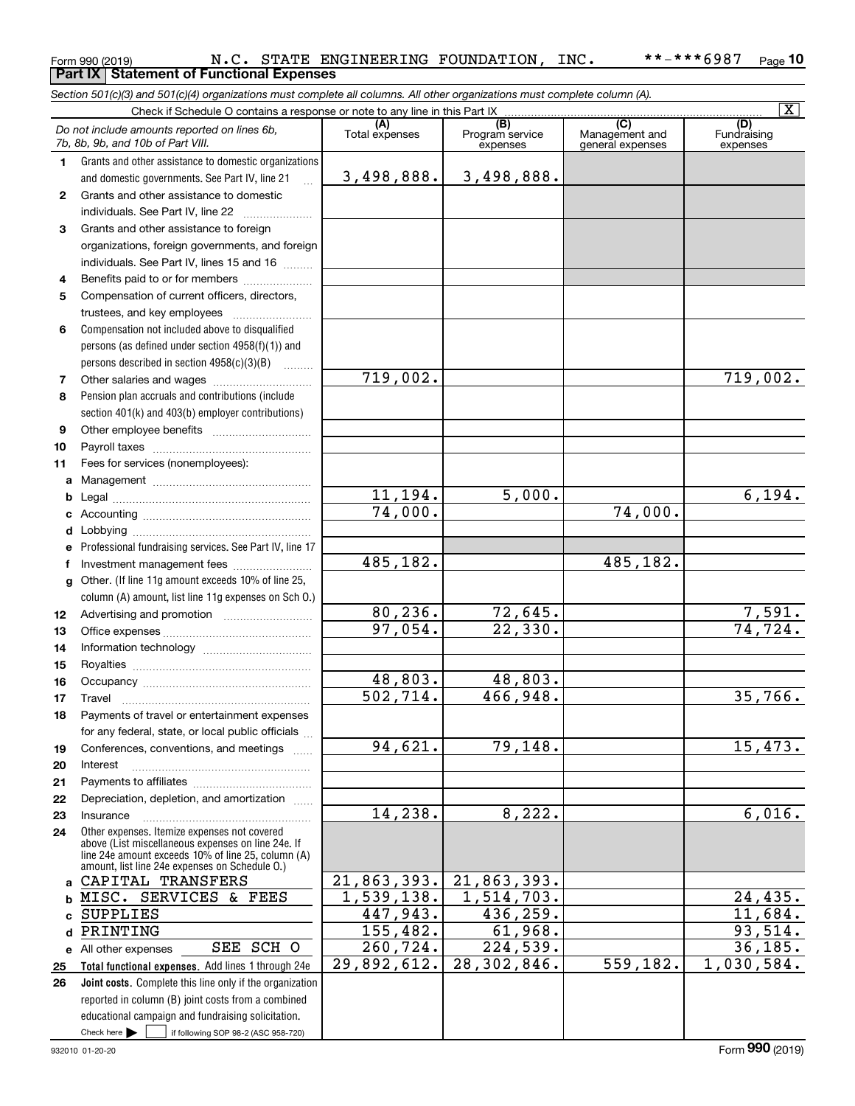#### Form 990 (2019) Page **Part IX Statement of Functional Expenses 10** N.C. STATE ENGINEERING FOUNDATION, INC. \*\*-\*\*\*6987

*Section 501(c)(3) and 501(c)(4) organizations must complete all columns. All other organizations must complete column (A).*

|              |                                                                                                      |                       |                                    |                                                               | $\overline{\mathbf{X}}$        |
|--------------|------------------------------------------------------------------------------------------------------|-----------------------|------------------------------------|---------------------------------------------------------------|--------------------------------|
|              | Do not include amounts reported on lines 6b,<br>7b, 8b, 9b, and 10b of Part VIII.                    | (A)<br>Total expenses | (B)<br>Program service<br>expenses | $\overline{\text{(C)}}$<br>Management and<br>general expenses | (D)<br>Fundraising<br>expenses |
| 1.           | Grants and other assistance to domestic organizations                                                |                       |                                    |                                                               |                                |
|              | and domestic governments. See Part IV, line 21                                                       | 3,498,888.            | 3,498,888.                         |                                                               |                                |
| $\mathbf{2}$ | Grants and other assistance to domestic                                                              |                       |                                    |                                                               |                                |
|              | individuals. See Part IV, line 22                                                                    |                       |                                    |                                                               |                                |
| 3            | Grants and other assistance to foreign                                                               |                       |                                    |                                                               |                                |
|              | organizations, foreign governments, and foreign                                                      |                       |                                    |                                                               |                                |
|              | individuals. See Part IV, lines 15 and 16                                                            |                       |                                    |                                                               |                                |
| 4            | Benefits paid to or for members                                                                      |                       |                                    |                                                               |                                |
| 5            | Compensation of current officers, directors,                                                         |                       |                                    |                                                               |                                |
|              | trustees, and key employees                                                                          |                       |                                    |                                                               |                                |
| 6            | Compensation not included above to disqualified                                                      |                       |                                    |                                                               |                                |
|              | persons (as defined under section $4958(f)(1)$ ) and                                                 |                       |                                    |                                                               |                                |
|              | persons described in section 4958(c)(3)(B)                                                           |                       |                                    |                                                               |                                |
| 7            | Other salaries and wages                                                                             | 719,002.              |                                    |                                                               | 719,002.                       |
| 8            | Pension plan accruals and contributions (include                                                     |                       |                                    |                                                               |                                |
|              | section 401(k) and 403(b) employer contributions)                                                    |                       |                                    |                                                               |                                |
| 9            |                                                                                                      |                       |                                    |                                                               |                                |
| 10           |                                                                                                      |                       |                                    |                                                               |                                |
| 11           | Fees for services (nonemployees):                                                                    |                       |                                    |                                                               |                                |
| а            |                                                                                                      | 11,194.               | 5,000.                             |                                                               | $\overline{6,194}$ .           |
| b            |                                                                                                      | 74,000.               |                                    | 74,000.                                                       |                                |
| c<br>d       |                                                                                                      |                       |                                    |                                                               |                                |
| е            | Professional fundraising services. See Part IV, line 17                                              |                       |                                    |                                                               |                                |
| f            | Investment management fees                                                                           | 485,182.              |                                    | 485,182.                                                      |                                |
| g            | Other. (If line 11g amount exceeds 10% of line 25,                                                   |                       |                                    |                                                               |                                |
|              | column (A) amount, list line 11g expenses on Sch O.)                                                 |                       |                                    |                                                               |                                |
| 12           |                                                                                                      | 80, 236.              | 72,645.                            |                                                               |                                |
| 13           |                                                                                                      | 97,054.               | 22,330.                            |                                                               | $\frac{7,591.74,724.724.}$     |
| 14           |                                                                                                      |                       |                                    |                                                               |                                |
| 15           |                                                                                                      |                       |                                    |                                                               |                                |
| 16           |                                                                                                      | 48,803.               | 48,803.                            |                                                               |                                |
| 17           | Travel                                                                                               | 502, 714.             | 466,948.                           |                                                               | 35,766.                        |
| 18           | Payments of travel or entertainment expenses                                                         |                       |                                    |                                                               |                                |
|              | for any federal, state, or local public officials                                                    |                       |                                    |                                                               |                                |
| 19           | Conferences, conventions, and meetings                                                               | 94,621.               | 79, 148.                           |                                                               | 15,473.                        |
| 20           | Interest                                                                                             |                       |                                    |                                                               |                                |
| 21           |                                                                                                      |                       |                                    |                                                               |                                |
| 22           | Depreciation, depletion, and amortization                                                            | 14,238.               | 8,222.                             |                                                               | 6,016.                         |
| 23<br>24     | Insurance<br>Other expenses. Itemize expenses not covered                                            |                       |                                    |                                                               |                                |
|              | above (List miscellaneous expenses on line 24e. If                                                   |                       |                                    |                                                               |                                |
|              | line 24e amount exceeds 10% of line 25, column (A)<br>amount, list line 24e expenses on Schedule O.) |                       |                                    |                                                               |                                |
| a            | CAPITAL TRANSFERS                                                                                    | 21,863,393.           | 21,863,393.                        |                                                               |                                |
| b            | MISC. SERVICES & FEES                                                                                | 1,539,138.            | 1,514,703.                         |                                                               | 24,435.                        |
| c            | <b>SUPPLIES</b>                                                                                      | 447,943.              | 436, 259.                          |                                                               | 11,684.                        |
| d            | PRINTING                                                                                             | 155, 482.             | 61,968.                            |                                                               | 93,514.                        |
| е            | SEE SCH O<br>All other expenses                                                                      | 260, 724.             | 224,539.                           |                                                               | 36, 185.                       |
| 25           | Total functional expenses. Add lines 1 through 24e                                                   | 29,892,612.           | 28,302,846.                        | 559, 182.                                                     | 1,030,584.                     |
| 26           | Joint costs. Complete this line only if the organization                                             |                       |                                    |                                                               |                                |
|              | reported in column (B) joint costs from a combined                                                   |                       |                                    |                                                               |                                |
|              | educational campaign and fundraising solicitation.                                                   |                       |                                    |                                                               |                                |
|              | Check here $\blacktriangleright$<br>if following SOP 98-2 (ASC 958-720)                              |                       |                                    |                                                               |                                |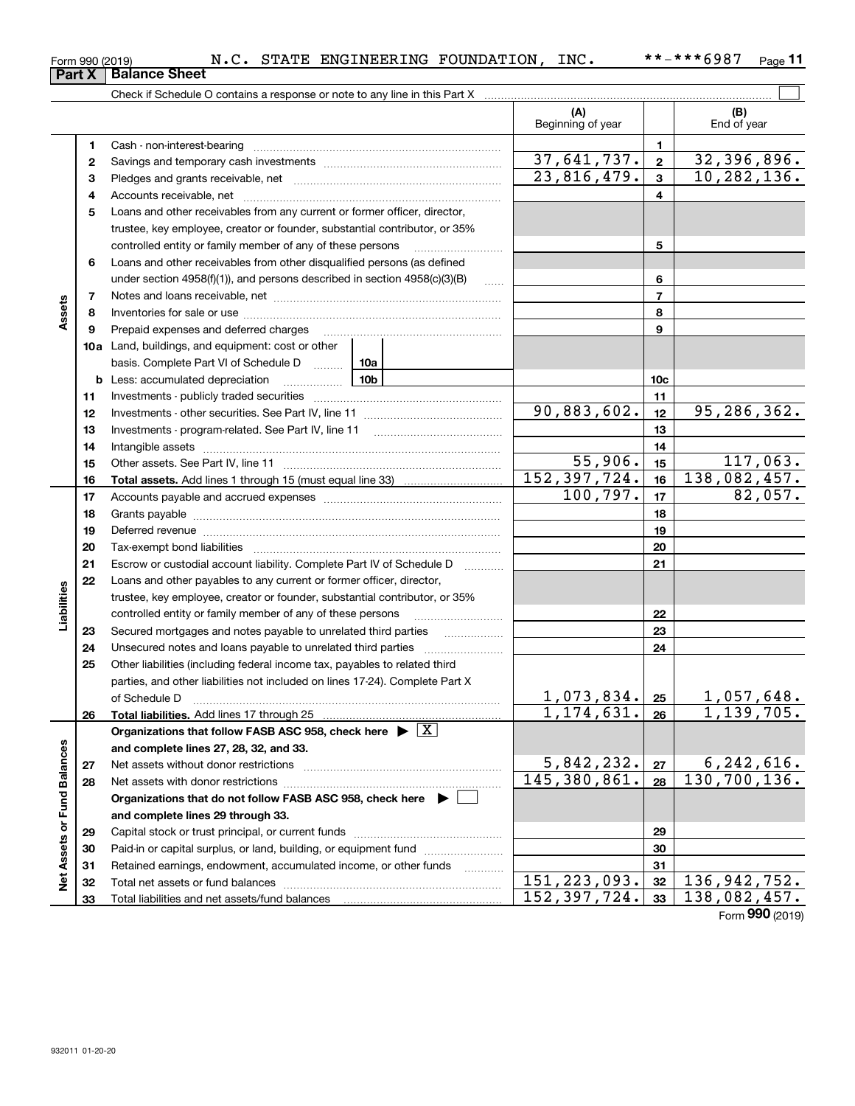|  | 932011 01-20-20 |
|--|-----------------|
|--|-----------------|

|                      |    |                                                                                                                                                                                                                                |           | (A)<br>Beginning of year |              | (B)<br>End of year               |          |
|----------------------|----|--------------------------------------------------------------------------------------------------------------------------------------------------------------------------------------------------------------------------------|-----------|--------------------------|--------------|----------------------------------|----------|
|                      | 1. | Cash - non-interest-bearing                                                                                                                                                                                                    |           |                          | 1            |                                  |          |
|                      | 2  |                                                                                                                                                                                                                                |           | 37,641,737.              | $\mathbf{2}$ | 32,396,896.                      |          |
|                      | з  |                                                                                                                                                                                                                                |           | 23,816,479.              | $\mathbf{3}$ | 10, 282, 136.                    |          |
|                      | 4  |                                                                                                                                                                                                                                |           |                          | 4            |                                  |          |
|                      | 5  | Loans and other receivables from any current or former officer, director,                                                                                                                                                      |           |                          |              |                                  |          |
|                      |    | trustee, key employee, creator or founder, substantial contributor, or 35%                                                                                                                                                     |           |                          |              |                                  |          |
|                      |    | controlled entity or family member of any of these persons                                                                                                                                                                     |           |                          | 5            |                                  |          |
|                      | 6  | Loans and other receivables from other disqualified persons (as defined                                                                                                                                                        |           |                          |              |                                  |          |
|                      |    | under section $4958(f)(1)$ , and persons described in section $4958(c)(3)(B)$                                                                                                                                                  | 1.1.1.1.1 |                          | 6            |                                  |          |
|                      | 7  |                                                                                                                                                                                                                                |           |                          | 7            |                                  |          |
| Assets               | 8  |                                                                                                                                                                                                                                |           |                          | 8            |                                  |          |
|                      | 9  | Prepaid expenses and deferred charges                                                                                                                                                                                          |           |                          | 9            |                                  |          |
|                      |    | <b>10a</b> Land, buildings, and equipment: cost or other                                                                                                                                                                       |           |                          |              |                                  |          |
|                      |    | basis. Complete Part VI of Schedule D  10a                                                                                                                                                                                     |           |                          |              |                                  |          |
|                      |    | $\frac{10b}{100}$<br><b>b</b> Less: accumulated depreciation                                                                                                                                                                   |           |                          | 10c          |                                  |          |
|                      | 11 |                                                                                                                                                                                                                                |           |                          | 11           |                                  |          |
|                      | 12 |                                                                                                                                                                                                                                |           | 90,883,602.              | 12           | 95,286,362.                      |          |
|                      | 13 |                                                                                                                                                                                                                                |           |                          | 13           |                                  |          |
|                      | 14 |                                                                                                                                                                                                                                |           |                          | 14           |                                  |          |
|                      | 15 |                                                                                                                                                                                                                                |           | 55,906.                  | 15           |                                  | 117,063. |
|                      | 16 |                                                                                                                                                                                                                                |           | 152, 397, 724.           | 16           | 138,082,457.                     |          |
|                      | 17 |                                                                                                                                                                                                                                |           | 100,797.                 | 17           |                                  | 82,057.  |
|                      | 18 |                                                                                                                                                                                                                                |           |                          | 18           |                                  |          |
|                      | 19 | Deferred revenue manual contracts and contracts are all the manual contracts and contracts are contracted and contracts are contracted and contract are contracted and contract are contracted and contract are contracted and |           |                          | 19           |                                  |          |
|                      | 20 |                                                                                                                                                                                                                                |           |                          | 20           |                                  |          |
|                      | 21 | Escrow or custodial account liability. Complete Part IV of Schedule D                                                                                                                                                          | .         |                          | 21           |                                  |          |
|                      | 22 | Loans and other payables to any current or former officer, director,                                                                                                                                                           |           |                          |              |                                  |          |
| Liabilities          |    | trustee, key employee, creator or founder, substantial contributor, or 35%                                                                                                                                                     |           |                          |              |                                  |          |
|                      |    | controlled entity or family member of any of these persons                                                                                                                                                                     |           |                          | 22           |                                  |          |
|                      | 23 | Secured mortgages and notes payable to unrelated third parties                                                                                                                                                                 |           |                          | 23           |                                  |          |
|                      | 24 |                                                                                                                                                                                                                                |           |                          | 24           |                                  |          |
|                      | 25 | Other liabilities (including federal income tax, payables to related third                                                                                                                                                     |           |                          |              |                                  |          |
|                      |    | parties, and other liabilities not included on lines 17-24). Complete Part X                                                                                                                                                   |           |                          |              |                                  |          |
|                      |    | of Schedule D                                                                                                                                                                                                                  |           | <u>1,073,834.</u>        | 25           | 1,057,648.                       |          |
|                      | 26 | Total liabilities. Add lines 17 through 25                                                                                                                                                                                     |           | $\overline{1,174,631}$ . | 26           | 1,139,705.                       |          |
|                      |    | Organizations that follow FASB ASC 958, check here $\blacktriangleright \boxed{X}$                                                                                                                                             |           |                          |              |                                  |          |
|                      |    | and complete lines 27, 28, 32, and 33.                                                                                                                                                                                         |           |                          |              |                                  |          |
|                      | 27 | Net assets without donor restrictions                                                                                                                                                                                          |           | <u>5,842,232.</u>        | 27           | $6, 242, 616.$<br>130, 700, 136. |          |
| <b>Fund Balances</b> | 28 |                                                                                                                                                                                                                                |           | 145, 380, 861.           | 28           |                                  |          |
|                      |    | Organizations that do not follow FASB ASC 958, check here $\blacktriangleright$                                                                                                                                                |           |                          |              |                                  |          |
|                      |    | and complete lines 29 through 33.                                                                                                                                                                                              |           |                          |              |                                  |          |
| Net Assets or        | 29 |                                                                                                                                                                                                                                |           |                          | 29           |                                  |          |
|                      | 30 | Paid-in or capital surplus, or land, building, or equipment fund                                                                                                                                                               |           |                          | 30           |                                  |          |
|                      | 31 | Retained earnings, endowment, accumulated income, or other funds                                                                                                                                                               | .         |                          | 31           |                                  |          |
|                      | 32 |                                                                                                                                                                                                                                |           | 151, 223, 093.           | 32           | 136, 942, 752.<br>138,082,457.   |          |
|                      | 33 |                                                                                                                                                                                                                                |           | 152,397,724.             | 33           |                                  |          |

Form 990 (2019) N.C. STATE ENGINEERING FOUNDATION, INC. \*\*-\*\*\*6987 <sub>Page</sub> 11

Form (2019) **990**

Check if Schedule O contains a response or note to any line in this Part X

**Part X Balance Sheet**

 $\mathcal{L}^{\text{max}}$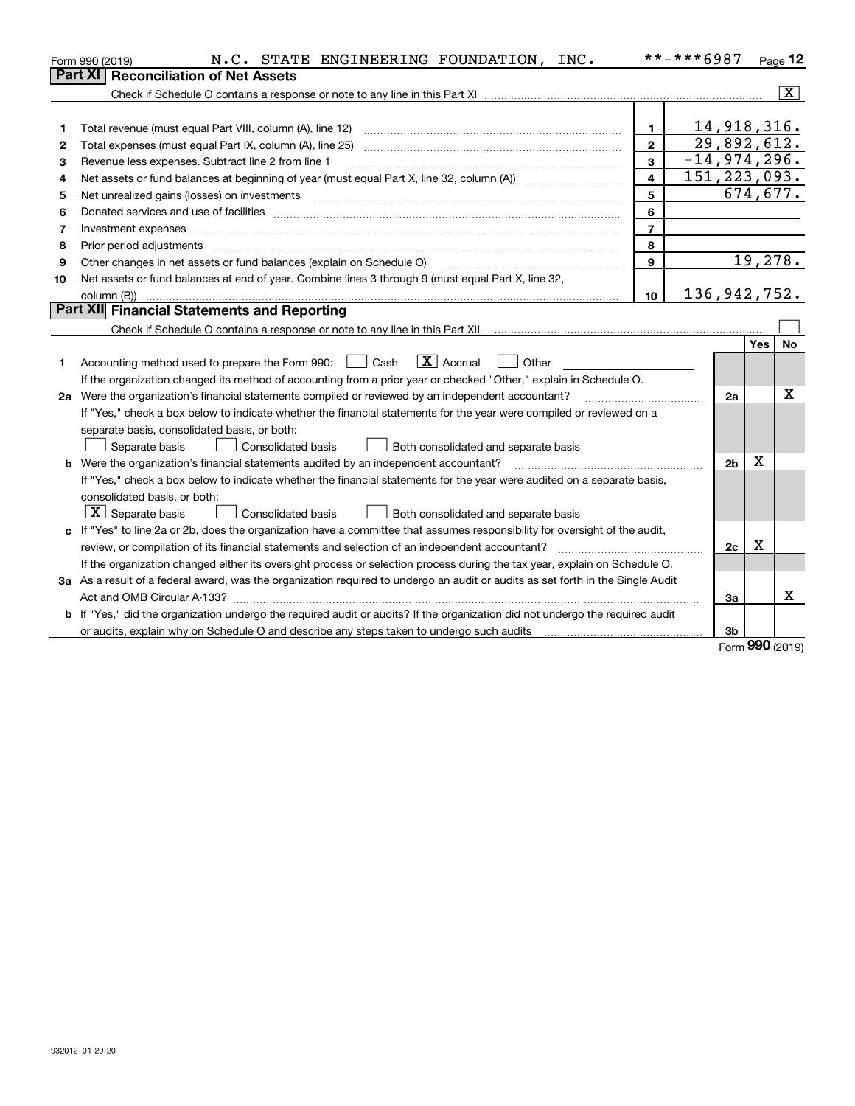|    | N.C. STATE ENGINEERING FOUNDATION, INC.<br>Form 990 (2019)                                                                      |                | **-***6987     |          | Page $12$               |
|----|---------------------------------------------------------------------------------------------------------------------------------|----------------|----------------|----------|-------------------------|
|    | <b>Reconciliation of Net Assets</b><br><b>Part XI</b>                                                                           |                |                |          |                         |
|    |                                                                                                                                 |                |                |          | $\overline{\mathbf{X}}$ |
|    |                                                                                                                                 |                |                |          |                         |
| 1  | Total revenue (must equal Part VIII, column (A), line 12)                                                                       | $\mathbf{1}$   | 14,918,316.    |          |                         |
| 2  | Total expenses (must equal Part IX, column (A), line 25)                                                                        | $\mathbf{2}$   | 29,892,612.    |          |                         |
| з  | Revenue less expenses. Subtract line 2 from line 1                                                                              | 3              | $-14,974,296.$ |          |                         |
| 4  |                                                                                                                                 | $\overline{4}$ | 151, 223, 093. |          |                         |
| 5  | Net unrealized gains (losses) on investments                                                                                    | 5              |                | 674,677. |                         |
| 6  |                                                                                                                                 | 6              |                |          |                         |
| 7  |                                                                                                                                 | $\overline{7}$ |                |          |                         |
| 8  | Prior period adjustments                                                                                                        | 8              |                |          |                         |
| 9  | Other changes in net assets or fund balances (explain on Schedule O)                                                            | $\mathbf{Q}$   |                | 19,278.  |                         |
| 10 | Net assets or fund balances at end of year. Combine lines 3 through 9 (must equal Part X, line 32,                              |                |                |          |                         |
|    |                                                                                                                                 | 10             | 136,942,752.   |          |                         |
|    | Part XII Financial Statements and Reporting                                                                                     |                |                |          |                         |
|    |                                                                                                                                 |                |                |          |                         |
|    |                                                                                                                                 |                |                | Yes      | No                      |
| 1. | $\boxed{\mathbf{X}}$ Accrual<br>Accounting method used to prepare the Form 990: <u>I</u> Cash<br>Other                          |                |                |          |                         |
|    | If the organization changed its method of accounting from a prior year or checked "Other," explain in Schedule O.               |                |                |          |                         |
|    | 2a Were the organization's financial statements compiled or reviewed by an independent accountant?                              |                | 2a             |          | Χ                       |
|    | If "Yes," check a box below to indicate whether the financial statements for the year were compiled or reviewed on a            |                |                |          |                         |
|    | separate basis, consolidated basis, or both:                                                                                    |                |                |          |                         |
|    | Separate basis<br><b>Consolidated basis</b><br>Both consolidated and separate basis                                             |                |                |          |                         |
|    | <b>b</b> Were the organization's financial statements audited by an independent accountant?                                     |                | 2 <sub>b</sub> | Χ        |                         |
|    | If "Yes," check a box below to indicate whether the financial statements for the year were audited on a separate basis,         |                |                |          |                         |
|    | consolidated basis, or both:                                                                                                    |                |                |          |                         |
|    | $X$ Separate basis<br><b>Consolidated basis</b><br>Both consolidated and separate basis                                         |                |                |          |                         |
| c  | If "Yes" to line 2a or 2b, does the organization have a committee that assumes responsibility for oversight of the audit,       |                |                |          |                         |
|    | review, or compilation of its financial statements and selection of an independent accountant?                                  |                | 2c             | Χ        |                         |
|    | If the organization changed either its oversight process or selection process during the tax year, explain on Schedule O.       |                |                |          |                         |
|    | 3a As a result of a federal award, was the organization required to undergo an audit or audits as set forth in the Single Audit |                |                |          |                         |
|    |                                                                                                                                 |                | За             |          | x                       |
|    | b If "Yes," did the organization undergo the required audit or audits? If the organization did not undergo the required audit   |                |                |          |                         |
|    |                                                                                                                                 |                | 3b             |          |                         |

Form (2019) **990**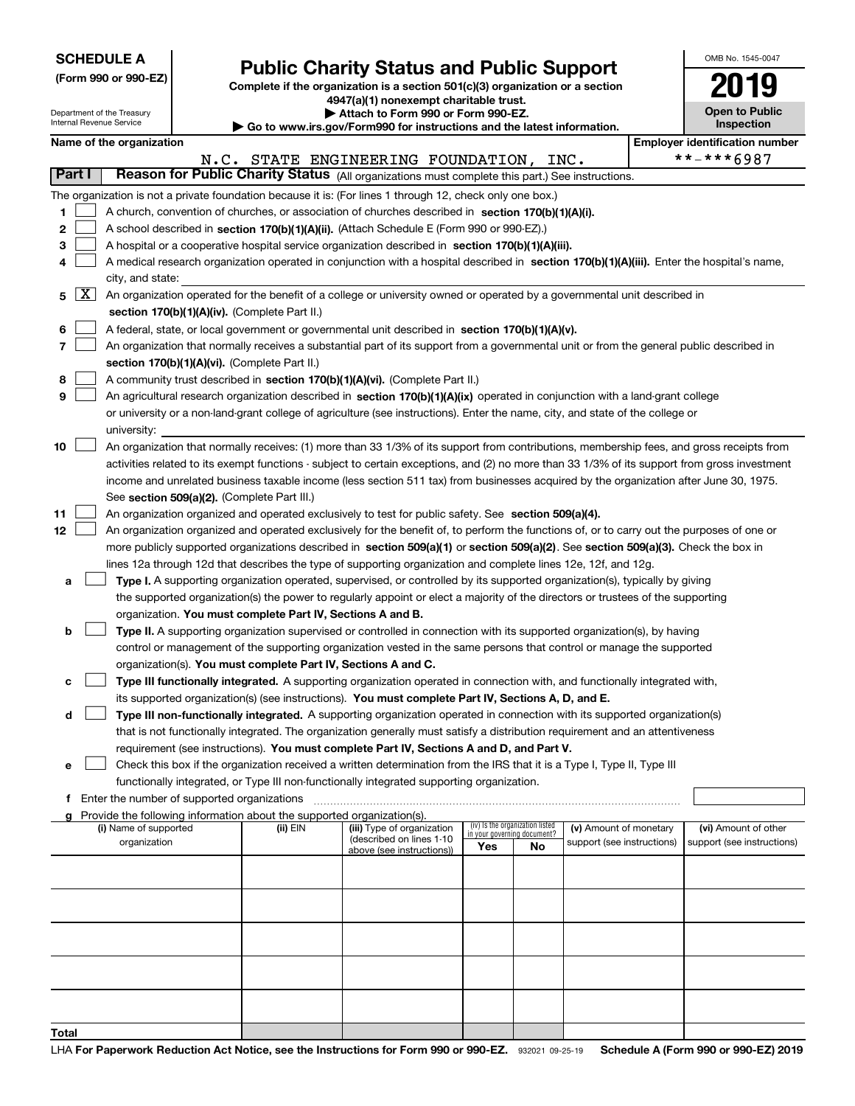Department of the Treasury

# **Public Charity Status and Public Support**

**Complete if the organization is a section 501(c)(3) organization or a section 4947(a)(1) nonexempt charitable trust.**

| Attach to Form 990 or Form 990-EZ. |  |  |  |  |
|------------------------------------|--|--|--|--|
|                                    |  |  |  |  |

| OMB No. 1545-0047                   |
|-------------------------------------|
| $\overline{\phantom{a}}$            |
| <b>Open to Public</b><br>Inspection |

| Internal Revenue Service<br>Go to www.irs.gov/Form990 for instructions and the latest information. |                                                                                                                                                          |                                                                                                                                            |  |                                                                        |                                                                                                                                                                                                                                                 | Inspection |                                 |                                                      |  |                                                    |
|----------------------------------------------------------------------------------------------------|----------------------------------------------------------------------------------------------------------------------------------------------------------|--------------------------------------------------------------------------------------------------------------------------------------------|--|------------------------------------------------------------------------|-------------------------------------------------------------------------------------------------------------------------------------------------------------------------------------------------------------------------------------------------|------------|---------------------------------|------------------------------------------------------|--|----------------------------------------------------|
|                                                                                                    |                                                                                                                                                          | Name of the organization                                                                                                                   |  |                                                                        |                                                                                                                                                                                                                                                 |            |                                 |                                                      |  | <b>Employer identification number</b>              |
|                                                                                                    | **-***6987<br>N.C. STATE ENGINEERING FOUNDATION, INC.<br>Reason for Public Charity Status (All organizations must complete this part.) See instructions. |                                                                                                                                            |  |                                                                        |                                                                                                                                                                                                                                                 |            |                                 |                                                      |  |                                                    |
| Part I                                                                                             |                                                                                                                                                          |                                                                                                                                            |  |                                                                        |                                                                                                                                                                                                                                                 |            |                                 |                                                      |  |                                                    |
|                                                                                                    |                                                                                                                                                          | The organization is not a private foundation because it is: (For lines 1 through 12, check only one box.)                                  |  |                                                                        |                                                                                                                                                                                                                                                 |            |                                 |                                                      |  |                                                    |
| 1                                                                                                  |                                                                                                                                                          | A church, convention of churches, or association of churches described in section 170(b)(1)(A)(i).                                         |  |                                                                        |                                                                                                                                                                                                                                                 |            |                                 |                                                      |  |                                                    |
| 2                                                                                                  |                                                                                                                                                          |                                                                                                                                            |  |                                                                        | A school described in section 170(b)(1)(A)(ii). (Attach Schedule E (Form 990 or 990-EZ).)                                                                                                                                                       |            |                                 |                                                      |  |                                                    |
| 3                                                                                                  |                                                                                                                                                          |                                                                                                                                            |  |                                                                        | A hospital or a cooperative hospital service organization described in section 170(b)(1)(A)(iii).                                                                                                                                               |            |                                 |                                                      |  |                                                    |
| 4                                                                                                  |                                                                                                                                                          | A medical research organization operated in conjunction with a hospital described in section 170(b)(1)(A)(iii). Enter the hospital's name, |  |                                                                        |                                                                                                                                                                                                                                                 |            |                                 |                                                      |  |                                                    |
| 5                                                                                                  | $\lfloor x \rfloor$                                                                                                                                      | city, and state:                                                                                                                           |  |                                                                        | An organization operated for the benefit of a college or university owned or operated by a governmental unit described in                                                                                                                       |            |                                 |                                                      |  |                                                    |
|                                                                                                    |                                                                                                                                                          |                                                                                                                                            |  | section 170(b)(1)(A)(iv). (Complete Part II.)                          |                                                                                                                                                                                                                                                 |            |                                 |                                                      |  |                                                    |
| 6                                                                                                  |                                                                                                                                                          |                                                                                                                                            |  |                                                                        | A federal, state, or local government or governmental unit described in section 170(b)(1)(A)(v).                                                                                                                                                |            |                                 |                                                      |  |                                                    |
| 7                                                                                                  |                                                                                                                                                          |                                                                                                                                            |  |                                                                        | An organization that normally receives a substantial part of its support from a governmental unit or from the general public described in                                                                                                       |            |                                 |                                                      |  |                                                    |
|                                                                                                    |                                                                                                                                                          |                                                                                                                                            |  | section 170(b)(1)(A)(vi). (Complete Part II.)                          |                                                                                                                                                                                                                                                 |            |                                 |                                                      |  |                                                    |
| 8                                                                                                  |                                                                                                                                                          |                                                                                                                                            |  |                                                                        | A community trust described in section 170(b)(1)(A)(vi). (Complete Part II.)                                                                                                                                                                    |            |                                 |                                                      |  |                                                    |
| 9                                                                                                  |                                                                                                                                                          |                                                                                                                                            |  |                                                                        | An agricultural research organization described in section 170(b)(1)(A)(ix) operated in conjunction with a land-grant college                                                                                                                   |            |                                 |                                                      |  |                                                    |
|                                                                                                    |                                                                                                                                                          |                                                                                                                                            |  |                                                                        | or university or a non-land-grant college of agriculture (see instructions). Enter the name, city, and state of the college or                                                                                                                  |            |                                 |                                                      |  |                                                    |
|                                                                                                    |                                                                                                                                                          | university:                                                                                                                                |  |                                                                        |                                                                                                                                                                                                                                                 |            |                                 |                                                      |  |                                                    |
| 10                                                                                                 |                                                                                                                                                          |                                                                                                                                            |  |                                                                        | An organization that normally receives: (1) more than 33 1/3% of its support from contributions, membership fees, and gross receipts from                                                                                                       |            |                                 |                                                      |  |                                                    |
|                                                                                                    |                                                                                                                                                          |                                                                                                                                            |  |                                                                        | activities related to its exempt functions - subject to certain exceptions, and (2) no more than 33 1/3% of its support from gross investment                                                                                                   |            |                                 |                                                      |  |                                                    |
|                                                                                                    |                                                                                                                                                          |                                                                                                                                            |  |                                                                        | income and unrelated business taxable income (less section 511 tax) from businesses acquired by the organization after June 30, 1975.                                                                                                           |            |                                 |                                                      |  |                                                    |
|                                                                                                    |                                                                                                                                                          |                                                                                                                                            |  | See section 509(a)(2). (Complete Part III.)                            |                                                                                                                                                                                                                                                 |            |                                 |                                                      |  |                                                    |
| 11                                                                                                 |                                                                                                                                                          |                                                                                                                                            |  |                                                                        | An organization organized and operated exclusively to test for public safety. See section 509(a)(4).                                                                                                                                            |            |                                 |                                                      |  |                                                    |
| 12                                                                                                 |                                                                                                                                                          |                                                                                                                                            |  |                                                                        | An organization organized and operated exclusively for the benefit of, to perform the functions of, or to carry out the purposes of one or                                                                                                      |            |                                 |                                                      |  |                                                    |
|                                                                                                    |                                                                                                                                                          |                                                                                                                                            |  |                                                                        | more publicly supported organizations described in section 509(a)(1) or section 509(a)(2). See section 509(a)(3). Check the box in                                                                                                              |            |                                 |                                                      |  |                                                    |
|                                                                                                    |                                                                                                                                                          |                                                                                                                                            |  |                                                                        | lines 12a through 12d that describes the type of supporting organization and complete lines 12e, 12f, and 12g.                                                                                                                                  |            |                                 |                                                      |  |                                                    |
| а                                                                                                  |                                                                                                                                                          |                                                                                                                                            |  |                                                                        | Type I. A supporting organization operated, supervised, or controlled by its supported organization(s), typically by giving                                                                                                                     |            |                                 |                                                      |  |                                                    |
|                                                                                                    |                                                                                                                                                          |                                                                                                                                            |  |                                                                        | the supported organization(s) the power to regularly appoint or elect a majority of the directors or trustees of the supporting                                                                                                                 |            |                                 |                                                      |  |                                                    |
|                                                                                                    |                                                                                                                                                          |                                                                                                                                            |  | organization. You must complete Part IV, Sections A and B.             |                                                                                                                                                                                                                                                 |            |                                 |                                                      |  |                                                    |
| b                                                                                                  |                                                                                                                                                          |                                                                                                                                            |  |                                                                        | Type II. A supporting organization supervised or controlled in connection with its supported organization(s), by having<br>control or management of the supporting organization vested in the same persons that control or manage the supported |            |                                 |                                                      |  |                                                    |
|                                                                                                    |                                                                                                                                                          |                                                                                                                                            |  | organization(s). You must complete Part IV, Sections A and C.          |                                                                                                                                                                                                                                                 |            |                                 |                                                      |  |                                                    |
| с                                                                                                  |                                                                                                                                                          |                                                                                                                                            |  |                                                                        | Type III functionally integrated. A supporting organization operated in connection with, and functionally integrated with,                                                                                                                      |            |                                 |                                                      |  |                                                    |
|                                                                                                    |                                                                                                                                                          |                                                                                                                                            |  |                                                                        | its supported organization(s) (see instructions). You must complete Part IV, Sections A, D, and E.                                                                                                                                              |            |                                 |                                                      |  |                                                    |
| d                                                                                                  |                                                                                                                                                          |                                                                                                                                            |  |                                                                        | Type III non-functionally integrated. A supporting organization operated in connection with its supported organization(s)                                                                                                                       |            |                                 |                                                      |  |                                                    |
|                                                                                                    |                                                                                                                                                          |                                                                                                                                            |  |                                                                        | that is not functionally integrated. The organization generally must satisfy a distribution requirement and an attentiveness                                                                                                                    |            |                                 |                                                      |  |                                                    |
|                                                                                                    |                                                                                                                                                          |                                                                                                                                            |  |                                                                        | requirement (see instructions). You must complete Part IV, Sections A and D, and Part V.                                                                                                                                                        |            |                                 |                                                      |  |                                                    |
| е                                                                                                  |                                                                                                                                                          |                                                                                                                                            |  |                                                                        | Check this box if the organization received a written determination from the IRS that it is a Type I, Type II, Type III                                                                                                                         |            |                                 |                                                      |  |                                                    |
|                                                                                                    |                                                                                                                                                          |                                                                                                                                            |  |                                                                        | functionally integrated, or Type III non-functionally integrated supporting organization.                                                                                                                                                       |            |                                 |                                                      |  |                                                    |
|                                                                                                    |                                                                                                                                                          | f Enter the number of supported organizations                                                                                              |  |                                                                        |                                                                                                                                                                                                                                                 |            |                                 |                                                      |  |                                                    |
|                                                                                                    |                                                                                                                                                          |                                                                                                                                            |  | Provide the following information about the supported organization(s). |                                                                                                                                                                                                                                                 |            | (iv) Is the organization listed |                                                      |  |                                                    |
|                                                                                                    |                                                                                                                                                          | (i) Name of supported<br>organization                                                                                                      |  | (ii) EIN                                                               | (iii) Type of organization<br>(described on lines 1-10                                                                                                                                                                                          |            | in your governing document?     | (v) Amount of monetary<br>support (see instructions) |  | (vi) Amount of other<br>support (see instructions) |
|                                                                                                    |                                                                                                                                                          |                                                                                                                                            |  |                                                                        | above (see instructions))                                                                                                                                                                                                                       | Yes        | No                              |                                                      |  |                                                    |
|                                                                                                    |                                                                                                                                                          |                                                                                                                                            |  |                                                                        |                                                                                                                                                                                                                                                 |            |                                 |                                                      |  |                                                    |
|                                                                                                    |                                                                                                                                                          |                                                                                                                                            |  |                                                                        |                                                                                                                                                                                                                                                 |            |                                 |                                                      |  |                                                    |
|                                                                                                    |                                                                                                                                                          |                                                                                                                                            |  |                                                                        |                                                                                                                                                                                                                                                 |            |                                 |                                                      |  |                                                    |
|                                                                                                    |                                                                                                                                                          |                                                                                                                                            |  |                                                                        |                                                                                                                                                                                                                                                 |            |                                 |                                                      |  |                                                    |
|                                                                                                    |                                                                                                                                                          |                                                                                                                                            |  |                                                                        |                                                                                                                                                                                                                                                 |            |                                 |                                                      |  |                                                    |
|                                                                                                    |                                                                                                                                                          |                                                                                                                                            |  |                                                                        |                                                                                                                                                                                                                                                 |            |                                 |                                                      |  |                                                    |
|                                                                                                    |                                                                                                                                                          |                                                                                                                                            |  |                                                                        |                                                                                                                                                                                                                                                 |            |                                 |                                                      |  |                                                    |
|                                                                                                    |                                                                                                                                                          |                                                                                                                                            |  |                                                                        |                                                                                                                                                                                                                                                 |            |                                 |                                                      |  |                                                    |
|                                                                                                    |                                                                                                                                                          |                                                                                                                                            |  |                                                                        |                                                                                                                                                                                                                                                 |            |                                 |                                                      |  |                                                    |
| Total                                                                                              |                                                                                                                                                          |                                                                                                                                            |  |                                                                        |                                                                                                                                                                                                                                                 |            |                                 |                                                      |  |                                                    |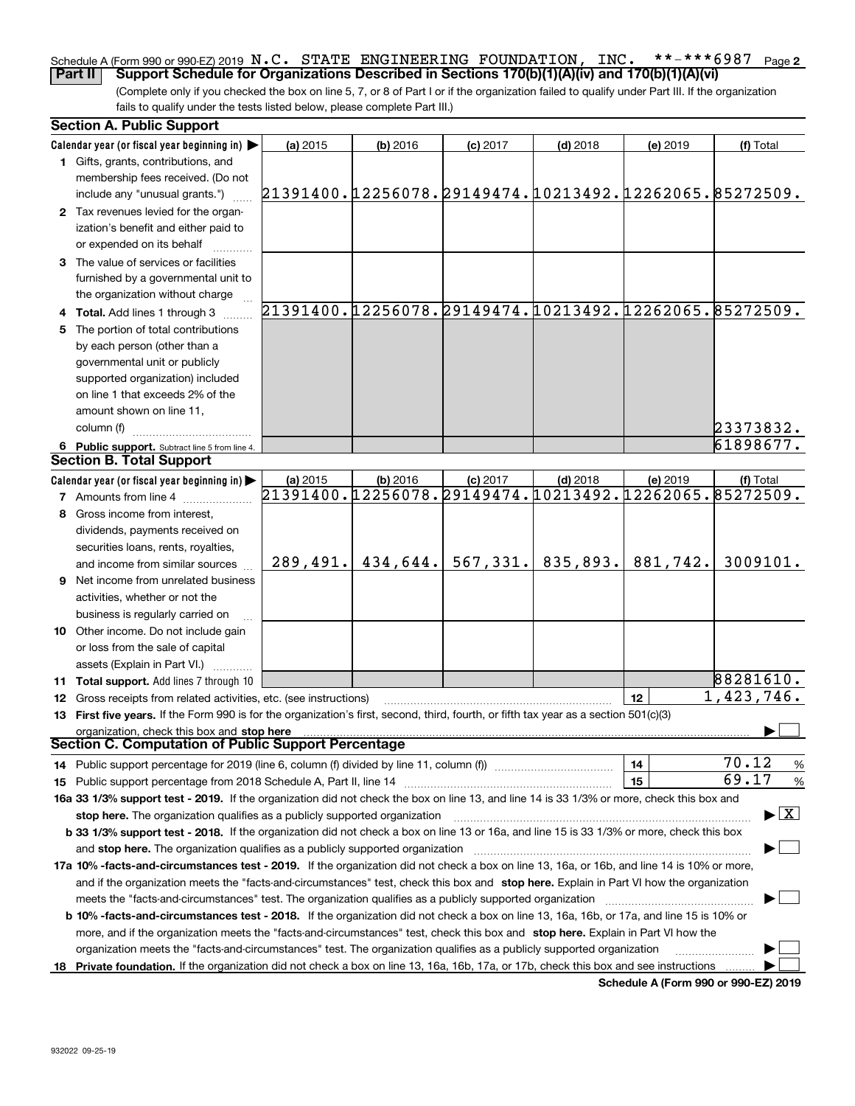#### **2** Schedule A (Form 990 or 990-EZ) 2019  $\, {\bf N}$  ,  $\, {\bf C}$  ,  $\,$  STATE  $\,$  ENGINEERING <code>FOUNDATION</code> ,  $\,$  <code>INC</code> ,  $\,$  \* \* – \* \* \* 6  $987$   $\,$  Page **Part II Support Schedule for Organizations Described in Sections 170(b)(1)(A)(iv) and 170(b)(1)(A)(vi)**

(Complete only if you checked the box on line 5, 7, or 8 of Part I or if the organization failed to qualify under Part III. If the organization fails to qualify under the tests listed below, please complete Part III.)

| <b>Section A. Public Support</b>                                                                                                                                                                                                                                    |                                                        |            |                                                        |            |          |            |
|---------------------------------------------------------------------------------------------------------------------------------------------------------------------------------------------------------------------------------------------------------------------|--------------------------------------------------------|------------|--------------------------------------------------------|------------|----------|------------|
| Calendar year (or fiscal year beginning in) $\blacktriangleright$                                                                                                                                                                                                   | (a) 2015                                               | $(b)$ 2016 | $(c)$ 2017                                             | $(d)$ 2018 | (e) 2019 | (f) Total  |
| 1 Gifts, grants, contributions, and                                                                                                                                                                                                                                 |                                                        |            |                                                        |            |          |            |
| membership fees received. (Do not                                                                                                                                                                                                                                   |                                                        |            |                                                        |            |          |            |
| include any "unusual grants.")                                                                                                                                                                                                                                      | 21391400.12256078.29149474.10213492.12262065.85272509. |            |                                                        |            |          |            |
| 2 Tax revenues levied for the organ-                                                                                                                                                                                                                                |                                                        |            |                                                        |            |          |            |
| ization's benefit and either paid to                                                                                                                                                                                                                                |                                                        |            |                                                        |            |          |            |
| or expended on its behalf                                                                                                                                                                                                                                           |                                                        |            |                                                        |            |          |            |
| 3 The value of services or facilities                                                                                                                                                                                                                               |                                                        |            |                                                        |            |          |            |
| furnished by a governmental unit to                                                                                                                                                                                                                                 |                                                        |            |                                                        |            |          |            |
| the organization without charge                                                                                                                                                                                                                                     |                                                        |            |                                                        |            |          |            |
| 4 Total. Add lines 1 through 3                                                                                                                                                                                                                                      |                                                        |            | 21391400.12256078.29149474.10213492.12262065.85272509. |            |          |            |
| 5 The portion of total contributions                                                                                                                                                                                                                                |                                                        |            |                                                        |            |          |            |
| by each person (other than a                                                                                                                                                                                                                                        |                                                        |            |                                                        |            |          |            |
| governmental unit or publicly                                                                                                                                                                                                                                       |                                                        |            |                                                        |            |          |            |
| supported organization) included                                                                                                                                                                                                                                    |                                                        |            |                                                        |            |          |            |
| on line 1 that exceeds 2% of the                                                                                                                                                                                                                                    |                                                        |            |                                                        |            |          |            |
| amount shown on line 11,                                                                                                                                                                                                                                            |                                                        |            |                                                        |            |          |            |
| column (f)                                                                                                                                                                                                                                                          |                                                        |            |                                                        |            |          | 23373832.  |
| 6 Public support. Subtract line 5 from line 4.                                                                                                                                                                                                                      |                                                        |            |                                                        |            |          | 61898677.  |
| <b>Section B. Total Support</b>                                                                                                                                                                                                                                     |                                                        |            |                                                        |            |          |            |
| Calendar year (or fiscal year beginning in)                                                                                                                                                                                                                         | (a) 2015                                               | (b) 2016   | $(c)$ 2017                                             | $(d)$ 2018 | (e) 2019 | (f) Total  |
| <b>7</b> Amounts from line 4                                                                                                                                                                                                                                        |                                                        |            | 21391400.12256078.29149474.10213492.12262065.85272509. |            |          |            |
| 8 Gross income from interest,                                                                                                                                                                                                                                       |                                                        |            |                                                        |            |          |            |
| dividends, payments received on                                                                                                                                                                                                                                     |                                                        |            |                                                        |            |          |            |
| securities loans, rents, royalties,                                                                                                                                                                                                                                 |                                                        |            |                                                        |            |          |            |
| and income from similar sources                                                                                                                                                                                                                                     | 289,491.                                               | 434,644.   | 567, 331.                                              | 835,893.   | 881,742. | 3009101.   |
| 9 Net income from unrelated business                                                                                                                                                                                                                                |                                                        |            |                                                        |            |          |            |
| activities, whether or not the                                                                                                                                                                                                                                      |                                                        |            |                                                        |            |          |            |
| business is regularly carried on                                                                                                                                                                                                                                    |                                                        |            |                                                        |            |          |            |
| <b>10</b> Other income. Do not include gain                                                                                                                                                                                                                         |                                                        |            |                                                        |            |          |            |
| or loss from the sale of capital                                                                                                                                                                                                                                    |                                                        |            |                                                        |            |          |            |
| assets (Explain in Part VI.)                                                                                                                                                                                                                                        |                                                        |            |                                                        |            |          |            |
| 11 Total support. Add lines 7 through 10                                                                                                                                                                                                                            |                                                        |            |                                                        |            |          | 88281610.  |
| <b>12</b> Gross receipts from related activities, etc. (see instructions)                                                                                                                                                                                           |                                                        |            |                                                        |            | 12       | 1,423,746. |
| 13 First five years. If the Form 990 is for the organization's first, second, third, fourth, or fifth tax year as a section 501(c)(3)                                                                                                                               |                                                        |            |                                                        |            |          |            |
| organization, check this box and stop here                                                                                                                                                                                                                          |                                                        |            |                                                        |            |          |            |
| Section C. Computation of Public Support Percentage                                                                                                                                                                                                                 |                                                        |            |                                                        |            |          |            |
| 14 Public support percentage for 2019 (line 6, column (f) divided by line 11, column (f) <i>mummention</i>                                                                                                                                                          |                                                        |            |                                                        |            | 14       | 70.12<br>% |
|                                                                                                                                                                                                                                                                     |                                                        |            |                                                        |            | 15       | 69.17<br>% |
|                                                                                                                                                                                                                                                                     |                                                        |            |                                                        |            |          |            |
| 16a 33 1/3% support test - 2019. If the organization did not check the box on line 13, and line 14 is 33 1/3% or more, check this box and<br>$\blacktriangleright$ $\boxed{\text{X}}$<br>stop here. The organization qualifies as a publicly supported organization |                                                        |            |                                                        |            |          |            |
| b 33 1/3% support test - 2018. If the organization did not check a box on line 13 or 16a, and line 15 is 33 1/3% or more, check this box                                                                                                                            |                                                        |            |                                                        |            |          |            |
| and stop here. The organization qualifies as a publicly supported organization                                                                                                                                                                                      |                                                        |            |                                                        |            |          |            |
| 17a 10% -facts-and-circumstances test - 2019. If the organization did not check a box on line 13, 16a, or 16b, and line 14 is 10% or more,                                                                                                                          |                                                        |            |                                                        |            |          |            |
| and if the organization meets the "facts-and-circumstances" test, check this box and stop here. Explain in Part VI how the organization                                                                                                                             |                                                        |            |                                                        |            |          |            |
| meets the "facts-and-circumstances" test. The organization qualifies as a publicly supported organization                                                                                                                                                           |                                                        |            |                                                        |            |          |            |
| <b>b 10% -facts-and-circumstances test - 2018.</b> If the organization did not check a box on line 13, 16a, 16b, or 17a, and line 15 is 10% or                                                                                                                      |                                                        |            |                                                        |            |          |            |
| more, and if the organization meets the "facts-and-circumstances" test, check this box and stop here. Explain in Part VI how the                                                                                                                                    |                                                        |            |                                                        |            |          |            |
| organization meets the "facts-and-circumstances" test. The organization qualifies as a publicly supported organization                                                                                                                                              |                                                        |            |                                                        |            |          |            |
| 18 Private foundation. If the organization did not check a box on line 13, 16a, 16b, 17a, or 17b, check this box and see instructions                                                                                                                               |                                                        |            |                                                        |            |          |            |
|                                                                                                                                                                                                                                                                     |                                                        |            |                                                        |            |          |            |

**Schedule A (Form 990 or 990-EZ) 2019**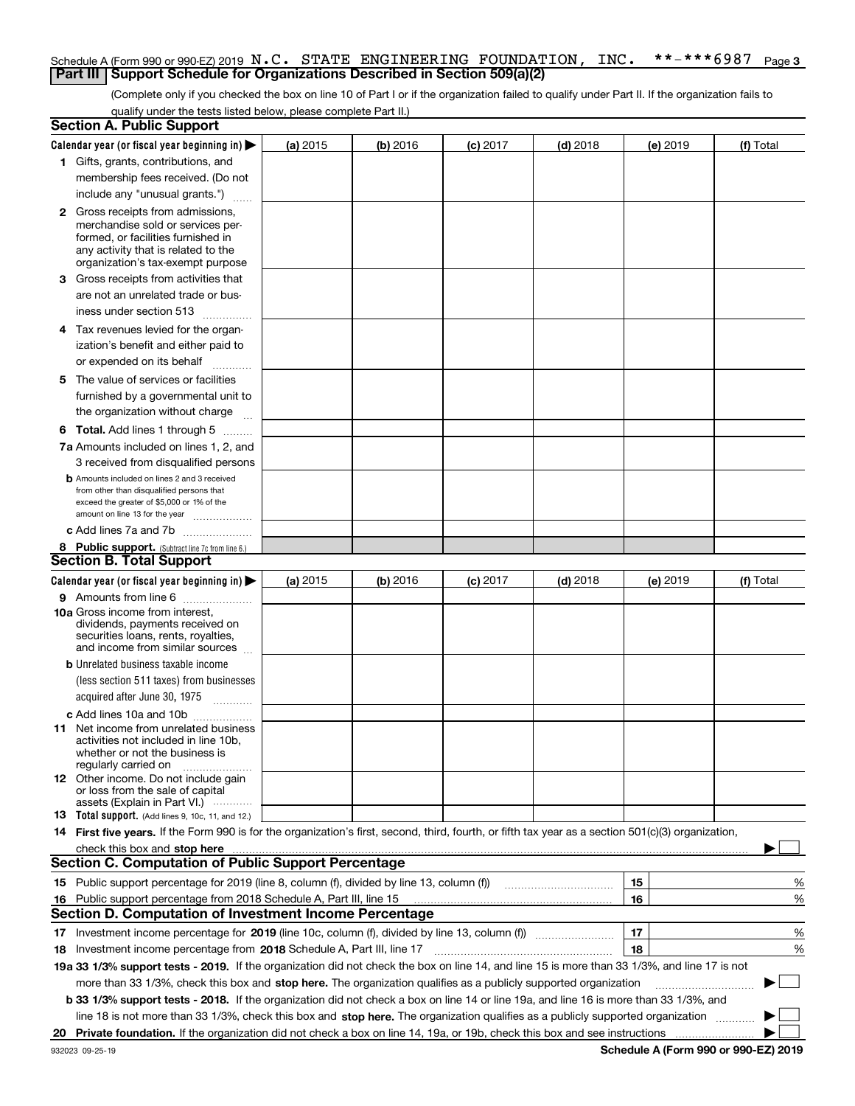#### **3** Schedule A (Form 990 or 990-EZ) 2019  $\, {\bf N}$  ,  $\, {\bf C}$  ,  $\,$  STATE  $\,$  ENGINEERING <code>FOUNDATION</code> ,  $\,$  <code>INC</code> ,  $\,$  \* \* – \* \* \* 6  $987$   $\,$  Page **Part III** | Support Schedule for Organizations Described in Section 509(a)(2)

(Complete only if you checked the box on line 10 of Part I or if the organization failed to qualify under Part II. If the organization fails to qualify under the tests listed below, please complete Part II.)

| <b>Section A. Public Support</b>                                                                                                                                                                                               |          |          |                 |            |          |             |
|--------------------------------------------------------------------------------------------------------------------------------------------------------------------------------------------------------------------------------|----------|----------|-----------------|------------|----------|-------------|
| Calendar year (or fiscal year beginning in) $\blacktriangleright$                                                                                                                                                              | (a) 2015 | (b) 2016 | $(c)$ 2017      | $(d)$ 2018 | (e) 2019 | (f) Total   |
| 1 Gifts, grants, contributions, and                                                                                                                                                                                            |          |          |                 |            |          |             |
| membership fees received. (Do not                                                                                                                                                                                              |          |          |                 |            |          |             |
| include any "unusual grants.")                                                                                                                                                                                                 |          |          |                 |            |          |             |
| <b>2</b> Gross receipts from admissions,                                                                                                                                                                                       |          |          |                 |            |          |             |
| merchandise sold or services per-                                                                                                                                                                                              |          |          |                 |            |          |             |
| formed, or facilities furnished in                                                                                                                                                                                             |          |          |                 |            |          |             |
| any activity that is related to the<br>organization's tax-exempt purpose                                                                                                                                                       |          |          |                 |            |          |             |
| 3 Gross receipts from activities that                                                                                                                                                                                          |          |          |                 |            |          |             |
|                                                                                                                                                                                                                                |          |          |                 |            |          |             |
| are not an unrelated trade or bus-                                                                                                                                                                                             |          |          |                 |            |          |             |
| iness under section 513                                                                                                                                                                                                        |          |          |                 |            |          |             |
| 4 Tax revenues levied for the organ-                                                                                                                                                                                           |          |          |                 |            |          |             |
| ization's benefit and either paid to                                                                                                                                                                                           |          |          |                 |            |          |             |
| or expended on its behalf<br>.                                                                                                                                                                                                 |          |          |                 |            |          |             |
| 5 The value of services or facilities                                                                                                                                                                                          |          |          |                 |            |          |             |
| furnished by a governmental unit to                                                                                                                                                                                            |          |          |                 |            |          |             |
| the organization without charge                                                                                                                                                                                                |          |          |                 |            |          |             |
| <b>6 Total.</b> Add lines 1 through 5                                                                                                                                                                                          |          |          |                 |            |          |             |
| 7a Amounts included on lines 1, 2, and                                                                                                                                                                                         |          |          |                 |            |          |             |
| 3 received from disqualified persons                                                                                                                                                                                           |          |          |                 |            |          |             |
| <b>b</b> Amounts included on lines 2 and 3 received                                                                                                                                                                            |          |          |                 |            |          |             |
| from other than disqualified persons that                                                                                                                                                                                      |          |          |                 |            |          |             |
| exceed the greater of \$5,000 or 1% of the<br>amount on line 13 for the year                                                                                                                                                   |          |          |                 |            |          |             |
| c Add lines 7a and 7b                                                                                                                                                                                                          |          |          |                 |            |          |             |
| 8 Public support. (Subtract line 7c from line 6.)                                                                                                                                                                              |          |          |                 |            |          |             |
| <b>Section B. Total Support</b>                                                                                                                                                                                                |          |          |                 |            |          |             |
| Calendar year (or fiscal year beginning in) $\blacktriangleright$                                                                                                                                                              | (a) 2015 | (b) 2016 | <b>(c)</b> 2017 | $(d)$ 2018 | (e) 2019 | (f) Total   |
| 9 Amounts from line 6                                                                                                                                                                                                          |          |          |                 |            |          |             |
| 10a Gross income from interest,                                                                                                                                                                                                |          |          |                 |            |          |             |
| dividends, payments received on                                                                                                                                                                                                |          |          |                 |            |          |             |
| securities loans, rents, royalties,<br>and income from similar sources                                                                                                                                                         |          |          |                 |            |          |             |
| <b>b</b> Unrelated business taxable income                                                                                                                                                                                     |          |          |                 |            |          |             |
| (less section 511 taxes) from businesses                                                                                                                                                                                       |          |          |                 |            |          |             |
|                                                                                                                                                                                                                                |          |          |                 |            |          |             |
| acquired after June 30, 1975                                                                                                                                                                                                   |          |          |                 |            |          |             |
| c Add lines 10a and 10b                                                                                                                                                                                                        |          |          |                 |            |          |             |
| 11 Net income from unrelated business<br>activities not included in line 10b.                                                                                                                                                  |          |          |                 |            |          |             |
| whether or not the business is                                                                                                                                                                                                 |          |          |                 |            |          |             |
| regularly carried on                                                                                                                                                                                                           |          |          |                 |            |          |             |
| 12 Other income. Do not include gain<br>or loss from the sale of capital                                                                                                                                                       |          |          |                 |            |          |             |
| assets (Explain in Part VI.)                                                                                                                                                                                                   |          |          |                 |            |          |             |
| <b>13</b> Total support. (Add lines 9, 10c, 11, and 12.)                                                                                                                                                                       |          |          |                 |            |          |             |
| 14 First five years. If the Form 990 is for the organization's first, second, third, fourth, or fifth tax year as a section 501(c)(3) organization,                                                                            |          |          |                 |            |          |             |
| check this box and stop here measurements are all the state of the state of the state of the state of the state of the state of the state of the state of the state of the state of the state of the state of the state of the |          |          |                 |            |          |             |
| <b>Section C. Computation of Public Support Percentage</b>                                                                                                                                                                     |          |          |                 |            |          |             |
| 15 Public support percentage for 2019 (line 8, column (f), divided by line 13, column (f))                                                                                                                                     |          |          |                 |            | 15       | %           |
| 16 Public support percentage from 2018 Schedule A, Part III, line 15                                                                                                                                                           |          |          |                 |            | 16       | %           |
| <b>Section D. Computation of Investment Income Percentage</b>                                                                                                                                                                  |          |          |                 |            |          |             |
|                                                                                                                                                                                                                                |          |          |                 |            | 17       | %           |
| <b>18</b> Investment income percentage from <b>2018</b> Schedule A, Part III, line 17                                                                                                                                          |          |          |                 |            | 18       | %           |
| 19a 33 1/3% support tests - 2019. If the organization did not check the box on line 14, and line 15 is more than 33 1/3%, and line 17 is not                                                                                   |          |          |                 |            |          |             |
| more than 33 1/3%, check this box and stop here. The organization qualifies as a publicly supported organization                                                                                                               |          |          |                 |            |          | $\sim$<br>▶ |
| b 33 1/3% support tests - 2018. If the organization did not check a box on line 14 or line 19a, and line 16 is more than 33 1/3%, and                                                                                          |          |          |                 |            |          |             |
| line 18 is not more than 33 1/3%, check this box and stop here. The organization qualifies as a publicly supported organization                                                                                                |          |          |                 |            |          |             |
|                                                                                                                                                                                                                                |          |          |                 |            |          |             |
|                                                                                                                                                                                                                                |          |          |                 |            |          |             |

**Schedule A (Form 990 or 990-EZ) 2019**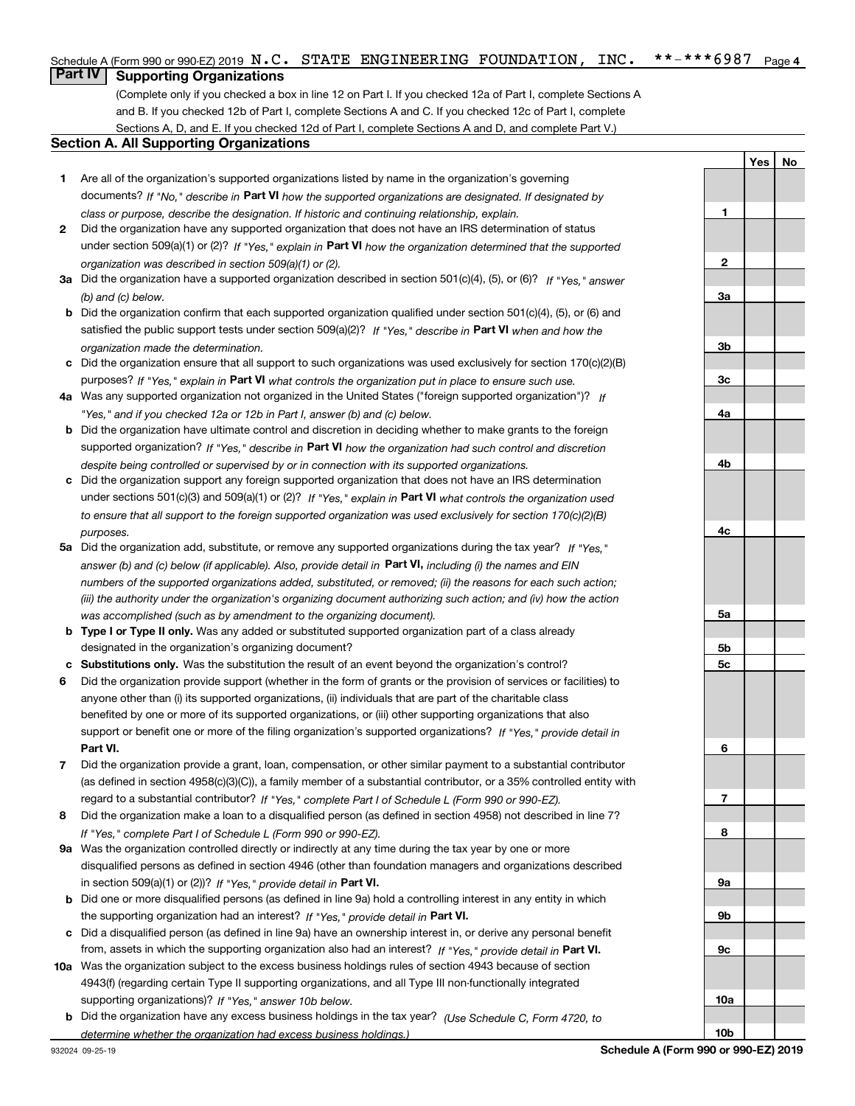#### $***$   $***$  6987 Page 4 Schedule A (Form 990 or 990-EZ) 2019  $\, {\bf N}$  ,  $\, {\bf C}$  ,  $\,$  STATE  $\,$  ENGINEERING <code>FOUNDATION</code> ,  $\,$  <code>INC</code> ,  $\,$  \* \* – \* \* \* 6  $987$   $\,$  Page

# **Part IV Supporting Organizations**

(Complete only if you checked a box in line 12 on Part I. If you checked 12a of Part I, complete Sections A and B. If you checked 12b of Part I, complete Sections A and C. If you checked 12c of Part I, complete Sections A, D, and E. If you checked 12d of Part I, complete Sections A and D, and complete Part V.)

#### **Section A. All Supporting Organizations**

- **1** Are all of the organization's supported organizations listed by name in the organization's governing documents? If "No," describe in **Part VI** how the supported organizations are designated. If designated by *class or purpose, describe the designation. If historic and continuing relationship, explain.*
- **2** Did the organization have any supported organization that does not have an IRS determination of status under section 509(a)(1) or (2)? If "Yes," explain in Part VI how the organization determined that the supported *organization was described in section 509(a)(1) or (2).*
- **3a** Did the organization have a supported organization described in section 501(c)(4), (5), or (6)? If "Yes," answer *(b) and (c) below.*
- **b** Did the organization confirm that each supported organization qualified under section 501(c)(4), (5), or (6) and satisfied the public support tests under section 509(a)(2)? If "Yes," describe in **Part VI** when and how the *organization made the determination.*
- **c**Did the organization ensure that all support to such organizations was used exclusively for section 170(c)(2)(B) purposes? If "Yes," explain in **Part VI** what controls the organization put in place to ensure such use.
- **4a***If* Was any supported organization not organized in the United States ("foreign supported organization")? *"Yes," and if you checked 12a or 12b in Part I, answer (b) and (c) below.*
- **b** Did the organization have ultimate control and discretion in deciding whether to make grants to the foreign supported organization? If "Yes," describe in **Part VI** how the organization had such control and discretion *despite being controlled or supervised by or in connection with its supported organizations.*
- **c** Did the organization support any foreign supported organization that does not have an IRS determination under sections 501(c)(3) and 509(a)(1) or (2)? If "Yes," explain in **Part VI** what controls the organization used *to ensure that all support to the foreign supported organization was used exclusively for section 170(c)(2)(B) purposes.*
- **5a***If "Yes,"* Did the organization add, substitute, or remove any supported organizations during the tax year? answer (b) and (c) below (if applicable). Also, provide detail in **Part VI,** including (i) the names and EIN *numbers of the supported organizations added, substituted, or removed; (ii) the reasons for each such action; (iii) the authority under the organization's organizing document authorizing such action; and (iv) how the action was accomplished (such as by amendment to the organizing document).*
- **b** Type I or Type II only. Was any added or substituted supported organization part of a class already designated in the organization's organizing document?
- **cSubstitutions only.**  Was the substitution the result of an event beyond the organization's control?
- **6** Did the organization provide support (whether in the form of grants or the provision of services or facilities) to **Part VI.** *If "Yes," provide detail in* support or benefit one or more of the filing organization's supported organizations? anyone other than (i) its supported organizations, (ii) individuals that are part of the charitable class benefited by one or more of its supported organizations, or (iii) other supporting organizations that also
- **7**Did the organization provide a grant, loan, compensation, or other similar payment to a substantial contributor *If "Yes," complete Part I of Schedule L (Form 990 or 990-EZ).* regard to a substantial contributor? (as defined in section 4958(c)(3)(C)), a family member of a substantial contributor, or a 35% controlled entity with
- **8** Did the organization make a loan to a disqualified person (as defined in section 4958) not described in line 7? *If "Yes," complete Part I of Schedule L (Form 990 or 990-EZ).*
- **9a** Was the organization controlled directly or indirectly at any time during the tax year by one or more in section 509(a)(1) or (2))? If "Yes," *provide detail in* <code>Part VI.</code> disqualified persons as defined in section 4946 (other than foundation managers and organizations described
- **b** Did one or more disqualified persons (as defined in line 9a) hold a controlling interest in any entity in which the supporting organization had an interest? If "Yes," provide detail in P**art VI**.
- **c**Did a disqualified person (as defined in line 9a) have an ownership interest in, or derive any personal benefit from, assets in which the supporting organization also had an interest? If "Yes," provide detail in P**art VI.**
- **10a** Was the organization subject to the excess business holdings rules of section 4943 because of section supporting organizations)? If "Yes," answer 10b below. 4943(f) (regarding certain Type II supporting organizations, and all Type III non-functionally integrated
- **b** Did the organization have any excess business holdings in the tax year? (Use Schedule C, Form 4720, to *determine whether the organization had excess business holdings.)*

**YesNo**

**1**

**10b**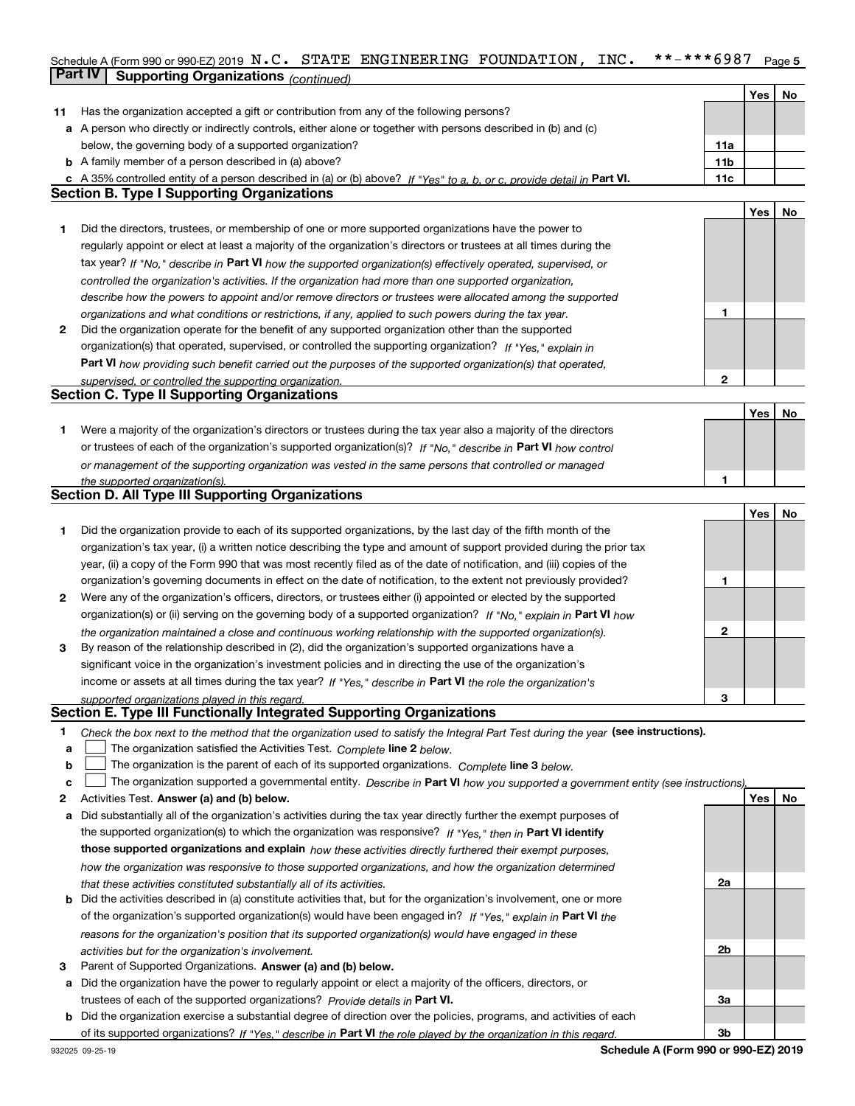### Schedule A (Form 990 or 990-EZ) 2019  $\, {\bf N}$  **. C .**  $\,$  STATE <code>ENGINEERING</code> <code>FOUNDATION</code> , <code>INC. \*\*-\*\*\*6987</code> <code>Page 5</code> **Part IV Supporting Organizations** *(continued)*

|     |                                                                                                                                   |                 | Yes | No |
|-----|-----------------------------------------------------------------------------------------------------------------------------------|-----------------|-----|----|
| 11. | Has the organization accepted a gift or contribution from any of the following persons?                                           |                 |     |    |
|     | a A person who directly or indirectly controls, either alone or together with persons described in (b) and (c)                    |                 |     |    |
|     | below, the governing body of a supported organization?                                                                            | 11a             |     |    |
|     | <b>b</b> A family member of a person described in (a) above?                                                                      | 11 <sub>b</sub> |     |    |
|     | c A 35% controlled entity of a person described in (a) or (b) above? If "Yes" to a, b, or c, provide detail in Part VI.           | 11c             |     |    |
|     | <b>Section B. Type I Supporting Organizations</b>                                                                                 |                 |     |    |
|     |                                                                                                                                   |                 | Yes | No |
| 1   | Did the directors, trustees, or membership of one or more supported organizations have the power to                               |                 |     |    |
|     | regularly appoint or elect at least a majority of the organization's directors or trustees at all times during the                |                 |     |    |
|     | tax year? If "No," describe in Part VI how the supported organization(s) effectively operated, supervised, or                     |                 |     |    |
|     |                                                                                                                                   |                 |     |    |
|     | controlled the organization's activities. If the organization had more than one supported organization,                           |                 |     |    |
|     | describe how the powers to appoint and/or remove directors or trustees were allocated among the supported                         |                 |     |    |
|     | organizations and what conditions or restrictions, if any, applied to such powers during the tax year.                            | 1               |     |    |
| 2   | Did the organization operate for the benefit of any supported organization other than the supported                               |                 |     |    |
|     | organization(s) that operated, supervised, or controlled the supporting organization? If "Yes," explain in                        |                 |     |    |
|     | Part VI how providing such benefit carried out the purposes of the supported organization(s) that operated,                       |                 |     |    |
|     | supervised, or controlled the supporting organization.                                                                            | $\mathbf{2}$    |     |    |
|     | <b>Section C. Type II Supporting Organizations</b>                                                                                |                 |     |    |
|     |                                                                                                                                   |                 | Yes | No |
| 1   | Were a majority of the organization's directors or trustees during the tax year also a majority of the directors                  |                 |     |    |
|     | or trustees of each of the organization's supported organization(s)? If "No." describe in Part VI how control                     |                 |     |    |
|     | or management of the supporting organization was vested in the same persons that controlled or managed                            |                 |     |    |
|     | the supported organization(s).                                                                                                    | 1               |     |    |
|     | <b>Section D. All Type III Supporting Organizations</b>                                                                           |                 |     |    |
|     |                                                                                                                                   |                 | Yes | No |
| 1   | Did the organization provide to each of its supported organizations, by the last day of the fifth month of the                    |                 |     |    |
|     | organization's tax year, (i) a written notice describing the type and amount of support provided during the prior tax             |                 |     |    |
|     | year, (ii) a copy of the Form 990 that was most recently filed as of the date of notification, and (iii) copies of the            |                 |     |    |
|     | organization's governing documents in effect on the date of notification, to the extent not previously provided?                  | 1               |     |    |
| 2   | Were any of the organization's officers, directors, or trustees either (i) appointed or elected by the supported                  |                 |     |    |
|     | organization(s) or (ii) serving on the governing body of a supported organization? If "No," explain in Part VI how                |                 |     |    |
|     | the organization maintained a close and continuous working relationship with the supported organization(s).                       | $\mathbf{2}$    |     |    |
| 3   | By reason of the relationship described in (2), did the organization's supported organizations have a                             |                 |     |    |
|     | significant voice in the organization's investment policies and in directing the use of the organization's                        |                 |     |    |
|     | income or assets at all times during the tax year? If "Yes," describe in Part VI the role the organization's                      |                 |     |    |
|     |                                                                                                                                   | з               |     |    |
|     | supported organizations played in this regard.<br>Section E. Type III Functionally Integrated Supporting Organizations            |                 |     |    |
|     |                                                                                                                                   |                 |     |    |
| 1   | Check the box next to the method that the organization used to satisfy the Integral Part Test during the year (see instructions). |                 |     |    |
| а   | The organization satisfied the Activities Test. Complete line 2 below.                                                            |                 |     |    |
| b   | The organization is the parent of each of its supported organizations. Complete line 3 below.                                     |                 |     |    |
| c   | The organization supported a governmental entity. Describe in Part VI how you supported a government entity (see instructions),   |                 |     |    |
| 2   | Activities Test. Answer (a) and (b) below.                                                                                        |                 | Yes | No |
| а   | Did substantially all of the organization's activities during the tax year directly further the exempt purposes of                |                 |     |    |
|     | the supported organization(s) to which the organization was responsive? If "Yes," then in Part VI identify                        |                 |     |    |
|     | those supported organizations and explain how these activities directly furthered their exempt purposes,                          |                 |     |    |
|     | how the organization was responsive to those supported organizations, and how the organization determined                         |                 |     |    |
|     | that these activities constituted substantially all of its activities.                                                            | 2a              |     |    |
|     | <b>b</b> Did the activities described in (a) constitute activities that, but for the organization's involvement, one or more      |                 |     |    |
|     | of the organization's supported organization(s) would have been engaged in? If "Yes," explain in Part VI the                      |                 |     |    |
|     | reasons for the organization's position that its supported organization(s) would have engaged in these                            |                 |     |    |
|     | activities but for the organization's involvement.                                                                                | 2b              |     |    |
| з   | Parent of Supported Organizations. Answer (a) and (b) below.                                                                      |                 |     |    |
|     | a Did the organization have the power to regularly appoint or elect a majority of the officers, directors, or                     |                 |     |    |
|     | trustees of each of the supported organizations? Provide details in Part VI.                                                      | За              |     |    |
|     | b Did the organization exercise a substantial degree of direction over the policies, programs, and activities of each             |                 |     |    |
|     | of its supported organizations? If "Yes," describe in Part VI the role played by the organization in this regard.                 | Зb              |     |    |
|     |                                                                                                                                   |                 |     |    |

**Schedule A (Form 990 or 990-EZ) 2019**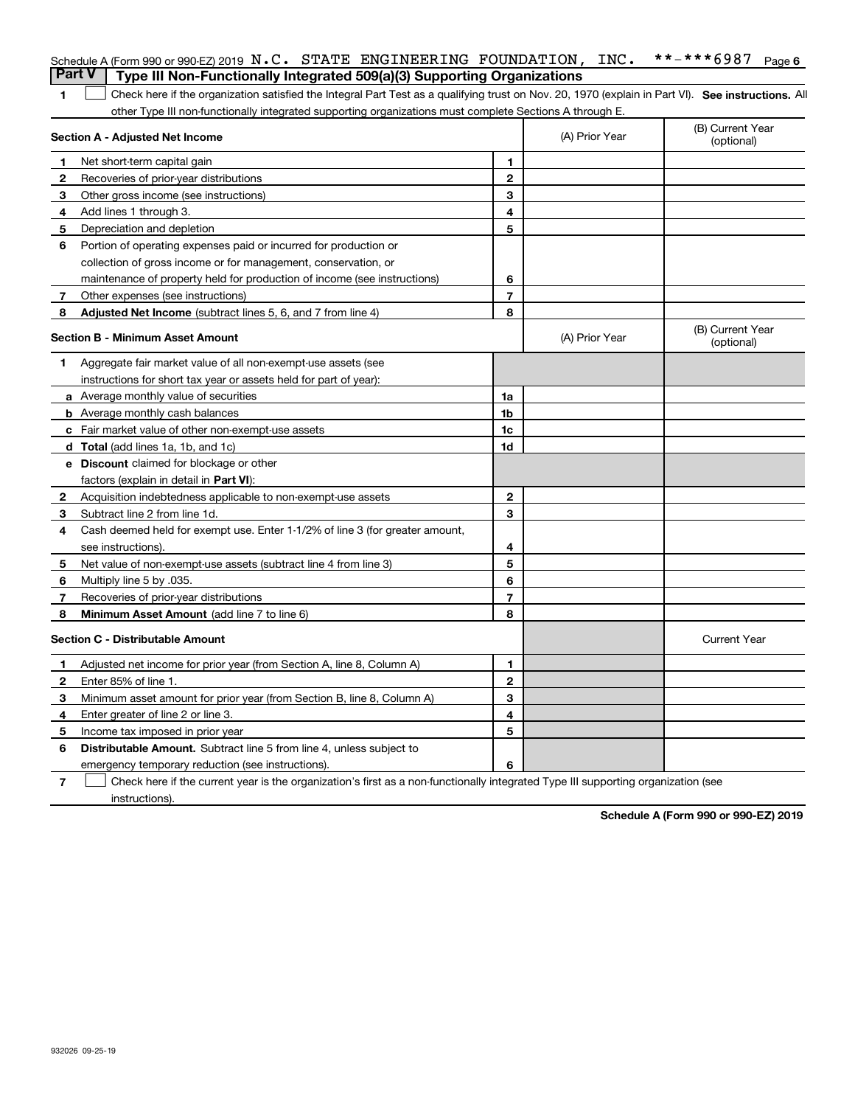|    | Schedule A (Form 990 or 990-EZ) 2019 N.C. STATE ENGINEERING FOUNDATION, INC.<br><b>Part V</b><br>Type III Non-Functionally Integrated 509(a)(3) Supporting Organizations |                |                | **-***6987<br>Page 6           |
|----|--------------------------------------------------------------------------------------------------------------------------------------------------------------------------|----------------|----------------|--------------------------------|
|    |                                                                                                                                                                          |                |                |                                |
| 1  | Check here if the organization satisfied the Integral Part Test as a qualifying trust on Nov. 20, 1970 (explain in Part VI). See instructions. Al                        |                |                |                                |
|    | other Type III non-functionally integrated supporting organizations must complete Sections A through E.<br>Section A - Adjusted Net Income                               |                | (A) Prior Year | (B) Current Year<br>(optional) |
| 1  | Net short-term capital gain                                                                                                                                              | 1              |                |                                |
| 2  | Recoveries of prior-year distributions                                                                                                                                   | $\mathbf{2}$   |                |                                |
| 3  | Other gross income (see instructions)                                                                                                                                    | 3              |                |                                |
| 4  | Add lines 1 through 3.                                                                                                                                                   | 4              |                |                                |
| 5  | Depreciation and depletion                                                                                                                                               | 5              |                |                                |
| 6  | Portion of operating expenses paid or incurred for production or                                                                                                         |                |                |                                |
|    | collection of gross income or for management, conservation, or                                                                                                           |                |                |                                |
|    | maintenance of property held for production of income (see instructions)                                                                                                 | 6              |                |                                |
| 7  | Other expenses (see instructions)                                                                                                                                        | $\overline{7}$ |                |                                |
| 8  | <b>Adjusted Net Income</b> (subtract lines 5, 6, and 7 from line 4)                                                                                                      | 8              |                |                                |
|    | <b>Section B - Minimum Asset Amount</b>                                                                                                                                  |                | (A) Prior Year | (B) Current Year<br>(optional) |
| 1. | Aggregate fair market value of all non-exempt-use assets (see                                                                                                            |                |                |                                |
|    | instructions for short tax year or assets held for part of year):                                                                                                        |                |                |                                |
|    | a Average monthly value of securities                                                                                                                                    | 1a             |                |                                |
|    | <b>b</b> Average monthly cash balances                                                                                                                                   | 1b             |                |                                |
|    | c Fair market value of other non-exempt-use assets                                                                                                                       | 1c             |                |                                |
|    | d Total (add lines 1a, 1b, and 1c)                                                                                                                                       | 1d             |                |                                |
|    | e Discount claimed for blockage or other                                                                                                                                 |                |                |                                |
|    | factors (explain in detail in Part VI):                                                                                                                                  |                |                |                                |
| 2  | Acquisition indebtedness applicable to non-exempt-use assets                                                                                                             | $\mathbf{2}$   |                |                                |
| 3  | Subtract line 2 from line 1d.                                                                                                                                            | 3              |                |                                |
| 4  | Cash deemed held for exempt use. Enter 1-1/2% of line 3 (for greater amount,                                                                                             |                |                |                                |
|    | see instructions).                                                                                                                                                       | 4              |                |                                |
| 5  | Net value of non-exempt-use assets (subtract line 4 from line 3)                                                                                                         | 5              |                |                                |
| 6  | .035. Multiply line 5 by                                                                                                                                                 | 6              |                |                                |
| 7  | Recoveries of prior-year distributions                                                                                                                                   | $\overline{7}$ |                |                                |
| 8  | Minimum Asset Amount (add line 7 to line 6)                                                                                                                              | 8              |                |                                |
|    | <b>Section C - Distributable Amount</b>                                                                                                                                  |                |                | <b>Current Year</b>            |
| 1  | Adjusted net income for prior year (from Section A, line 8, Column A)                                                                                                    | 1              |                |                                |
| 2  | Enter 85% of line 1.                                                                                                                                                     | $\mathbf{2}$   |                |                                |
| 3  | Minimum asset amount for prior year (from Section B, line 8, Column A)                                                                                                   | 3              |                |                                |
| 4  | Enter greater of line 2 or line 3.                                                                                                                                       | 4              |                |                                |
| 5  | Income tax imposed in prior year                                                                                                                                         | 5              |                |                                |
| 6  | <b>Distributable Amount.</b> Subtract line 5 from line 4, unless subject to                                                                                              |                |                |                                |
|    | emergency temporary reduction (see instructions).                                                                                                                        | 6              |                |                                |
|    |                                                                                                                                                                          |                |                |                                |

**7** Check here if the current year is the organization's first as a non-functionally integrated Type III supporting organization (see instructions).

**Schedule A (Form 990 or 990-EZ) 2019**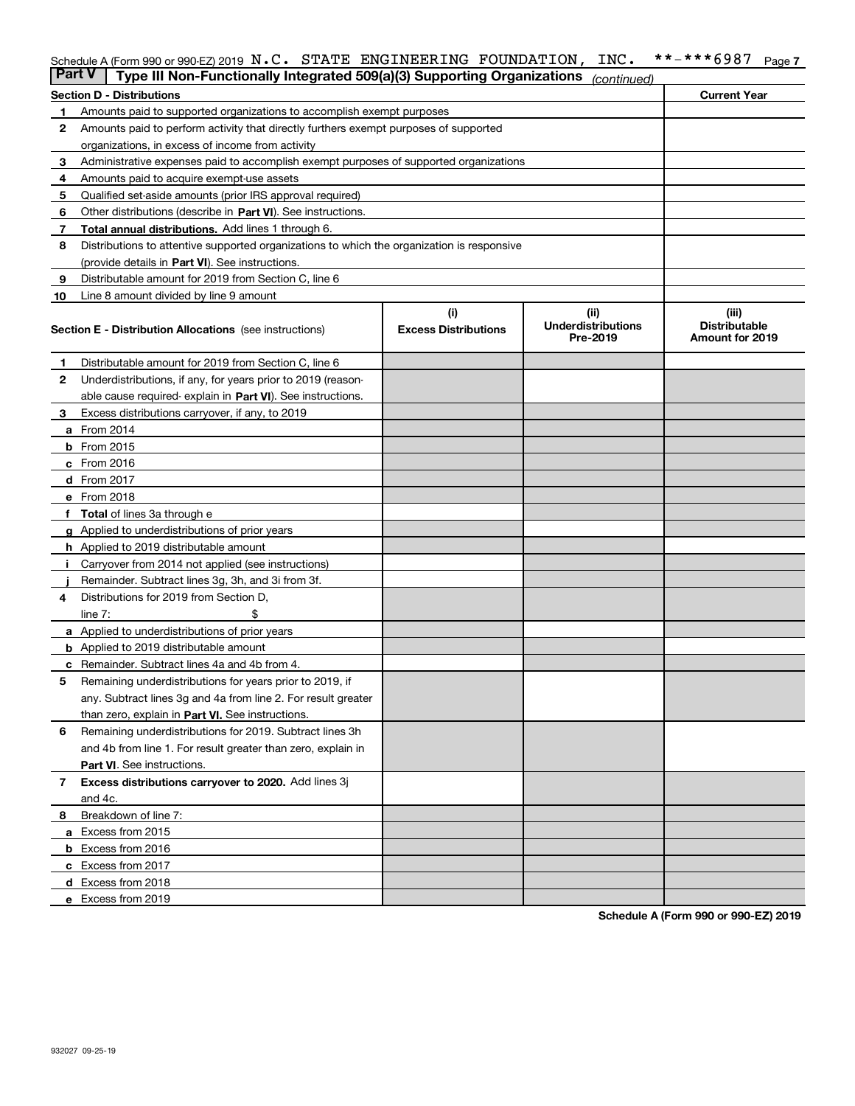### Schedule A (Form 990 or 990-EZ) 2019  $\, {\bf N}$  **. C .**  $\,$  STATE <code>ENGINEERING</code> <code>FOUNDATION</code> , <code>INC. \*\*-\*\*\*6987</code> <code>Page 7</code>

| Part V | Type III Non-Functionally Integrated 509(a)(3) Supporting Organizations                    |                             | (continued)                           |                                         |
|--------|--------------------------------------------------------------------------------------------|-----------------------------|---------------------------------------|-----------------------------------------|
|        | <b>Section D - Distributions</b>                                                           |                             |                                       | <b>Current Year</b>                     |
| 1      | Amounts paid to supported organizations to accomplish exempt purposes                      |                             |                                       |                                         |
| 2      | Amounts paid to perform activity that directly furthers exempt purposes of supported       |                             |                                       |                                         |
|        | organizations, in excess of income from activity                                           |                             |                                       |                                         |
| 3      | Administrative expenses paid to accomplish exempt purposes of supported organizations      |                             |                                       |                                         |
| 4      | Amounts paid to acquire exempt-use assets                                                  |                             |                                       |                                         |
| 5      | Qualified set-aside amounts (prior IRS approval required)                                  |                             |                                       |                                         |
| 6      | Other distributions (describe in Part VI). See instructions.                               |                             |                                       |                                         |
| 7      | Total annual distributions. Add lines 1 through 6.                                         |                             |                                       |                                         |
| 8      | Distributions to attentive supported organizations to which the organization is responsive |                             |                                       |                                         |
|        | (provide details in Part VI). See instructions.                                            |                             |                                       |                                         |
| 9      | Distributable amount for 2019 from Section C, line 6                                       |                             |                                       |                                         |
| 10     | Line 8 amount divided by line 9 amount                                                     |                             |                                       |                                         |
|        |                                                                                            | (i)                         | (ii)                                  | (iii)                                   |
|        | Section E - Distribution Allocations (see instructions)                                    | <b>Excess Distributions</b> | <b>Underdistributions</b><br>Pre-2019 | <b>Distributable</b><br>Amount for 2019 |
| 1      | Distributable amount for 2019 from Section C, line 6                                       |                             |                                       |                                         |
| 2      | Underdistributions, if any, for years prior to 2019 (reason-                               |                             |                                       |                                         |
|        | able cause required- explain in Part VI). See instructions.                                |                             |                                       |                                         |
| З      | Excess distributions carryover, if any, to 2019                                            |                             |                                       |                                         |
|        | <b>a</b> From 2014                                                                         |                             |                                       |                                         |
|        | <b>b</b> From 2015                                                                         |                             |                                       |                                         |
|        | $c$ From 2016                                                                              |                             |                                       |                                         |
|        | <b>d</b> From 2017                                                                         |                             |                                       |                                         |
|        | e From 2018                                                                                |                             |                                       |                                         |
|        | Total of lines 3a through e                                                                |                             |                                       |                                         |
|        | <b>g</b> Applied to underdistributions of prior years                                      |                             |                                       |                                         |
|        | <b>h</b> Applied to 2019 distributable amount                                              |                             |                                       |                                         |
|        | Carryover from 2014 not applied (see instructions)                                         |                             |                                       |                                         |
|        | Remainder. Subtract lines 3g, 3h, and 3i from 3f.                                          |                             |                                       |                                         |
| 4      | Distributions for 2019 from Section D,                                                     |                             |                                       |                                         |
|        | line $7:$                                                                                  |                             |                                       |                                         |
|        | <b>a</b> Applied to underdistributions of prior years                                      |                             |                                       |                                         |
|        | <b>b</b> Applied to 2019 distributable amount                                              |                             |                                       |                                         |
| c      | Remainder. Subtract lines 4a and 4b from 4.                                                |                             |                                       |                                         |
| 5      | Remaining underdistributions for years prior to 2019, if                                   |                             |                                       |                                         |
|        | any. Subtract lines 3g and 4a from line 2. For result greater                              |                             |                                       |                                         |
|        | than zero, explain in Part VI. See instructions.                                           |                             |                                       |                                         |
| 6      | Remaining underdistributions for 2019. Subtract lines 3h                                   |                             |                                       |                                         |
|        | and 4b from line 1. For result greater than zero, explain in                               |                             |                                       |                                         |
|        | Part VI. See instructions.                                                                 |                             |                                       |                                         |
| 7      | Excess distributions carryover to 2020. Add lines 3j                                       |                             |                                       |                                         |
|        | and 4c.                                                                                    |                             |                                       |                                         |
| 8      | Breakdown of line 7:                                                                       |                             |                                       |                                         |
|        | a Excess from 2015                                                                         |                             |                                       |                                         |
|        | <b>b</b> Excess from 2016                                                                  |                             |                                       |                                         |
|        | c Excess from 2017                                                                         |                             |                                       |                                         |
|        | d Excess from 2018                                                                         |                             |                                       |                                         |
|        | e Excess from 2019                                                                         |                             |                                       |                                         |

**Schedule A (Form 990 or 990-EZ) 2019**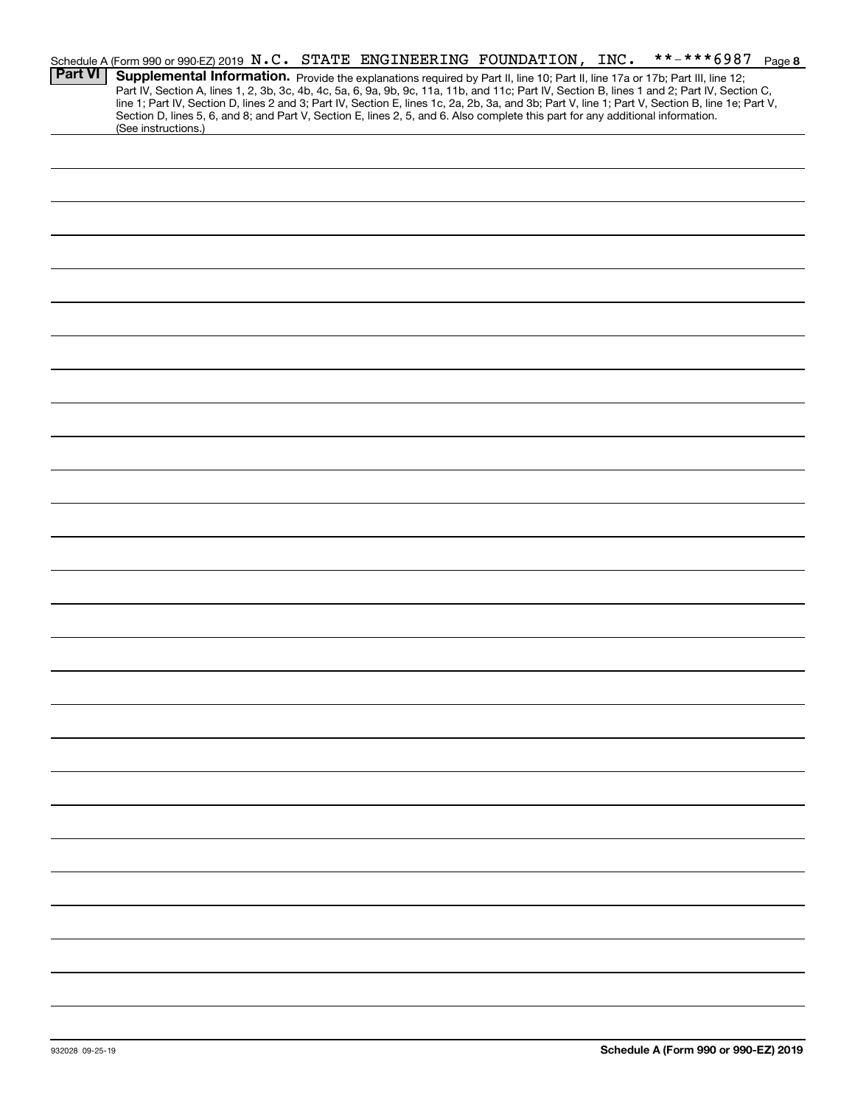|                | Schedule A (Form 990 or 990-EZ) 2019 N.C. STATE ENGINEERING FOUNDATION, INC.                                                                                                                                                                                                                     |  |  | **-***6987 Page 8 |  |
|----------------|--------------------------------------------------------------------------------------------------------------------------------------------------------------------------------------------------------------------------------------------------------------------------------------------------|--|--|-------------------|--|
| <b>Part VI</b> | Supplemental Information. Provide the explanations required by Part II, line 10; Part II, line 17a or 17b; Part III, line 12;                                                                                                                                                                    |  |  |                   |  |
|                | Part IV, Section A, lines 1, 2, 3b, 3c, 4b, 4c, 5a, 6, 9a, 9b, 9c, 11a, 11b, and 11c; Part IV, Section B, lines 1 and 2; Part IV, Section C,<br>line 1; Part IV, Section D, lines 2 and 3; Part IV, Section E, lines 1c, 2a, 2b, 3a, and 3b; Part V, line 1; Part V, Section B, line 1e; Part V, |  |  |                   |  |
|                | Section D, lines 5, 6, and 8; and Part V, Section E, lines 2, 5, and 6. Also complete this part for any additional information.                                                                                                                                                                  |  |  |                   |  |
|                | (See instructions.)                                                                                                                                                                                                                                                                              |  |  |                   |  |
|                |                                                                                                                                                                                                                                                                                                  |  |  |                   |  |
|                |                                                                                                                                                                                                                                                                                                  |  |  |                   |  |
|                |                                                                                                                                                                                                                                                                                                  |  |  |                   |  |
|                |                                                                                                                                                                                                                                                                                                  |  |  |                   |  |
|                |                                                                                                                                                                                                                                                                                                  |  |  |                   |  |
|                |                                                                                                                                                                                                                                                                                                  |  |  |                   |  |
|                |                                                                                                                                                                                                                                                                                                  |  |  |                   |  |
|                |                                                                                                                                                                                                                                                                                                  |  |  |                   |  |
|                |                                                                                                                                                                                                                                                                                                  |  |  |                   |  |
|                |                                                                                                                                                                                                                                                                                                  |  |  |                   |  |
|                |                                                                                                                                                                                                                                                                                                  |  |  |                   |  |
|                |                                                                                                                                                                                                                                                                                                  |  |  |                   |  |
|                |                                                                                                                                                                                                                                                                                                  |  |  |                   |  |
|                |                                                                                                                                                                                                                                                                                                  |  |  |                   |  |
|                |                                                                                                                                                                                                                                                                                                  |  |  |                   |  |
|                |                                                                                                                                                                                                                                                                                                  |  |  |                   |  |
|                |                                                                                                                                                                                                                                                                                                  |  |  |                   |  |
|                |                                                                                                                                                                                                                                                                                                  |  |  |                   |  |
|                |                                                                                                                                                                                                                                                                                                  |  |  |                   |  |
|                |                                                                                                                                                                                                                                                                                                  |  |  |                   |  |
|                |                                                                                                                                                                                                                                                                                                  |  |  |                   |  |
|                |                                                                                                                                                                                                                                                                                                  |  |  |                   |  |
|                |                                                                                                                                                                                                                                                                                                  |  |  |                   |  |
|                |                                                                                                                                                                                                                                                                                                  |  |  |                   |  |
|                |                                                                                                                                                                                                                                                                                                  |  |  |                   |  |
|                |                                                                                                                                                                                                                                                                                                  |  |  |                   |  |
|                |                                                                                                                                                                                                                                                                                                  |  |  |                   |  |
|                |                                                                                                                                                                                                                                                                                                  |  |  |                   |  |
|                |                                                                                                                                                                                                                                                                                                  |  |  |                   |  |
|                |                                                                                                                                                                                                                                                                                                  |  |  |                   |  |
|                |                                                                                                                                                                                                                                                                                                  |  |  |                   |  |
|                |                                                                                                                                                                                                                                                                                                  |  |  |                   |  |
|                |                                                                                                                                                                                                                                                                                                  |  |  |                   |  |
|                |                                                                                                                                                                                                                                                                                                  |  |  |                   |  |
|                |                                                                                                                                                                                                                                                                                                  |  |  |                   |  |
|                |                                                                                                                                                                                                                                                                                                  |  |  |                   |  |
|                |                                                                                                                                                                                                                                                                                                  |  |  |                   |  |
|                |                                                                                                                                                                                                                                                                                                  |  |  |                   |  |
|                |                                                                                                                                                                                                                                                                                                  |  |  |                   |  |
|                |                                                                                                                                                                                                                                                                                                  |  |  |                   |  |
|                |                                                                                                                                                                                                                                                                                                  |  |  |                   |  |
|                |                                                                                                                                                                                                                                                                                                  |  |  |                   |  |
|                |                                                                                                                                                                                                                                                                                                  |  |  |                   |  |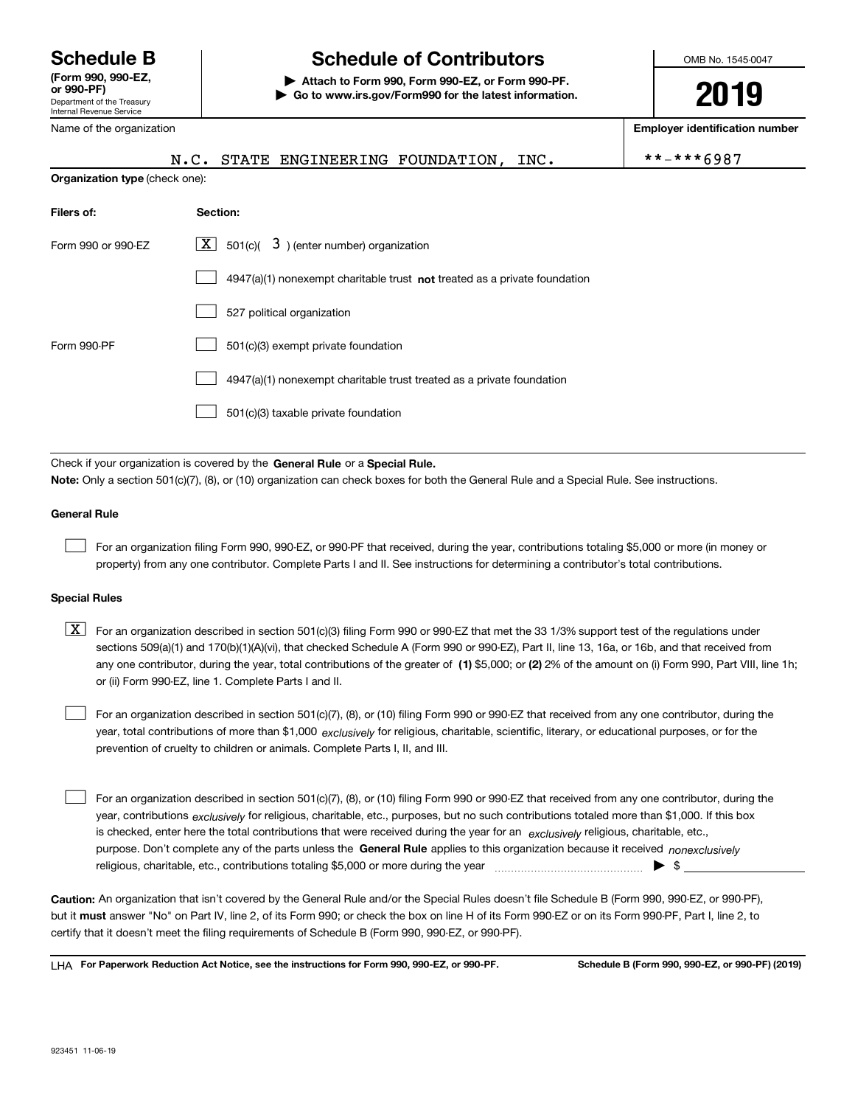Department of the Treasury Internal Revenue Service **(Form 990, 990-EZ, or 990-PF)**

Name of the organization

# **Schedule B Schedule of Contributors**

**| Attach to Form 990, Form 990-EZ, or Form 990-PF. | Go to www.irs.gov/Form990 for the latest information.** OMB No. 1545-0047

**2019**

**Employer identification number**

|                                                                                                                                                                                                                           | STATE ENGINEERING FOUNDATION,<br>N.C.<br>INC.                               | $***$ -*** 6987 |  |  |  |  |  |
|---------------------------------------------------------------------------------------------------------------------------------------------------------------------------------------------------------------------------|-----------------------------------------------------------------------------|-----------------|--|--|--|--|--|
| Organization type (check one):                                                                                                                                                                                            |                                                                             |                 |  |  |  |  |  |
| Filers of:                                                                                                                                                                                                                | Section:                                                                    |                 |  |  |  |  |  |
| Form 990 or 990-EZ                                                                                                                                                                                                        | $X$ 501(c)( 3) (enter number) organization                                  |                 |  |  |  |  |  |
|                                                                                                                                                                                                                           | $4947(a)(1)$ nonexempt charitable trust not treated as a private foundation |                 |  |  |  |  |  |
|                                                                                                                                                                                                                           | 527 political organization                                                  |                 |  |  |  |  |  |
| Form 990-PF                                                                                                                                                                                                               | 501(c)(3) exempt private foundation                                         |                 |  |  |  |  |  |
|                                                                                                                                                                                                                           | 4947(a)(1) nonexempt charitable trust treated as a private foundation       |                 |  |  |  |  |  |
|                                                                                                                                                                                                                           | 501(c)(3) taxable private foundation                                        |                 |  |  |  |  |  |
|                                                                                                                                                                                                                           |                                                                             |                 |  |  |  |  |  |
| Check if your organization is covered by the General Rule or a Special Rule.<br>Note: Only a section 501(c)(7), (8), or (10) organization can check boxes for both the General Rule and a Special Rule. See instructions. |                                                                             |                 |  |  |  |  |  |

**General Rule**

 $\mathcal{L}^{\text{max}}$ 

For an organization filing Form 990, 990-EZ, or 990-PF that received, during the year, contributions totaling \$5,000 or more (in money or property) from any one contributor. Complete Parts I and II. See instructions for determining a contributor's total contributions.

#### **Special Rules**

any one contributor, during the year, total contributions of the greater of  $\,$  (1) \$5,000; or **(2)** 2% of the amount on (i) Form 990, Part VIII, line 1h;  $\boxed{\textbf{X}}$  For an organization described in section 501(c)(3) filing Form 990 or 990-EZ that met the 33 1/3% support test of the regulations under sections 509(a)(1) and 170(b)(1)(A)(vi), that checked Schedule A (Form 990 or 990-EZ), Part II, line 13, 16a, or 16b, and that received from or (ii) Form 990-EZ, line 1. Complete Parts I and II.

year, total contributions of more than \$1,000 *exclusively* for religious, charitable, scientific, literary, or educational purposes, or for the For an organization described in section 501(c)(7), (8), or (10) filing Form 990 or 990-EZ that received from any one contributor, during the prevention of cruelty to children or animals. Complete Parts I, II, and III.  $\mathcal{L}^{\text{max}}$ 

purpose. Don't complete any of the parts unless the **General Rule** applies to this organization because it received *nonexclusively* year, contributions <sub>exclusively</sub> for religious, charitable, etc., purposes, but no such contributions totaled more than \$1,000. If this box is checked, enter here the total contributions that were received during the year for an  $\;$ exclusively religious, charitable, etc., For an organization described in section 501(c)(7), (8), or (10) filing Form 990 or 990-EZ that received from any one contributor, during the religious, charitable, etc., contributions totaling \$5,000 or more during the year  $\Box$ — $\Box$   $\Box$  $\mathcal{L}^{\text{max}}$ 

**Caution:**  An organization that isn't covered by the General Rule and/or the Special Rules doesn't file Schedule B (Form 990, 990-EZ, or 990-PF),  **must** but it answer "No" on Part IV, line 2, of its Form 990; or check the box on line H of its Form 990-EZ or on its Form 990-PF, Part I, line 2, to certify that it doesn't meet the filing requirements of Schedule B (Form 990, 990-EZ, or 990-PF).

**For Paperwork Reduction Act Notice, see the instructions for Form 990, 990-EZ, or 990-PF. Schedule B (Form 990, 990-EZ, or 990-PF) (2019)** LHA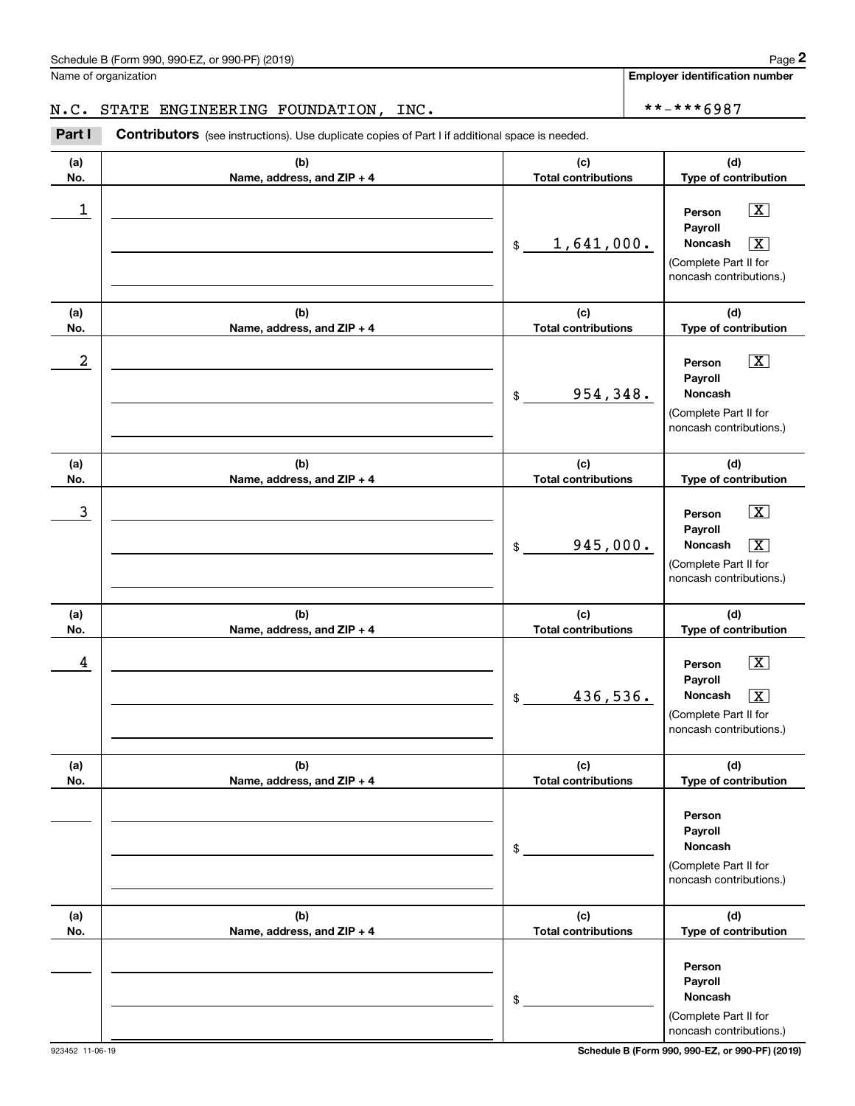Name of organization

**Employer identification number**

# N.C. STATE ENGINEERING FOUNDATION, INC.  $\vert$  \*\*-\*\*\*6987

**(a)No.(b)Name, address, and ZIP + 4 (c)Total contributions (d)Type of contribution PersonPayrollNoncash(a)No.(b)Name, address, and ZIP + 4 (c)Total contributions (d)Type of contribution PersonPayrollNoncash(a)No.(b)Name, address, and ZIP + 4 (c)Total contributions (d)Type of contribution PersonPayrollNoncash(a) No.(b) Name, address, and ZIP + 4 (c) Total contributions (d) Type of contribution PersonPayrollNoncash(a) No.(b)Name, address, and ZIP + 4 (c) Total contributions (d) Type of contribution PersonPayrollNoncash(a) No.(b)Name, address, and ZIP + 4 (c) Total contributions (d)Type of contribution PersonPayrollNoncash**Contributors (see instructions). Use duplicate copies of Part I if additional space is needed. \$(Complete Part II for noncash contributions.) \$(Complete Part II for noncash contributions.) \$(Complete Part II for noncash contributions.) \$(Complete Part II for noncash contributions.) \$(Complete Part II for noncash contributions.) \$(Complete Part II for noncash contributions.) **2** Chedule B (Form 990, 990-EZ, or 990-PF) (2019)<br> **2Part I**<br> **2Part I** Contributors (see instructions). Use duplicate copies of Part I if additional space is needed.<br> **Part I** Contributors (see instructions). Use duplica  $\boxed{\mathbf{X}}$  $\sqrt{X}$  $\boxed{\mathbf{X}}$  $|\mathbf{X}|$  $\sqrt{X}$  $\sqrt{X}$  $\lfloor x \rfloor$  $\begin{array}{c|c|c|c|c|c} 1 & \hspace{1.5cm} & \hspace{1.5cm} & \hspace{1.5cm} & \hspace{1.5cm} & \hspace{1.5cm} & \hspace{1.5cm} & \hspace{1.5cm} & \hspace{1.5cm} & \hspace{1.5cm} & \hspace{1.5cm} & \hspace{1.5cm} & \hspace{1.5cm} & \hspace{1.5cm} & \hspace{1.5cm} & \hspace{1.5cm} & \hspace{1.5cm} & \hspace{1.5cm} & \hspace{1.5cm} & \hspace{1.5cm} & \hspace{1.5cm} &$ <u>1,641,000.</u>  $2$  | Person  $\overline{\text{X}}$ 954,348.  $\overline{3}$  | Person  $\overline{X}$  $945,000.$  $4$  | Person  $\overline{\text{X}}$ 436,536. X

923452 11-06-19 **Schedule B (Form 990, 990-EZ, or 990-PF) (2019)**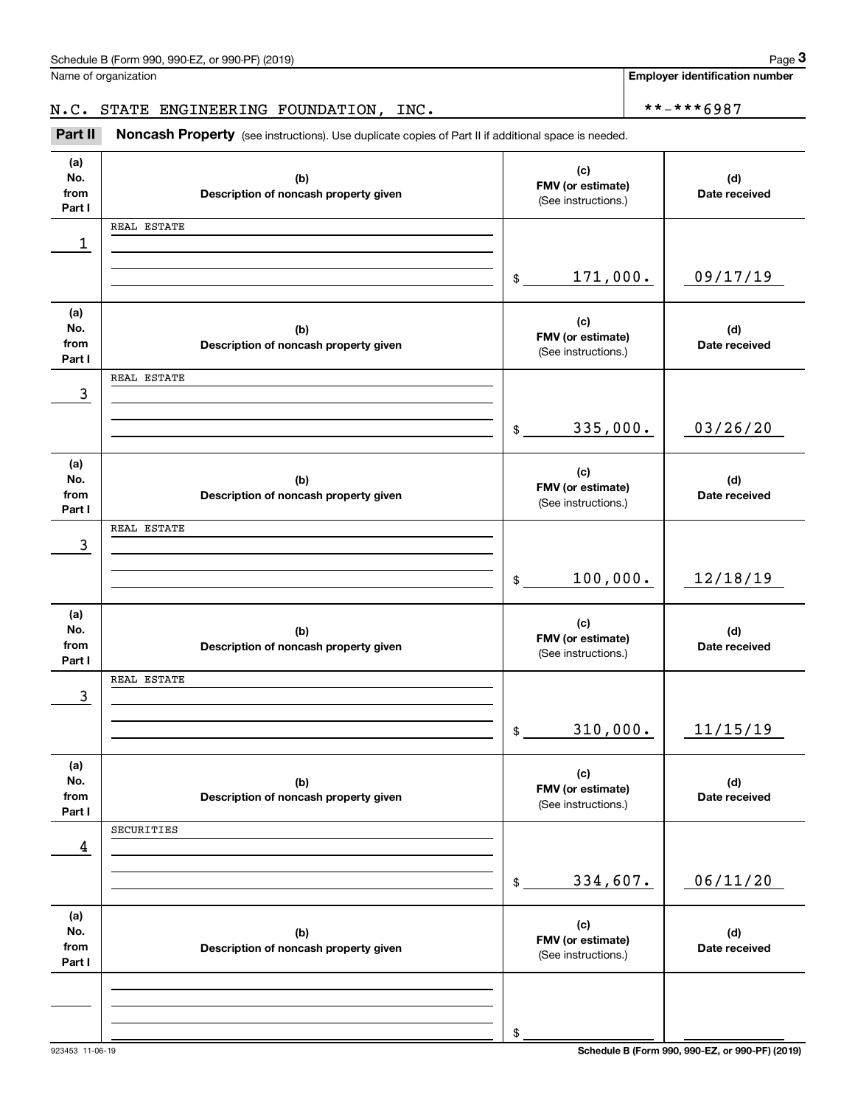**Employer identification number**

Chedule B (Form 990, 990-EZ, or 990-PF) (2019)<br>Iame of organization<br>**3Part II Noncash Property** (see instructions). Use duplicate copies of Part II if additional space is needed. N.C. STATE ENGINEERING FOUNDATION, INC. \*\*-\*\*\*6987

**(a)No.fromPart I (c)FMV (or estimate) (b)Description of noncash property given (d)Date received (a)No.fromPart I (c) FMV (or estimate) (b) Description of noncash property given (d) Date received (a)No.fromPart I (c)FMV (or estimate) (b) Description of noncash property given (d) Date received (a) No.fromPart I (c)FMV (or estimate) (b)Description of noncash property given (d)Date received (a) No.fromPart I (c)FMV (or estimate) (b)Description of noncash property given (d) Date received (a) No.fromPart I (c)FMV (or estimate) (b)Description of noncash property given (d)Date received** Noncash Property (see instructions). Use duplicate copies of Part II if additional space is needed. (See instructions.)  $\frac{1}{2}$ (See instructions.)  $$$ (See instructions.)  $$$ (See instructions.)  $$$ (See instructions.)  $\mathsf{\$}$ (See instructions.) \$1 09/17/19 3 03/26/20 171,000. REAL ESTATE 335,000. REAL ESTATE 3 100,000. 12/18/19 REAL ESTATE 3 310,000. 11/15/19 REAL ESTATE 4 334,607. 06/11/20 SECURITIES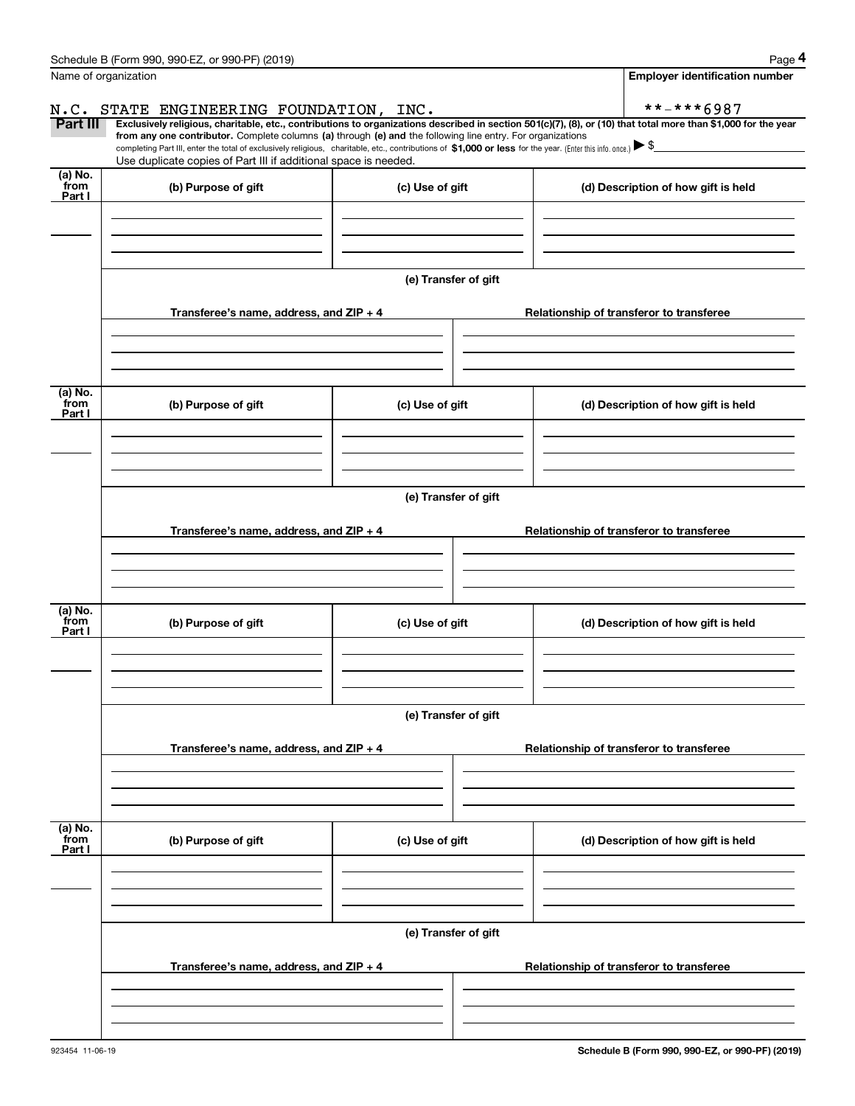|                           | Schedule B (Form 990, 990-EZ, or 990-PF) (2019)                                                                                                                                    |                      |                                                                                                                                                                | Page 4 |  |  |  |  |
|---------------------------|------------------------------------------------------------------------------------------------------------------------------------------------------------------------------------|----------------------|----------------------------------------------------------------------------------------------------------------------------------------------------------------|--------|--|--|--|--|
|                           | Name of organization                                                                                                                                                               |                      | <b>Employer identification number</b>                                                                                                                          |        |  |  |  |  |
| N.C.                      | STATE ENGINEERING FOUNDATION, INC.                                                                                                                                                 |                      | **-***6987                                                                                                                                                     |        |  |  |  |  |
| Part III                  | from any one contributor. Complete columns (a) through (e) and the following line entry. For organizations                                                                         |                      | Exclusively religious, charitable, etc., contributions to organizations described in section 501(c)(7), (8), or (10) that total more than \$1,000 for the year |        |  |  |  |  |
|                           | completing Part III, enter the total of exclusively religious, charitable, etc., contributions of $$1,000$ or less for the year. (Enter this info. once.) $\blacktriangleright$ \$ |                      |                                                                                                                                                                |        |  |  |  |  |
| (a) No.                   | Use duplicate copies of Part III if additional space is needed.                                                                                                                    |                      |                                                                                                                                                                |        |  |  |  |  |
| from<br>Part I            | (b) Purpose of gift                                                                                                                                                                | (c) Use of gift      | (d) Description of how gift is held                                                                                                                            |        |  |  |  |  |
|                           |                                                                                                                                                                                    |                      |                                                                                                                                                                |        |  |  |  |  |
|                           |                                                                                                                                                                                    |                      |                                                                                                                                                                |        |  |  |  |  |
|                           |                                                                                                                                                                                    |                      |                                                                                                                                                                |        |  |  |  |  |
|                           |                                                                                                                                                                                    | (e) Transfer of gift |                                                                                                                                                                |        |  |  |  |  |
|                           |                                                                                                                                                                                    |                      |                                                                                                                                                                |        |  |  |  |  |
|                           | Transferee's name, address, and ZIP + 4                                                                                                                                            |                      | Relationship of transferor to transferee                                                                                                                       |        |  |  |  |  |
|                           |                                                                                                                                                                                    |                      |                                                                                                                                                                |        |  |  |  |  |
|                           |                                                                                                                                                                                    |                      |                                                                                                                                                                |        |  |  |  |  |
| (a) No.                   |                                                                                                                                                                                    |                      |                                                                                                                                                                |        |  |  |  |  |
| from<br>Part I            | (b) Purpose of gift                                                                                                                                                                | (c) Use of gift      | (d) Description of how gift is held                                                                                                                            |        |  |  |  |  |
|                           |                                                                                                                                                                                    |                      |                                                                                                                                                                |        |  |  |  |  |
|                           |                                                                                                                                                                                    |                      |                                                                                                                                                                |        |  |  |  |  |
|                           |                                                                                                                                                                                    |                      |                                                                                                                                                                |        |  |  |  |  |
|                           | (e) Transfer of gift                                                                                                                                                               |                      |                                                                                                                                                                |        |  |  |  |  |
|                           | Transferee's name, address, and ZIP + 4                                                                                                                                            |                      | Relationship of transferor to transferee                                                                                                                       |        |  |  |  |  |
|                           |                                                                                                                                                                                    |                      |                                                                                                                                                                |        |  |  |  |  |
|                           |                                                                                                                                                                                    |                      |                                                                                                                                                                |        |  |  |  |  |
|                           |                                                                                                                                                                                    |                      |                                                                                                                                                                |        |  |  |  |  |
| (a) No.<br>from           | (b) Purpose of gift                                                                                                                                                                | (c) Use of gift      | (d) Description of how gift is held                                                                                                                            |        |  |  |  |  |
| Part I                    |                                                                                                                                                                                    |                      |                                                                                                                                                                |        |  |  |  |  |
|                           |                                                                                                                                                                                    |                      |                                                                                                                                                                |        |  |  |  |  |
|                           |                                                                                                                                                                                    |                      |                                                                                                                                                                |        |  |  |  |  |
|                           |                                                                                                                                                                                    | (e) Transfer of gift |                                                                                                                                                                |        |  |  |  |  |
|                           |                                                                                                                                                                                    |                      |                                                                                                                                                                |        |  |  |  |  |
|                           | Transferee's name, address, and $ZIP + 4$                                                                                                                                          |                      | Relationship of transferor to transferee                                                                                                                       |        |  |  |  |  |
|                           |                                                                                                                                                                                    |                      |                                                                                                                                                                |        |  |  |  |  |
|                           |                                                                                                                                                                                    |                      |                                                                                                                                                                |        |  |  |  |  |
|                           |                                                                                                                                                                                    |                      |                                                                                                                                                                |        |  |  |  |  |
| (a) No.<br>from<br>Part I | (b) Purpose of gift                                                                                                                                                                | (c) Use of gift      | (d) Description of how gift is held                                                                                                                            |        |  |  |  |  |
|                           |                                                                                                                                                                                    |                      |                                                                                                                                                                |        |  |  |  |  |
|                           |                                                                                                                                                                                    |                      |                                                                                                                                                                |        |  |  |  |  |
|                           |                                                                                                                                                                                    |                      |                                                                                                                                                                |        |  |  |  |  |
|                           |                                                                                                                                                                                    | (e) Transfer of gift |                                                                                                                                                                |        |  |  |  |  |
|                           | Transferee's name, address, and $ZIP + 4$                                                                                                                                          |                      | Relationship of transferor to transferee                                                                                                                       |        |  |  |  |  |
|                           |                                                                                                                                                                                    |                      |                                                                                                                                                                |        |  |  |  |  |
|                           |                                                                                                                                                                                    |                      |                                                                                                                                                                |        |  |  |  |  |
|                           |                                                                                                                                                                                    |                      |                                                                                                                                                                |        |  |  |  |  |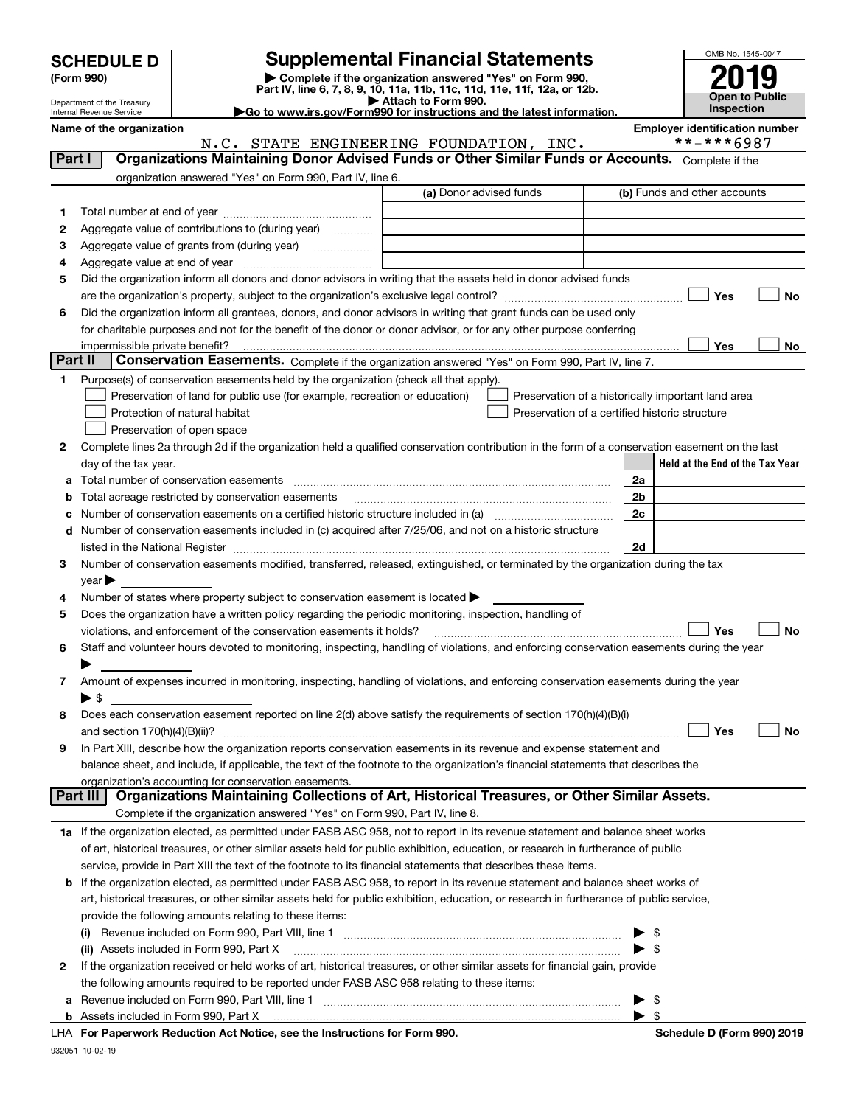| <b>SCHEDULE D</b> |  |
|-------------------|--|
|-------------------|--|

| (Form 990) |  |
|------------|--|
|------------|--|

# **SCHEDULE D Supplemental Financial Statements**

(Form 990)<br>
Pepartment of the Treasury<br>
Department of the Treasury<br>
Department of the Treasury<br>
Department of the Treasury<br> **Co to www.irs.gov/Form990 for instructions and the latest information.**<br> **Co to www.irs.gov/Form9** 



Department of the Treasury Internal Revenue Service **Name of the organization Employer identification number**

|         | N.C. STATE ENGINEERING FOUNDATION, INC.                                                                                                        |                         | **-***6987                                         |
|---------|------------------------------------------------------------------------------------------------------------------------------------------------|-------------------------|----------------------------------------------------|
| Part I  | Organizations Maintaining Donor Advised Funds or Other Similar Funds or Accounts. Complete if the                                              |                         |                                                    |
|         | organization answered "Yes" on Form 990, Part IV, line 6.                                                                                      |                         |                                                    |
|         |                                                                                                                                                | (a) Donor advised funds | (b) Funds and other accounts                       |
| 1       |                                                                                                                                                |                         |                                                    |
| 2       | Aggregate value of contributions to (during year)                                                                                              |                         |                                                    |
| з       | Aggregate value of grants from (during year)                                                                                                   |                         |                                                    |
| 4       |                                                                                                                                                |                         |                                                    |
| 5       | Did the organization inform all donors and donor advisors in writing that the assets held in donor advised funds                               |                         |                                                    |
|         |                                                                                                                                                |                         | Yes<br>No                                          |
| 6       | Did the organization inform all grantees, donors, and donor advisors in writing that grant funds can be used only                              |                         |                                                    |
|         | for charitable purposes and not for the benefit of the donor or donor advisor, or for any other purpose conferring                             |                         |                                                    |
|         |                                                                                                                                                |                         | Yes<br>No                                          |
| Part II | Conservation Easements. Complete if the organization answered "Yes" on Form 990, Part IV, line 7.                                              |                         |                                                    |
| 1.      | Purpose(s) of conservation easements held by the organization (check all that apply).                                                          |                         |                                                    |
|         | Preservation of land for public use (for example, recreation or education)                                                                     |                         | Preservation of a historically important land area |
|         | Protection of natural habitat                                                                                                                  |                         | Preservation of a certified historic structure     |
|         | Preservation of open space                                                                                                                     |                         |                                                    |
| 2       | Complete lines 2a through 2d if the organization held a qualified conservation contribution in the form of a conservation easement on the last |                         |                                                    |
|         | day of the tax year.                                                                                                                           |                         | Held at the End of the Tax Year                    |
| а       |                                                                                                                                                |                         | 2a                                                 |
| b       | Total acreage restricted by conservation easements                                                                                             |                         | 2 <sub>b</sub>                                     |
| с       | Number of conservation easements on a certified historic structure included in (a) manufacture included in (a)                                 |                         | 2c                                                 |
|         | d Number of conservation easements included in (c) acquired after 7/25/06, and not on a historic structure                                     |                         |                                                    |
|         |                                                                                                                                                |                         | 2d                                                 |
| З.      | Number of conservation easements modified, transferred, released, extinguished, or terminated by the organization during the tax               |                         |                                                    |
|         | $year \blacktriangleright$                                                                                                                     |                         |                                                    |
| 4       | Number of states where property subject to conservation easement is located >                                                                  |                         |                                                    |
| 5       | Does the organization have a written policy regarding the periodic monitoring, inspection, handling of                                         |                         |                                                    |
|         | violations, and enforcement of the conservation easements it holds?                                                                            |                         | Yes<br><b>No</b>                                   |
| 6       | Staff and volunteer hours devoted to monitoring, inspecting, handling of violations, and enforcing conservation easements during the year      |                         |                                                    |
|         |                                                                                                                                                |                         |                                                    |
| 7       | Amount of expenses incurred in monitoring, inspecting, handling of violations, and enforcing conservation easements during the year            |                         |                                                    |
|         | $\blacktriangleright$ \$                                                                                                                       |                         |                                                    |
| 8       | Does each conservation easement reported on line 2(d) above satisfy the requirements of section 170(h)(4)(B)(i)                                |                         |                                                    |
|         |                                                                                                                                                |                         | Yes<br>No                                          |
| 9       | In Part XIII, describe how the organization reports conservation easements in its revenue and expense statement and                            |                         |                                                    |
|         | balance sheet, and include, if applicable, the text of the footnote to the organization's financial statements that describes the              |                         |                                                    |
|         | organization's accounting for conservation easements.                                                                                          |                         |                                                    |
|         | Organizations Maintaining Collections of Art, Historical Treasures, or Other Similar Assets.<br>Part III                                       |                         |                                                    |
|         | Complete if the organization answered "Yes" on Form 990, Part IV, line 8.                                                                      |                         |                                                    |
|         | 1a If the organization elected, as permitted under FASB ASC 958, not to report in its revenue statement and balance sheet works                |                         |                                                    |
|         | of art, historical treasures, or other similar assets held for public exhibition, education, or research in furtherance of public              |                         |                                                    |
|         | service, provide in Part XIII the text of the footnote to its financial statements that describes these items.                                 |                         |                                                    |
| b       | If the organization elected, as permitted under FASB ASC 958, to report in its revenue statement and balance sheet works of                    |                         |                                                    |
|         | art, historical treasures, or other similar assets held for public exhibition, education, or research in furtherance of public service,        |                         |                                                    |
|         | provide the following amounts relating to these items:                                                                                         |                         |                                                    |
|         |                                                                                                                                                |                         | - \$<br>▶                                          |
|         | (ii) Assets included in Form 990, Part X                                                                                                       |                         | $\blacktriangleright$ \$                           |
| 2       | If the organization received or held works of art, historical treasures, or other similar assets for financial gain, provide                   |                         |                                                    |
|         | the following amounts required to be reported under FASB ASC 958 relating to these items:                                                      |                         |                                                    |
| а       |                                                                                                                                                |                         | $\blacktriangleright$ \$                           |
|         |                                                                                                                                                |                         | $\blacktriangleright$ \$                           |
|         |                                                                                                                                                |                         |                                                    |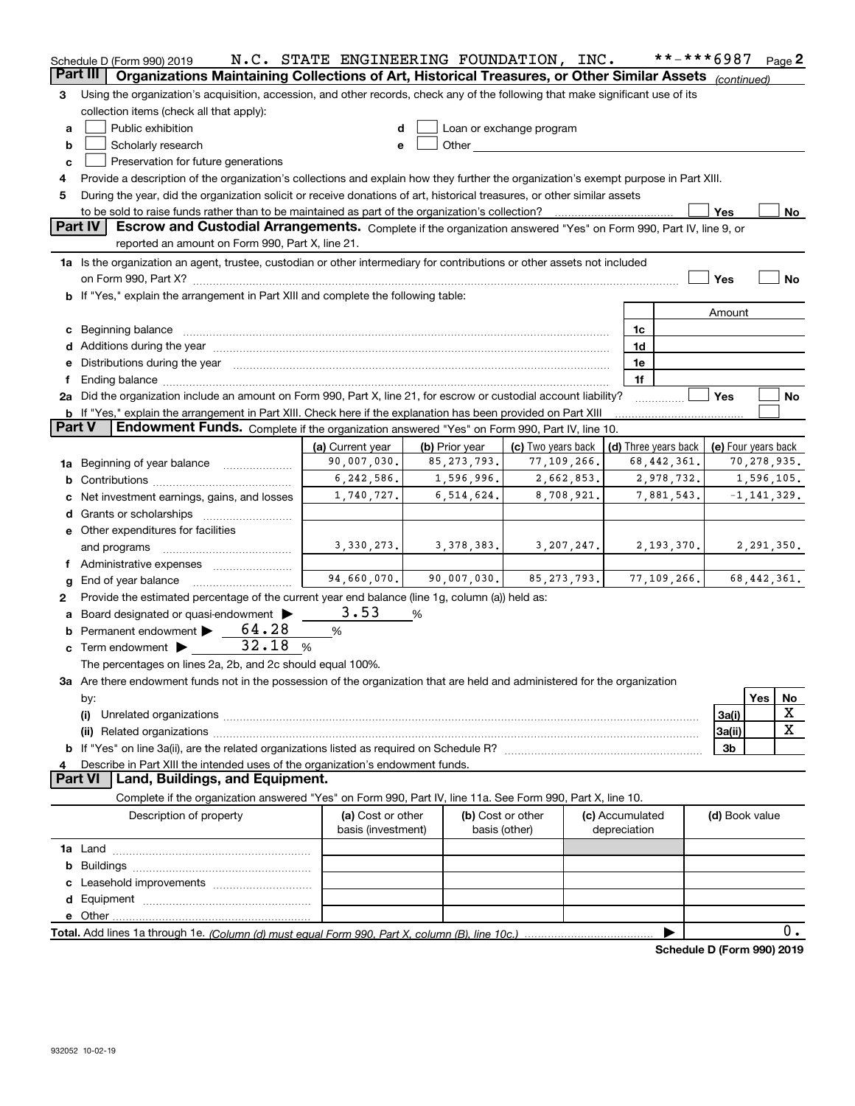|               | Schedule D (Form 990) 2019                                                                                                                                                                                                     | N.C. STATE ENGINEERING FOUNDATION, INC. |                |                                                                                                                                                                                                                                |                                            | **-***6987                 |                |                 | Page 2      |
|---------------|--------------------------------------------------------------------------------------------------------------------------------------------------------------------------------------------------------------------------------|-----------------------------------------|----------------|--------------------------------------------------------------------------------------------------------------------------------------------------------------------------------------------------------------------------------|--------------------------------------------|----------------------------|----------------|-----------------|-------------|
| Part III      | Organizations Maintaining Collections of Art, Historical Treasures, or Other Similar Assets (continued)                                                                                                                        |                                         |                |                                                                                                                                                                                                                                |                                            |                            |                |                 |             |
| 3             | Using the organization's acquisition, accession, and other records, check any of the following that make significant use of its                                                                                                |                                         |                |                                                                                                                                                                                                                                |                                            |                            |                |                 |             |
|               | collection items (check all that apply):                                                                                                                                                                                       |                                         |                |                                                                                                                                                                                                                                |                                            |                            |                |                 |             |
| a             | Public exhibition                                                                                                                                                                                                              | d                                       |                | Loan or exchange program                                                                                                                                                                                                       |                                            |                            |                |                 |             |
| b             | Scholarly research                                                                                                                                                                                                             | е                                       |                | Other and the control of the control of the control of the control of the control of the control of the control of the control of the control of the control of the control of the control of the control of the control of th |                                            |                            |                |                 |             |
| c             | Preservation for future generations                                                                                                                                                                                            |                                         |                |                                                                                                                                                                                                                                |                                            |                            |                |                 |             |
| 4             | Provide a description of the organization's collections and explain how they further the organization's exempt purpose in Part XIII.                                                                                           |                                         |                |                                                                                                                                                                                                                                |                                            |                            |                |                 |             |
| 5             | During the year, did the organization solicit or receive donations of art, historical treasures, or other similar assets                                                                                                       |                                         |                |                                                                                                                                                                                                                                |                                            |                            |                |                 |             |
|               |                                                                                                                                                                                                                                |                                         |                |                                                                                                                                                                                                                                |                                            |                            | Yes            |                 | No          |
|               | Part IV<br>Escrow and Custodial Arrangements. Complete if the organization answered "Yes" on Form 990, Part IV, line 9, or                                                                                                     |                                         |                |                                                                                                                                                                                                                                |                                            |                            |                |                 |             |
|               | reported an amount on Form 990, Part X, line 21.                                                                                                                                                                               |                                         |                |                                                                                                                                                                                                                                |                                            |                            |                |                 |             |
|               | 1a Is the organization an agent, trustee, custodian or other intermediary for contributions or other assets not included                                                                                                       |                                         |                |                                                                                                                                                                                                                                |                                            |                            |                |                 |             |
|               |                                                                                                                                                                                                                                |                                         |                |                                                                                                                                                                                                                                |                                            |                            | Yes            |                 | No          |
|               | b If "Yes," explain the arrangement in Part XIII and complete the following table:                                                                                                                                             |                                         |                |                                                                                                                                                                                                                                |                                            |                            |                |                 |             |
|               |                                                                                                                                                                                                                                |                                         |                |                                                                                                                                                                                                                                |                                            |                            |                |                 |             |
|               |                                                                                                                                                                                                                                |                                         |                |                                                                                                                                                                                                                                |                                            |                            | Amount         |                 |             |
|               | c Beginning balance measurements and the contract of the contract of the contract of the contract of the contract of the contract of the contract of the contract of the contract of the contract of the contract of the contr |                                         |                |                                                                                                                                                                                                                                | 1c                                         |                            |                |                 |             |
|               |                                                                                                                                                                                                                                |                                         |                |                                                                                                                                                                                                                                | 1d                                         |                            |                |                 |             |
|               | e Distributions during the year manufactured and an according to the year manufactured and the year manufactur                                                                                                                 |                                         |                |                                                                                                                                                                                                                                | 1e                                         |                            |                |                 |             |
| f             |                                                                                                                                                                                                                                |                                         |                |                                                                                                                                                                                                                                | 1f                                         |                            |                |                 |             |
|               | 2a Did the organization include an amount on Form 990, Part X, line 21, for escrow or custodial account liability?                                                                                                             |                                         |                |                                                                                                                                                                                                                                |                                            |                            | Yes            |                 | No          |
|               | <b>b</b> If "Yes," explain the arrangement in Part XIII. Check here if the explanation has been provided on Part XIII                                                                                                          |                                         |                |                                                                                                                                                                                                                                |                                            |                            |                |                 |             |
| <b>Part V</b> | Endowment Funds. Complete if the organization answered "Yes" on Form 990, Part IV, line 10.                                                                                                                                    |                                         |                |                                                                                                                                                                                                                                |                                            |                            |                |                 |             |
|               |                                                                                                                                                                                                                                | (a) Current year                        | (b) Prior year | (c) Two years back                                                                                                                                                                                                             | (d) Three years back   (e) Four years back |                            |                |                 |             |
|               | 90,007,030.<br>85, 273, 793.<br>77,109,266.<br>68, 442, 361.<br>1a Beginning of year balance                                                                                                                                   |                                         |                |                                                                                                                                                                                                                                |                                            |                            |                |                 | 70,278,935. |
|               | 6, 242, 586.<br>1,596,996.<br>2,662,853.<br>2,978,732.                                                                                                                                                                         |                                         |                |                                                                                                                                                                                                                                |                                            |                            |                | 1,596,105.      |             |
|               | 1,740,727.<br>6,514,624.<br>8,708,921.<br>7,881,543.<br>c Net investment earnings, gains, and losses                                                                                                                           |                                         |                |                                                                                                                                                                                                                                |                                            |                            |                | $-1, 141, 329.$ |             |
|               |                                                                                                                                                                                                                                |                                         |                |                                                                                                                                                                                                                                |                                            |                            |                |                 |             |
|               | e Other expenditures for facilities                                                                                                                                                                                            |                                         |                |                                                                                                                                                                                                                                |                                            |                            |                |                 |             |
|               | and programs                                                                                                                                                                                                                   | 3,330,273.                              | 3, 378, 383.   | 3, 207, 247.                                                                                                                                                                                                                   |                                            | 2,193,370.                 |                | 2,291,350.      |             |
|               | f Administrative expenses                                                                                                                                                                                                      |                                         |                |                                                                                                                                                                                                                                |                                            |                            |                |                 |             |
| g             | End of year balance                                                                                                                                                                                                            | 94,660,070.                             | 90,007,030.    | 85, 273, 793.                                                                                                                                                                                                                  |                                            | 77, 109, 266.              |                | 68, 442, 361.   |             |
| 2             | Provide the estimated percentage of the current year end balance (line 1g, column (a)) held as:                                                                                                                                |                                         |                |                                                                                                                                                                                                                                |                                            |                            |                |                 |             |
|               | a Board designated or quasi-endowment >                                                                                                                                                                                        | 3.53                                    | %              |                                                                                                                                                                                                                                |                                            |                            |                |                 |             |
|               | 64.28<br><b>b</b> Permanent endowment $\blacktriangleright$                                                                                                                                                                    | %                                       |                |                                                                                                                                                                                                                                |                                            |                            |                |                 |             |
|               | 32.18<br>$\%$<br>$\mathbf c$ Term endowment $\blacktriangleright$                                                                                                                                                              |                                         |                |                                                                                                                                                                                                                                |                                            |                            |                |                 |             |
|               | The percentages on lines 2a, 2b, and 2c should equal 100%.                                                                                                                                                                     |                                         |                |                                                                                                                                                                                                                                |                                            |                            |                |                 |             |
|               | 3a Are there endowment funds not in the possession of the organization that are held and administered for the organization                                                                                                     |                                         |                |                                                                                                                                                                                                                                |                                            |                            |                |                 |             |
|               | by:                                                                                                                                                                                                                            |                                         |                |                                                                                                                                                                                                                                |                                            |                            |                | Yes             | No          |
|               | (i)                                                                                                                                                                                                                            |                                         |                |                                                                                                                                                                                                                                |                                            |                            | 3a(i)          |                 | X           |
|               |                                                                                                                                                                                                                                |                                         |                |                                                                                                                                                                                                                                |                                            |                            | 3a(ii)         |                 | X           |
|               |                                                                                                                                                                                                                                |                                         |                |                                                                                                                                                                                                                                |                                            |                            | 3b             |                 |             |
| 4             | Describe in Part XIII the intended uses of the organization's endowment funds.                                                                                                                                                 |                                         |                |                                                                                                                                                                                                                                |                                            |                            |                |                 |             |
|               | Land, Buildings, and Equipment.<br><b>Part VI</b>                                                                                                                                                                              |                                         |                |                                                                                                                                                                                                                                |                                            |                            |                |                 |             |
|               | Complete if the organization answered "Yes" on Form 990, Part IV, line 11a. See Form 990, Part X, line 10.                                                                                                                     |                                         |                |                                                                                                                                                                                                                                |                                            |                            |                |                 |             |
|               |                                                                                                                                                                                                                                |                                         |                |                                                                                                                                                                                                                                |                                            |                            |                |                 |             |
|               | Description of property                                                                                                                                                                                                        | (a) Cost or other                       |                | (b) Cost or other                                                                                                                                                                                                              | (c) Accumulated                            |                            | (d) Book value |                 |             |
|               |                                                                                                                                                                                                                                | basis (investment)                      |                | basis (other)                                                                                                                                                                                                                  | depreciation                               |                            |                |                 |             |
|               |                                                                                                                                                                                                                                |                                         |                |                                                                                                                                                                                                                                |                                            |                            |                |                 |             |
|               |                                                                                                                                                                                                                                |                                         |                |                                                                                                                                                                                                                                |                                            |                            |                |                 |             |
|               |                                                                                                                                                                                                                                |                                         |                |                                                                                                                                                                                                                                |                                            |                            |                |                 |             |
|               |                                                                                                                                                                                                                                |                                         |                |                                                                                                                                                                                                                                |                                            |                            |                |                 |             |
|               |                                                                                                                                                                                                                                |                                         |                |                                                                                                                                                                                                                                |                                            |                            |                |                 |             |
|               |                                                                                                                                                                                                                                |                                         |                |                                                                                                                                                                                                                                |                                            |                            |                |                 | 0.          |
|               |                                                                                                                                                                                                                                |                                         |                |                                                                                                                                                                                                                                |                                            | Schedule D (Form 990) 2019 |                |                 |             |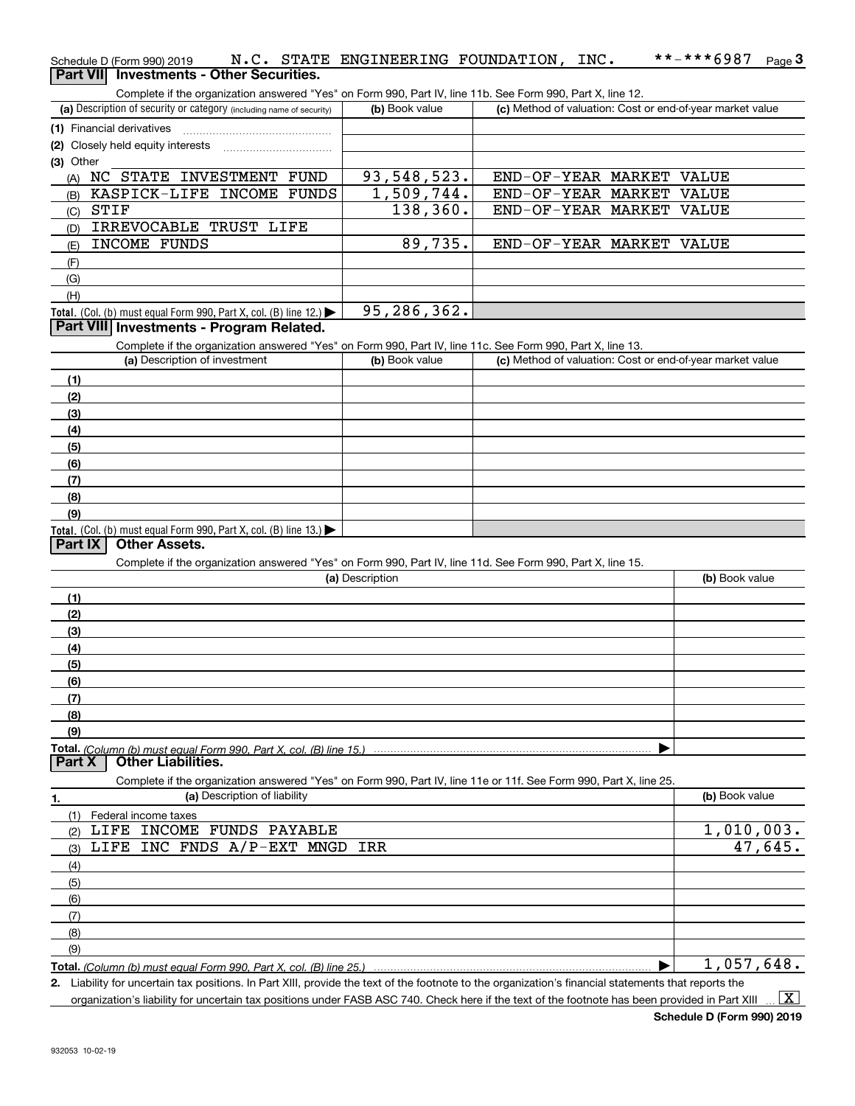| Schedule D (Form 990) 2019                      |  | N.C. STATE ENGINEERING FOUNDATION, INC. |  | **-***6987 <sub>Page</sub> 3 |  |
|-------------------------------------------------|--|-----------------------------------------|--|------------------------------|--|
| <b>Part VII</b> Investments - Other Securities. |  |                                         |  |                              |  |

Complete if the organization answered "Yes" on Form 990, Part IV, line 11b. See Form 990, Part X, line 12.

| (a) Description of security or category (including name of security)                                       | (b) Book value | (c) Method of valuation: Cost or end-of-year market value |  |  |  |  |  |
|------------------------------------------------------------------------------------------------------------|----------------|-----------------------------------------------------------|--|--|--|--|--|
| (1) Financial derivatives                                                                                  |                |                                                           |  |  |  |  |  |
| (2) Closely held equity interests                                                                          |                |                                                           |  |  |  |  |  |
| (3) Other                                                                                                  |                |                                                           |  |  |  |  |  |
| INVESTMENT<br><b>FUND</b><br>STATE<br>NC.<br>(A)                                                           | 93,548,523.    | END-OF-YEAR MARKET<br>VALUE                               |  |  |  |  |  |
| KASPICK-LIFE INCOME<br>FUNDS<br>(B)                                                                        | 1,509,744.     | END-OF-YEAR MARKET<br>VALUE                               |  |  |  |  |  |
| STIF<br>(C)                                                                                                | 138,360.       | END-OF-YEAR MARKET<br>VALUE                               |  |  |  |  |  |
| IRREVOCABLE TRUST LIFE<br>(D)                                                                              |                |                                                           |  |  |  |  |  |
| INCOME FUNDS<br>(E)                                                                                        | 89,735.        | END-OF-YEAR MARKET<br>VALUE                               |  |  |  |  |  |
| (F)                                                                                                        |                |                                                           |  |  |  |  |  |
| (G)                                                                                                        |                |                                                           |  |  |  |  |  |
| (H)                                                                                                        |                |                                                           |  |  |  |  |  |
| <b>Total.</b> (Col. (b) must equal Form 990, Part X, col. (B) line 12.) $\blacktriangleright$              | 95,286,362.    |                                                           |  |  |  |  |  |
| Part VIII Investments - Program Related.                                                                   |                |                                                           |  |  |  |  |  |
| Complete if the organization answered "Yes" on Form 990, Part IV, line 11c, See Form 990, Part X, line 13, |                |                                                           |  |  |  |  |  |

| (a) Description of investment                                       | (b) Book value | (c) Method of valuation: Cost or end-of-year market value |
|---------------------------------------------------------------------|----------------|-----------------------------------------------------------|
| (1)                                                                 |                |                                                           |
| (2)                                                                 |                |                                                           |
| $\qquad \qquad (3)$                                                 |                |                                                           |
| (4)                                                                 |                |                                                           |
| (5)                                                                 |                |                                                           |
| (6)                                                                 |                |                                                           |
| (7)                                                                 |                |                                                           |
| (8)                                                                 |                |                                                           |
| (9)                                                                 |                |                                                           |
| Total. (Col. (b) must equal Form 990, Part X, col. (B) line $13$ .) |                |                                                           |

### **Part IX Other Assets.**

Complete if the organization answered "Yes" on Form 990, Part IV, line 11d. See Form 990, Part X, line 15.

| (a) Description                                                                                                   | (b) Book value |
|-------------------------------------------------------------------------------------------------------------------|----------------|
| (1)                                                                                                               |                |
| (2)                                                                                                               |                |
| (3)                                                                                                               |                |
| (4)                                                                                                               |                |
| (5)                                                                                                               |                |
| (6)                                                                                                               |                |
| (7)                                                                                                               |                |
| (8)                                                                                                               |                |
| (9)                                                                                                               |                |
| Total. (Column (b) must equal Form 990, Part X, col. (B) line 15.)                                                |                |
| <b>Other Liabilities.</b><br><b>Part X</b>                                                                        |                |
| Complete if the organization answered "Yes" on Form 990, Part IV, line 11e or 11f. See Form 990, Part X, line 25. |                |
| (a) Description of liability<br>1.                                                                                | (b) Book value |
| Federal income taxes<br>(1)                                                                                       |                |
| FUNDS<br><b>INCOME</b><br>PAYABLE<br>LIFE<br>(2)                                                                  | 1,010,003.     |
| LIFE INC FNDS A/P-EXT MNGD<br>IRR<br>(3)                                                                          | 47,645.        |
| (4)                                                                                                               |                |
|                                                                                                                   |                |

| (5  |                             |
|-----|-----------------------------|
| (6) |                             |
|     |                             |
| (8) |                             |
| (9) |                             |
|     | 648.<br>057<br><i>ا د</i> ب |

**Total.**  *(Column (b) must equal Form 990, Part X, col. (B) line 25.)*

**2.** Liability for uncertain tax positions. In Part XIII, provide the text of the footnote to the organization's financial statements that reports the

organization's liability for uncertain tax positions under FASB ASC 740. Check here if the text of the footnote has been provided in Part XIII  $\vert$  X  $\vert$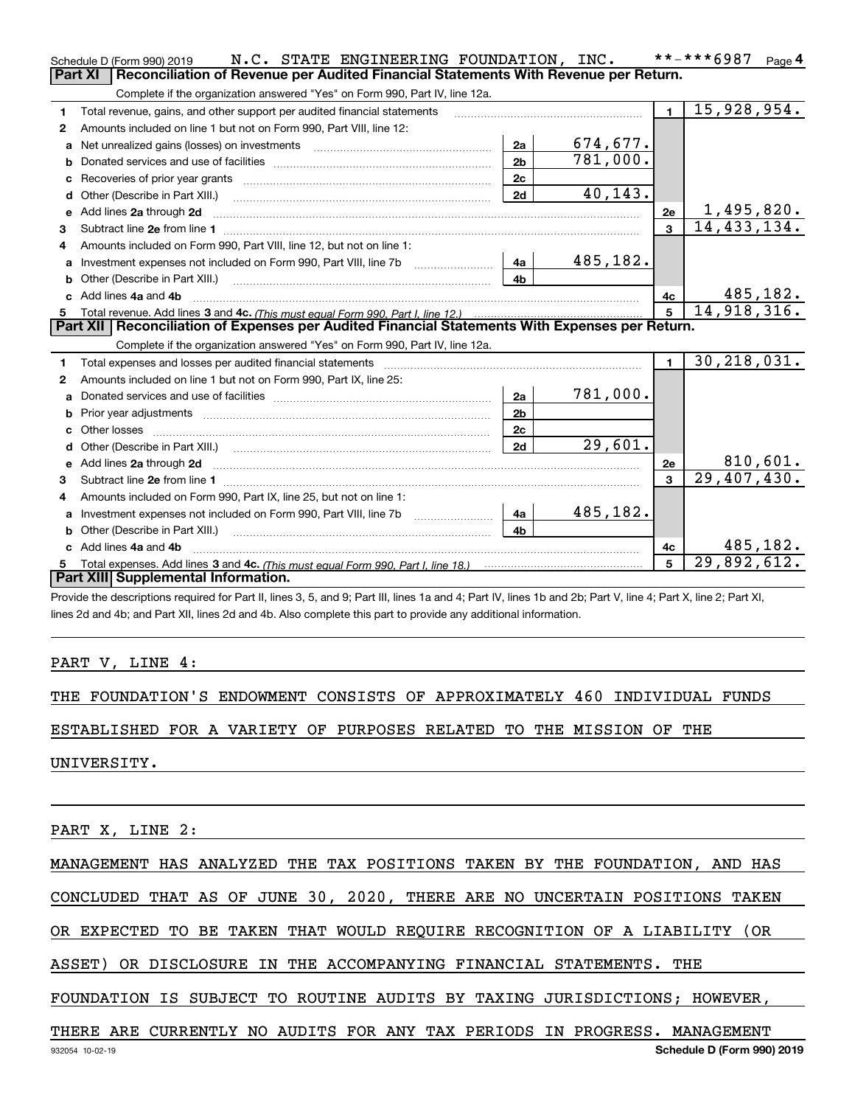|   | N.C. STATE ENGINEERING FOUNDATION, INC.<br>Schedule D (Form 990) 2019                                                                                                                                                              |                |          |                         | **-***6987<br>Page 4         |
|---|------------------------------------------------------------------------------------------------------------------------------------------------------------------------------------------------------------------------------------|----------------|----------|-------------------------|------------------------------|
|   | <b>Part XI</b><br>Reconciliation of Revenue per Audited Financial Statements With Revenue per Return.                                                                                                                              |                |          |                         |                              |
|   | Complete if the organization answered "Yes" on Form 990, Part IV, line 12a.                                                                                                                                                        |                |          |                         |                              |
| 1 | Total revenue, gains, and other support per audited financial statements                                                                                                                                                           |                |          | $\blacksquare$          | 15,928,954.                  |
| 2 | Amounts included on line 1 but not on Form 990, Part VIII, line 12:                                                                                                                                                                |                |          |                         |                              |
| a | Net unrealized gains (losses) on investments [11] matter contracts and the unrealized gains (losses) on investments                                                                                                                | 2a             | 674,677. |                         |                              |
|   |                                                                                                                                                                                                                                    | 2 <sub>b</sub> | 781,000. |                         |                              |
|   |                                                                                                                                                                                                                                    | 2c             |          |                         |                              |
| d |                                                                                                                                                                                                                                    | 2d             | 40,143.  |                         |                              |
| e | Add lines 2a through 2d                                                                                                                                                                                                            |                |          | 2e                      | 1,495,820.                   |
| 3 |                                                                                                                                                                                                                                    |                |          | $\overline{\mathbf{3}}$ | 14, 433, 134.                |
| 4 | Amounts included on Form 990, Part VIII, line 12, but not on line 1:                                                                                                                                                               |                |          |                         |                              |
| a | Investment expenses not included on Form 990, Part VIII, line 7b [111] [11] Investment expenses not included on Form 990, Part VIII, line 7b                                                                                       | 4a             | 485,182. |                         |                              |
|   |                                                                                                                                                                                                                                    | 4b             |          |                         |                              |
|   | c Add lines 4a and 4b                                                                                                                                                                                                              |                |          | 4c                      | 485, 182.                    |
|   |                                                                                                                                                                                                                                    |                |          | 5 <sup>1</sup>          | 14,918,316.                  |
|   | Part XII   Reconciliation of Expenses per Audited Financial Statements With Expenses per Return.                                                                                                                                   |                |          |                         |                              |
|   | Complete if the organization answered "Yes" on Form 990, Part IV, line 12a.                                                                                                                                                        |                |          |                         |                              |
| 1 | Total expenses and losses per audited financial statements                                                                                                                                                                         |                |          | $\blacksquare$          | 30, 218, 031.                |
| 2 | Amounts included on line 1 but not on Form 990, Part IX, line 25:                                                                                                                                                                  |                |          |                         |                              |
| a |                                                                                                                                                                                                                                    | 2a             | 781,000. |                         |                              |
| b |                                                                                                                                                                                                                                    | 2 <sub>b</sub> |          |                         |                              |
|   |                                                                                                                                                                                                                                    | 2c             |          |                         |                              |
| d |                                                                                                                                                                                                                                    | 2d             | 29,601.  |                         |                              |
| е | Add lines 2a through 2d <b>contract and all anomalisation</b> and all anomalisation of the state of the state of the state of the state of the state of the state of the state of the state of the state of the state of the state |                |          | 2e                      | $\frac{810,601}{29,407,430}$ |
| з |                                                                                                                                                                                                                                    |                |          | $\overline{\mathbf{3}}$ |                              |
| 4 | Amounts included on Form 990, Part IX, line 25, but not on line 1:                                                                                                                                                                 |                |          |                         |                              |
|   | Investment expenses not included on Form 990, Part VIII, line 7b                                                                                                                                                                   | 4a             | 485,182. |                         |                              |
|   | Other (Describe in Part XIII.)                                                                                                                                                                                                     | 4 <sub>b</sub> |          |                         |                              |
|   | Add lines 4a and 4b                                                                                                                                                                                                                |                |          | 4c                      | 485,182.                     |
| 5 |                                                                                                                                                                                                                                    |                |          | 5                       | 29,892,612.                  |
|   | Part XIII Supplemental Information.                                                                                                                                                                                                |                |          |                         |                              |
|   |                                                                                                                                                                                                                                    |                |          |                         |                              |

Provide the descriptions required for Part II, lines 3, 5, and 9; Part III, lines 1a and 4; Part IV, lines 1b and 2b; Part V, line 4; Part X, line 2; Part XI, lines 2d and 4b; and Part XII, lines 2d and 4b. Also complete this part to provide any additional information.

PART V, LINE 4:

THE FOUNDATION'S ENDOWMENT CONSISTS OF APPROXIMATELY 460 INDIVIDUAL FUNDS

ESTABLISHED FOR A VARIETY OF PURPOSES RELATED TO THE MISSION OF THE

UNIVERSITY.

PART X, LINE 2:

MANAGEMENT HAS ANALYZED THE TAX POSITIONS TAKEN BY THE FOUNDATION, AND HAS

CONCLUDED THAT AS OF JUNE 30, 2020, THERE ARE NO UNCERTAIN POSITIONS TAKEN

OR EXPECTED TO BE TAKEN THAT WOULD REQUIRE RECOGNITION OF A LIABILITY (OR

ASSET) OR DISCLOSURE IN THE ACCOMPANYING FINANCIAL STATEMENTS. THE

FOUNDATION IS SUBJECT TO ROUTINE AUDITS BY TAXING JURISDICTIONS; HOWEVER,

### THERE ARE CURRENTLY NO AUDITS FOR ANY TAX PERIODS IN PROGRESS. MANAGEMENT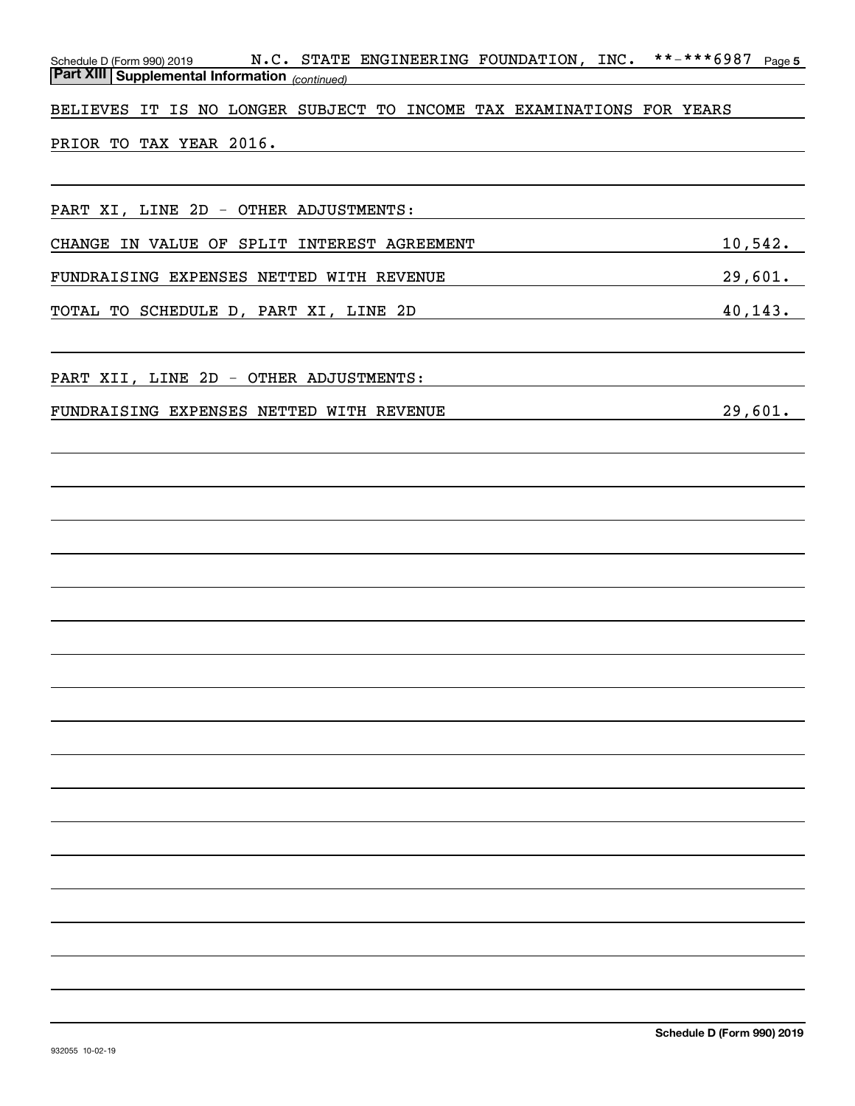| N.C. STATE ENGINEERING FOUNDATION, INC.<br>Schedule D (Form 990) 2019<br><b>Part XIII   Supplemental Information</b> (continued) | **-***6987<br>Page 5 |
|----------------------------------------------------------------------------------------------------------------------------------|----------------------|
| BELIEVES IT IS NO LONGER SUBJECT TO INCOME TAX EXAMINATIONS FOR YEARS                                                            |                      |
| PRIOR TO TAX YEAR 2016.                                                                                                          |                      |
|                                                                                                                                  |                      |
| PART XI, LINE 2D - OTHER ADJUSTMENTS:                                                                                            |                      |
| CHANGE IN VALUE OF SPLIT INTEREST AGREEMENT                                                                                      | 10,542.              |
| FUNDRAISING EXPENSES NETTED WITH REVENUE                                                                                         | 29,601.              |
| TOTAL TO SCHEDULE D, PART XI, LINE 2D                                                                                            | 40, 143.             |
| PART XII, LINE 2D - OTHER ADJUSTMENTS:                                                                                           |                      |
| FUNDRAISING EXPENSES NETTED WITH REVENUE                                                                                         | 29,601.              |
|                                                                                                                                  |                      |
|                                                                                                                                  |                      |
|                                                                                                                                  |                      |
|                                                                                                                                  |                      |
|                                                                                                                                  |                      |
|                                                                                                                                  |                      |
|                                                                                                                                  |                      |
|                                                                                                                                  |                      |
|                                                                                                                                  |                      |
|                                                                                                                                  |                      |
|                                                                                                                                  |                      |
|                                                                                                                                  |                      |
|                                                                                                                                  |                      |
|                                                                                                                                  |                      |
|                                                                                                                                  |                      |
|                                                                                                                                  |                      |
|                                                                                                                                  |                      |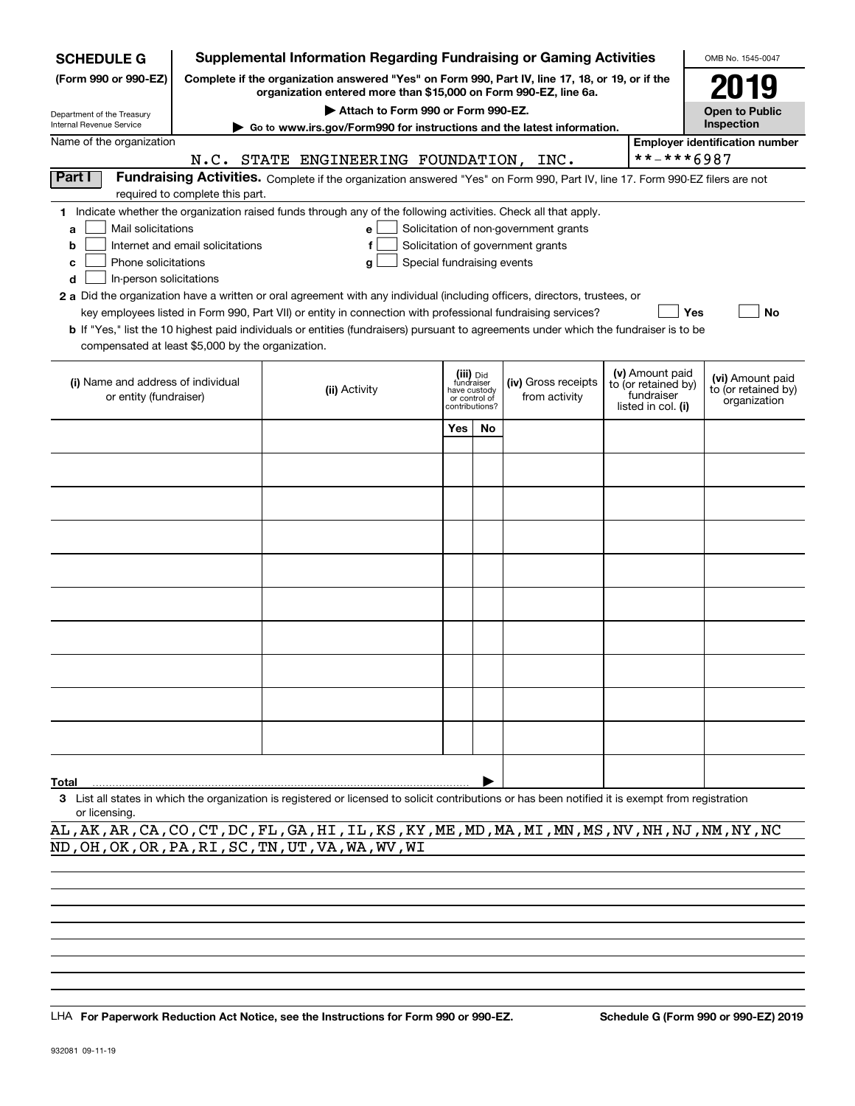| <b>SCHEDULE G</b>                                 |                                                                                                                                                                     | <b>Supplemental Information Regarding Fundraising or Gaming Activities</b>                                                                                                                                                                                  |      |                               |                                       |  |                                   | OMB No. 1545-0047                     |  |  |
|---------------------------------------------------|---------------------------------------------------------------------------------------------------------------------------------------------------------------------|-------------------------------------------------------------------------------------------------------------------------------------------------------------------------------------------------------------------------------------------------------------|------|-------------------------------|---------------------------------------|--|-----------------------------------|---------------------------------------|--|--|
| (Form 990 or 990-EZ)                              | Complete if the organization answered "Yes" on Form 990, Part IV, line 17, 18, or 19, or if the<br>organization entered more than \$15,000 on Form 990-EZ, line 6a. |                                                                                                                                                                                                                                                             | 2019 |                               |                                       |  |                                   |                                       |  |  |
| Department of the Treasury                        |                                                                                                                                                                     | Attach to Form 990 or Form 990-EZ.                                                                                                                                                                                                                          |      |                               |                                       |  |                                   | <b>Open to Public</b>                 |  |  |
| Internal Revenue Service                          |                                                                                                                                                                     | Go to www.irs.gov/Form990 for instructions and the latest information.                                                                                                                                                                                      |      |                               |                                       |  |                                   | Inspection                            |  |  |
| Name of the organization                          |                                                                                                                                                                     |                                                                                                                                                                                                                                                             |      |                               |                                       |  |                                   | <b>Employer identification number</b> |  |  |
|                                                   |                                                                                                                                                                     | N.C. STATE ENGINEERING FOUNDATION, INC.                                                                                                                                                                                                                     |      |                               |                                       |  | **-***6987                        |                                       |  |  |
| Part I                                            | Fundraising Activities. Complete if the organization answered "Yes" on Form 990, Part IV, line 17. Form 990-EZ filers are not<br>required to complete this part.    |                                                                                                                                                                                                                                                             |      |                               |                                       |  |                                   |                                       |  |  |
|                                                   |                                                                                                                                                                     | 1 Indicate whether the organization raised funds through any of the following activities. Check all that apply.                                                                                                                                             |      |                               |                                       |  |                                   |                                       |  |  |
| Mail solicitations<br>a                           |                                                                                                                                                                     | e                                                                                                                                                                                                                                                           |      |                               | Solicitation of non-government grants |  |                                   |                                       |  |  |
| b                                                 | Internet and email solicitations                                                                                                                                    |                                                                                                                                                                                                                                                             |      |                               | Solicitation of government grants     |  |                                   |                                       |  |  |
| Phone solicitations<br>c                          |                                                                                                                                                                     | Special fundraising events<br>g                                                                                                                                                                                                                             |      |                               |                                       |  |                                   |                                       |  |  |
| In-person solicitations<br>d                      |                                                                                                                                                                     |                                                                                                                                                                                                                                                             |      |                               |                                       |  |                                   |                                       |  |  |
|                                                   |                                                                                                                                                                     | 2 a Did the organization have a written or oral agreement with any individual (including officers, directors, trustees, or                                                                                                                                  |      |                               |                                       |  |                                   |                                       |  |  |
|                                                   |                                                                                                                                                                     | key employees listed in Form 990, Part VII) or entity in connection with professional fundraising services?<br><b>b</b> If "Yes," list the 10 highest paid individuals or entities (fundraisers) pursuant to agreements under which the fundraiser is to be |      |                               |                                       |  |                                   | Yes<br>No                             |  |  |
| compensated at least \$5,000 by the organization. |                                                                                                                                                                     |                                                                                                                                                                                                                                                             |      |                               |                                       |  |                                   |                                       |  |  |
|                                                   |                                                                                                                                                                     |                                                                                                                                                                                                                                                             |      |                               |                                       |  |                                   |                                       |  |  |
| (i) Name and address of individual                |                                                                                                                                                                     |                                                                                                                                                                                                                                                             |      | (iii) Did<br>fundraiser       | (iv) Gross receipts                   |  | (v) Amount paid                   | (vi) Amount paid                      |  |  |
| or entity (fundraiser)                            |                                                                                                                                                                     | (ii) Activity                                                                                                                                                                                                                                               |      | have custody<br>or control of | from activity                         |  | to (or retained by)<br>fundraiser | to (or retained by)                   |  |  |
|                                                   |                                                                                                                                                                     |                                                                                                                                                                                                                                                             |      | contributions?                |                                       |  | listed in col. (i)                | organization                          |  |  |
|                                                   |                                                                                                                                                                     |                                                                                                                                                                                                                                                             | Yes  | <b>No</b>                     |                                       |  |                                   |                                       |  |  |
|                                                   |                                                                                                                                                                     |                                                                                                                                                                                                                                                             |      |                               |                                       |  |                                   |                                       |  |  |
|                                                   |                                                                                                                                                                     |                                                                                                                                                                                                                                                             |      |                               |                                       |  |                                   |                                       |  |  |
|                                                   |                                                                                                                                                                     |                                                                                                                                                                                                                                                             |      |                               |                                       |  |                                   |                                       |  |  |
|                                                   |                                                                                                                                                                     |                                                                                                                                                                                                                                                             |      |                               |                                       |  |                                   |                                       |  |  |
|                                                   |                                                                                                                                                                     |                                                                                                                                                                                                                                                             |      |                               |                                       |  |                                   |                                       |  |  |
|                                                   |                                                                                                                                                                     |                                                                                                                                                                                                                                                             |      |                               |                                       |  |                                   |                                       |  |  |
|                                                   |                                                                                                                                                                     |                                                                                                                                                                                                                                                             |      |                               |                                       |  |                                   |                                       |  |  |
|                                                   |                                                                                                                                                                     |                                                                                                                                                                                                                                                             |      |                               |                                       |  |                                   |                                       |  |  |
|                                                   |                                                                                                                                                                     |                                                                                                                                                                                                                                                             |      |                               |                                       |  |                                   |                                       |  |  |
|                                                   |                                                                                                                                                                     |                                                                                                                                                                                                                                                             |      |                               |                                       |  |                                   |                                       |  |  |
|                                                   |                                                                                                                                                                     |                                                                                                                                                                                                                                                             |      |                               |                                       |  |                                   |                                       |  |  |
|                                                   |                                                                                                                                                                     |                                                                                                                                                                                                                                                             |      |                               |                                       |  |                                   |                                       |  |  |
|                                                   |                                                                                                                                                                     |                                                                                                                                                                                                                                                             |      |                               |                                       |  |                                   |                                       |  |  |
|                                                   |                                                                                                                                                                     |                                                                                                                                                                                                                                                             |      |                               |                                       |  |                                   |                                       |  |  |
|                                                   |                                                                                                                                                                     |                                                                                                                                                                                                                                                             |      |                               |                                       |  |                                   |                                       |  |  |
|                                                   |                                                                                                                                                                     |                                                                                                                                                                                                                                                             |      |                               |                                       |  |                                   |                                       |  |  |
| <b>Total</b>                                      |                                                                                                                                                                     |                                                                                                                                                                                                                                                             |      |                               |                                       |  |                                   |                                       |  |  |
|                                                   |                                                                                                                                                                     | 3 List all states in which the organization is registered or licensed to solicit contributions or has been notified it is exempt from registration                                                                                                          |      |                               |                                       |  |                                   |                                       |  |  |

or licensing.

AL,AK,AR,CA,CO,CT,DC,FL,GA,HI,IL,KS,KY,ME,MD,MA,MI,MN,MS,NV,NH,NJ,NM,NY,NC ND,OH,OK,OR,PA,RI,SC,TN,UT,VA,WA,WV,WI

LHA For Paperwork Reduction Act Notice, see the Instructions for Form 990 or 990-EZ. Schedule G (Form 990 or 990-EZ) 2019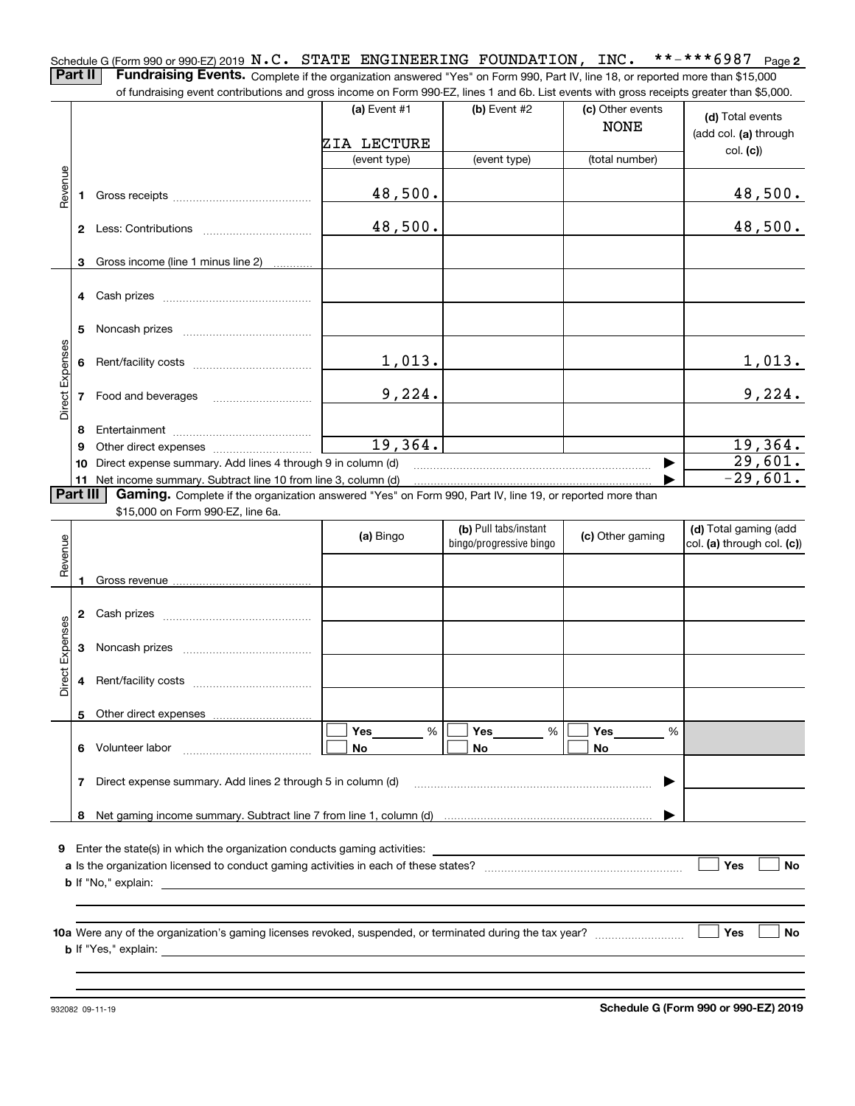**2** Schedule G (Form 990 or 990-EZ) 2019  $\, {\bf N}$  ,  $\, {\bf C}$  ,  $\,$  STATE  $\,$  ENGINEERING  $\,$  FOUNDATION ,  $\,$  INC  $_{\bullet}$   $\,$   $\,$  \* \* – \* \* \* 6987  $\,$  Page **Part II** | Fundraising Events. Complete if the organization answered "Yes" on Form 990, Part IV, line 18, or reported more than \$15,000 of fundraising event contributions and gross income on Form 990-EZ, lines 1 and 6b. List events with gross receipts greater than \$5,000.

|                        |          |                                                                                                          | (a) Event #1   | (b) Event #2            | (c) Other events<br><b>NONE</b> | (d) Total events<br>(add col. (a) through |
|------------------------|----------|----------------------------------------------------------------------------------------------------------|----------------|-------------------------|---------------------------------|-------------------------------------------|
|                        |          |                                                                                                          | ZIA LECTURE    |                         |                                 | col. (c)                                  |
|                        |          |                                                                                                          | (event type)   | (event type)            | (total number)                  |                                           |
| Revenue                |          |                                                                                                          | 48,500.        |                         |                                 | 48,500.                                   |
|                        |          |                                                                                                          | 48,500.        |                         |                                 | 48,500.                                   |
|                        |          | 3 Gross income (line 1 minus line 2)                                                                     |                |                         |                                 |                                           |
|                        |          |                                                                                                          |                |                         |                                 |                                           |
|                        | 5        |                                                                                                          |                |                         |                                 |                                           |
| Direct Expenses        |          |                                                                                                          | 1,013.         |                         |                                 | 1,013.                                    |
|                        |          | 7 Food and beverages                                                                                     | 9,224.         |                         |                                 | 9,224.                                    |
|                        | 8        |                                                                                                          |                |                         |                                 |                                           |
|                        | 9        |                                                                                                          | 19,364.        |                         |                                 | 19,364.                                   |
|                        | 10       | Direct expense summary. Add lines 4 through 9 in column (d)                                              |                |                         |                                 | 29,601.                                   |
|                        |          | 11 Net income summary. Subtract line 10 from line 3, column (d)                                          |                |                         |                                 | $-29,601.$                                |
|                        | Part III | Gaming. Complete if the organization answered "Yes" on Form 990, Part IV, line 19, or reported more than |                |                         |                                 |                                           |
|                        |          | \$15,000 on Form 990-EZ, line 6a.                                                                        |                | (b) Pull tabs/instant   |                                 | (d) Total gaming (add                     |
|                        |          |                                                                                                          | (a) Bingo      | bingo/progressive bingo | (c) Other gaming                | col. (a) through col. (c))                |
| Revenue                |          |                                                                                                          |                |                         |                                 |                                           |
|                        |          |                                                                                                          |                |                         |                                 |                                           |
|                        |          |                                                                                                          |                |                         |                                 |                                           |
|                        |          |                                                                                                          |                |                         |                                 |                                           |
| <b>Direct Expenses</b> | 3        |                                                                                                          |                |                         |                                 |                                           |
|                        | 4        |                                                                                                          |                |                         |                                 |                                           |
|                        |          |                                                                                                          |                |                         |                                 |                                           |
|                        |          | Volunteer labor                                                                                          | Yes<br>%<br>No | Yes<br>%<br>No          | Yes<br>%<br>No                  |                                           |
|                        | 7        | Direct expense summary. Add lines 2 through 5 in column (d)                                              |                |                         |                                 |                                           |
|                        | 8        |                                                                                                          |                |                         |                                 |                                           |
|                        |          |                                                                                                          |                |                         |                                 |                                           |
|                        |          | 9 Enter the state(s) in which the organization conducts gaming activities:                               |                |                         |                                 |                                           |
|                        |          |                                                                                                          |                |                         |                                 | Yes<br>No                                 |
|                        |          | <b>b</b> If "No," explain:                                                                               |                |                         |                                 |                                           |
|                        |          |                                                                                                          |                |                         |                                 |                                           |
|                        |          |                                                                                                          |                |                         |                                 |                                           |
|                        |          |                                                                                                          |                |                         |                                 | Yes<br>No                                 |
|                        |          |                                                                                                          |                |                         |                                 |                                           |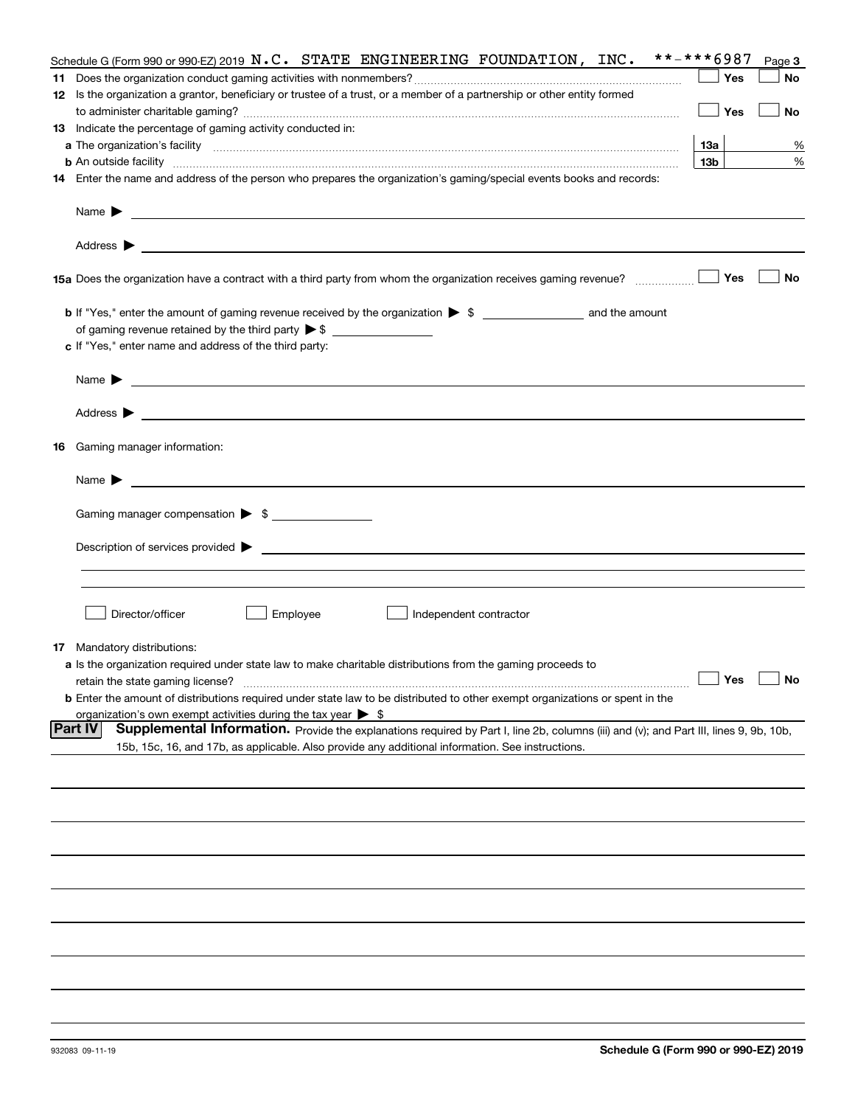|    | Schedule G (Form 990 or 990-EZ) 2019 $N.C.$ STATE ENGINEERING FOUNDATION, INC.                                                                                                                                                                                        | **-***6987      | Page 3 |
|----|-----------------------------------------------------------------------------------------------------------------------------------------------------------------------------------------------------------------------------------------------------------------------|-----------------|--------|
|    |                                                                                                                                                                                                                                                                       | Yes             | No     |
|    | 12 Is the organization a grantor, beneficiary or trustee of a trust, or a member of a partnership or other entity formed                                                                                                                                              |                 |        |
|    |                                                                                                                                                                                                                                                                       | Yes             | No     |
|    | 13 Indicate the percentage of gaming activity conducted in:                                                                                                                                                                                                           |                 |        |
|    |                                                                                                                                                                                                                                                                       | 13а             | %      |
|    | <b>b</b> An outside facility <i>www.communicality communicality communicality communicality communicality communicality communicality communicality communicality communicality communicality communicality communicality communicali</i>                             | 13 <sub>b</sub> | %      |
|    | 14 Enter the name and address of the person who prepares the organization's gaming/special events books and records:                                                                                                                                                  |                 |        |
|    |                                                                                                                                                                                                                                                                       |                 |        |
|    | Name $\blacktriangleright$<br>and the control of the control of the control of the control of the control of the control of the control of the                                                                                                                        |                 |        |
|    | <u> 1989 - Johann Harry Harry Harry Harry Harry Harry Harry Harry Harry Harry Harry Harry Harry Harry Harry Harry</u><br>Address $\blacktriangleright$                                                                                                                |                 |        |
|    | 15a Does the organization have a contract with a third party from whom the organization receives gaming revenue?                                                                                                                                                      | Yes             | No     |
|    | <b>b</b> If "Yes," enter the amount of gaming revenue received by the organization $\triangleright$ \$ ___________________ and the amount                                                                                                                             |                 |        |
|    |                                                                                                                                                                                                                                                                       |                 |        |
|    | c If "Yes," enter name and address of the third party:                                                                                                                                                                                                                |                 |        |
|    |                                                                                                                                                                                                                                                                       |                 |        |
|    | Name $\blacktriangleright$                                                                                                                                                                                                                                            |                 |        |
|    | Address $\blacktriangleright$<br><u>state and the state of the state of the state of the state of the state of the state of the state of the state of the state of the state of the state of the state of the state of the state of the state of the state of the</u> |                 |        |
| 16 | Gaming manager information:                                                                                                                                                                                                                                           |                 |        |
|    | Name $\blacktriangleright$                                                                                                                                                                                                                                            |                 |        |
|    |                                                                                                                                                                                                                                                                       |                 |        |
|    | Gaming manager compensation > \$                                                                                                                                                                                                                                      |                 |        |
|    |                                                                                                                                                                                                                                                                       |                 |        |
|    | Description of services provided $\blacktriangleright$ $\bot$                                                                                                                                                                                                         |                 |        |
|    |                                                                                                                                                                                                                                                                       |                 |        |
|    |                                                                                                                                                                                                                                                                       |                 |        |
|    | Director/officer<br>Employee<br>Independent contractor                                                                                                                                                                                                                |                 |        |
|    | <b>17</b> Mandatory distributions:                                                                                                                                                                                                                                    |                 |        |
|    | a Is the organization required under state law to make charitable distributions from the gaming proceeds to                                                                                                                                                           |                 |        |
|    |                                                                                                                                                                                                                                                                       | Yes             | No     |
|    | retain the state gaming license?                                                                                                                                                                                                                                      |                 |        |
|    | <b>b</b> Enter the amount of distributions required under state law to be distributed to other exempt organizations or spent in the                                                                                                                                   |                 |        |
|    | organization's own exempt activities during the tax year $\triangleright$ \$<br><b>Part IV</b>                                                                                                                                                                        |                 |        |
|    | Supplemental Information. Provide the explanations required by Part I, line 2b, columns (iii) and (v); and Part III, lines 9, 9b, 10b,<br>15b, 15c, 16, and 17b, as applicable. Also provide any additional information. See instructions.                            |                 |        |
|    |                                                                                                                                                                                                                                                                       |                 |        |
|    |                                                                                                                                                                                                                                                                       |                 |        |
|    |                                                                                                                                                                                                                                                                       |                 |        |
|    |                                                                                                                                                                                                                                                                       |                 |        |
|    |                                                                                                                                                                                                                                                                       |                 |        |
|    |                                                                                                                                                                                                                                                                       |                 |        |
|    |                                                                                                                                                                                                                                                                       |                 |        |
|    |                                                                                                                                                                                                                                                                       |                 |        |
|    |                                                                                                                                                                                                                                                                       |                 |        |
|    |                                                                                                                                                                                                                                                                       |                 |        |
|    |                                                                                                                                                                                                                                                                       |                 |        |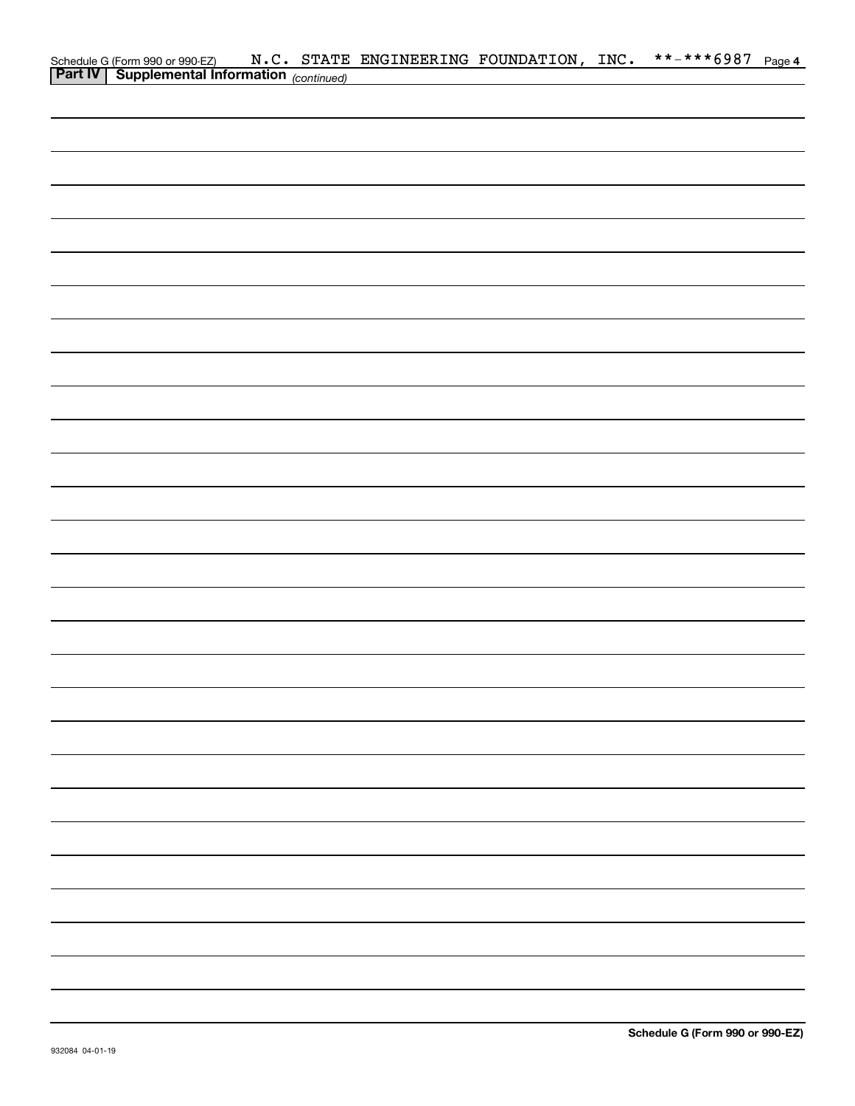|  |  | Schedule G (Form 990 or 990-EZ) $N.C.$ STATE ENGINEERING FOUNDATION, INC.<br><b>Part IV</b> Supplemental Information (continued) |  | **-***6987 Page 4 |  |
|--|--|----------------------------------------------------------------------------------------------------------------------------------|--|-------------------|--|
|  |  |                                                                                                                                  |  |                   |  |
|  |  |                                                                                                                                  |  |                   |  |
|  |  |                                                                                                                                  |  |                   |  |
|  |  |                                                                                                                                  |  |                   |  |
|  |  |                                                                                                                                  |  |                   |  |
|  |  |                                                                                                                                  |  |                   |  |
|  |  |                                                                                                                                  |  |                   |  |
|  |  |                                                                                                                                  |  |                   |  |
|  |  |                                                                                                                                  |  |                   |  |
|  |  |                                                                                                                                  |  |                   |  |
|  |  |                                                                                                                                  |  |                   |  |
|  |  |                                                                                                                                  |  |                   |  |
|  |  |                                                                                                                                  |  |                   |  |
|  |  |                                                                                                                                  |  |                   |  |
|  |  |                                                                                                                                  |  |                   |  |
|  |  |                                                                                                                                  |  |                   |  |
|  |  |                                                                                                                                  |  |                   |  |
|  |  |                                                                                                                                  |  |                   |  |
|  |  |                                                                                                                                  |  |                   |  |
|  |  |                                                                                                                                  |  |                   |  |
|  |  |                                                                                                                                  |  |                   |  |
|  |  |                                                                                                                                  |  |                   |  |
|  |  |                                                                                                                                  |  |                   |  |
|  |  |                                                                                                                                  |  |                   |  |
|  |  |                                                                                                                                  |  |                   |  |
|  |  |                                                                                                                                  |  |                   |  |
|  |  |                                                                                                                                  |  |                   |  |
|  |  |                                                                                                                                  |  |                   |  |
|  |  |                                                                                                                                  |  |                   |  |
|  |  |                                                                                                                                  |  |                   |  |
|  |  |                                                                                                                                  |  |                   |  |
|  |  |                                                                                                                                  |  |                   |  |
|  |  |                                                                                                                                  |  |                   |  |
|  |  |                                                                                                                                  |  |                   |  |
|  |  |                                                                                                                                  |  |                   |  |
|  |  |                                                                                                                                  |  |                   |  |
|  |  |                                                                                                                                  |  |                   |  |
|  |  |                                                                                                                                  |  |                   |  |
|  |  |                                                                                                                                  |  |                   |  |
|  |  |                                                                                                                                  |  |                   |  |
|  |  |                                                                                                                                  |  |                   |  |
|  |  |                                                                                                                                  |  |                   |  |
|  |  |                                                                                                                                  |  |                   |  |
|  |  |                                                                                                                                  |  |                   |  |
|  |  |                                                                                                                                  |  |                   |  |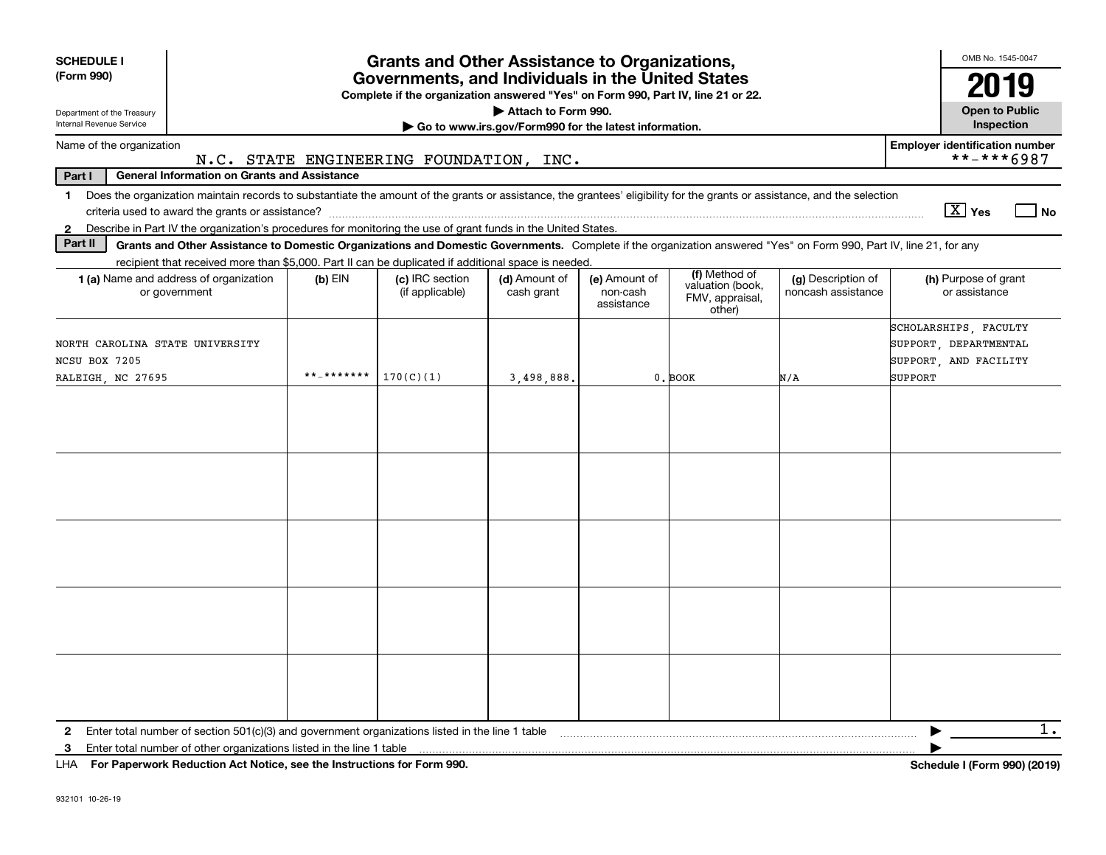| <b>SCHEDULE I</b>                                                                                                                                                                       |                                         | <b>Grants and Other Assistance to Organizations,</b>                                                                                  |                                                       |                                         |                                                                |                                          | OMB No. 1545-0047                                                                  |
|-----------------------------------------------------------------------------------------------------------------------------------------------------------------------------------------|-----------------------------------------|---------------------------------------------------------------------------------------------------------------------------------------|-------------------------------------------------------|-----------------------------------------|----------------------------------------------------------------|------------------------------------------|------------------------------------------------------------------------------------|
| (Form 990)                                                                                                                                                                              |                                         | Governments, and Individuals in the United States<br>Complete if the organization answered "Yes" on Form 990, Part IV, line 21 or 22. |                                                       |                                         |                                                                |                                          | 2019                                                                               |
| Department of the Treasury                                                                                                                                                              |                                         |                                                                                                                                       | Attach to Form 990.                                   |                                         |                                                                |                                          | <b>Open to Public</b>                                                              |
| Internal Revenue Service                                                                                                                                                                |                                         |                                                                                                                                       | Go to www.irs.gov/Form990 for the latest information. |                                         |                                                                |                                          | <b>Inspection</b>                                                                  |
| Name of the organization                                                                                                                                                                | N.C. STATE ENGINEERING FOUNDATION, INC. |                                                                                                                                       |                                                       |                                         |                                                                |                                          | <b>Employer identification number</b><br>**-***6987                                |
| Part I<br><b>General Information on Grants and Assistance</b>                                                                                                                           |                                         |                                                                                                                                       |                                                       |                                         |                                                                |                                          |                                                                                    |
| Does the organization maintain records to substantiate the amount of the grants or assistance, the grantees' eligibility for the grants or assistance, and the selection<br>$\mathbf 1$ |                                         |                                                                                                                                       |                                                       |                                         |                                                                |                                          | $\boxed{\text{X}}$ Yes<br>$ $ No                                                   |
| Describe in Part IV the organization's procedures for monitoring the use of grant funds in the United States.<br>$\mathbf{2}$                                                           |                                         |                                                                                                                                       |                                                       |                                         |                                                                |                                          |                                                                                    |
| Part II<br>Grants and Other Assistance to Domestic Organizations and Domestic Governments. Complete if the organization answered "Yes" on Form 990, Part IV, line 21, for any           |                                         |                                                                                                                                       |                                                       |                                         |                                                                |                                          |                                                                                    |
| recipient that received more than \$5,000. Part II can be duplicated if additional space is needed.<br><b>1 (a)</b> Name and address of organization<br>or government                   | $(b)$ EIN                               | (c) IRC section<br>(if applicable)                                                                                                    | (d) Amount of<br>cash grant                           | (e) Amount of<br>non-cash<br>assistance | (f) Method of<br>valuation (book,<br>FMV, appraisal,<br>other) | (g) Description of<br>noncash assistance | (h) Purpose of grant<br>or assistance                                              |
| NORTH CAROLINA STATE UNIVERSITY<br>NCSU BOX 7205<br>RALEIGH, NC 27695                                                                                                                   | **_*******                              | 170(C)(1)                                                                                                                             | 3,498,888,                                            |                                         | 0. BOOK                                                        | N/A                                      | SCHOLARSHIPS, FACULTY<br>SUPPORT, DEPARTMENTAL<br>SUPPORT, AND FACILITY<br>SUPPORT |
|                                                                                                                                                                                         |                                         |                                                                                                                                       |                                                       |                                         |                                                                |                                          |                                                                                    |
| $\mathbf{2}$<br>Enter total number of other organizations listed in the line 1 table<br>3<br>LHA For Paperwork Reduction Act Notice, see the Instructions for Form 990.                 |                                         |                                                                                                                                       |                                                       |                                         |                                                                |                                          | 1.<br>Schedule I (Form 990) (2019)                                                 |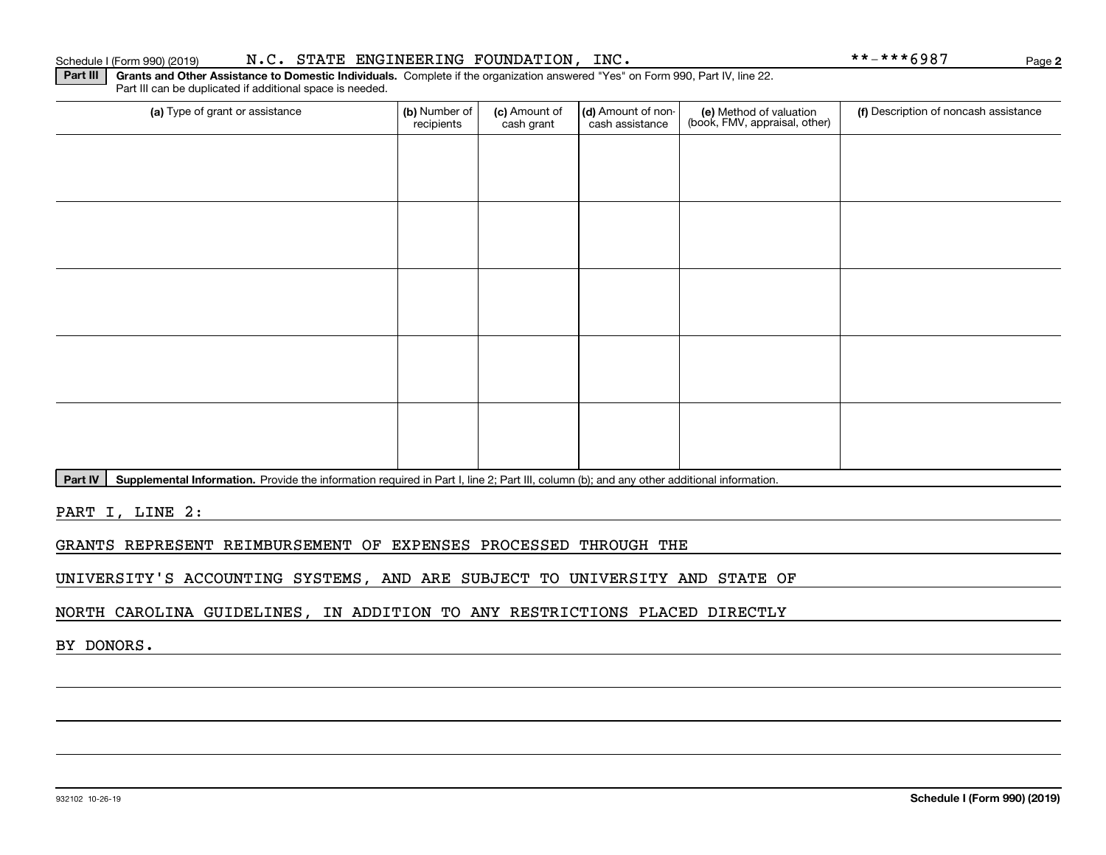#### Schedule I (Form 990) (2019) N.C. STATE ENGINEERING FOUNDATION, INC. \* \* – \* \* \* 6 9 8 7 Page

**Part III | Grants and Other Assistance to Domestic Individuals. Complete if the organization answered "Yes" on Form 990, Part IV, line 22.** Part III can be duplicated if additional space is needed.

| (a) Type of grant or assistance | (b) Number of<br>recipients | (c) Amount of<br>cash grant | (d) Amount of non-<br>cash assistance | (e) Method of valuation<br>(book, FMV, appraisal, other) | (f) Description of noncash assistance |
|---------------------------------|-----------------------------|-----------------------------|---------------------------------------|----------------------------------------------------------|---------------------------------------|
|                                 |                             |                             |                                       |                                                          |                                       |
|                                 |                             |                             |                                       |                                                          |                                       |
|                                 |                             |                             |                                       |                                                          |                                       |
|                                 |                             |                             |                                       |                                                          |                                       |
|                                 |                             |                             |                                       |                                                          |                                       |
|                                 |                             |                             |                                       |                                                          |                                       |
|                                 |                             |                             |                                       |                                                          |                                       |
|                                 |                             |                             |                                       |                                                          |                                       |
|                                 |                             |                             |                                       |                                                          |                                       |
|                                 |                             |                             |                                       |                                                          |                                       |

Part IV | Supplemental Information. Provide the information required in Part I, line 2; Part III, column (b); and any other additional information.

PART I, LINE 2:

GRANTS REPRESENT REIMBURSEMENT OF EXPENSES PROCESSED THROUGH THE

UNIVERSITY'S ACCOUNTING SYSTEMS, AND ARE SUBJECT TO UNIVERSITY AND STATE OF

NORTH CAROLINA GUIDELINES, IN ADDITION TO ANY RESTRICTIONS PLACED DIRECTLY

BY DONORS.

**2**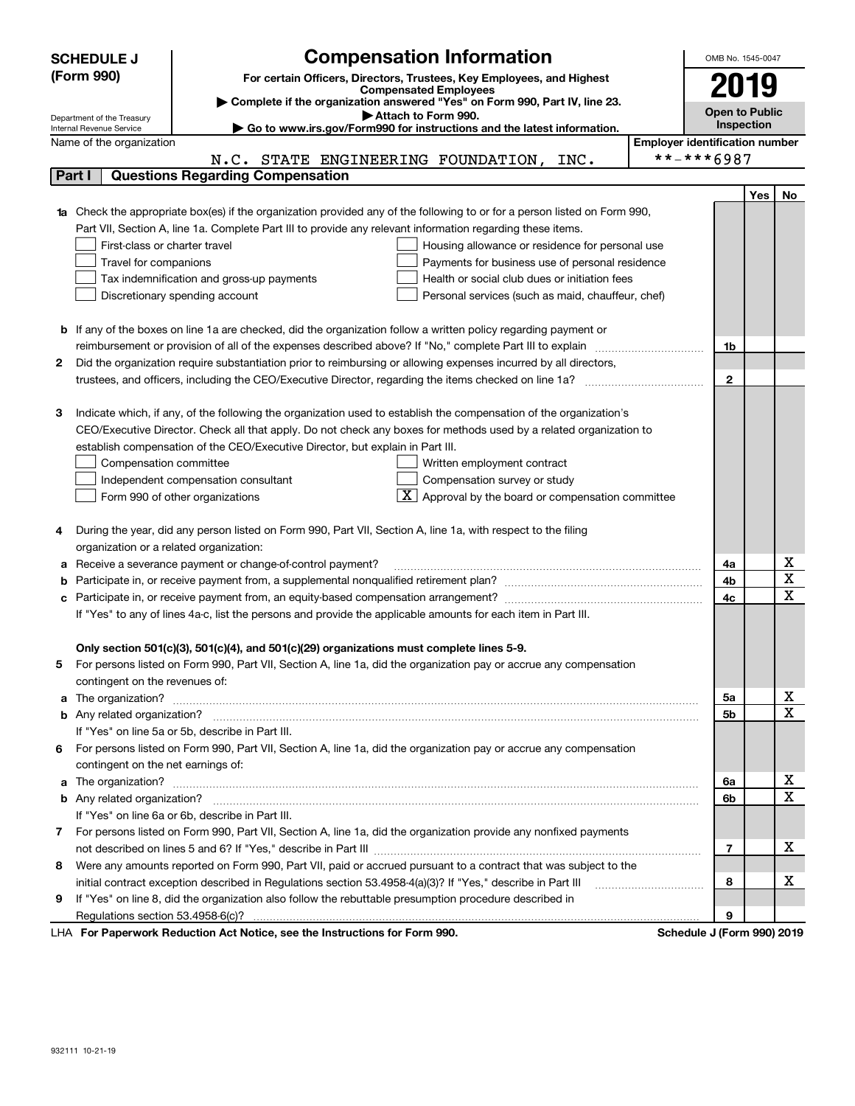|   | <b>Compensation Information</b><br><b>SCHEDULE J</b>                                                                             |                                       |              | OMB No. 1545-0047     |             |
|---|----------------------------------------------------------------------------------------------------------------------------------|---------------------------------------|--------------|-----------------------|-------------|
|   | (Form 990)<br>For certain Officers, Directors, Trustees, Key Employees, and Highest                                              |                                       | 2019         |                       |             |
|   | <b>Compensated Employees</b>                                                                                                     |                                       |              |                       |             |
|   | Complete if the organization answered "Yes" on Form 990, Part IV, line 23.<br>Attach to Form 990.                                |                                       |              | <b>Open to Public</b> |             |
|   | Department of the Treasury<br>Go to www.irs.gov/Form990 for instructions and the latest information.<br>Internal Revenue Service |                                       | Inspection   |                       |             |
|   | Name of the organization                                                                                                         | <b>Employer identification number</b> |              |                       |             |
|   | N.C. STATE ENGINEERING FOUNDATION, INC.                                                                                          | **-***6987                            |              |                       |             |
|   | <b>Questions Regarding Compensation</b><br>Part I                                                                                |                                       |              |                       |             |
|   |                                                                                                                                  |                                       |              | Yes                   | No          |
|   | Check the appropriate box(es) if the organization provided any of the following to or for a person listed on Form 990,           |                                       |              |                       |             |
|   | Part VII, Section A, line 1a. Complete Part III to provide any relevant information regarding these items.                       |                                       |              |                       |             |
|   | First-class or charter travel<br>Housing allowance or residence for personal use                                                 |                                       |              |                       |             |
|   | Travel for companions<br>Payments for business use of personal residence                                                         |                                       |              |                       |             |
|   | Health or social club dues or initiation fees<br>Tax indemnification and gross-up payments                                       |                                       |              |                       |             |
|   | Discretionary spending account<br>Personal services (such as maid, chauffeur, chef)                                              |                                       |              |                       |             |
|   |                                                                                                                                  |                                       |              |                       |             |
| b | If any of the boxes on line 1a are checked, did the organization follow a written policy regarding payment or                    |                                       |              |                       |             |
|   | reimbursement or provision of all of the expenses described above? If "No," complete Part III to explain                         |                                       | 1b           |                       |             |
| 2 | Did the organization require substantiation prior to reimbursing or allowing expenses incurred by all directors,                 |                                       |              |                       |             |
|   |                                                                                                                                  |                                       | $\mathbf{2}$ |                       |             |
|   |                                                                                                                                  |                                       |              |                       |             |
| з | Indicate which, if any, of the following the organization used to establish the compensation of the organization's               |                                       |              |                       |             |
|   | CEO/Executive Director. Check all that apply. Do not check any boxes for methods used by a related organization to               |                                       |              |                       |             |
|   | establish compensation of the CEO/Executive Director, but explain in Part III.                                                   |                                       |              |                       |             |
|   | Compensation committee<br>Written employment contract                                                                            |                                       |              |                       |             |
|   | Compensation survey or study<br>Independent compensation consultant                                                              |                                       |              |                       |             |
|   | $\boxed{\textbf{X}}$ Approval by the board or compensation committee<br>Form 990 of other organizations                          |                                       |              |                       |             |
|   |                                                                                                                                  |                                       |              |                       |             |
| 4 | During the year, did any person listed on Form 990, Part VII, Section A, line 1a, with respect to the filing                     |                                       |              |                       |             |
|   | organization or a related organization:                                                                                          |                                       |              |                       |             |
| а | Receive a severance payment or change-of-control payment?                                                                        |                                       | 4a           |                       | х           |
|   |                                                                                                                                  |                                       | 4b           |                       | $\mathbf X$ |
| с |                                                                                                                                  |                                       | 4c           |                       | X           |
|   | If "Yes" to any of lines 4a-c, list the persons and provide the applicable amounts for each item in Part III.                    |                                       |              |                       |             |
|   |                                                                                                                                  |                                       |              |                       |             |
|   | Only section 501(c)(3), 501(c)(4), and 501(c)(29) organizations must complete lines 5-9.                                         |                                       |              |                       |             |
|   | For persons listed on Form 990, Part VII, Section A, line 1a, did the organization pay or accrue any compensation                |                                       |              |                       |             |
|   | contingent on the revenues of:                                                                                                   |                                       |              |                       |             |
| a |                                                                                                                                  |                                       | 5а           |                       | х<br>X      |
|   |                                                                                                                                  |                                       | 5b           |                       |             |
|   | If "Yes" on line 5a or 5b, describe in Part III.                                                                                 |                                       |              |                       |             |
|   | 6 For persons listed on Form 990, Part VII, Section A, line 1a, did the organization pay or accrue any compensation              |                                       |              |                       |             |
|   | contingent on the net earnings of:                                                                                               |                                       |              |                       | х           |
| a | The organization? <b>With the organization? Constitution of the organization</b> of the organization?                            |                                       | 6a           |                       | X           |
|   |                                                                                                                                  |                                       | 6b           |                       |             |
|   | If "Yes" on line 6a or 6b, describe in Part III.                                                                                 |                                       |              |                       |             |
|   | 7 For persons listed on Form 990, Part VII, Section A, line 1a, did the organization provide any nonfixed payments               |                                       |              |                       | x           |
|   | Were any amounts reported on Form 990, Part VII, paid or accrued pursuant to a contract that was subject to the                  |                                       | 7            |                       |             |
| 8 |                                                                                                                                  |                                       | 8            |                       | x           |
|   | initial contract exception described in Regulations section 53.4958-4(a)(3)? If "Yes," describe in Part III                      |                                       |              |                       |             |
| 9 | If "Yes" on line 8, did the organization also follow the rebuttable presumption procedure described in                           |                                       |              |                       |             |
|   | $\cdot$ $\cdot$ $\cdot$ $\cdot$ $\cdot$ $\cdot$ $\cdot$ $\cdot$                                                                  |                                       | 9            |                       |             |

LHA For Paperwork Reduction Act Notice, see the Instructions for Form 990. Schedule J (Form 990) 2019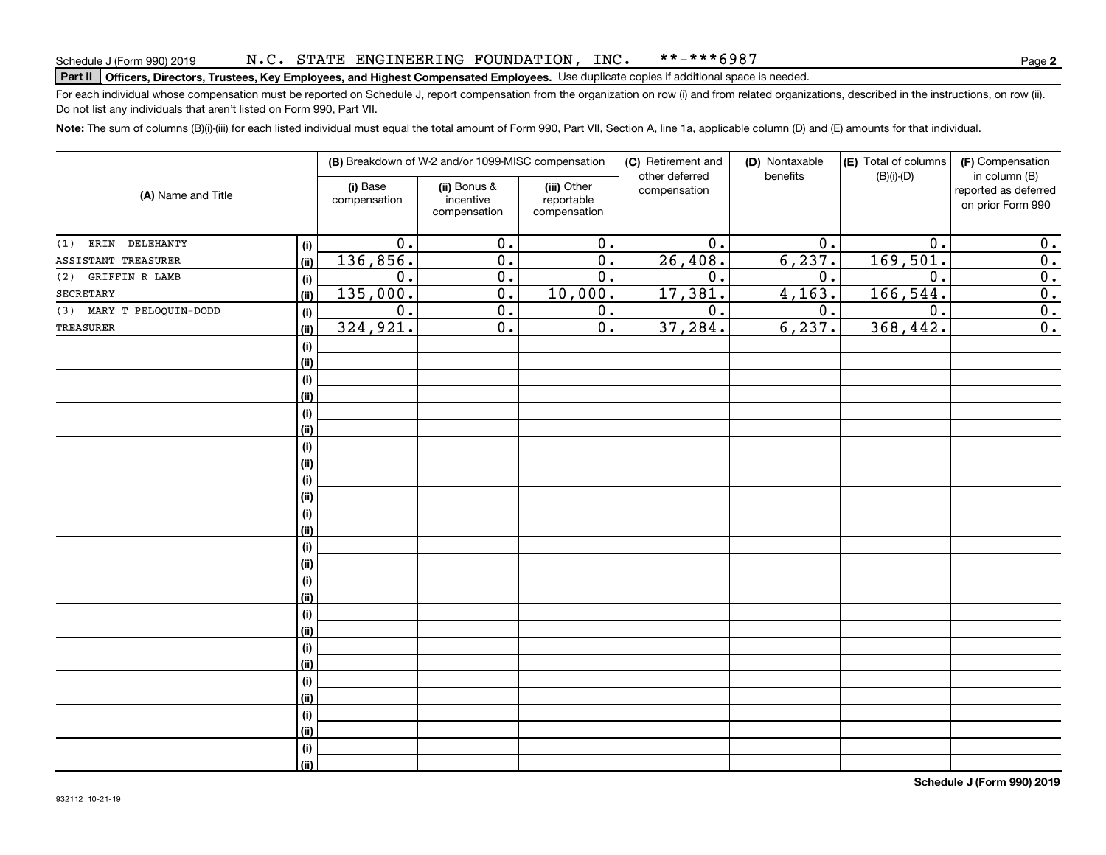#### N.C. STATE ENGINEERING FOUNDATION, INC. \*\*-\*\*\*6987

# **Part II Officers, Directors, Trustees, Key Employees, and Highest Compensated Employees.**  Schedule J (Form 990) 2019 Page Use duplicate copies if additional space is needed.

For each individual whose compensation must be reported on Schedule J, report compensation from the organization on row (i) and from related organizations, described in the instructions, on row (ii). Do not list any individuals that aren't listed on Form 990, Part VII.

**Note:**  The sum of columns (B)(i)-(iii) for each listed individual must equal the total amount of Form 990, Part VII, Section A, line 1a, applicable column (D) and (E) amounts for that individual.

|                          |      |                          | (B) Breakdown of W-2 and/or 1099-MISC compensation |                                           | (C) Retirement and             | (D) Nontaxable | (E) Total of columns | (F) Compensation                                           |
|--------------------------|------|--------------------------|----------------------------------------------------|-------------------------------------------|--------------------------------|----------------|----------------------|------------------------------------------------------------|
| (A) Name and Title       |      | (i) Base<br>compensation | (ii) Bonus &<br>incentive<br>compensation          | (iii) Other<br>reportable<br>compensation | other deferred<br>compensation | benefits       | $(B)(i)-(D)$         | in column (B)<br>reported as deferred<br>on prior Form 990 |
| DELEHANTY<br>ERIN<br>(1) | (i)  | $\overline{0}$ .         | $\overline{0}$ .                                   | $\overline{0}$ .                          | $\overline{0}$ .               | 0.             | $\overline{0}$ .     | 0.                                                         |
| ASSISTANT TREASURER      | (ii) | 136,856.                 | $\overline{0}$ .                                   | $\overline{0}$ .                          | 26,408.                        | 6, 237.        | 169,501.             | 0.                                                         |
| GRIFFIN R LAMB<br>(2)    | (i)  | 0.                       | $\overline{0}$ .                                   | $\overline{0}$ .                          | $\overline{0}$ .               | 0.             | 0.                   | $\overline{0}$ .                                           |
| <b>SECRETARY</b>         | (ii) | 135,000.                 | $\overline{0}$ .                                   | 10,000.                                   | 17,381.                        | 4, 163.        | 166,544.             | $\overline{0}$ .                                           |
| (3) MARY T PELOQUIN-DODD | (i)  | 0.                       | $\overline{0}$ .                                   | 0.                                        | $\overline{0}$ .               | 0.             | 0.                   | $\overline{0}$ .                                           |
| TREASURER                | (ii) | 324,921.                 | $\overline{0}$ .                                   | $\overline{0}$ .                          | 37,284.                        | 6, 237.        | 368,442.             | $\overline{0}$ .                                           |
|                          | (i)  |                          |                                                    |                                           |                                |                |                      |                                                            |
|                          | (ii) |                          |                                                    |                                           |                                |                |                      |                                                            |
|                          | (i)  |                          |                                                    |                                           |                                |                |                      |                                                            |
|                          | (ii) |                          |                                                    |                                           |                                |                |                      |                                                            |
|                          | (i)  |                          |                                                    |                                           |                                |                |                      |                                                            |
|                          | (ii) |                          |                                                    |                                           |                                |                |                      |                                                            |
|                          | (i)  |                          |                                                    |                                           |                                |                |                      |                                                            |
|                          | (ii) |                          |                                                    |                                           |                                |                |                      |                                                            |
|                          | (i)  |                          |                                                    |                                           |                                |                |                      |                                                            |
|                          | (ii) |                          |                                                    |                                           |                                |                |                      |                                                            |
|                          | (i)  |                          |                                                    |                                           |                                |                |                      |                                                            |
|                          | (ii) |                          |                                                    |                                           |                                |                |                      |                                                            |
|                          | (i)  |                          |                                                    |                                           |                                |                |                      |                                                            |
|                          | (ii) |                          |                                                    |                                           |                                |                |                      |                                                            |
|                          | (i)  |                          |                                                    |                                           |                                |                |                      |                                                            |
|                          | (ii) |                          |                                                    |                                           |                                |                |                      |                                                            |
|                          | (i)  |                          |                                                    |                                           |                                |                |                      |                                                            |
|                          | (ii) |                          |                                                    |                                           |                                |                |                      |                                                            |
|                          | (i)  |                          |                                                    |                                           |                                |                |                      |                                                            |
|                          | (ii) |                          |                                                    |                                           |                                |                |                      |                                                            |
|                          | (i)  |                          |                                                    |                                           |                                |                |                      |                                                            |
|                          | (ii) |                          |                                                    |                                           |                                |                |                      |                                                            |
|                          | (i)  |                          |                                                    |                                           |                                |                |                      |                                                            |
|                          | (ii) |                          |                                                    |                                           |                                |                |                      |                                                            |
|                          | (i)  |                          |                                                    |                                           |                                |                |                      |                                                            |
|                          | (ii) |                          |                                                    |                                           |                                |                |                      |                                                            |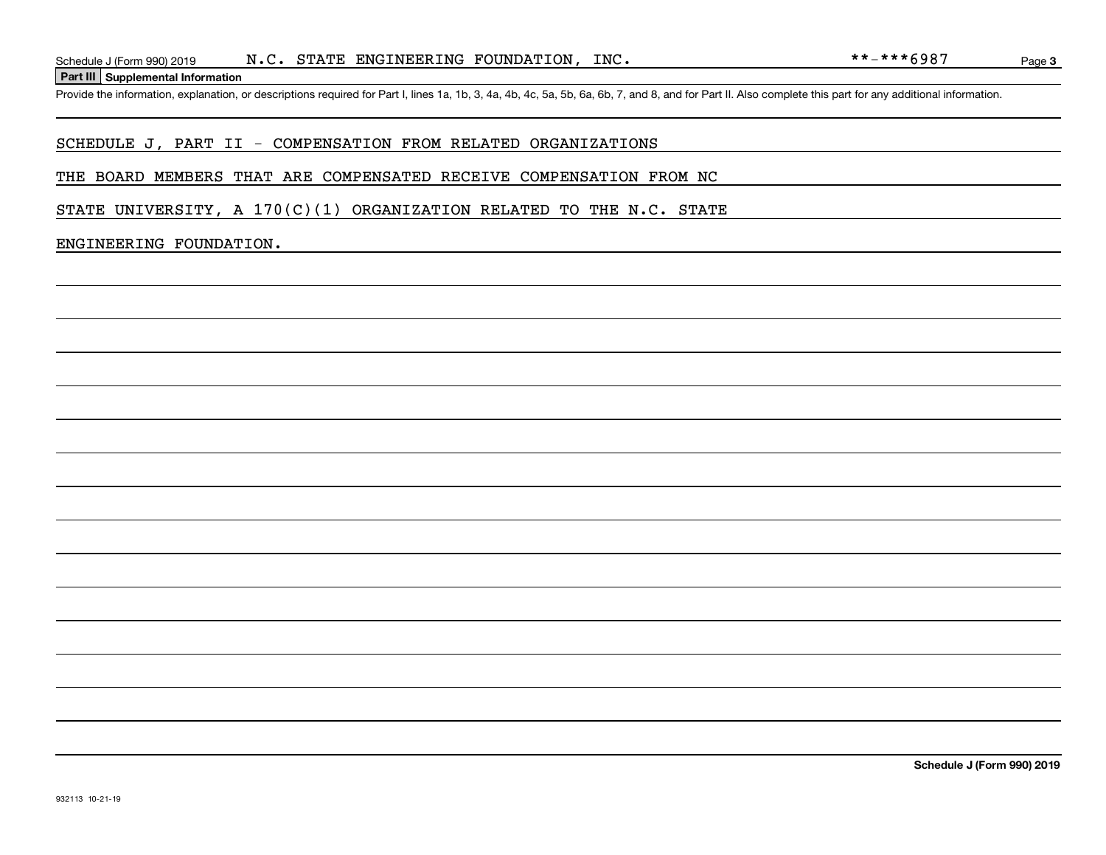**Part III Supplemental Information**

### SCHEDULE J, PART II - COMPENSATION FROM RELATED ORGANIZATIONS

#### THE BOARD MEMBERS THAT ARE COMPENSATED RECEIVE COMPENSATION FROM NC

STATE UNIVERSITY, A  $170(C)(1)$  ORGANIZATION RELATED TO THE N.C. STATE

#### ENGINEERING FOUNDATION.

Page 3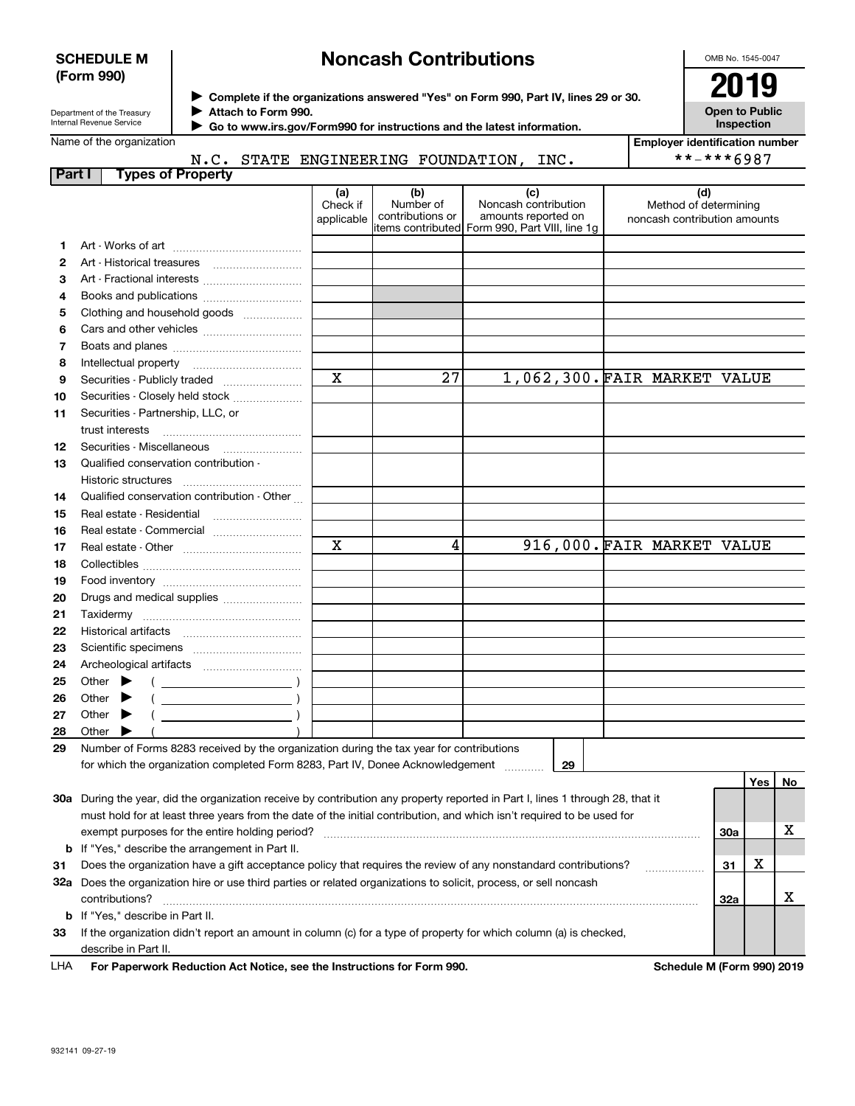### **SCHEDULE M (Form 990)**

# **Noncash Contributions**

OMB No. 1545-0047

| Department of the Treasury      |  |
|---------------------------------|--|
| <b>Internal Revenue Service</b> |  |

**Complete if the organizations answered "Yes" on Form 990, Part IV, lines 29 or 30.** <sup>J</sup>**2019 Attach to Form 990.** J

**Open to Public Inspection**

|  | Name of the organization |
|--|--------------------------|
|--|--------------------------|

 **Go to www.irs.gov/Form990 for instructions and the latest information.** J N.C. STATE ENGINEERING FOUNDATION, INC.

| <b>Employer identification number</b> |
|---------------------------------------|
| **-***6987                            |

| <b>Part I</b> | <b>Types of Property</b>                                                                                                       |                               |                                      |                                                    |                                                              |     |         |    |
|---------------|--------------------------------------------------------------------------------------------------------------------------------|-------------------------------|--------------------------------------|----------------------------------------------------|--------------------------------------------------------------|-----|---------|----|
|               |                                                                                                                                | (a)<br>Check if<br>applicable | (b)<br>Number of<br>contributions or | (c)<br>Noncash contribution<br>amounts reported on | (d)<br>Method of determining<br>noncash contribution amounts |     |         |    |
|               |                                                                                                                                |                               |                                      | litems contributed Form 990, Part VIII, line 1g    |                                                              |     |         |    |
| 1             |                                                                                                                                |                               |                                      |                                                    |                                                              |     |         |    |
| 2             |                                                                                                                                |                               |                                      |                                                    |                                                              |     |         |    |
| 3             | Art - Fractional interests                                                                                                     |                               |                                      |                                                    |                                                              |     |         |    |
| 4             | Books and publications                                                                                                         |                               |                                      |                                                    |                                                              |     |         |    |
| 5             | Clothing and household goods                                                                                                   |                               |                                      |                                                    |                                                              |     |         |    |
| 6             |                                                                                                                                |                               |                                      |                                                    |                                                              |     |         |    |
| 7             |                                                                                                                                |                               |                                      |                                                    |                                                              |     |         |    |
| 8             |                                                                                                                                | $\mathbf x$                   | 27                                   |                                                    | 1,062,300.FAIR MARKET VALUE                                  |     |         |    |
| 9             | Securities - Publicly traded                                                                                                   |                               |                                      |                                                    |                                                              |     |         |    |
| 10            | Securities - Closely held stock                                                                                                |                               |                                      |                                                    |                                                              |     |         |    |
| 11            | Securities - Partnership, LLC, or<br>trust interests                                                                           |                               |                                      |                                                    |                                                              |     |         |    |
| 12            |                                                                                                                                |                               |                                      |                                                    |                                                              |     |         |    |
| 13            | Qualified conservation contribution -                                                                                          |                               |                                      |                                                    |                                                              |     |         |    |
|               | Historic structures                                                                                                            |                               |                                      |                                                    |                                                              |     |         |    |
| 14            | Qualified conservation contribution - Other                                                                                    |                               |                                      |                                                    |                                                              |     |         |    |
| 15            |                                                                                                                                |                               |                                      |                                                    |                                                              |     |         |    |
| 16            | Real estate - Commercial                                                                                                       |                               |                                      |                                                    |                                                              |     |         |    |
| 17            |                                                                                                                                | $\mathbf X$                   | 4                                    |                                                    | 916,000. FAIR MARKET VALUE                                   |     |         |    |
| 18            |                                                                                                                                |                               |                                      |                                                    |                                                              |     |         |    |
| 19            |                                                                                                                                |                               |                                      |                                                    |                                                              |     |         |    |
| 20            | Drugs and medical supplies                                                                                                     |                               |                                      |                                                    |                                                              |     |         |    |
| 21            |                                                                                                                                |                               |                                      |                                                    |                                                              |     |         |    |
| 22            |                                                                                                                                |                               |                                      |                                                    |                                                              |     |         |    |
| 23            |                                                                                                                                |                               |                                      |                                                    |                                                              |     |         |    |
| 24            |                                                                                                                                |                               |                                      |                                                    |                                                              |     |         |    |
| 25            | Other $\blacktriangleright$<br>$\overline{\phantom{a}}$                                                                        |                               |                                      |                                                    |                                                              |     |         |    |
| 26            | $\overline{\phantom{a}}$ )<br>Other $\blacktriangleright$                                                                      |                               |                                      |                                                    |                                                              |     |         |    |
| 27            | Other $\blacktriangleright$                                                                                                    |                               |                                      |                                                    |                                                              |     |         |    |
| 28            | Other $\blacktriangleright$                                                                                                    |                               |                                      |                                                    |                                                              |     |         |    |
| 29            | Number of Forms 8283 received by the organization during the tax year for contributions                                        |                               |                                      |                                                    |                                                              |     |         |    |
|               | for which the organization completed Form 8283, Part IV, Donee Acknowledgement                                                 |                               |                                      | 29                                                 |                                                              |     |         |    |
|               |                                                                                                                                |                               |                                      |                                                    |                                                              |     | Yes $ $ | No |
|               | 30a During the year, did the organization receive by contribution any property reported in Part I, lines 1 through 28, that it |                               |                                      |                                                    |                                                              |     |         |    |
|               | must hold for at least three years from the date of the initial contribution, and which isn't required to be used for          |                               |                                      |                                                    |                                                              |     |         |    |
|               | exempt purposes for the entire holding period?                                                                                 |                               |                                      |                                                    |                                                              | 30a |         | х  |
|               | <b>b</b> If "Yes," describe the arrangement in Part II.                                                                        |                               |                                      |                                                    |                                                              |     |         |    |
| 31            | Does the organization have a gift acceptance policy that requires the review of any nonstandard contributions?                 |                               |                                      |                                                    |                                                              | 31  | x       |    |
|               | 32a Does the organization hire or use third parties or related organizations to solicit, process, or sell noncash              |                               |                                      |                                                    |                                                              |     |         |    |
|               | contributions?                                                                                                                 |                               |                                      |                                                    |                                                              | 32a |         | х  |
|               | <b>b</b> If "Yes," describe in Part II.                                                                                        |                               |                                      |                                                    |                                                              |     |         |    |
| 33            | If the organization didn't report an amount in column (c) for a type of property for which column (a) is checked,              |                               |                                      |                                                    |                                                              |     |         |    |

describe in Part II.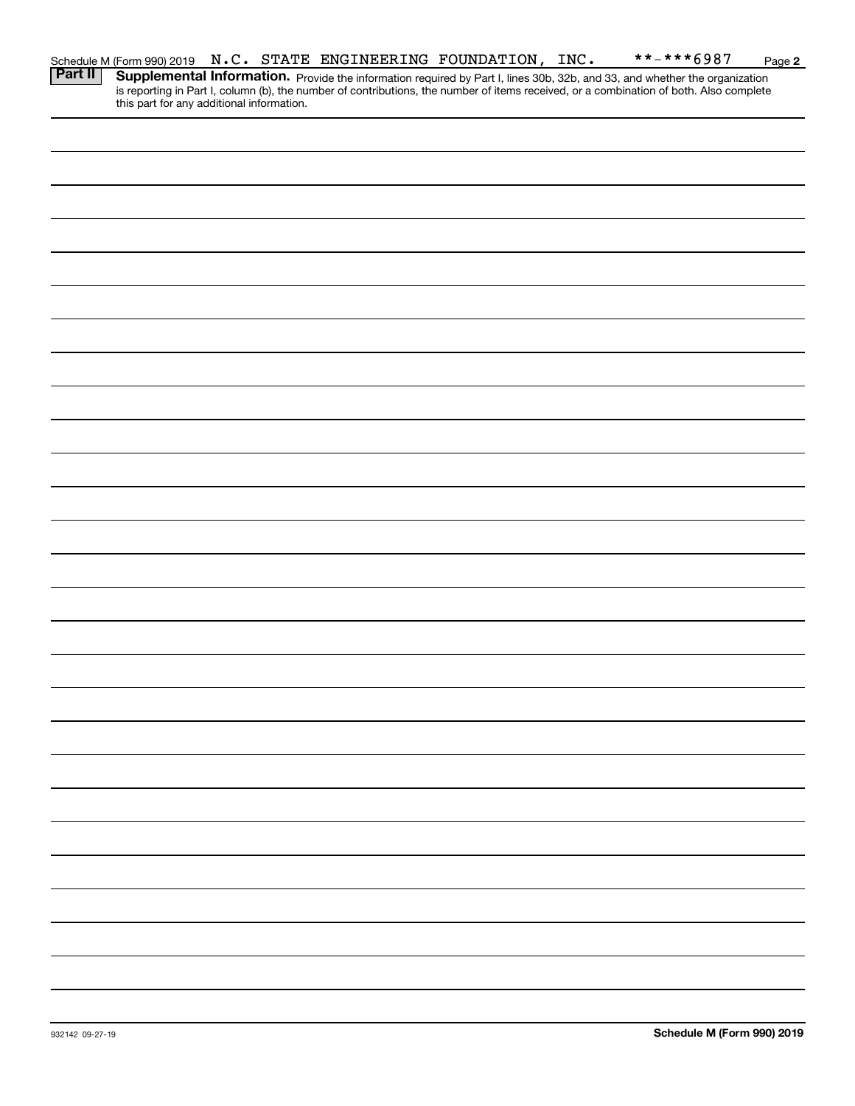|                | Schedule M (Form 990) 2019 N.C. STATE ENGINEERING FOUNDATION, INC. |  |  |  | **-***6987                                                                                                                                                                                                                          | Page 2 |
|----------------|--------------------------------------------------------------------|--|--|--|-------------------------------------------------------------------------------------------------------------------------------------------------------------------------------------------------------------------------------------|--------|
| <b>Part II</b> | this part for any additional information.                          |  |  |  | <b>Supplemental Information.</b> Provide the information required by Part I, lines 30b, 32b, and 33, and whether the organization is reporting in Part I, column (b), the number of contributions, the number of items received, or |        |
|                |                                                                    |  |  |  |                                                                                                                                                                                                                                     |        |
|                |                                                                    |  |  |  |                                                                                                                                                                                                                                     |        |
|                |                                                                    |  |  |  |                                                                                                                                                                                                                                     |        |
|                |                                                                    |  |  |  |                                                                                                                                                                                                                                     |        |
|                |                                                                    |  |  |  |                                                                                                                                                                                                                                     |        |
|                |                                                                    |  |  |  |                                                                                                                                                                                                                                     |        |
|                |                                                                    |  |  |  |                                                                                                                                                                                                                                     |        |
|                |                                                                    |  |  |  |                                                                                                                                                                                                                                     |        |
|                |                                                                    |  |  |  |                                                                                                                                                                                                                                     |        |
|                |                                                                    |  |  |  |                                                                                                                                                                                                                                     |        |
|                |                                                                    |  |  |  |                                                                                                                                                                                                                                     |        |
|                |                                                                    |  |  |  |                                                                                                                                                                                                                                     |        |
|                |                                                                    |  |  |  |                                                                                                                                                                                                                                     |        |
|                |                                                                    |  |  |  |                                                                                                                                                                                                                                     |        |
|                |                                                                    |  |  |  |                                                                                                                                                                                                                                     |        |
|                |                                                                    |  |  |  |                                                                                                                                                                                                                                     |        |
|                |                                                                    |  |  |  |                                                                                                                                                                                                                                     |        |
|                |                                                                    |  |  |  |                                                                                                                                                                                                                                     |        |
|                |                                                                    |  |  |  |                                                                                                                                                                                                                                     |        |
|                |                                                                    |  |  |  |                                                                                                                                                                                                                                     |        |
|                |                                                                    |  |  |  |                                                                                                                                                                                                                                     |        |
|                |                                                                    |  |  |  |                                                                                                                                                                                                                                     |        |
|                |                                                                    |  |  |  |                                                                                                                                                                                                                                     |        |
|                |                                                                    |  |  |  |                                                                                                                                                                                                                                     |        |
|                |                                                                    |  |  |  |                                                                                                                                                                                                                                     |        |
|                |                                                                    |  |  |  |                                                                                                                                                                                                                                     |        |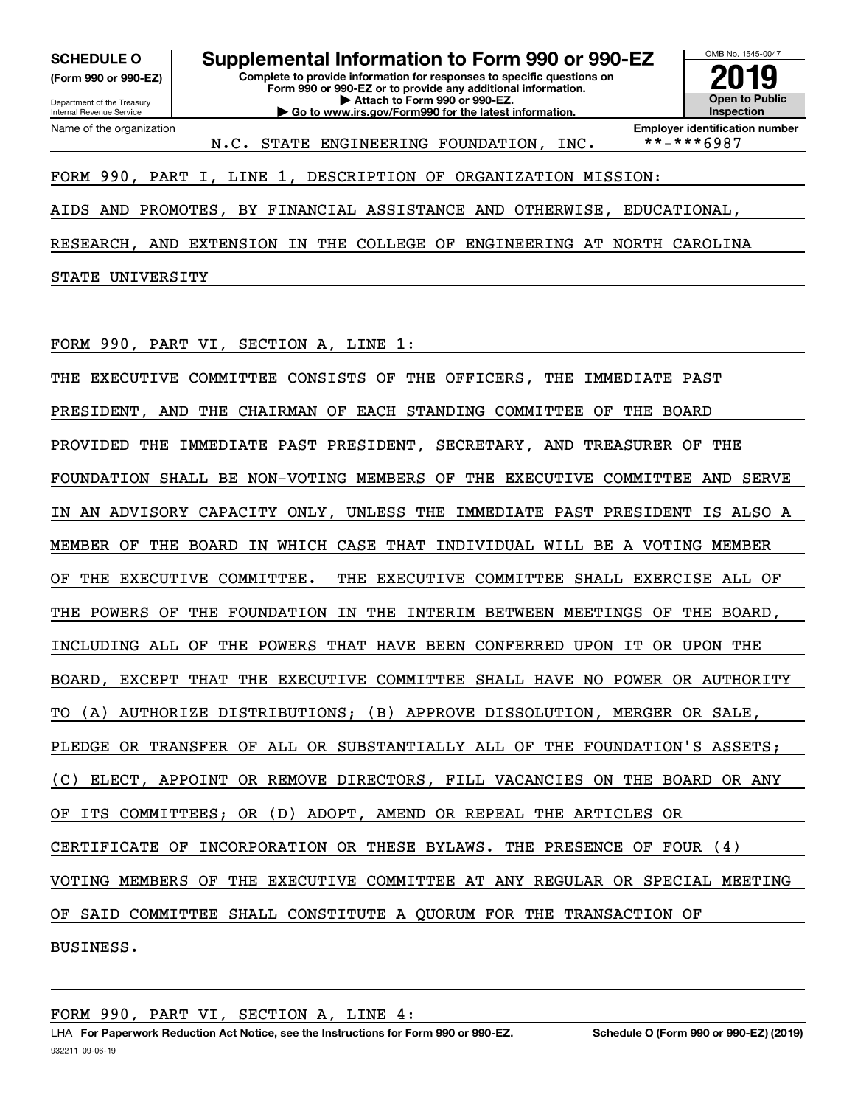**(Form 990 or 990-EZ)**

Department of the Treasury Internal Revenue Service Name of the organization

**Complete to provide information for responses to specific questions on Form 990 or 990-EZ or to provide any additional information. | Attach to Form 990 or 990-EZ. | Go to www.irs.gov/Form990 for the latest information. SCHEDULE O Supplemental Information to Form 990 or 990-EZ**



**Employer identification number**<br>\*\*-\*\*\*6987

### FORM 990, PART I, LINE 1, DESCRIPTION OF ORGANIZATION MISSION:

AIDS AND PROMOTES, BY FINANCIAL ASSISTANCE AND OTHERWISE, EDUCATIONAL,

N.C. STATE ENGINEERING FOUNDATION, INC.

RESEARCH, AND EXTENSION IN THE COLLEGE OF ENGINEERING AT NORTH CAROLINA

STATE UNIVERSITY

FORM 990, PART VI, SECTION A, LINE 1:

THE EXECUTIVE COMMITTEE CONSISTS OF THE OFFICERS, THE IMMEDIATE PAST PRESIDENT, AND THE CHAIRMAN OF EACH STANDING COMMITTEE OF THE BOARD PROVIDED THE IMMEDIATE PAST PRESIDENT, SECRETARY, AND TREASURER OF THE FOUNDATION SHALL BE NON-VOTING MEMBERS OF THE EXECUTIVE COMMITTEE AND SERVE IN AN ADVISORY CAPACITY ONLY, UNLESS THE IMMEDIATE PAST PRESIDENT IS ALSO A MEMBER OF THE BOARD IN WHICH CASE THAT INDIVIDUAL WILL BE A VOTING MEMBER OF THE EXECUTIVE COMMITTEE. THE EXECUTIVE COMMITTEE SHALL EXERCISE ALL OF THE POWERS OF THE FOUNDATION IN THE INTERIM BETWEEN MEETINGS OF THE BOARD, INCLUDING ALL OF THE POWERS THAT HAVE BEEN CONFERRED UPON IT OR UPON THE BOARD, EXCEPT THAT THE EXECUTIVE COMMITTEE SHALL HAVE NO POWER OR AUTHORITY TO (A) AUTHORIZE DISTRIBUTIONS; (B) APPROVE DISSOLUTION, MERGER OR SALE, PLEDGE OR TRANSFER OF ALL OR SUBSTANTIALLY ALL OF THE FOUNDATION'S ASSETS; (C) ELECT, APPOINT OR REMOVE DIRECTORS, FILL VACANCIES ON THE BOARD OR ANY OF ITS COMMITTEES; OR (D) ADOPT, AMEND OR REPEAL THE ARTICLES OR CERTIFICATE OF INCORPORATION OR THESE BYLAWS. THE PRESENCE OF FOUR (4) VOTING MEMBERS OF THE EXECUTIVE COMMITTEE AT ANY REGULAR OR SPECIAL MEETING OF SAID COMMITTEE SHALL CONSTITUTE A QUORUM FOR THE TRANSACTION OF BUSINESS.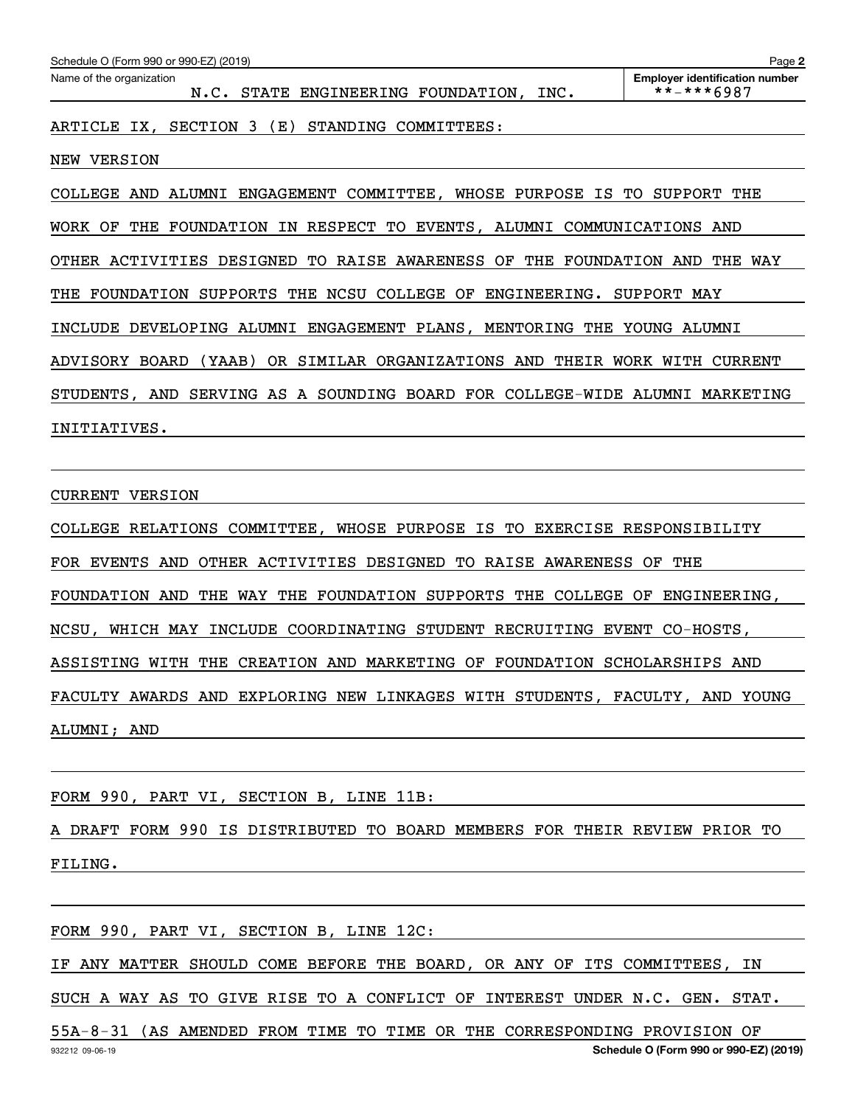| Schedule O (Form 990 or 990-EZ) (2019)                                                 | Page 2                                              |
|----------------------------------------------------------------------------------------|-----------------------------------------------------|
| Name of the organization<br>STATE ENGINEERING FOUNDATION,<br>N.C.<br>INC.              | <b>Employer identification number</b><br>**-***6987 |
| SECTION<br>(E)<br>STANDING<br>COMMITTEES:<br>ARTICLE<br>IX,<br>$\overline{\mathbf{3}}$ |                                                     |
| <b>NEW VERSION</b>                                                                     |                                                     |
| WHOSE PURPOSE<br>ALUMNI ENGAGEMENT COMMITTEE,<br>IS<br>COLLEGE<br>AND                  | TO<br>SUPPORT<br>THE                                |
| FOUNDATION IN RESPECT TO EVENTS,<br>THE<br>ALUMNI<br>WORK<br>OF                        | COMMUNICATIONS AND                                  |
| OTHER ACTIVITIES DESIGNED<br>TO RAISE AWARENESS OF<br>THE FOUNDATION AND               | THE<br>WAY                                          |
| SUPPORTS THE NCSU COLLEGE OF ENGINEERING.<br>FOUNDATION<br>THE                         | SUPPORT MAY                                         |
| INCLUDE<br>DEVELOPING ALUMNI ENGAGEMENT PLANS, MENTORING THE                           | YOUNG ALUMNI                                        |
| OR SIMILAR ORGANIZATIONS AND<br>THEIR<br>ADVISORY BOARD<br>(YAAB)                      | WORK WITH<br><b>CURRENT</b>                         |
| SOUNDING BOARD FOR COLLEGE-WIDE<br>STUDENTS,<br>AND<br>SERVING<br>AS A                 | ALUMNI<br>MARKETING                                 |
| INITIATIVES.                                                                           |                                                     |

#### CURRENT VERSION

COLLEGE RELATIONS COMMITTEE, WHOSE PURPOSE IS TO EXERCISE RESPONSIBILITY FOR EVENTS AND OTHER ACTIVITIES DESIGNED TO RAISE AWARENESS OF THE FOUNDATION AND THE WAY THE FOUNDATION SUPPORTS THE COLLEGE OF ENGINEERING, NCSU, WHICH MAY INCLUDE COORDINATING STUDENT RECRUITING EVENT CO-HOSTS, ASSISTING WITH THE CREATION AND MARKETING OF FOUNDATION SCHOLARSHIPS AND FACULTY AWARDS AND EXPLORING NEW LINKAGES WITH STUDENTS, FACULTY, AND YOUNG ALUMNI; AND

FORM 990, PART VI, SECTION B, LINE 11B:

A DRAFT FORM 990 IS DISTRIBUTED TO BOARD MEMBERS FOR THEIR REVIEW PRIOR TO FILING.

FORM 990, PART VI, SECTION B, LINE 12C:

IF ANY MATTER SHOULD COME BEFORE THE BOARD, OR ANY OF ITS COMMITTEES, IN

SUCH A WAY AS TO GIVE RISE TO A CONFLICT OF INTEREST UNDER N.C. GEN. STAT.

932212 09-06-19 **Schedule O (Form 990 or 990-EZ) (2019)** 55A-8-31 (AS AMENDED FROM TIME TO TIME OR THE CORRESPONDING PROVISION OF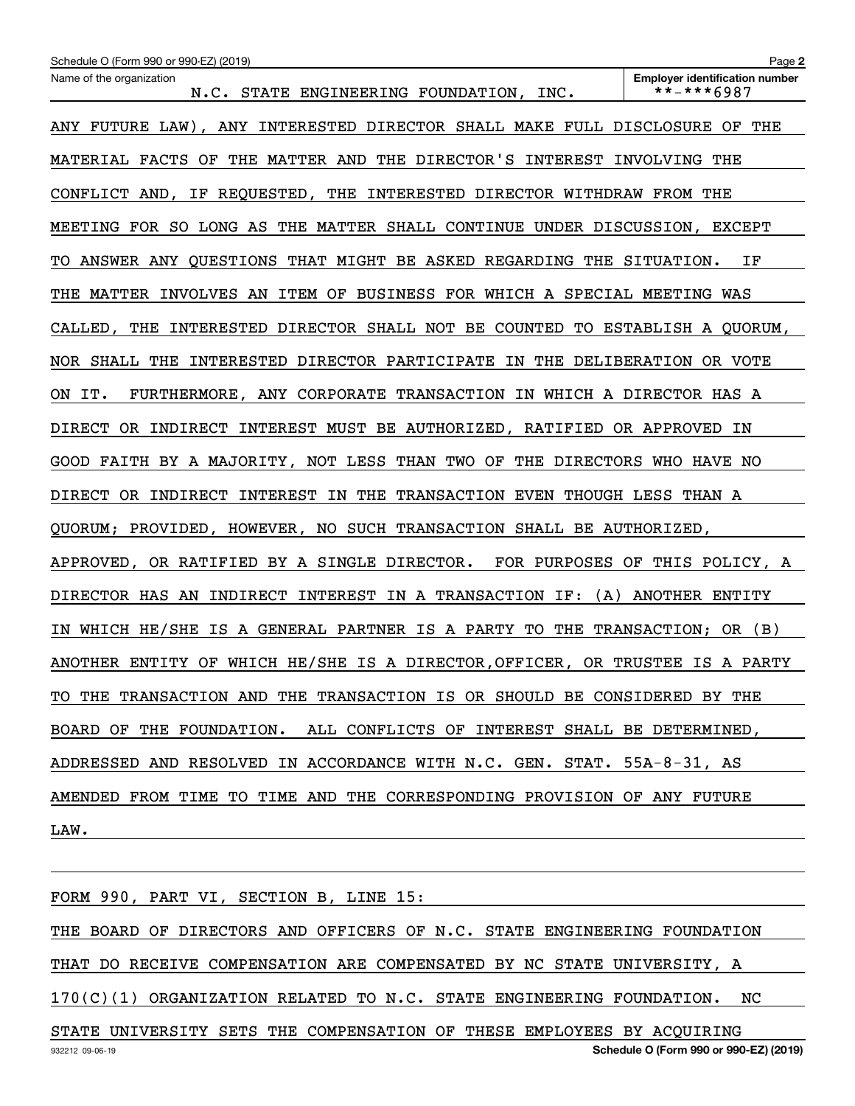| Schedule O (Form 990 or 990-EZ) (2019)                                       | Page 2                                              |
|------------------------------------------------------------------------------|-----------------------------------------------------|
| Name of the organization<br>N.C. STATE ENGINEERING FOUNDATION, INC.          | <b>Employer identification number</b><br>**-***6987 |
| ANY FUTURE LAW), ANY INTERESTED DIRECTOR SHALL MAKE FULL DISCLOSURE OF THE   |                                                     |
| MATERIAL FACTS OF THE MATTER AND THE DIRECTOR'S INTEREST INVOLVING THE       |                                                     |
| CONFLICT AND, IF REQUESTED, THE INTERESTED DIRECTOR WITHDRAW FROM THE        |                                                     |
| MEETING FOR SO LONG AS THE MATTER SHALL CONTINUE UNDER DISCUSSION, EXCEPT    |                                                     |
| TO ANSWER ANY QUESTIONS THAT MIGHT BE ASKED REGARDING THE SITUATION. IF      |                                                     |
| THE MATTER INVOLVES AN ITEM OF BUSINESS FOR WHICH A SPECIAL MEETING WAS      |                                                     |
| CALLED, THE INTERESTED DIRECTOR SHALL NOT BE COUNTED TO ESTABLISH A QUORUM,  |                                                     |
| NOR SHALL THE INTERESTED DIRECTOR PARTICIPATE IN THE DELIBERATION OR VOTE    |                                                     |
| ON IT. FURTHERMORE, ANY CORPORATE TRANSACTION IN WHICH A DIRECTOR HAS A      |                                                     |
| DIRECT OR INDIRECT INTEREST MUST BE AUTHORIZED, RATIFIED OR APPROVED IN      |                                                     |
| GOOD FAITH BY A MAJORITY, NOT LESS THAN TWO OF THE DIRECTORS WHO HAVE NO     |                                                     |
| DIRECT OR INDIRECT INTEREST IN THE TRANSACTION EVEN THOUGH LESS THAN A       |                                                     |
| QUORUM; PROVIDED, HOWEVER, NO SUCH TRANSACTION SHALL BE AUTHORIZED,          |                                                     |
| APPROVED, OR RATIFIED BY A SINGLE DIRECTOR. FOR PURPOSES OF THIS POLICY, A   |                                                     |
| DIRECTOR HAS AN INDIRECT INTEREST IN A TRANSACTION IF: (A) ANOTHER ENTITY    |                                                     |
| IN WHICH HE/SHE IS A GENERAL PARTNER IS A PARTY TO THE TRANSACTION; OR (B)   |                                                     |
| ANOTHER ENTITY OF WHICH HE/SHE IS A DIRECTOR, OFFICER, OR TRUSTEE IS A PARTY |                                                     |
| TO THE TRANSACTION AND THE TRANSACTION IS OR SHOULD BE CONSIDERED BY THE     |                                                     |
| BOARD OF THE FOUNDATION. ALL CONFLICTS OF INTEREST SHALL BE DETERMINED,      |                                                     |
| ADDRESSED AND RESOLVED IN ACCORDANCE WITH N.C. GEN. STAT. 55A-8-31, AS       |                                                     |
| AMENDED FROM TIME TO TIME AND THE CORRESPONDING PROVISION OF ANY FUTURE      |                                                     |
| LAW.                                                                         |                                                     |
|                                                                              |                                                     |

FORM 990, PART VI, SECTION B, LINE 15: THE BOARD OF DIRECTORS AND OFFICERS OF N.C. STATE ENGINEERING FOUNDATION THAT DO RECEIVE COMPENSATION ARE COMPENSATED BY NC STATE UNIVERSITY, A 170(C)(1) ORGANIZATION RELATED TO N.C. STATE ENGINEERING FOUNDATION. NC STATE UNIVERSITY SETS THE COMPENSATION OF THESE EMPLOYEES BY ACQUIRING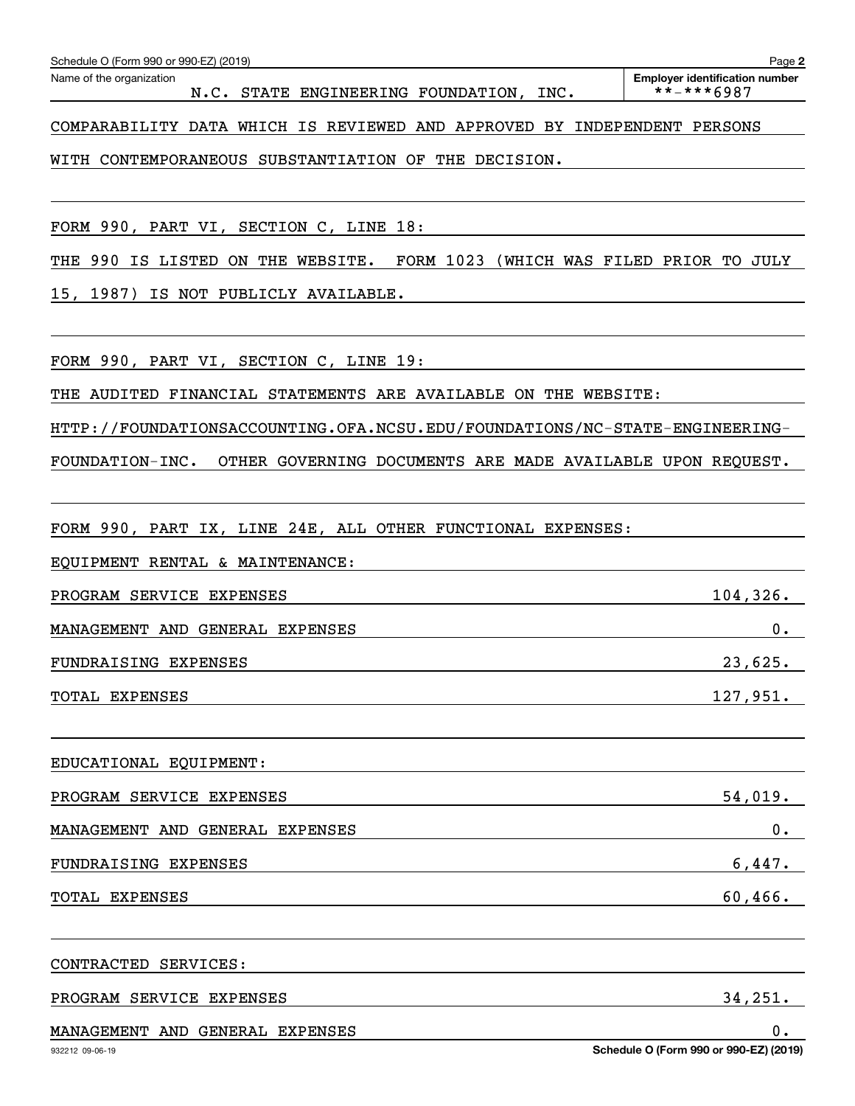| $0$ .<br>MANAGEMENT AND GENERAL EXPENSES<br>Schedule O (Form 990 or 990-EZ) (2019)<br>932212 09-06-19    |
|----------------------------------------------------------------------------------------------------------|
| 34,251.<br>PROGRAM SERVICE EXPENSES                                                                      |
| CONTRACTED SERVICES:                                                                                     |
| 60,466.<br>TOTAL EXPENSES                                                                                |
| 6,447.<br>FUNDRAISING EXPENSES                                                                           |
| 0.<br>MANAGEMENT AND GENERAL EXPENSES                                                                    |
| 54,019.<br>PROGRAM SERVICE EXPENSES                                                                      |
| EDUCATIONAL EQUIPMENT:                                                                                   |
| 127,951.<br>TOTAL EXPENSES                                                                               |
| 23,625.<br>FUNDRAISING EXPENSES                                                                          |
| 0.<br>MANAGEMENT AND GENERAL EXPENSES                                                                    |
| 104, 326.<br>PROGRAM SERVICE EXPENSES                                                                    |
| EQUIPMENT RENTAL & MAINTENANCE:                                                                          |
| FORM 990, PART IX, LINE 24E, ALL OTHER FUNCTIONAL EXPENSES:                                              |
|                                                                                                          |
| OTHER GOVERNING DOCUMENTS ARE MADE AVAILABLE UPON REQUEST.<br>FOUNDATION-INC.                            |
| HTTP://FOUNDATIONSACCOUNTING.OFA.NCSU.EDU/FOUNDATIONS/NC-STATE-ENGINEERING-                              |
| FORM 990, PART VI, SECTION C, LINE 19:<br>THE AUDITED FINANCIAL STATEMENTS ARE AVAILABLE ON THE WEBSITE: |
| 15, 1987) IS NOT PUBLICLY AVAILABLE.                                                                     |
| THE 990 IS LISTED ON THE WEBSITE. FORM 1023 (WHICH WAS FILED PRIOR TO JULY                               |
| FORM 990, PART VI, SECTION C, LINE 18:                                                                   |
|                                                                                                          |
| WITH CONTEMPORANEOUS SUBSTANTIATION OF THE DECISION.                                                     |

Echedule O (Form 990 or 990-EZ) (2019)<br>Name of the organization **number** Name of the organization **page Name of the organization number** 

N.C. STATE ENGINEERING FOUNDATION, INC. | \*\*-\*\*\*6987

COMPARABILITY DATA WHICH IS REVIEWED AND APPROVED BY INDEPENDENT PERSONS

**2**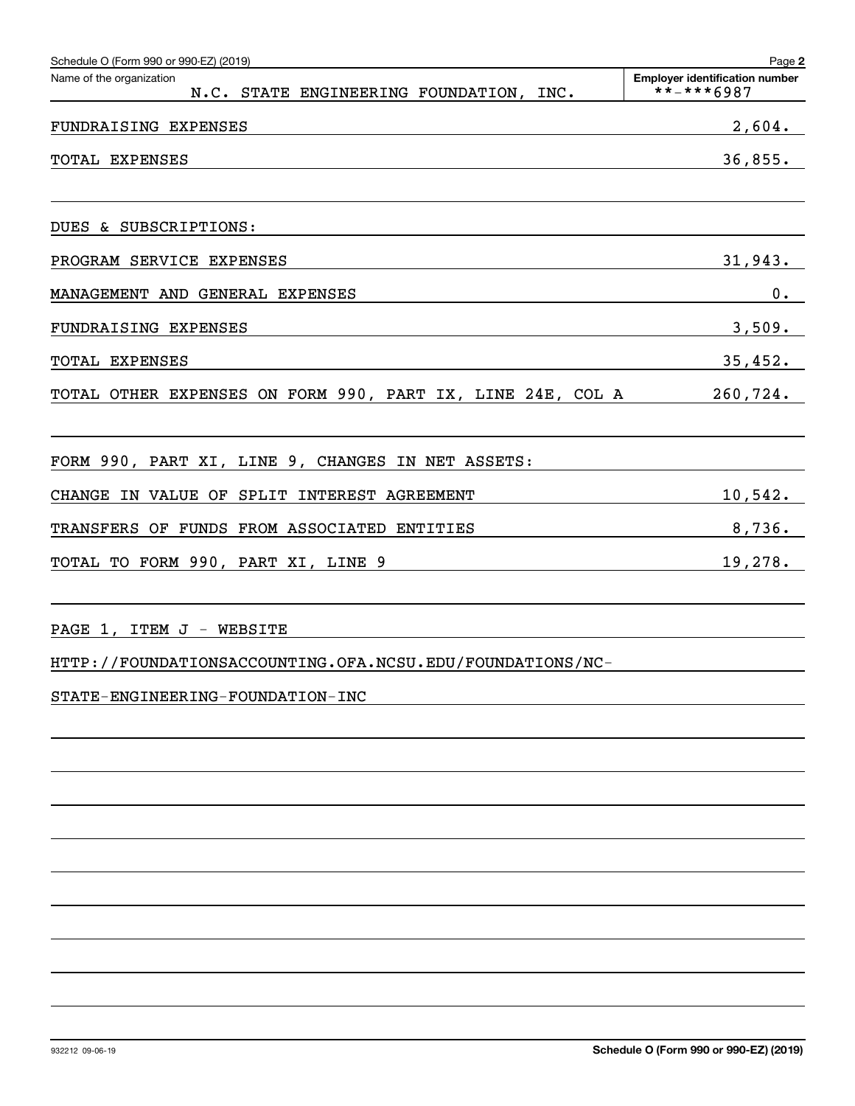| Schedule O (Form 990 or 990-EZ) (2019)                                                                                                                                                                                                          | Page 2                                                                     |
|-------------------------------------------------------------------------------------------------------------------------------------------------------------------------------------------------------------------------------------------------|----------------------------------------------------------------------------|
| Name of the organization<br>N.C. STATE ENGINEERING FOUNDATION, INC.                                                                                                                                                                             | <b>Employer identification number</b><br>$******6987$                      |
| FUNDRAISING EXPENSES                                                                                                                                                                                                                            | 2,604.                                                                     |
| TOTAL EXPENSES<br>the control of the control of the control of the control of the control of the control of the control of the control of the control of the control of the control of the control of the control of the control of the control | 36,855.                                                                    |
| DUES & SUBSCRIPTIONS:                                                                                                                                                                                                                           |                                                                            |
| PROGRAM SERVICE EXPENSES<br><u> 1989 - Johann Stoff, amerikansk politiker (d. 1989)</u>                                                                                                                                                         | 31,943.                                                                    |
| MANAGEMENT AND GENERAL EXPENSES                                                                                                                                                                                                                 | 0.                                                                         |
| FUNDRAISING EXPENSES                                                                                                                                                                                                                            | 3,509.                                                                     |
| TOTAL EXPENSES<br><u> 1989 - Johann Stoff, deutscher Stoff, der Stoff, der Stoff, der Stoff, der Stoff, der Stoff, der Stoff, der S</u>                                                                                                         | 35,452.                                                                    |
| TOTAL OTHER EXPENSES ON FORM 990, PART IX, LINE 24E, COL A 260,724.                                                                                                                                                                             |                                                                            |
| FORM 990, PART XI, LINE 9, CHANGES IN NET ASSETS:                                                                                                                                                                                               | the control of the control of the control of the control of the control of |
| CHANGE IN VALUE OF SPLIT INTEREST AGREEMENT<br><u> 1989 - Johann Barn, fransk politik (</u>                                                                                                                                                     | $10,542$ .                                                                 |
| TRANSFERS OF FUNDS FROM ASSOCIATED ENTITIES                                                                                                                                                                                                     | 8,736.                                                                     |
| TOTAL TO FORM 990, PART XI, LINE 9                                                                                                                                                                                                              | 19,278.                                                                    |
| PAGE 1, ITEM J - WEBSITE                                                                                                                                                                                                                        |                                                                            |
| HTTP://FOUNDATIONSACCOUNTING.OFA.NCSU.EDU/FOUNDATIONS/NC-                                                                                                                                                                                       |                                                                            |
| STATE-ENGINEERING-FOUNDATION-INC                                                                                                                                                                                                                |                                                                            |
|                                                                                                                                                                                                                                                 |                                                                            |
|                                                                                                                                                                                                                                                 |                                                                            |
|                                                                                                                                                                                                                                                 |                                                                            |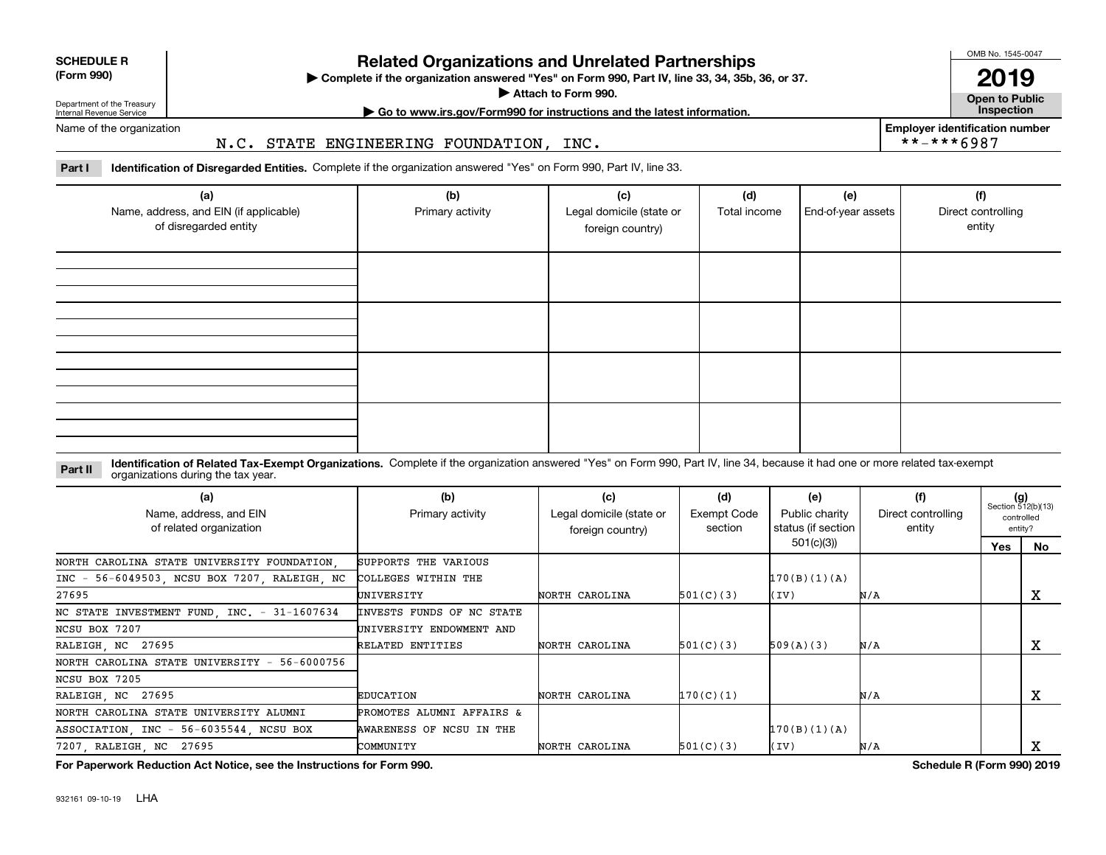| <b>SCHEDULE R</b>         |  |
|---------------------------|--|
| $\sim$ 0.00<br>$\sqrt{2}$ |  |

**(Form 990)**

## **Related Organizations and Unrelated Partnerships**

**Complete if the organization answered "Yes" on Form 990, Part IV, line 33, 34, 35b, 36, or 37.** |

**Attach to Form 990.**  |

OMB No. 1545-0047

**Open to Public 2019**

**Employer identification number**

\*\*-\*\*\*6987

Department of the Treasury Internal Revenue Service

# **| Go to www.irs.gov/Form990 for instructions and the latest information. Inspection**

Name of the organization

#### N.C. STATE ENGINEERING FOUNDATION, INC.

**Part I Identification of Disregarded Entities.**  Complete if the organization answered "Yes" on Form 990, Part IV, line 33.

| (a)<br>Name, address, and EIN (if applicable)<br>of disregarded entity | (b)<br>Primary activity | (c)<br>Legal domicile (state or<br>foreign country) | (d)<br>Total income | (e)<br>End-of-year assets | (f)<br>Direct controlling<br>entity |
|------------------------------------------------------------------------|-------------------------|-----------------------------------------------------|---------------------|---------------------------|-------------------------------------|
|                                                                        |                         |                                                     |                     |                           |                                     |
|                                                                        |                         |                                                     |                     |                           |                                     |
|                                                                        |                         |                                                     |                     |                           |                                     |
|                                                                        |                         |                                                     |                     |                           |                                     |

#### **Identification of Related Tax-Exempt Organizations.** Complete if the organization answered "Yes" on Form 990, Part IV, line 34, because it had one or more related tax-exempt **Part II** organizations during the tax year.

| (a)<br>Name, address, and EIN<br>of related organization            | (b)<br>Primary activity   | (c)<br>Legal domicile (state or<br>foreign country) | (d)<br>Exempt Code<br>section | (e)<br>Public charity<br>status (if section | (f)<br>Direct controlling<br>entity | $(g)$<br>Section 512(b)(13) | controlled<br>entity? |
|---------------------------------------------------------------------|---------------------------|-----------------------------------------------------|-------------------------------|---------------------------------------------|-------------------------------------|-----------------------------|-----------------------|
|                                                                     |                           |                                                     |                               | 501(c)(3))                                  |                                     | Yes                         | No                    |
| NORTH CAROLINA STATE UNIVERSITY FOUNDATION.                         | SUPPORTS THE VARIOUS      |                                                     |                               |                                             |                                     |                             |                       |
| INC - 56-6049503, NCSU BOX 7207, RALEIGH, NC                        | COLLEGES WITHIN THE       |                                                     |                               | 170(B)(1)(A)                                |                                     |                             |                       |
| 27695                                                               | UNIVERSITY                | NORTH CAROLINA                                      | 501(C)(3)                     | (IV)                                        | N/A                                 |                             | A                     |
| NC STATE INVESTMENT FUND, INC. - 31-1607634                         | INVESTS FUNDS OF NC STATE |                                                     |                               |                                             |                                     |                             |                       |
| NCSU BOX 7207                                                       | UNIVERSITY ENDOWMENT AND  |                                                     |                               |                                             |                                     |                             |                       |
| RALEIGH, NC 27695                                                   | RELATED ENTITIES          | NORTH CAROLINA                                      | 501(C)(3)                     | 509(A)(3)                                   | N/A                                 |                             | x                     |
| NORTH CAROLINA STATE UNIVERSITY - 56-6000756                        |                           |                                                     |                               |                                             |                                     |                             |                       |
| NCSU BOX 7205                                                       |                           |                                                     |                               |                                             |                                     |                             |                       |
| RALEIGH, NC 27695                                                   | EDUCATION                 | NORTH CAROLINA                                      | 170(C)(1)                     |                                             | N/A                                 |                             | х                     |
| NORTH CAROLINA STATE UNIVERSITY ALUMNI<br>PROMOTES ALUMNI AFFAIRS & |                           |                                                     |                               |                                             |                                     |                             |                       |
| ASSOCIATION INC - 56-6035544 NCSU BOX<br>AWARENESS OF NCSU IN THE   |                           |                                                     |                               | 170(B)(1)(A)                                |                                     |                             |                       |
| 7207, RALEIGH, NC 27695                                             | COMMUNITY                 | NORTH CAROLINA                                      | 501(C)(3)                     | (IV)                                        | N/A                                 |                             | A                     |

**For Paperwork Reduction Act Notice, see the Instructions for Form 990. Schedule R (Form 990) 2019**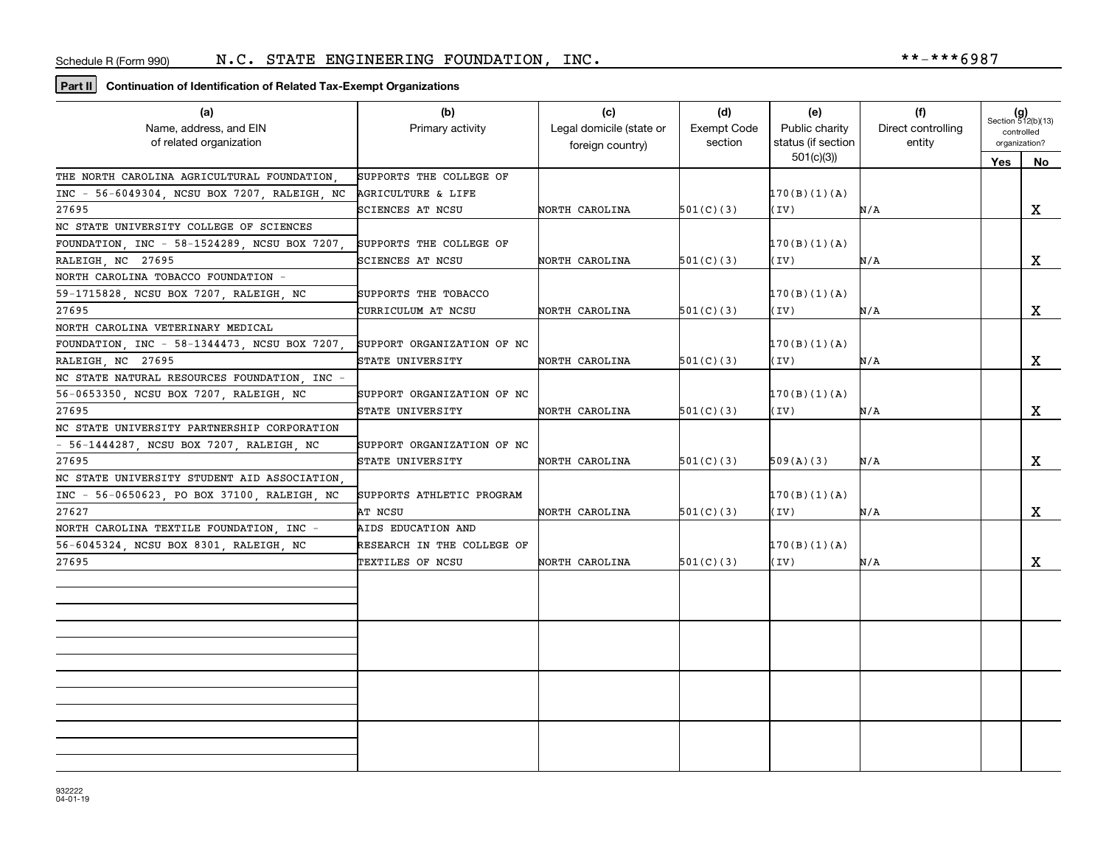### **Part II Continuation of Identification of Related Tax-Exempt Organizations**

| (a)                                          | (b)                        | (c)                      | (d)                | (e)                | (f)                | $(g)$<br>Section 512(b)(13) |    |
|----------------------------------------------|----------------------------|--------------------------|--------------------|--------------------|--------------------|-----------------------------|----|
| Name, address, and EIN                       | Primary activity           | Legal domicile (state or | <b>Exempt Code</b> | Public charity     | Direct controlling | controlled                  |    |
| of related organization                      |                            | foreign country)         | section            | status (if section | entity             | organization?               |    |
|                                              |                            |                          |                    | 501(c)(3)          |                    | Yes                         | No |
| THE NORTH CAROLINA AGRICULTURAL FOUNDATION   | SUPPORTS THE COLLEGE OF    |                          |                    |                    |                    |                             |    |
| INC - 56-6049304, NCSU BOX 7207, RALEIGH, NC | AGRICULTURE & LIFE         |                          |                    | 170(B)(1)(A)       |                    |                             |    |
| 27695                                        | SCIENCES AT NCSU           | NORTH CAROLINA           | 501(C)(3)          | (IV)               | N/A                |                             | X  |
| NC STATE UNIVERSITY COLLEGE OF SCIENCES      |                            |                          |                    |                    |                    |                             |    |
| FOUNDATION, INC - 58-1524289, NCSU BOX 7207, | SUPPORTS THE COLLEGE OF    |                          |                    | 170(B)(1)(A)       |                    |                             |    |
| RALEIGH NC 27695                             | SCIENCES AT NCSU           | NORTH CAROLINA           | 501(C)(3)          | (IV)               | N/A                |                             | x  |
| NORTH CAROLINA TOBACCO FOUNDATION -          |                            |                          |                    |                    |                    |                             |    |
| 59-1715828, NCSU BOX 7207, RALEIGH, NC       | SUPPORTS THE TOBACCO       |                          |                    | 170(B)(1)(A)       |                    |                             |    |
| 27695                                        | CURRICULUM AT NCSU         | NORTH CAROLINA           | 501(C)(3)          | (IV)               | N/A                |                             | X  |
| NORTH CAROLINA VETERINARY MEDICAL            |                            |                          |                    |                    |                    |                             |    |
| FOUNDATION, INC - 58-1344473, NCSU BOX 7207, | SUPPORT ORGANIZATION OF NC |                          |                    | 170(B)(1)(A)       |                    |                             |    |
| RALEIGH, NC 27695                            | STATE UNIVERSITY           | NORTH CAROLINA           | 501(C)(3)          | (IV)               | N/A                |                             | X  |
| NC STATE NATURAL RESOURCES FOUNDATION, INC - |                            |                          |                    |                    |                    |                             |    |
| 56-0653350, NCSU BOX 7207, RALEIGH, NC       | SUPPORT ORGANIZATION OF NC |                          |                    | 170(B)(1)(A)       |                    |                             |    |
| 27695                                        | STATE UNIVERSITY           | NORTH CAROLINA           | 501(C)(3)          | (IV)               | N/A                |                             | X  |
| NC STATE UNIVERSITY PARTNERSHIP CORPORATION  |                            |                          |                    |                    |                    |                             |    |
| - 56-1444287, NCSU BOX 7207, RALEIGH, NC     | SUPPORT ORGANIZATION OF NC |                          |                    |                    |                    |                             |    |
| 27695                                        | STATE UNIVERSITY           | NORTH CAROLINA           | 501(C)(3)          | 509(A)(3)          | N/A                |                             | X  |
| NC STATE UNIVERSITY STUDENT AID ASSOCIATION. |                            |                          |                    |                    |                    |                             |    |
| INC - 56-0650623, PO BOX 37100, RALEIGH, NC  | SUPPORTS ATHLETIC PROGRAM  |                          |                    | 170(B)(1)(A)       |                    |                             |    |
| 27627                                        | AT NCSU                    | NORTH CAROLINA           | 501(C)(3)          | (IV)               | N/A                |                             | X  |
| NORTH CAROLINA TEXTILE FOUNDATION, INC -     | AIDS EDUCATION AND         |                          |                    |                    |                    |                             |    |
| 56-6045324, NCSU BOX 8301, RALEIGH, NC       | RESEARCH IN THE COLLEGE OF |                          |                    | 170(B)(1)(A)       |                    |                             |    |
| 27695                                        | TEXTILES OF NCSU           | NORTH CAROLINA           | 501(C)(3)          | (IV)               | N/A                |                             | X  |
|                                              |                            |                          |                    |                    |                    |                             |    |
|                                              |                            |                          |                    |                    |                    |                             |    |
|                                              |                            |                          |                    |                    |                    |                             |    |
|                                              |                            |                          |                    |                    |                    |                             |    |
|                                              |                            |                          |                    |                    |                    |                             |    |
|                                              |                            |                          |                    |                    |                    |                             |    |
|                                              |                            |                          |                    |                    |                    |                             |    |
|                                              |                            |                          |                    |                    |                    |                             |    |
|                                              |                            |                          |                    |                    |                    |                             |    |
|                                              |                            |                          |                    |                    |                    |                             |    |
|                                              |                            |                          |                    |                    |                    |                             |    |
|                                              |                            |                          |                    |                    |                    |                             |    |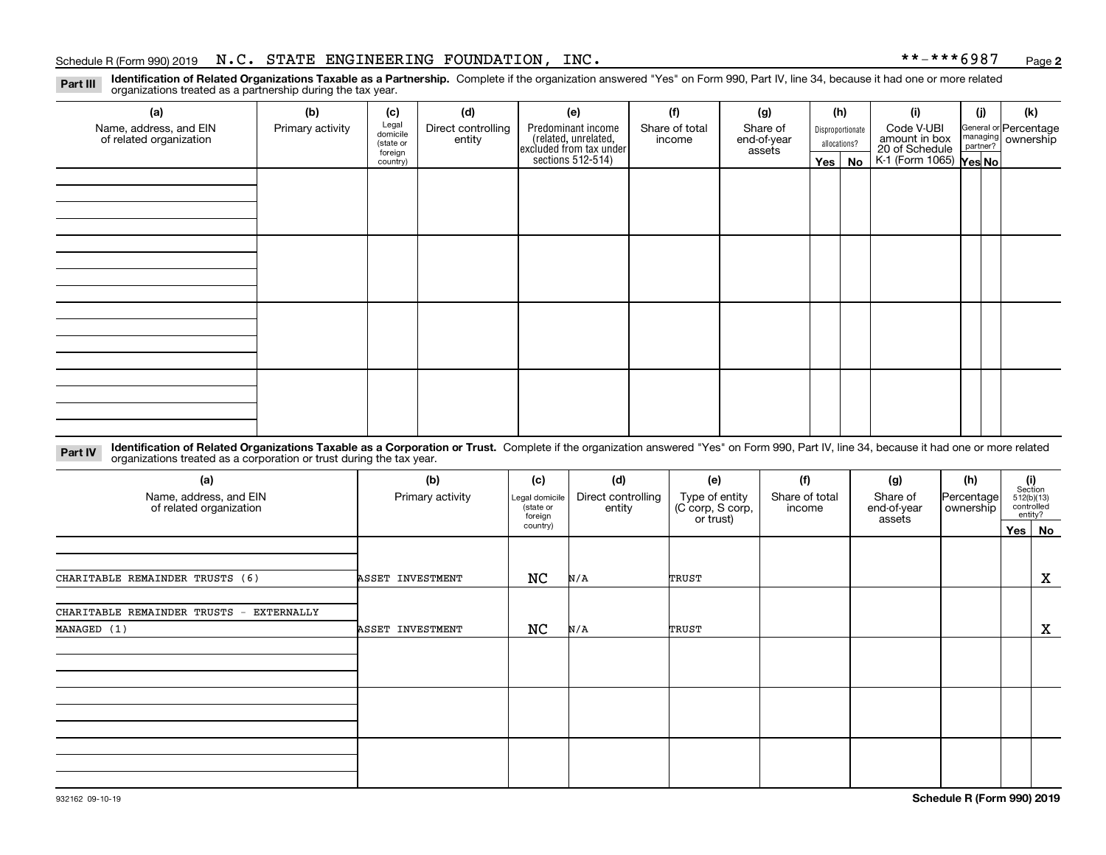#### Schedule R (Form 990) 2019 Page N.C. STATE ENGINEERING FOUNDATION, INC. \*\*-\*\*\*6987

**2**

**Identification of Related Organizations Taxable as a Partnership.** Complete if the organization answered "Yes" on Form 990, Part IV, line 34, because it had one or more related **Part III** organizations treated as a partnership during the tax year.

| (a)                     | (b)              | (c)                 | (d)                | (e)                                                                                        | (f)            | (g)         |         | (h)              | (i)                                                              | (j) | (k)                                                       |
|-------------------------|------------------|---------------------|--------------------|--------------------------------------------------------------------------------------------|----------------|-------------|---------|------------------|------------------------------------------------------------------|-----|-----------------------------------------------------------|
| Name, address, and EIN  | Primary activity | Legal<br>domicile   | Direct controlling | Predominant income<br>(related, unrelated,<br>excluded from tax under<br>sections 512-514) | Share of total | Share of    |         | Disproportionate | Code V-UBI                                                       |     | General or Percentage<br>managing<br>partner?<br>partner? |
| of related organization |                  | (state or           | entity             |                                                                                            | income         | end-of-year |         | allocations?     |                                                                  |     |                                                           |
|                         |                  | foreign<br>country) |                    |                                                                                            |                | assets      | Yes $ $ | No               | amount in box<br>20 of Schedule<br>K-1 (Form 1065) <b>Yes No</b> |     |                                                           |
|                         |                  |                     |                    |                                                                                            |                |             |         |                  |                                                                  |     |                                                           |
|                         |                  |                     |                    |                                                                                            |                |             |         |                  |                                                                  |     |                                                           |
|                         |                  |                     |                    |                                                                                            |                |             |         |                  |                                                                  |     |                                                           |
|                         |                  |                     |                    |                                                                                            |                |             |         |                  |                                                                  |     |                                                           |
|                         |                  |                     |                    |                                                                                            |                |             |         |                  |                                                                  |     |                                                           |
|                         |                  |                     |                    |                                                                                            |                |             |         |                  |                                                                  |     |                                                           |
|                         |                  |                     |                    |                                                                                            |                |             |         |                  |                                                                  |     |                                                           |
|                         |                  |                     |                    |                                                                                            |                |             |         |                  |                                                                  |     |                                                           |
|                         |                  |                     |                    |                                                                                            |                |             |         |                  |                                                                  |     |                                                           |
|                         |                  |                     |                    |                                                                                            |                |             |         |                  |                                                                  |     |                                                           |
|                         |                  |                     |                    |                                                                                            |                |             |         |                  |                                                                  |     |                                                           |
|                         |                  |                     |                    |                                                                                            |                |             |         |                  |                                                                  |     |                                                           |
|                         |                  |                     |                    |                                                                                            |                |             |         |                  |                                                                  |     |                                                           |
|                         |                  |                     |                    |                                                                                            |                |             |         |                  |                                                                  |     |                                                           |
|                         |                  |                     |                    |                                                                                            |                |             |         |                  |                                                                  |     |                                                           |
|                         |                  |                     |                    |                                                                                            |                |             |         |                  |                                                                  |     |                                                           |
|                         |                  |                     |                    |                                                                                            |                |             |         |                  |                                                                  |     |                                                           |
|                         |                  |                     |                    |                                                                                            |                |             |         |                  |                                                                  |     |                                                           |
|                         |                  |                     |                    |                                                                                            |                |             |         |                  |                                                                  |     |                                                           |
|                         |                  |                     |                    |                                                                                            |                |             |         |                  |                                                                  |     |                                                           |

**Identification of Related Organizations Taxable as a Corporation or Trust.** Complete if the organization answered "Yes" on Form 990, Part IV, line 34, because it had one or more related **Part IV** organizations treated as a corporation or trust during the tax year.

| (a)<br>Name, address, and EIN<br>of related organization | (b)<br>Primary activity | (d)<br>(c)<br>Direct controlling<br>Legal domicile<br>(state or<br>entity<br>foreign |     | (e)<br>Type of entity<br>(C corp, S corp,<br>or trust) | (f)<br>Share of total<br>income | (g)<br>Share of<br>end-of-year<br>assets | (h)<br>Percentage<br>ownership | (i)<br>Section<br>512(b)(13)<br>controlled | entity?     |
|----------------------------------------------------------|-------------------------|--------------------------------------------------------------------------------------|-----|--------------------------------------------------------|---------------------------------|------------------------------------------|--------------------------------|--------------------------------------------|-------------|
|                                                          |                         | country)                                                                             |     |                                                        |                                 |                                          |                                | Yes No                                     |             |
|                                                          |                         |                                                                                      |     |                                                        |                                 |                                          |                                |                                            |             |
| CHARITABLE REMAINDER TRUSTS (6)                          | ASSET INVESTMENT        | NC                                                                                   | N/A | TRUST                                                  |                                 |                                          |                                |                                            | X           |
| CHARITABLE REMAINDER TRUSTS -<br>EXTERNALLY              |                         |                                                                                      |     |                                                        |                                 |                                          |                                |                                            |             |
| MANAGED (1)                                              | ASSET INVESTMENT        | NC                                                                                   | N/A | TRUST                                                  |                                 |                                          |                                |                                            | $\mathbf X$ |
|                                                          |                         |                                                                                      |     |                                                        |                                 |                                          |                                |                                            |             |
|                                                          |                         |                                                                                      |     |                                                        |                                 |                                          |                                |                                            |             |
|                                                          |                         |                                                                                      |     |                                                        |                                 |                                          |                                |                                            |             |
|                                                          |                         |                                                                                      |     |                                                        |                                 |                                          |                                |                                            |             |
|                                                          |                         |                                                                                      |     |                                                        |                                 |                                          |                                |                                            |             |
|                                                          |                         |                                                                                      |     |                                                        |                                 |                                          |                                |                                            |             |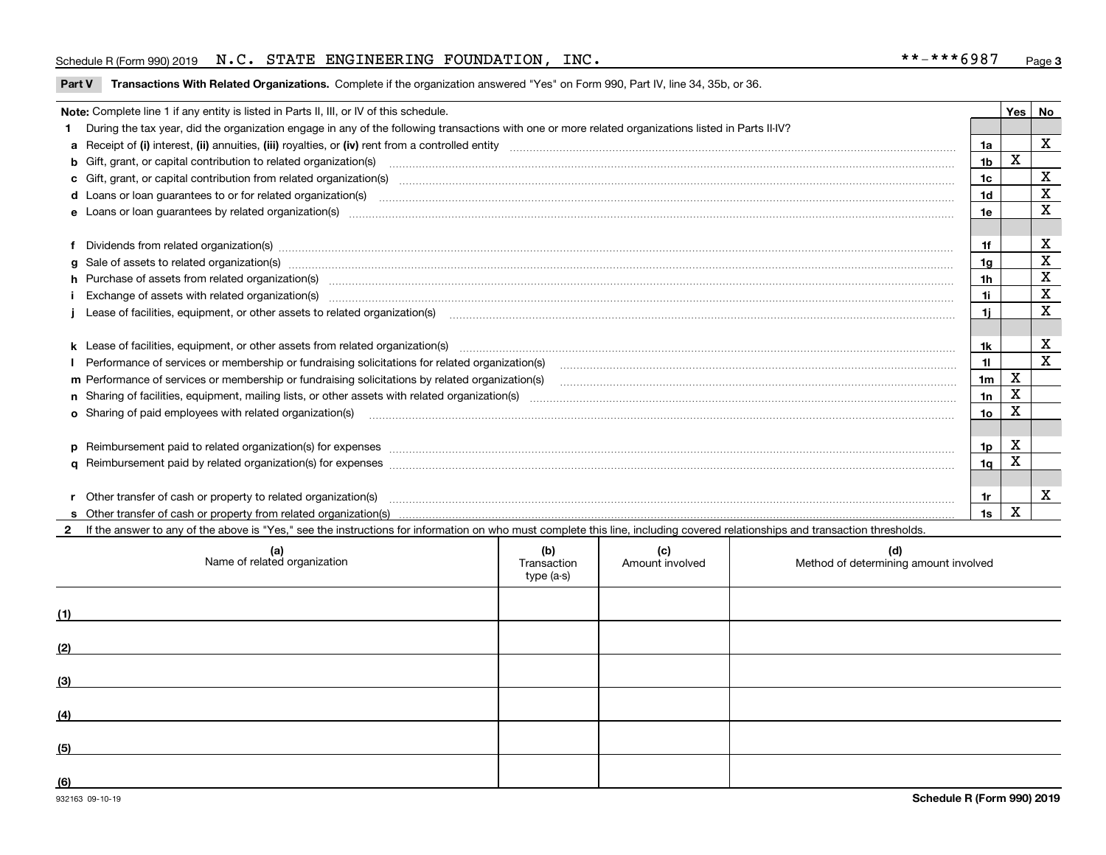#### Schedule R (Form 990) 2019 Page N.C. STATE ENGINEERING FOUNDATION, INC. \*\*-\*\*\*6987

**Part V** T**ransactions With Related Organizations.** Complete if the organization answered "Yes" on Form 990, Part IV, line 34, 35b, or 36.

| Note: Complete line 1 if any entity is listed in Parts II, III, or IV of this schedule.                                                                                                                                        |                 | Yes | l No                    |
|--------------------------------------------------------------------------------------------------------------------------------------------------------------------------------------------------------------------------------|-----------------|-----|-------------------------|
| During the tax year, did the organization engage in any of the following transactions with one or more related organizations listed in Parts II-IV?                                                                            |                 |     |                         |
|                                                                                                                                                                                                                                | 1a              |     | $\overline{\mathbf{x}}$ |
| <b>b</b> Gift, grant, or capital contribution to related organization(s)                                                                                                                                                       | 1b              | x   |                         |
|                                                                                                                                                                                                                                | 1 <sub>c</sub>  |     | $\mathbf X$             |
|                                                                                                                                                                                                                                | 1 <sub>d</sub>  |     | X                       |
|                                                                                                                                                                                                                                | 1e              |     | X                       |
|                                                                                                                                                                                                                                |                 |     |                         |
| Dividends from related organization(s) manufactured and contract and contract and contract and contract and contract and contract and contract and contract and contract and contract and contract and contract and contract a | 1f              |     | X                       |
|                                                                                                                                                                                                                                | 1g              |     | X                       |
| h Purchase of assets from related organization(s) manufactured and content to content the content of assets from related organization(s)                                                                                       | 1h              |     | $\mathbf X$             |
| Exchange of assets with related organization(s) www.assettion.com/www.assettion.com/www.assettion.com/www.assettion.com/www.assettion.com/www.assettion.com/www.assettion.com/www.assettion.com/www.assettion.com/www.assettio | 1i              |     | $\mathbf X$             |
|                                                                                                                                                                                                                                | 1i              |     | X                       |
|                                                                                                                                                                                                                                |                 |     |                         |
| k Lease of facilities, equipment, or other assets from related organization(s) manufaction content and content to content and an analyzing content and an analyzing content and an analyzing content and content and content a | 1k              |     | X                       |
|                                                                                                                                                                                                                                | 11              |     | X                       |
| m Performance of services or membership or fundraising solicitations by related organization(s)                                                                                                                                | 1 <sub>m</sub>  | X   |                         |
|                                                                                                                                                                                                                                | 1n              | X   |                         |
| <b>o</b> Sharing of paid employees with related organization(s)                                                                                                                                                                | 10 <sub>o</sub> | Χ   |                         |
|                                                                                                                                                                                                                                |                 |     |                         |
|                                                                                                                                                                                                                                | 1p              | X   |                         |
|                                                                                                                                                                                                                                | 1 <sub>q</sub>  | X   |                         |
|                                                                                                                                                                                                                                |                 |     |                         |
| r Other transfer of cash or property to related organization(s)                                                                                                                                                                | 1r              |     | X                       |
|                                                                                                                                                                                                                                | 1s              | X   |                         |
| 2 If the answer to any of the above is "Yes," see the instructions for information on who must complete this line, including covered relationships and transaction thresholds.                                                 |                 |     |                         |

|     | (a)<br>Name of related organization | (b)<br>Transaction<br>type (a-s) | (c)<br>Amount involved | (d)<br>Method of determining amount involved |
|-----|-------------------------------------|----------------------------------|------------------------|----------------------------------------------|
| (1) |                                     |                                  |                        |                                              |
| (2) |                                     |                                  |                        |                                              |
| (3) |                                     |                                  |                        |                                              |
| (4) |                                     |                                  |                        |                                              |
| (5) |                                     |                                  |                        |                                              |
| (6) |                                     |                                  |                        |                                              |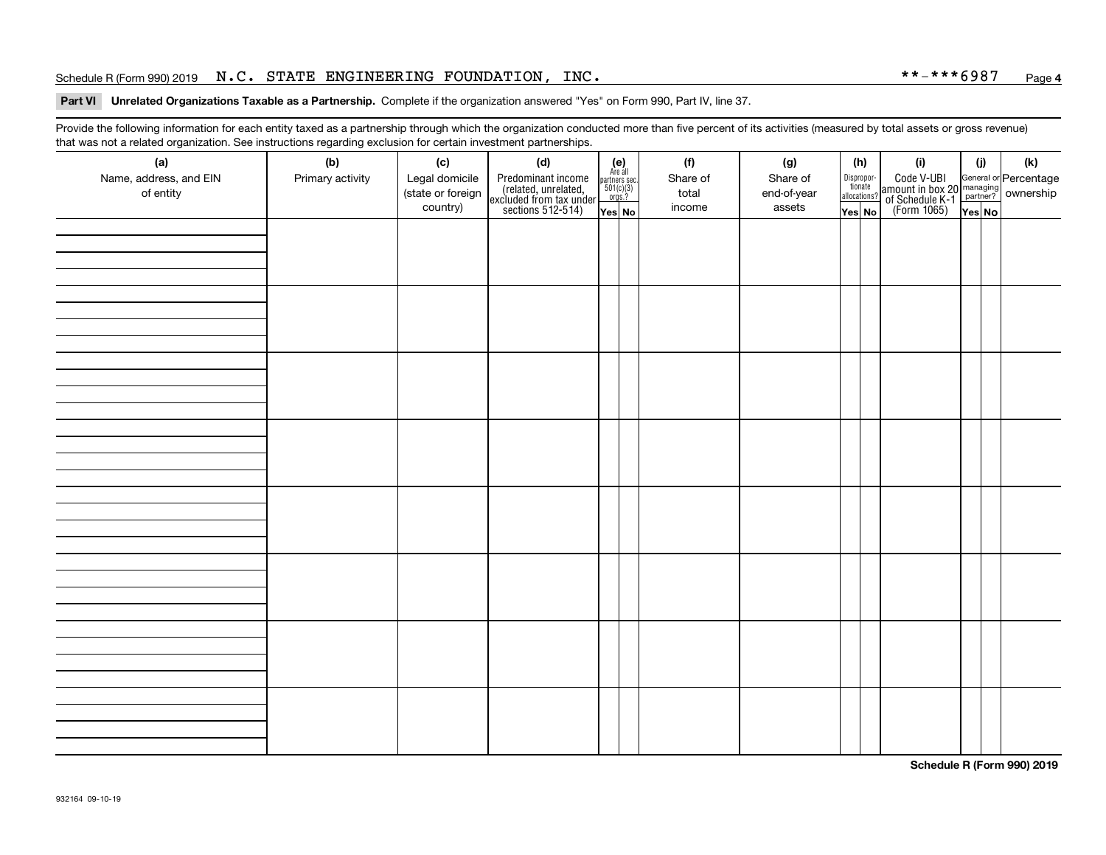#### Schedule R (Form 990) 2019 Page N.C. STATE ENGINEERING FOUNDATION, INC. \*\*-\*\*\*6987

#### **4**

#### **Part VI Unrelated Organizations Taxable as a Partnership. Complete if the organization answered "Yes" on Form 990, Part IV, line 37.**

Provide the following information for each entity taxed as a partnership through which the organization conducted more than five percent of its activities (measured by total assets or gross revenue) that was not a related organization. See instructions regarding exclusion for certain investment partnerships.

| (a)<br>Name, address, and EIN<br>of entity | $\tilde{}$<br>(b)<br>Primary activity | (c)<br>Legal domicile<br>(state or foreign<br>country) | (d)<br>Predominant income<br>(related, unrelated,<br>excluded from tax under<br>sections 512-514) | $(e)$<br>Are all<br>$\begin{array}{c}\n\text{partners} \sec.\n\phantom{00000}\n501(c)(3)\n\phantom{00000}\n\phantom{000000}\n\end{array}$<br>Yes No | (f)<br>Share of<br>total<br>income | (g)<br>Share of<br>end-of-year<br>assets | (h)<br>Disproportionate<br>allocations?<br>Yes No | (i)<br>Code V-UBI<br>amount in box 20 managing<br>of Schedule K-1<br>(Form 1065)<br>$\overline{Yes}$ No | (i)<br>Yes No | $(\mathsf{k})$ |
|--------------------------------------------|---------------------------------------|--------------------------------------------------------|---------------------------------------------------------------------------------------------------|-----------------------------------------------------------------------------------------------------------------------------------------------------|------------------------------------|------------------------------------------|---------------------------------------------------|---------------------------------------------------------------------------------------------------------|---------------|----------------|
|                                            |                                       |                                                        |                                                                                                   |                                                                                                                                                     |                                    |                                          |                                                   |                                                                                                         |               |                |
|                                            |                                       |                                                        |                                                                                                   |                                                                                                                                                     |                                    |                                          |                                                   |                                                                                                         |               |                |
|                                            |                                       |                                                        |                                                                                                   |                                                                                                                                                     |                                    |                                          |                                                   |                                                                                                         |               |                |
|                                            |                                       |                                                        |                                                                                                   |                                                                                                                                                     |                                    |                                          |                                                   |                                                                                                         |               |                |
|                                            |                                       |                                                        |                                                                                                   |                                                                                                                                                     |                                    |                                          |                                                   |                                                                                                         |               |                |
|                                            |                                       |                                                        |                                                                                                   |                                                                                                                                                     |                                    |                                          |                                                   |                                                                                                         |               |                |
|                                            |                                       |                                                        |                                                                                                   |                                                                                                                                                     |                                    |                                          |                                                   |                                                                                                         |               |                |
|                                            |                                       |                                                        |                                                                                                   |                                                                                                                                                     |                                    |                                          |                                                   |                                                                                                         |               |                |

**Schedule R (Form 990) 2019**